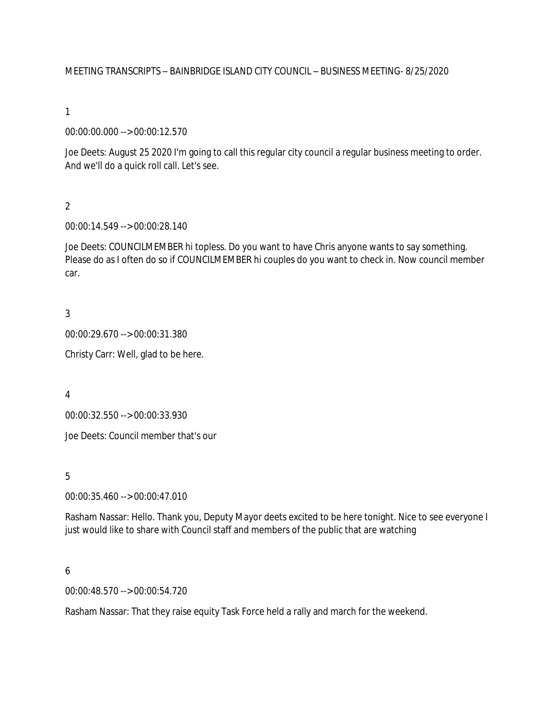#### MEETING TRANSCRIPTS – BAINBRIDGE ISLAND CITY COUNCIL – BUSINESS MEETING- 8/25/2020

1

00:00:00.000 --> 00:00:12.570

Joe Deets: August 25 2020 I'm going to call this regular city council a regular business meeting to order. And we'll do a quick roll call. Let's see.

 $\overline{2}$ 

00:00:14.549 --> 00:00:28.140

Joe Deets: COUNCILMEMBER hi topless. Do you want to have Chris anyone wants to say something. Please do as I often do so if COUNCILMEMBER hi couples do you want to check in. Now council member car.

3

00:00:29.670 --> 00:00:31.380

Christy Carr: Well, glad to be here.

4

00:00:32.550 --> 00:00:33.930

Joe Deets: Council member that's our

5

00:00:35.460 --> 00:00:47.010

Rasham Nassar: Hello. Thank you, Deputy Mayor deets excited to be here tonight. Nice to see everyone I just would like to share with Council staff and members of the public that are watching

6

00:00:48.570 --> 00:00:54.720

Rasham Nassar: That they raise equity Task Force held a rally and march for the weekend.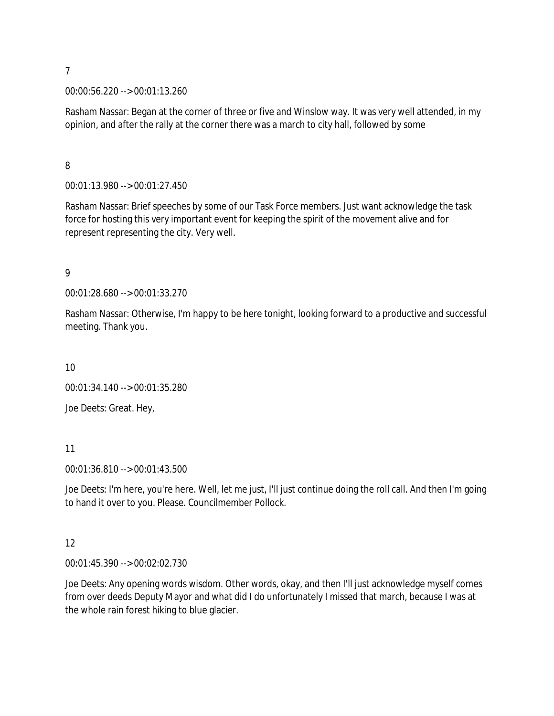00:00:56.220 --> 00:01:13.260

Rasham Nassar: Began at the corner of three or five and Winslow way. It was very well attended, in my opinion, and after the rally at the corner there was a march to city hall, followed by some

8

00:01:13.980 --> 00:01:27.450

Rasham Nassar: Brief speeches by some of our Task Force members. Just want acknowledge the task force for hosting this very important event for keeping the spirit of the movement alive and for represent representing the city. Very well.

9

00:01:28.680 --> 00:01:33.270

Rasham Nassar: Otherwise, I'm happy to be here tonight, looking forward to a productive and successful meeting. Thank you.

10

00:01:34.140 --> 00:01:35.280

Joe Deets: Great. Hey,

11

00:01:36.810 --> 00:01:43.500

Joe Deets: I'm here, you're here. Well, let me just, I'll just continue doing the roll call. And then I'm going to hand it over to you. Please. Councilmember Pollock.

### 12

00:01:45.390 --> 00:02:02.730

Joe Deets: Any opening words wisdom. Other words, okay, and then I'll just acknowledge myself comes from over deeds Deputy Mayor and what did I do unfortunately I missed that march, because I was at the whole rain forest hiking to blue glacier.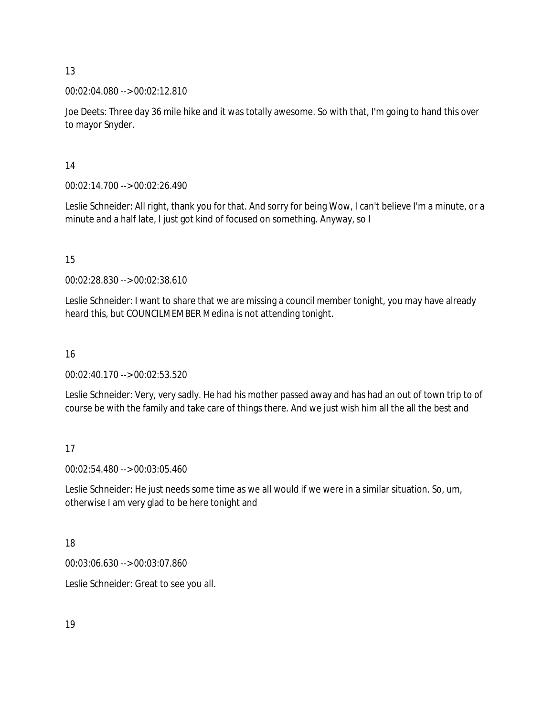### 00:02:04.080 --> 00:02:12.810

Joe Deets: Three day 36 mile hike and it was totally awesome. So with that, I'm going to hand this over to mayor Snyder.

### 14

00:02:14.700 --> 00:02:26.490

Leslie Schneider: All right, thank you for that. And sorry for being Wow, I can't believe I'm a minute, or a minute and a half late, I just got kind of focused on something. Anyway, so I

## 15

00:02:28.830 --> 00:02:38.610

Leslie Schneider: I want to share that we are missing a council member tonight, you may have already heard this, but COUNCILMEMBER Medina is not attending tonight.

# 16

00:02:40.170 --> 00:02:53.520

Leslie Schneider: Very, very sadly. He had his mother passed away and has had an out of town trip to of course be with the family and take care of things there. And we just wish him all the all the best and

# 17

00:02:54.480 --> 00:03:05.460

Leslie Schneider: He just needs some time as we all would if we were in a similar situation. So, um, otherwise I am very glad to be here tonight and

## 18

00:03:06.630 --> 00:03:07.860

Leslie Schneider: Great to see you all.

19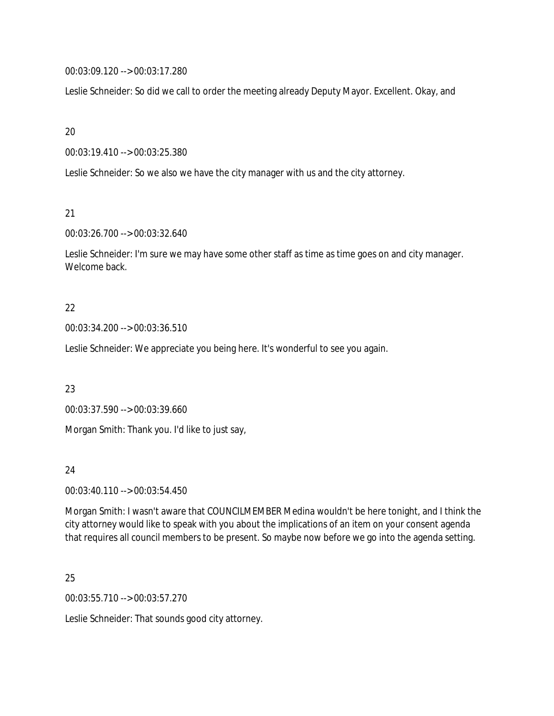00:03:09.120 --> 00:03:17.280

Leslie Schneider: So did we call to order the meeting already Deputy Mayor. Excellent. Okay, and

20

00:03:19.410 --> 00:03:25.380

Leslie Schneider: So we also we have the city manager with us and the city attorney.

21

00:03:26.700 --> 00:03:32.640

Leslie Schneider: I'm sure we may have some other staff as time as time goes on and city manager. Welcome back.

#### 22

00:03:34.200 --> 00:03:36.510

Leslie Schneider: We appreciate you being here. It's wonderful to see you again.

23

00:03:37.590 --> 00:03:39.660

Morgan Smith: Thank you. I'd like to just say,

#### 24

00:03:40.110 --> 00:03:54.450

Morgan Smith: I wasn't aware that COUNCILMEMBER Medina wouldn't be here tonight, and I think the city attorney would like to speak with you about the implications of an item on your consent agenda that requires all council members to be present. So maybe now before we go into the agenda setting.

25

00:03:55.710 --> 00:03:57.270

Leslie Schneider: That sounds good city attorney.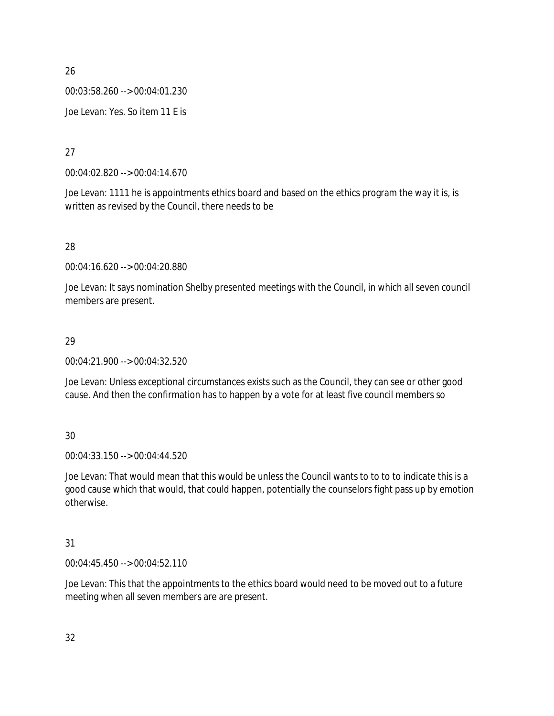00:03:58.260 --> 00:04:01.230 Joe Levan: Yes. So item 11 E is

27

00:04:02.820 --> 00:04:14.670

Joe Levan: 1111 he is appointments ethics board and based on the ethics program the way it is, is written as revised by the Council, there needs to be

28

00:04:16.620 --> 00:04:20.880

Joe Levan: It says nomination Shelby presented meetings with the Council, in which all seven council members are present.

## 29

00:04:21.900 --> 00:04:32.520

Joe Levan: Unless exceptional circumstances exists such as the Council, they can see or other good cause. And then the confirmation has to happen by a vote for at least five council members so

30

00:04:33.150 --> 00:04:44.520

Joe Levan: That would mean that this would be unless the Council wants to to to to indicate this is a good cause which that would, that could happen, potentially the counselors fight pass up by emotion otherwise.

# 31

00:04:45.450 --> 00:04:52.110

Joe Levan: This that the appointments to the ethics board would need to be moved out to a future meeting when all seven members are are present.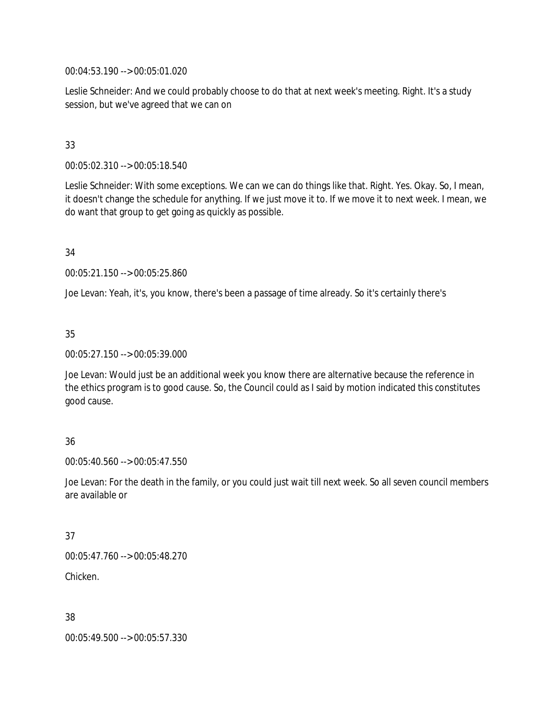00:04:53.190 --> 00:05:01.020

Leslie Schneider: And we could probably choose to do that at next week's meeting. Right. It's a study session, but we've agreed that we can on

## 33

00:05:02.310 --> 00:05:18.540

Leslie Schneider: With some exceptions. We can we can do things like that. Right. Yes. Okay. So, I mean, it doesn't change the schedule for anything. If we just move it to. If we move it to next week. I mean, we do want that group to get going as quickly as possible.

### 34

00:05:21.150 --> 00:05:25.860

Joe Levan: Yeah, it's, you know, there's been a passage of time already. So it's certainly there's

## 35

00:05:27.150 --> 00:05:39.000

Joe Levan: Would just be an additional week you know there are alternative because the reference in the ethics program is to good cause. So, the Council could as I said by motion indicated this constitutes good cause.

## 36

00:05:40.560 --> 00:05:47.550

Joe Levan: For the death in the family, or you could just wait till next week. So all seven council members are available or

## 37

00:05:47.760 --> 00:05:48.270

Chicken.

#### 38

00:05:49.500 --> 00:05:57.330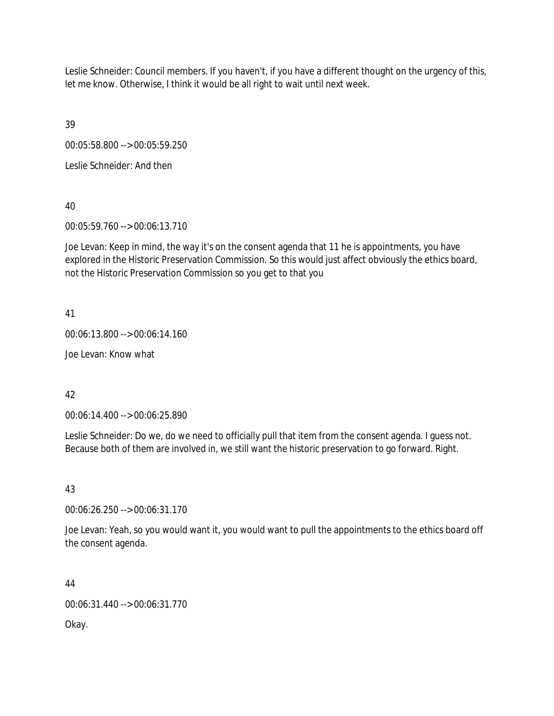Leslie Schneider: Council members. If you haven't, if you have a different thought on the urgency of this, let me know. Otherwise, I think it would be all right to wait until next week.

39

00:05:58.800 --> 00:05:59.250

Leslie Schneider: And then

40

00:05:59.760 --> 00:06:13.710

Joe Levan: Keep in mind, the way it's on the consent agenda that 11 he is appointments, you have explored in the Historic Preservation Commission. So this would just affect obviously the ethics board, not the Historic Preservation Commission so you get to that you

41

00:06:13.800 --> 00:06:14.160

Joe Levan: Know what

42

00:06:14.400 --> 00:06:25.890

Leslie Schneider: Do we, do we need to officially pull that item from the consent agenda. I guess not. Because both of them are involved in, we still want the historic preservation to go forward. Right.

43

00:06:26.250 --> 00:06:31.170

Joe Levan: Yeah, so you would want it, you would want to pull the appointments to the ethics board off the consent agenda.

44

00:06:31.440 --> 00:06:31.770

Okay.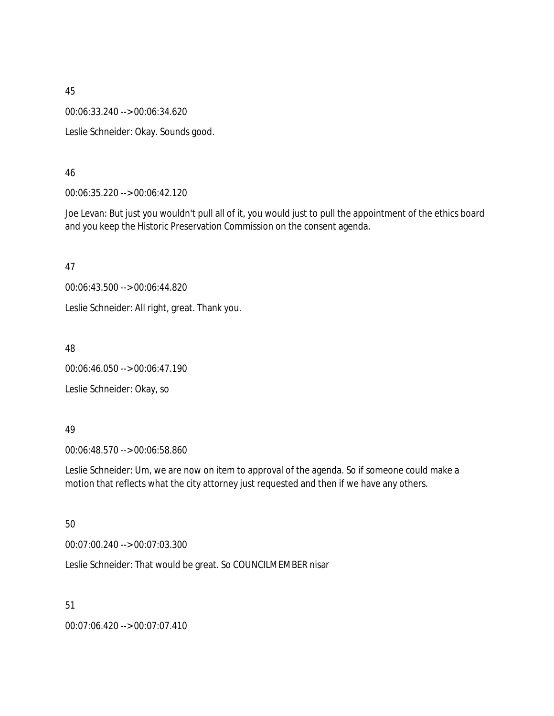00:06:33.240 --> 00:06:34.620

Leslie Schneider: Okay. Sounds good.

#### 46

00:06:35.220 --> 00:06:42.120

Joe Levan: But just you wouldn't pull all of it, you would just to pull the appointment of the ethics board and you keep the Historic Preservation Commission on the consent agenda.

47

00:06:43.500 --> 00:06:44.820

Leslie Schneider: All right, great. Thank you.

48

00:06:46.050 --> 00:06:47.190

Leslie Schneider: Okay, so

#### 49

00:06:48.570 --> 00:06:58.860

Leslie Schneider: Um, we are now on item to approval of the agenda. So if someone could make a motion that reflects what the city attorney just requested and then if we have any others.

#### 50

00:07:00.240 --> 00:07:03.300

Leslie Schneider: That would be great. So COUNCILMEMBER nisar

51

00:07:06.420 --> 00:07:07.410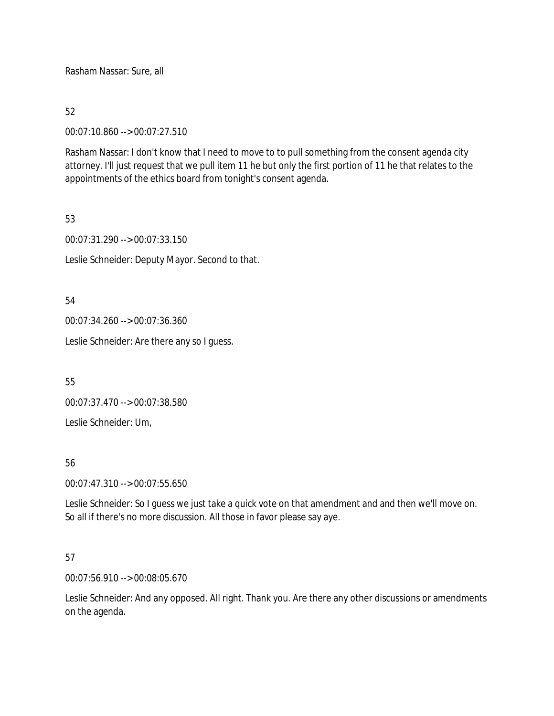Rasham Nassar: Sure, all

### 52

00:07:10.860 --> 00:07:27.510

Rasham Nassar: I don't know that I need to move to to pull something from the consent agenda city attorney. I'll just request that we pull item 11 he but only the first portion of 11 he that relates to the appointments of the ethics board from tonight's consent agenda.

### 53

00:07:31.290 --> 00:07:33.150

Leslie Schneider: Deputy Mayor. Second to that.

### 54

00:07:34.260 --> 00:07:36.360

Leslie Schneider: Are there any so I guess.

55

00:07:37.470 --> 00:07:38.580

Leslie Schneider: Um,

## 56

00:07:47.310 --> 00:07:55.650

Leslie Schneider: So I guess we just take a quick vote on that amendment and and then we'll move on. So all if there's no more discussion. All those in favor please say aye.

## 57

00:07:56.910 --> 00:08:05.670

Leslie Schneider: And any opposed. All right. Thank you. Are there any other discussions or amendments on the agenda.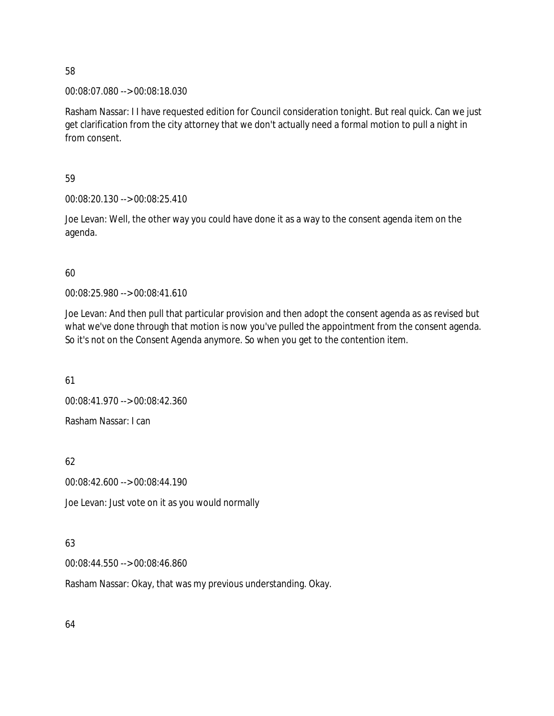00:08:07.080 --> 00:08:18.030

Rasham Nassar: I I have requested edition for Council consideration tonight. But real quick. Can we just get clarification from the city attorney that we don't actually need a formal motion to pull a night in from consent.

# 59

00:08:20.130 --> 00:08:25.410

Joe Levan: Well, the other way you could have done it as a way to the consent agenda item on the agenda.

# 60

00:08:25.980 --> 00:08:41.610

Joe Levan: And then pull that particular provision and then adopt the consent agenda as as revised but what we've done through that motion is now you've pulled the appointment from the consent agenda. So it's not on the Consent Agenda anymore. So when you get to the contention item.

61

00:08:41.970 --> 00:08:42.360

Rasham Nassar: I can

62

00:08:42.600 --> 00:08:44.190

Joe Levan: Just vote on it as you would normally

# 63

00:08:44.550 --> 00:08:46.860

Rasham Nassar: Okay, that was my previous understanding. Okay.

64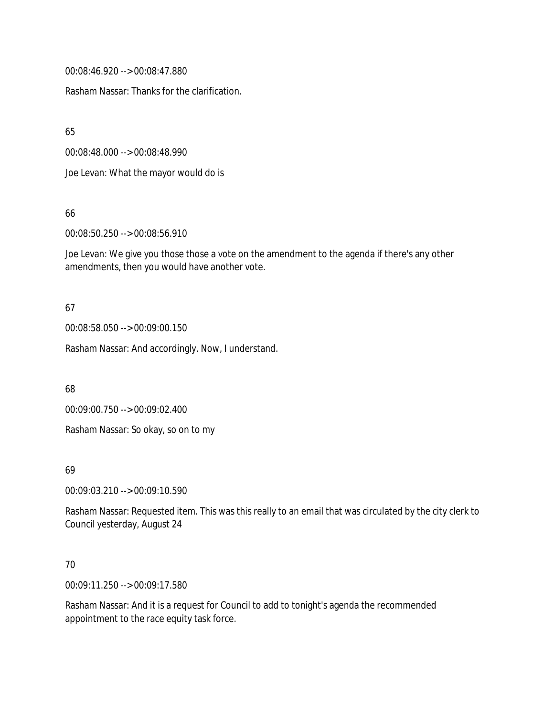00:08:46.920 --> 00:08:47.880

Rasham Nassar: Thanks for the clarification.

65

00:08:48.000 --> 00:08:48.990

Joe Levan: What the mayor would do is

66

00:08:50.250 --> 00:08:56.910

Joe Levan: We give you those those a vote on the amendment to the agenda if there's any other amendments, then you would have another vote.

#### 67

00:08:58.050 --> 00:09:00.150

Rasham Nassar: And accordingly. Now, I understand.

68

00:09:00.750 --> 00:09:02.400

Rasham Nassar: So okay, so on to my

#### 69

00:09:03.210 --> 00:09:10.590

Rasham Nassar: Requested item. This was this really to an email that was circulated by the city clerk to Council yesterday, August 24

#### 70

00:09:11.250 --> 00:09:17.580

Rasham Nassar: And it is a request for Council to add to tonight's agenda the recommended appointment to the race equity task force.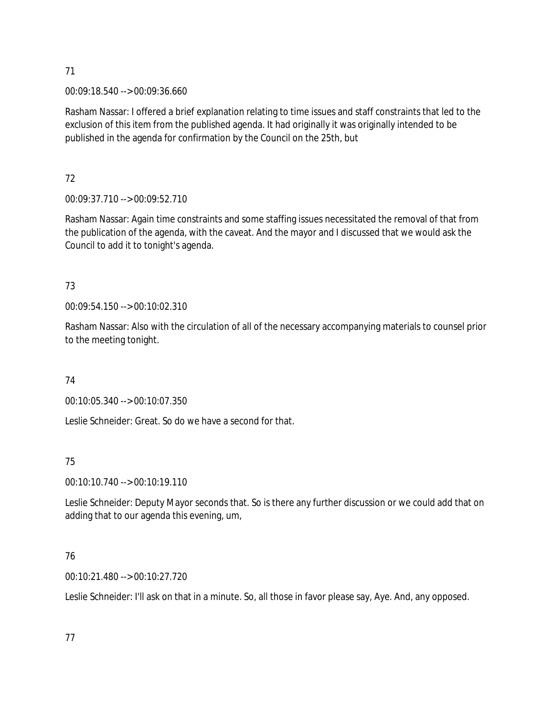00:09:18.540 --> 00:09:36.660

Rasham Nassar: I offered a brief explanation relating to time issues and staff constraints that led to the exclusion of this item from the published agenda. It had originally it was originally intended to be published in the agenda for confirmation by the Council on the 25th, but

72

00:09:37.710 --> 00:09:52.710

Rasham Nassar: Again time constraints and some staffing issues necessitated the removal of that from the publication of the agenda, with the caveat. And the mayor and I discussed that we would ask the Council to add it to tonight's agenda.

# 73

00:09:54.150 --> 00:10:02.310

Rasham Nassar: Also with the circulation of all of the necessary accompanying materials to counsel prior to the meeting tonight.

74

00:10:05.340 --> 00:10:07.350

Leslie Schneider: Great. So do we have a second for that.

## 75

00:10:10.740 --> 00:10:19.110

Leslie Schneider: Deputy Mayor seconds that. So is there any further discussion or we could add that on adding that to our agenda this evening, um,

# 76

00:10:21.480 --> 00:10:27.720

Leslie Schneider: I'll ask on that in a minute. So, all those in favor please say, Aye. And, any opposed.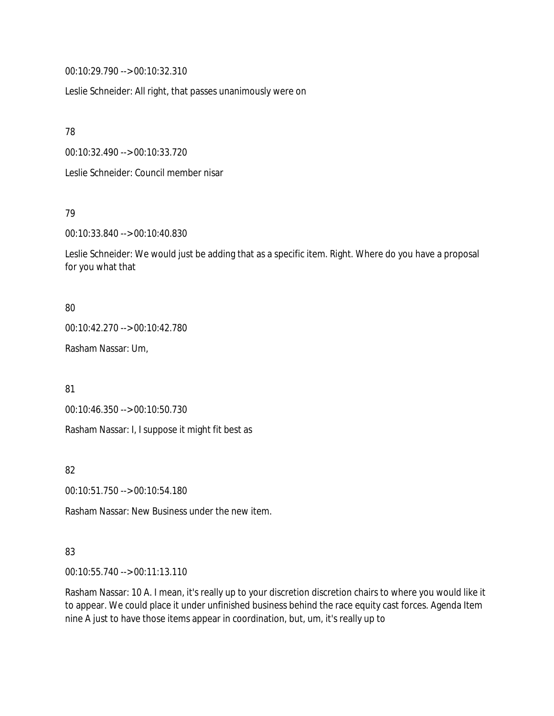00:10:29.790 --> 00:10:32.310

Leslie Schneider: All right, that passes unanimously were on

78

00:10:32.490 --> 00:10:33.720

Leslie Schneider: Council member nisar

79

00:10:33.840 --> 00:10:40.830

Leslie Schneider: We would just be adding that as a specific item. Right. Where do you have a proposal for you what that

### 80

00:10:42.270 --> 00:10:42.780

Rasham Nassar: Um,

81

00:10:46.350 --> 00:10:50.730

Rasham Nassar: I, I suppose it might fit best as

82

00:10:51.750 --> 00:10:54.180

Rasham Nassar: New Business under the new item.

## 83

00:10:55.740 --> 00:11:13.110

Rasham Nassar: 10 A. I mean, it's really up to your discretion discretion chairs to where you would like it to appear. We could place it under unfinished business behind the race equity cast forces. Agenda Item nine A just to have those items appear in coordination, but, um, it's really up to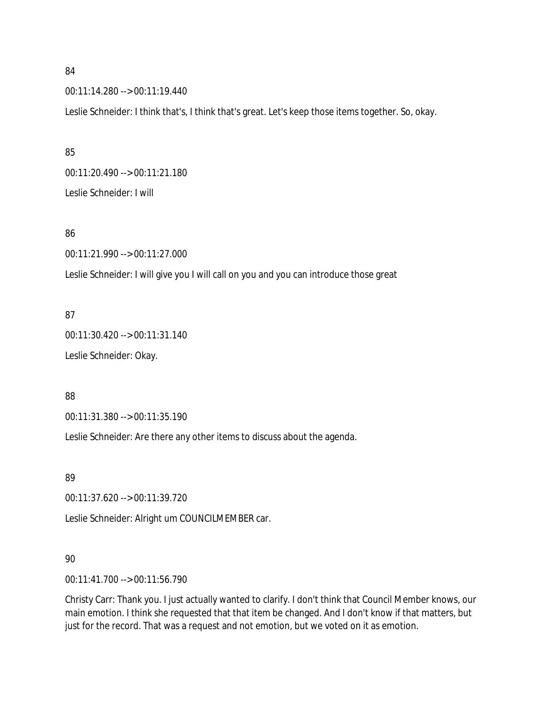### 00:11:14.280 --> 00:11:19.440

Leslie Schneider: I think that's, I think that's great. Let's keep those items together. So, okay.

85 00:11:20.490 --> 00:11:21.180 Leslie Schneider: I will

#### 86

00:11:21.990 --> 00:11:27.000

Leslie Schneider: I will give you I will call on you and you can introduce those great

#### 87

00:11:30.420 --> 00:11:31.140 Leslie Schneider: Okay.

#### 88

00:11:31.380 --> 00:11:35.190

Leslie Schneider: Are there any other items to discuss about the agenda.

#### 89

00:11:37.620 --> 00:11:39.720

Leslie Schneider: Alright um COUNCILMEMBER car.

#### 90

00:11:41.700 --> 00:11:56.790

Christy Carr: Thank you. I just actually wanted to clarify. I don't think that Council Member knows, our main emotion. I think she requested that that item be changed. And I don't know if that matters, but just for the record. That was a request and not emotion, but we voted on it as emotion.

#### 84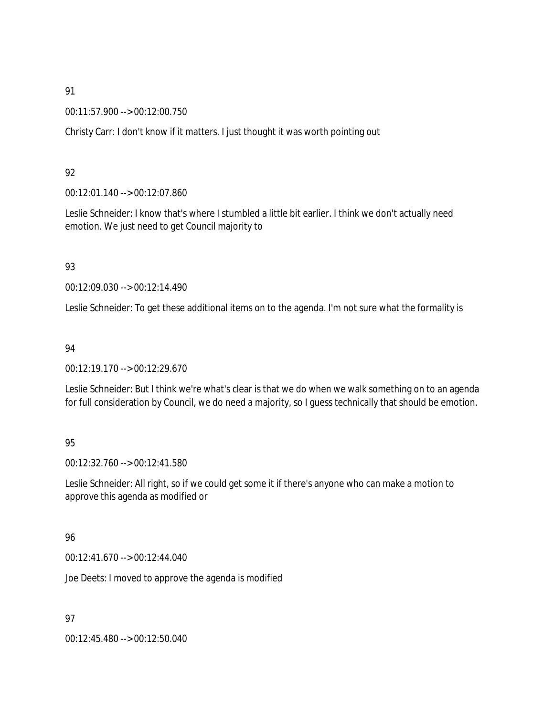00:11:57.900 --> 00:12:00.750

Christy Carr: I don't know if it matters. I just thought it was worth pointing out

### 92

00:12:01.140 --> 00:12:07.860

Leslie Schneider: I know that's where I stumbled a little bit earlier. I think we don't actually need emotion. We just need to get Council majority to

### 93

00:12:09.030 --> 00:12:14.490

Leslie Schneider: To get these additional items on to the agenda. I'm not sure what the formality is

#### 94

00:12:19.170 --> 00:12:29.670

Leslie Schneider: But I think we're what's clear is that we do when we walk something on to an agenda for full consideration by Council, we do need a majority, so I guess technically that should be emotion.

## 95

00:12:32.760 --> 00:12:41.580

Leslie Schneider: All right, so if we could get some it if there's anyone who can make a motion to approve this agenda as modified or

#### 96

00:12:41.670 --> 00:12:44.040

Joe Deets: I moved to approve the agenda is modified

97

00:12:45.480 --> 00:12:50.040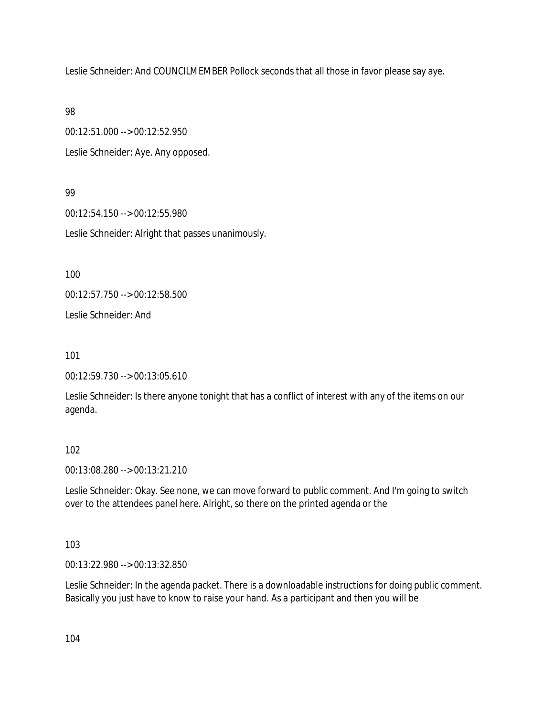Leslie Schneider: And COUNCILMEMBER Pollock seconds that all those in favor please say aye.

98

00:12:51.000 --> 00:12:52.950 Leslie Schneider: Aye. Any opposed.

99

00:12:54.150 --> 00:12:55.980

Leslie Schneider: Alright that passes unanimously.

100

00:12:57.750 --> 00:12:58.500

Leslie Schneider: And

101

00:12:59.730 --> 00:13:05.610

Leslie Schneider: Is there anyone tonight that has a conflict of interest with any of the items on our agenda.

## 102

00:13:08.280 --> 00:13:21.210

Leslie Schneider: Okay. See none, we can move forward to public comment. And I'm going to switch over to the attendees panel here. Alright, so there on the printed agenda or the

# 103

00:13:22.980 --> 00:13:32.850

Leslie Schneider: In the agenda packet. There is a downloadable instructions for doing public comment. Basically you just have to know to raise your hand. As a participant and then you will be

104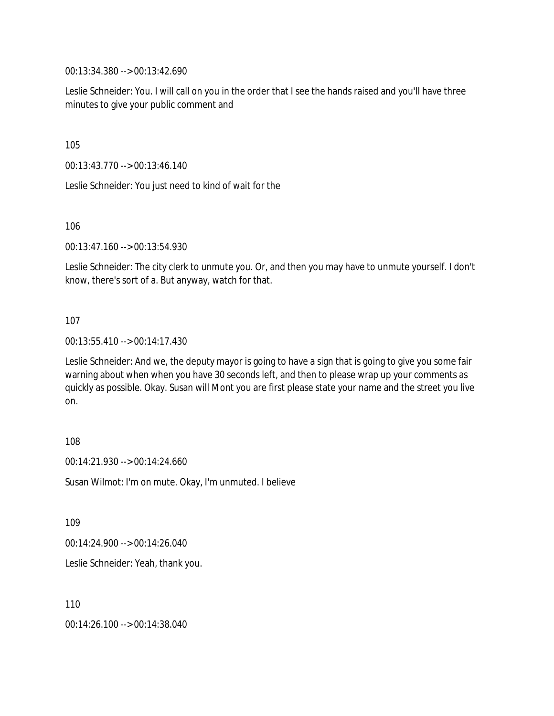00:13:34.380 --> 00:13:42.690

Leslie Schneider: You. I will call on you in the order that I see the hands raised and you'll have three minutes to give your public comment and

105

00:13:43.770 --> 00:13:46.140

Leslie Schneider: You just need to kind of wait for the

106

00:13:47.160 --> 00:13:54.930

Leslie Schneider: The city clerk to unmute you. Or, and then you may have to unmute yourself. I don't know, there's sort of a. But anyway, watch for that.

107

00:13:55.410 --> 00:14:17.430

Leslie Schneider: And we, the deputy mayor is going to have a sign that is going to give you some fair warning about when when you have 30 seconds left, and then to please wrap up your comments as quickly as possible. Okay. Susan will Mont you are first please state your name and the street you live on.

108

00:14:21.930 --> 00:14:24.660

Susan Wilmot: I'm on mute. Okay, I'm unmuted. I believe

109

00:14:24.900 --> 00:14:26.040

Leslie Schneider: Yeah, thank you.

110

00:14:26.100 --> 00:14:38.040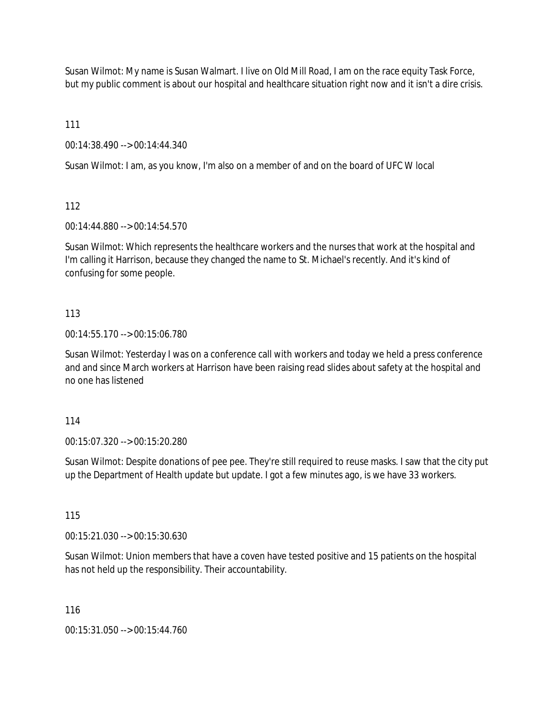Susan Wilmot: My name is Susan Walmart. I live on Old Mill Road, I am on the race equity Task Force, but my public comment is about our hospital and healthcare situation right now and it isn't a dire crisis.

111

00:14:38.490 --> 00:14:44.340

Susan Wilmot: I am, as you know, I'm also on a member of and on the board of UFC W local

112

00:14:44.880 --> 00:14:54.570

Susan Wilmot: Which represents the healthcare workers and the nurses that work at the hospital and I'm calling it Harrison, because they changed the name to St. Michael's recently. And it's kind of confusing for some people.

#### 113

00:14:55.170 --> 00:15:06.780

Susan Wilmot: Yesterday I was on a conference call with workers and today we held a press conference and and since March workers at Harrison have been raising read slides about safety at the hospital and no one has listened

114

00:15:07.320 --> 00:15:20.280

Susan Wilmot: Despite donations of pee pee. They're still required to reuse masks. I saw that the city put up the Department of Health update but update. I got a few minutes ago, is we have 33 workers.

115

00:15:21.030 --> 00:15:30.630

Susan Wilmot: Union members that have a coven have tested positive and 15 patients on the hospital has not held up the responsibility. Their accountability.

116

00:15:31.050 --> 00:15:44.760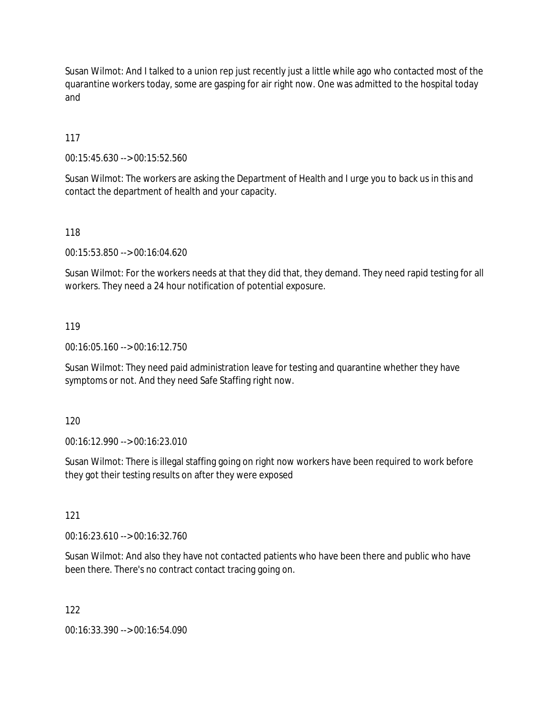Susan Wilmot: And I talked to a union rep just recently just a little while ago who contacted most of the quarantine workers today, some are gasping for air right now. One was admitted to the hospital today and

117

00:15:45.630 --> 00:15:52.560

Susan Wilmot: The workers are asking the Department of Health and I urge you to back us in this and contact the department of health and your capacity.

118

00:15:53.850 --> 00:16:04.620

Susan Wilmot: For the workers needs at that they did that, they demand. They need rapid testing for all workers. They need a 24 hour notification of potential exposure.

119

00:16:05.160 --> 00:16:12.750

Susan Wilmot: They need paid administration leave for testing and quarantine whether they have symptoms or not. And they need Safe Staffing right now.

120

00:16:12.990 --> 00:16:23.010

Susan Wilmot: There is illegal staffing going on right now workers have been required to work before they got their testing results on after they were exposed

121

00:16:23.610 --> 00:16:32.760

Susan Wilmot: And also they have not contacted patients who have been there and public who have been there. There's no contract contact tracing going on.

122

00:16:33.390 --> 00:16:54.090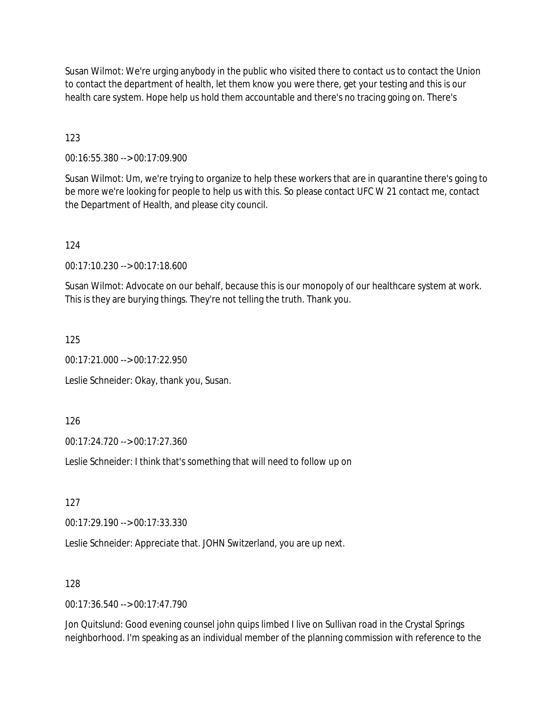Susan Wilmot: We're urging anybody in the public who visited there to contact us to contact the Union to contact the department of health, let them know you were there, get your testing and this is our health care system. Hope help us hold them accountable and there's no tracing going on. There's

123

00:16:55.380 --> 00:17:09.900

Susan Wilmot: Um, we're trying to organize to help these workers that are in quarantine there's going to be more we're looking for people to help us with this. So please contact UFC W 21 contact me, contact the Department of Health, and please city council.

124

00:17:10.230 --> 00:17:18.600

Susan Wilmot: Advocate on our behalf, because this is our monopoly of our healthcare system at work. This is they are burying things. They're not telling the truth. Thank you.

125

00:17:21.000 --> 00:17:22.950

Leslie Schneider: Okay, thank you, Susan.

126

00:17:24.720 --> 00:17:27.360

Leslie Schneider: I think that's something that will need to follow up on

127

00:17:29.190 --> 00:17:33.330

Leslie Schneider: Appreciate that. JOHN Switzerland, you are up next.

128

00:17:36.540 --> 00:17:47.790

Jon Quitslund: Good evening counsel john quips limbed I live on Sullivan road in the Crystal Springs neighborhood. I'm speaking as an individual member of the planning commission with reference to the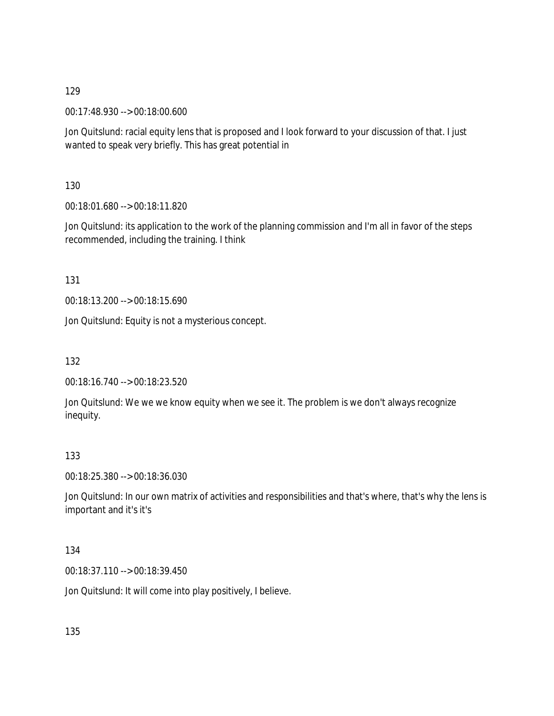00:17:48.930 --> 00:18:00.600

Jon Quitslund: racial equity lens that is proposed and I look forward to your discussion of that. I just wanted to speak very briefly. This has great potential in

130

00:18:01.680 --> 00:18:11.820

Jon Quitslund: its application to the work of the planning commission and I'm all in favor of the steps recommended, including the training. I think

131

00:18:13.200 --> 00:18:15.690

Jon Quitslund: Equity is not a mysterious concept.

132

00:18:16.740 --> 00:18:23.520

Jon Quitslund: We we we know equity when we see it. The problem is we don't always recognize inequity.

133

00:18:25.380 --> 00:18:36.030

Jon Quitslund: In our own matrix of activities and responsibilities and that's where, that's why the lens is important and it's it's

134

00:18:37.110 --> 00:18:39.450

Jon Quitslund: It will come into play positively, I believe.

135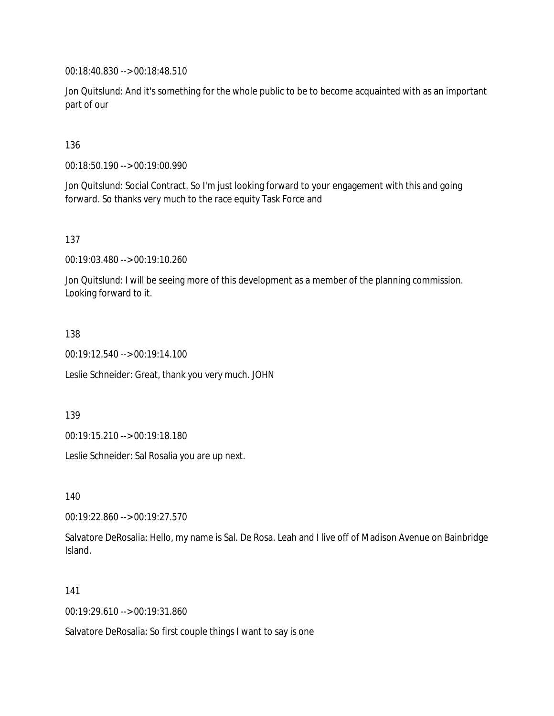00:18:40.830 --> 00:18:48.510

Jon Quitslund: And it's something for the whole public to be to become acquainted with as an important part of our

136

00:18:50.190 --> 00:19:00.990

Jon Quitslund: Social Contract. So I'm just looking forward to your engagement with this and going forward. So thanks very much to the race equity Task Force and

137

00:19:03.480 --> 00:19:10.260

Jon Quitslund: I will be seeing more of this development as a member of the planning commission. Looking forward to it.

138

00:19:12.540 --> 00:19:14.100

Leslie Schneider: Great, thank you very much. JOHN

139

00:19:15.210 --> 00:19:18.180

Leslie Schneider: Sal Rosalia you are up next.

140

00:19:22.860 --> 00:19:27.570

Salvatore DeRosalia: Hello, my name is Sal. De Rosa. Leah and I live off of Madison Avenue on Bainbridge Island.

141

00:19:29.610 --> 00:19:31.860

Salvatore DeRosalia: So first couple things I want to say is one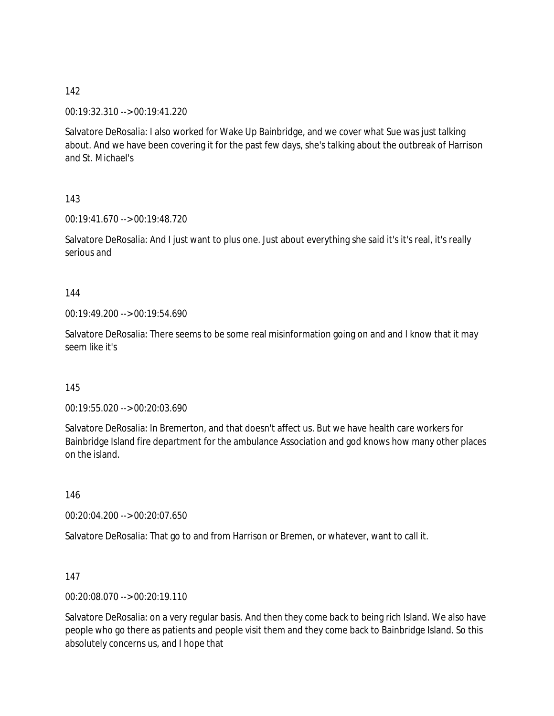00:19:32.310 --> 00:19:41.220

Salvatore DeRosalia: I also worked for Wake Up Bainbridge, and we cover what Sue was just talking about. And we have been covering it for the past few days, she's talking about the outbreak of Harrison and St. Michael's

143

00:19:41.670 --> 00:19:48.720

Salvatore DeRosalia: And I just want to plus one. Just about everything she said it's it's real, it's really serious and

144

00:19:49.200 --> 00:19:54.690

Salvatore DeRosalia: There seems to be some real misinformation going on and and I know that it may seem like it's

145

00:19:55.020 --> 00:20:03.690

Salvatore DeRosalia: In Bremerton, and that doesn't affect us. But we have health care workers for Bainbridge Island fire department for the ambulance Association and god knows how many other places on the island.

146

00:20:04.200 --> 00:20:07.650

Salvatore DeRosalia: That go to and from Harrison or Bremen, or whatever, want to call it.

147

00:20:08.070 --> 00:20:19.110

Salvatore DeRosalia: on a very regular basis. And then they come back to being rich Island. We also have people who go there as patients and people visit them and they come back to Bainbridge Island. So this absolutely concerns us, and I hope that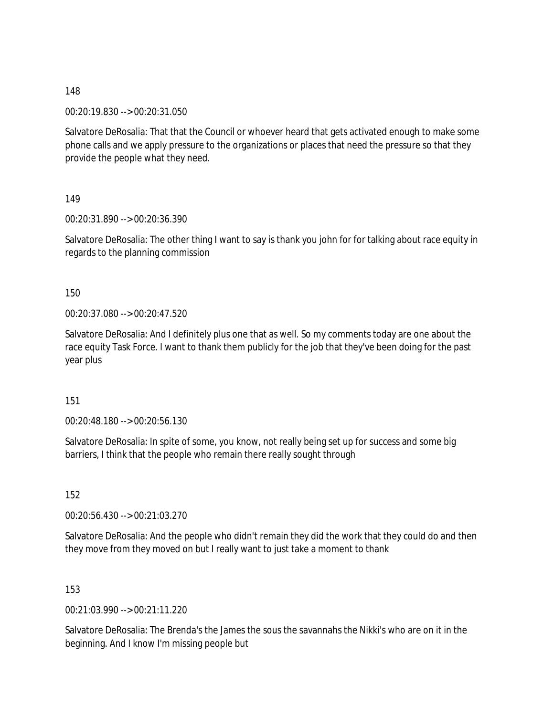00:20:19.830 --> 00:20:31.050

Salvatore DeRosalia: That that the Council or whoever heard that gets activated enough to make some phone calls and we apply pressure to the organizations or places that need the pressure so that they provide the people what they need.

149

00:20:31.890 --> 00:20:36.390

Salvatore DeRosalia: The other thing I want to say is thank you john for for talking about race equity in regards to the planning commission

150

00:20:37.080 --> 00:20:47.520

Salvatore DeRosalia: And I definitely plus one that as well. So my comments today are one about the race equity Task Force. I want to thank them publicly for the job that they've been doing for the past year plus

151

00:20:48.180 --> 00:20:56.130

Salvatore DeRosalia: In spite of some, you know, not really being set up for success and some big barriers, I think that the people who remain there really sought through

152

00:20:56.430 --> 00:21:03.270

Salvatore DeRosalia: And the people who didn't remain they did the work that they could do and then they move from they moved on but I really want to just take a moment to thank

153

00:21:03.990 --> 00:21:11.220

Salvatore DeRosalia: The Brenda's the James the sous the savannahs the Nikki's who are on it in the beginning. And I know I'm missing people but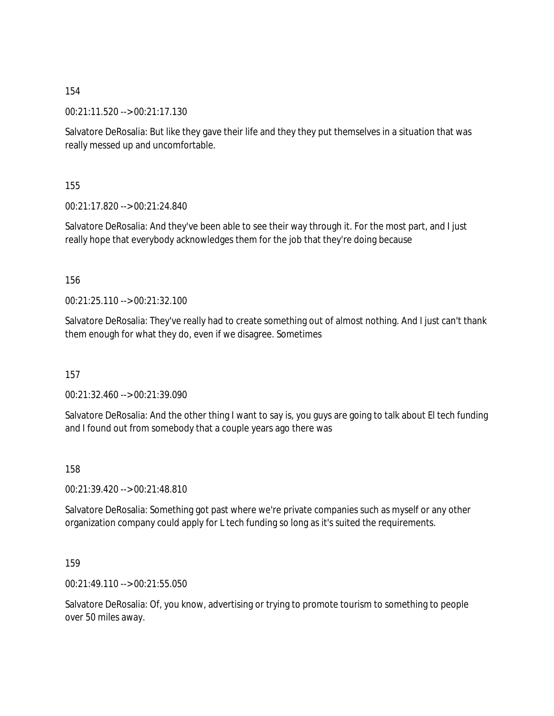00:21:11.520 --> 00:21:17.130

Salvatore DeRosalia: But like they gave their life and they they put themselves in a situation that was really messed up and uncomfortable.

155

00:21:17.820 --> 00:21:24.840

Salvatore DeRosalia: And they've been able to see their way through it. For the most part, and I just really hope that everybody acknowledges them for the job that they're doing because

156

00:21:25.110 --> 00:21:32.100

Salvatore DeRosalia: They've really had to create something out of almost nothing. And I just can't thank them enough for what they do, even if we disagree. Sometimes

157

00:21:32.460 --> 00:21:39.090

Salvatore DeRosalia: And the other thing I want to say is, you guys are going to talk about El tech funding and I found out from somebody that a couple years ago there was

158

00:21:39.420 --> 00:21:48.810

Salvatore DeRosalia: Something got past where we're private companies such as myself or any other organization company could apply for L tech funding so long as it's suited the requirements.

159

00:21:49.110 --> 00:21:55.050

Salvatore DeRosalia: Of, you know, advertising or trying to promote tourism to something to people over 50 miles away.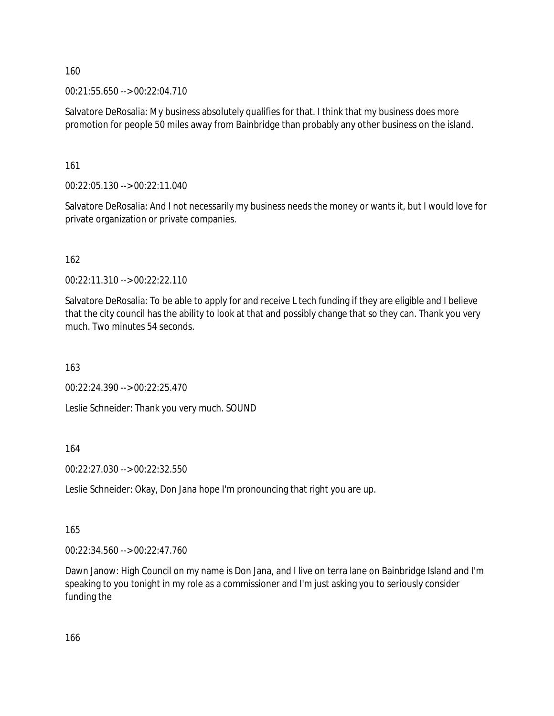00:21:55.650 --> 00:22:04.710

Salvatore DeRosalia: My business absolutely qualifies for that. I think that my business does more promotion for people 50 miles away from Bainbridge than probably any other business on the island.

161

00:22:05.130 --> 00:22:11.040

Salvatore DeRosalia: And I not necessarily my business needs the money or wants it, but I would love for private organization or private companies.

162

00:22:11.310 --> 00:22:22.110

Salvatore DeRosalia: To be able to apply for and receive L tech funding if they are eligible and I believe that the city council has the ability to look at that and possibly change that so they can. Thank you very much. Two minutes 54 seconds.

163

00:22:24.390 --> 00:22:25.470

Leslie Schneider: Thank you very much. SOUND

164

00:22:27.030 --> 00:22:32.550

Leslie Schneider: Okay, Don Jana hope I'm pronouncing that right you are up.

165

00:22:34.560 --> 00:22:47.760

Dawn Janow: High Council on my name is Don Jana, and I live on terra lane on Bainbridge Island and I'm speaking to you tonight in my role as a commissioner and I'm just asking you to seriously consider funding the

166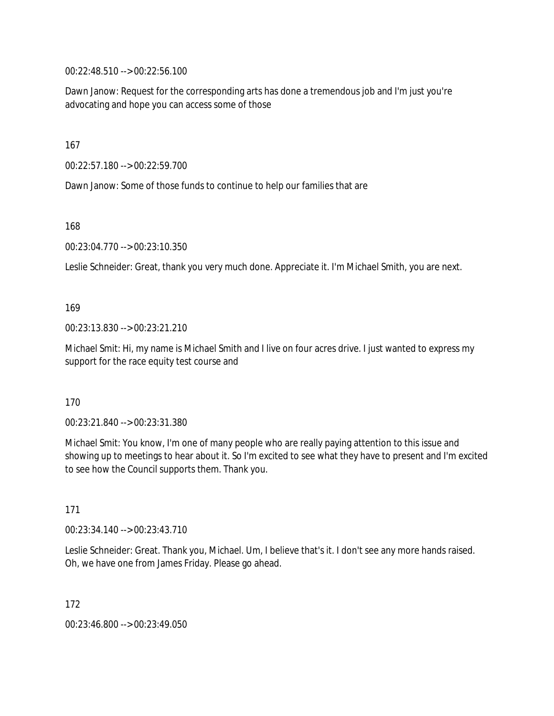00:22:48.510 --> 00:22:56.100

Dawn Janow: Request for the corresponding arts has done a tremendous job and I'm just you're advocating and hope you can access some of those

167

00:22:57.180 --> 00:22:59.700

Dawn Janow: Some of those funds to continue to help our families that are

168

00:23:04.770 --> 00:23:10.350

Leslie Schneider: Great, thank you very much done. Appreciate it. I'm Michael Smith, you are next.

169

00:23:13.830 --> 00:23:21.210

Michael Smit: Hi, my name is Michael Smith and I live on four acres drive. I just wanted to express my support for the race equity test course and

170

00:23:21.840 --> 00:23:31.380

Michael Smit: You know, I'm one of many people who are really paying attention to this issue and showing up to meetings to hear about it. So I'm excited to see what they have to present and I'm excited to see how the Council supports them. Thank you.

171

00:23:34.140 --> 00:23:43.710

Leslie Schneider: Great. Thank you, Michael. Um, I believe that's it. I don't see any more hands raised. Oh, we have one from James Friday. Please go ahead.

172

00:23:46.800 --> 00:23:49.050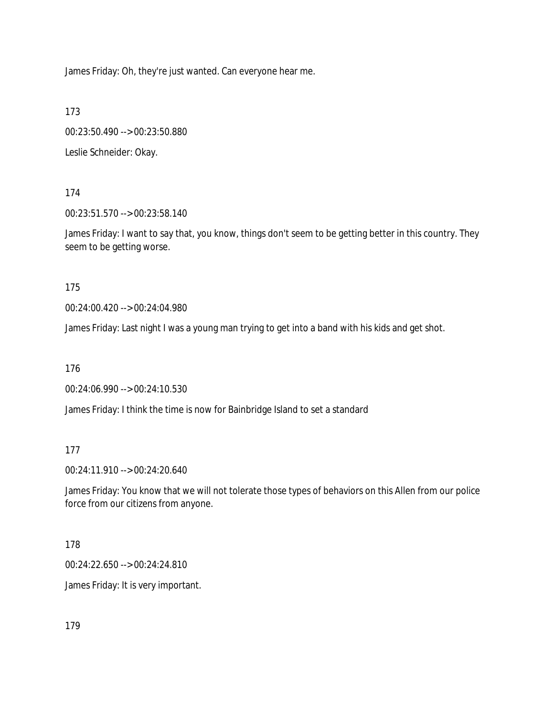James Friday: Oh, they're just wanted. Can everyone hear me.

173

00:23:50.490 --> 00:23:50.880

Leslie Schneider: Okay.

174

00:23:51.570 --> 00:23:58.140

James Friday: I want to say that, you know, things don't seem to be getting better in this country. They seem to be getting worse.

175

00:24:00.420 --> 00:24:04.980

James Friday: Last night I was a young man trying to get into a band with his kids and get shot.

176

00:24:06.990 --> 00:24:10.530

James Friday: I think the time is now for Bainbridge Island to set a standard

177

00:24:11.910 --> 00:24:20.640

James Friday: You know that we will not tolerate those types of behaviors on this Allen from our police force from our citizens from anyone.

178

00:24:22.650 --> 00:24:24.810

James Friday: It is very important.

179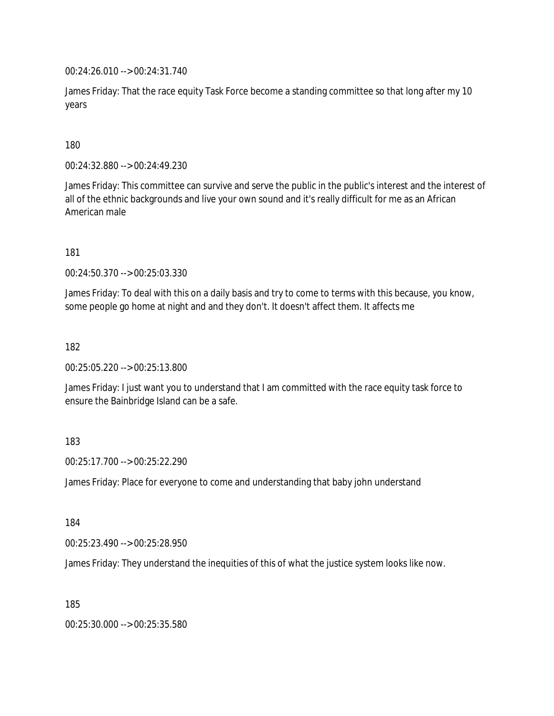00:24:26.010 --> 00:24:31.740

James Friday: That the race equity Task Force become a standing committee so that long after my 10 years

#### 180

00:24:32.880 --> 00:24:49.230

James Friday: This committee can survive and serve the public in the public's interest and the interest of all of the ethnic backgrounds and live your own sound and it's really difficult for me as an African American male

181

00:24:50.370 --> 00:25:03.330

James Friday: To deal with this on a daily basis and try to come to terms with this because, you know, some people go home at night and and they don't. It doesn't affect them. It affects me

182

00:25:05.220 --> 00:25:13.800

James Friday: I just want you to understand that I am committed with the race equity task force to ensure the Bainbridge Island can be a safe.

#### 183

00:25:17.700 --> 00:25:22.290

James Friday: Place for everyone to come and understanding that baby john understand

184

00:25:23.490 --> 00:25:28.950

James Friday: They understand the inequities of this of what the justice system looks like now.

185

00:25:30.000 --> 00:25:35.580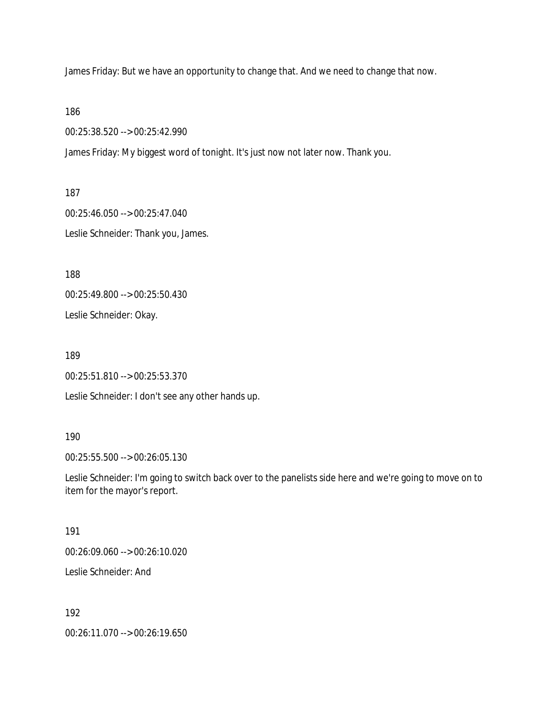James Friday: But we have an opportunity to change that. And we need to change that now.

186

00:25:38.520 --> 00:25:42.990

James Friday: My biggest word of tonight. It's just now not later now. Thank you.

187

00:25:46.050 --> 00:25:47.040 Leslie Schneider: Thank you, James.

188

00:25:49.800 --> 00:25:50.430

Leslie Schneider: Okay.

189

00:25:51.810 --> 00:25:53.370

Leslie Schneider: I don't see any other hands up.

#### 190

00:25:55.500 --> 00:26:05.130

Leslie Schneider: I'm going to switch back over to the panelists side here and we're going to move on to item for the mayor's report.

#### 191

00:26:09.060 --> 00:26:10.020

Leslie Schneider: And

#### 192

00:26:11.070 --> 00:26:19.650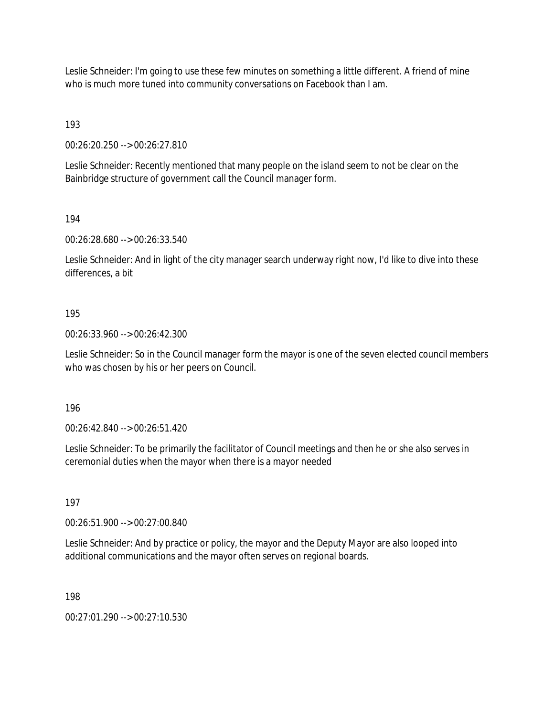Leslie Schneider: I'm going to use these few minutes on something a little different. A friend of mine who is much more tuned into community conversations on Facebook than I am.

193

00:26:20.250 --> 00:26:27.810

Leslie Schneider: Recently mentioned that many people on the island seem to not be clear on the Bainbridge structure of government call the Council manager form.

194

00:26:28.680 --> 00:26:33.540

Leslie Schneider: And in light of the city manager search underway right now, I'd like to dive into these differences, a bit

### 195

00:26:33.960 --> 00:26:42.300

Leslie Schneider: So in the Council manager form the mayor is one of the seven elected council members who was chosen by his or her peers on Council.

196

00:26:42.840 --> 00:26:51.420

Leslie Schneider: To be primarily the facilitator of Council meetings and then he or she also serves in ceremonial duties when the mayor when there is a mayor needed

197

00:26:51.900 --> 00:27:00.840

Leslie Schneider: And by practice or policy, the mayor and the Deputy Mayor are also looped into additional communications and the mayor often serves on regional boards.

198

00:27:01.290 --> 00:27:10.530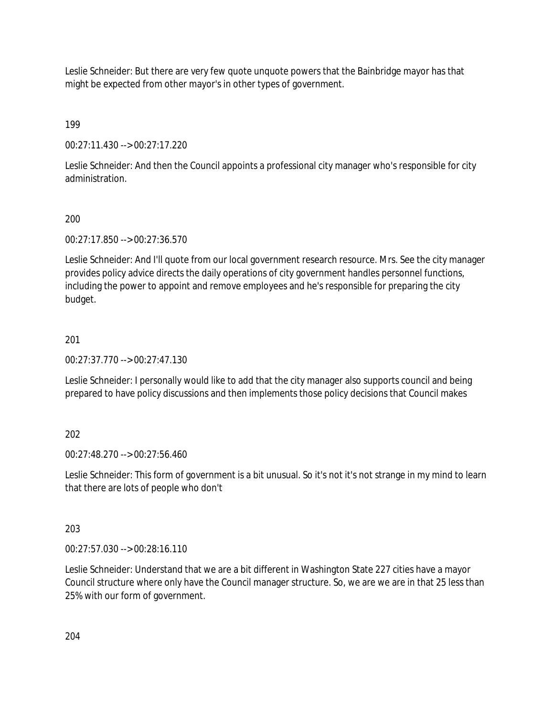Leslie Schneider: But there are very few quote unquote powers that the Bainbridge mayor has that might be expected from other mayor's in other types of government.

199

00:27:11.430 --> 00:27:17.220

Leslie Schneider: And then the Council appoints a professional city manager who's responsible for city administration.

# 200

00:27:17.850 --> 00:27:36.570

Leslie Schneider: And I'll quote from our local government research resource. Mrs. See the city manager provides policy advice directs the daily operations of city government handles personnel functions, including the power to appoint and remove employees and he's responsible for preparing the city budget.

# 201

00:27:37.770 --> 00:27:47.130

Leslie Schneider: I personally would like to add that the city manager also supports council and being prepared to have policy discussions and then implements those policy decisions that Council makes

# 202

00:27:48.270 --> 00:27:56.460

Leslie Schneider: This form of government is a bit unusual. So it's not it's not strange in my mind to learn that there are lots of people who don't

## 203

00:27:57.030 --> 00:28:16.110

Leslie Schneider: Understand that we are a bit different in Washington State 227 cities have a mayor Council structure where only have the Council manager structure. So, we are we are in that 25 less than 25% with our form of government.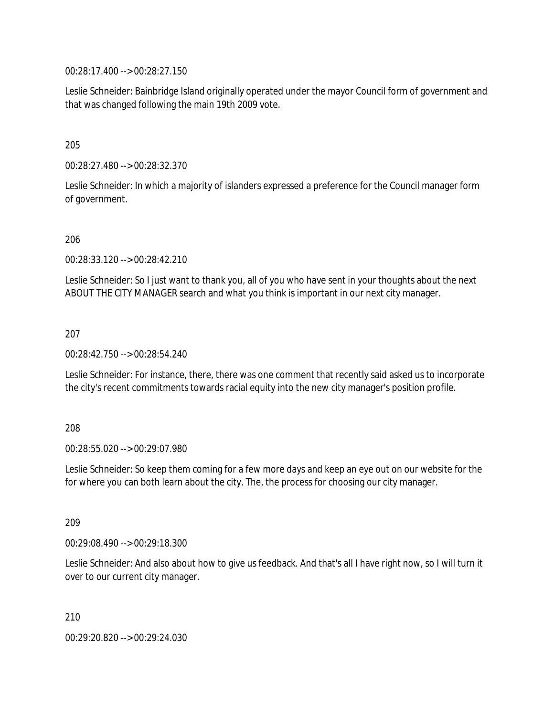00:28:17.400 --> 00:28:27.150

Leslie Schneider: Bainbridge Island originally operated under the mayor Council form of government and that was changed following the main 19th 2009 vote.

205

00:28:27.480 --> 00:28:32.370

Leslie Schneider: In which a majority of islanders expressed a preference for the Council manager form of government.

206

00:28:33.120 --> 00:28:42.210

Leslie Schneider: So I just want to thank you, all of you who have sent in your thoughts about the next ABOUT THE CITY MANAGER search and what you think is important in our next city manager.

207

00:28:42.750 --> 00:28:54.240

Leslie Schneider: For instance, there, there was one comment that recently said asked us to incorporate the city's recent commitments towards racial equity into the new city manager's position profile.

208

00:28:55.020 --> 00:29:07.980

Leslie Schneider: So keep them coming for a few more days and keep an eye out on our website for the for where you can both learn about the city. The, the process for choosing our city manager.

209

00:29:08.490 --> 00:29:18.300

Leslie Schneider: And also about how to give us feedback. And that's all I have right now, so I will turn it over to our current city manager.

210

00:29:20.820 --> 00:29:24.030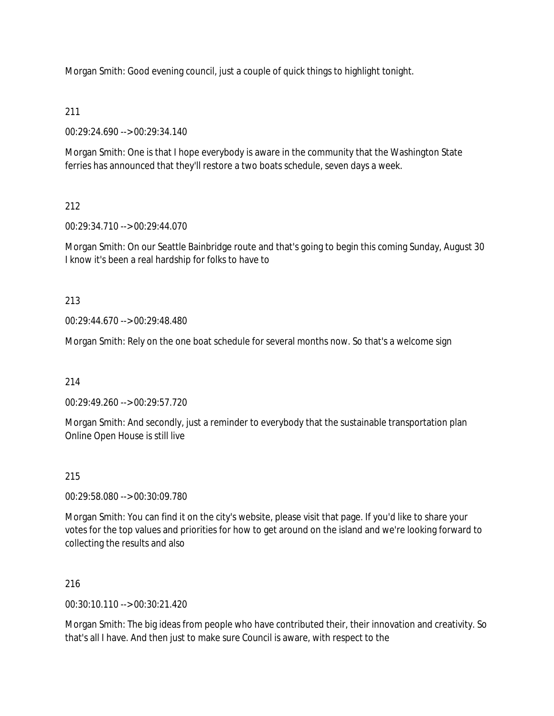Morgan Smith: Good evening council, just a couple of quick things to highlight tonight.

# 211

00:29:24.690 --> 00:29:34.140

Morgan Smith: One is that I hope everybody is aware in the community that the Washington State ferries has announced that they'll restore a two boats schedule, seven days a week.

# 212

00:29:34.710 --> 00:29:44.070

Morgan Smith: On our Seattle Bainbridge route and that's going to begin this coming Sunday, August 30 I know it's been a real hardship for folks to have to

## 213

00:29:44.670 --> 00:29:48.480

Morgan Smith: Rely on the one boat schedule for several months now. So that's a welcome sign

214

00:29:49.260 --> 00:29:57.720

Morgan Smith: And secondly, just a reminder to everybody that the sustainable transportation plan Online Open House is still live

## 215

00:29:58.080 --> 00:30:09.780

Morgan Smith: You can find it on the city's website, please visit that page. If you'd like to share your votes for the top values and priorities for how to get around on the island and we're looking forward to collecting the results and also

## 216

00:30:10.110 --> 00:30:21.420

Morgan Smith: The big ideas from people who have contributed their, their innovation and creativity. So that's all I have. And then just to make sure Council is aware, with respect to the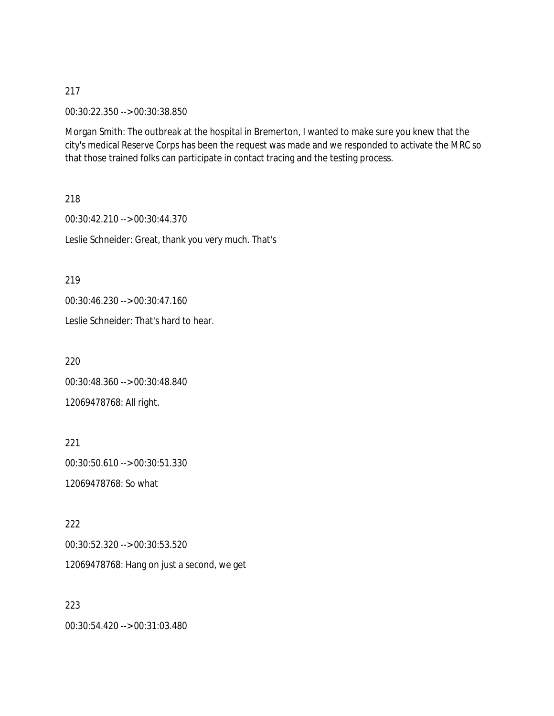00:30:22.350 --> 00:30:38.850

Morgan Smith: The outbreak at the hospital in Bremerton, I wanted to make sure you knew that the city's medical Reserve Corps has been the request was made and we responded to activate the MRC so that those trained folks can participate in contact tracing and the testing process.

218

00:30:42.210 --> 00:30:44.370 Leslie Schneider: Great, thank you very much. That's

219

00:30:46.230 --> 00:30:47.160

Leslie Schneider: That's hard to hear.

220 00:30:48.360 --> 00:30:48.840 12069478768: All right.

221 00:30:50.610 --> 00:30:51.330 12069478768: So what

222 00:30:52.320 --> 00:30:53.520 12069478768: Hang on just a second, we get

223

00:30:54.420 --> 00:31:03.480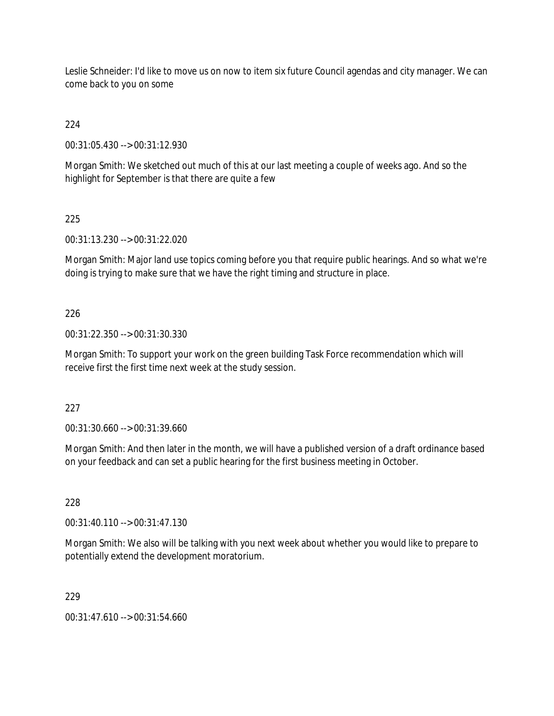Leslie Schneider: I'd like to move us on now to item six future Council agendas and city manager. We can come back to you on some

224

00:31:05.430 --> 00:31:12.930

Morgan Smith: We sketched out much of this at our last meeting a couple of weeks ago. And so the highlight for September is that there are quite a few

225

00:31:13.230 --> 00:31:22.020

Morgan Smith: Major land use topics coming before you that require public hearings. And so what we're doing is trying to make sure that we have the right timing and structure in place.

226

00:31:22.350 --> 00:31:30.330

Morgan Smith: To support your work on the green building Task Force recommendation which will receive first the first time next week at the study session.

227

00:31:30.660 --> 00:31:39.660

Morgan Smith: And then later in the month, we will have a published version of a draft ordinance based on your feedback and can set a public hearing for the first business meeting in October.

228

00:31:40.110 --> 00:31:47.130

Morgan Smith: We also will be talking with you next week about whether you would like to prepare to potentially extend the development moratorium.

229

00:31:47.610 --> 00:31:54.660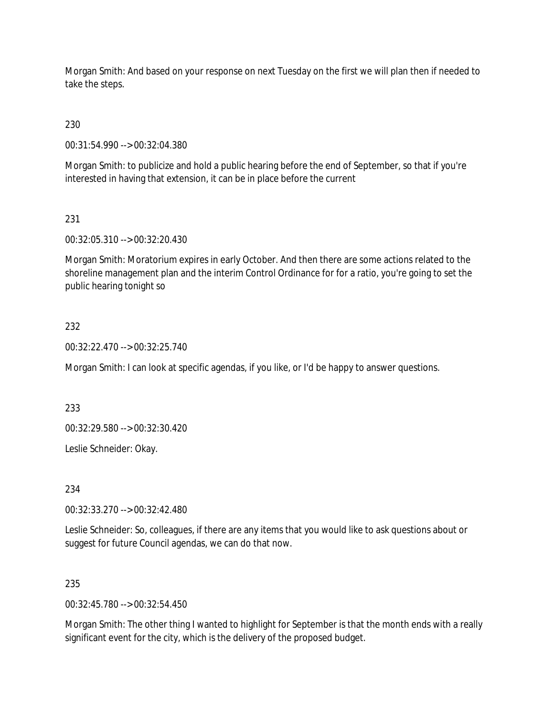Morgan Smith: And based on your response on next Tuesday on the first we will plan then if needed to take the steps.

230

00:31:54.990 --> 00:32:04.380

Morgan Smith: to publicize and hold a public hearing before the end of September, so that if you're interested in having that extension, it can be in place before the current

## 231

00:32:05.310 --> 00:32:20.430

Morgan Smith: Moratorium expires in early October. And then there are some actions related to the shoreline management plan and the interim Control Ordinance for for a ratio, you're going to set the public hearing tonight so

## 232

00:32:22.470 --> 00:32:25.740

Morgan Smith: I can look at specific agendas, if you like, or I'd be happy to answer questions.

233

00:32:29.580 --> 00:32:30.420

Leslie Schneider: Okay.

234

00:32:33.270 --> 00:32:42.480

Leslie Schneider: So, colleagues, if there are any items that you would like to ask questions about or suggest for future Council agendas, we can do that now.

### 235

00:32:45.780 --> 00:32:54.450

Morgan Smith: The other thing I wanted to highlight for September is that the month ends with a really significant event for the city, which is the delivery of the proposed budget.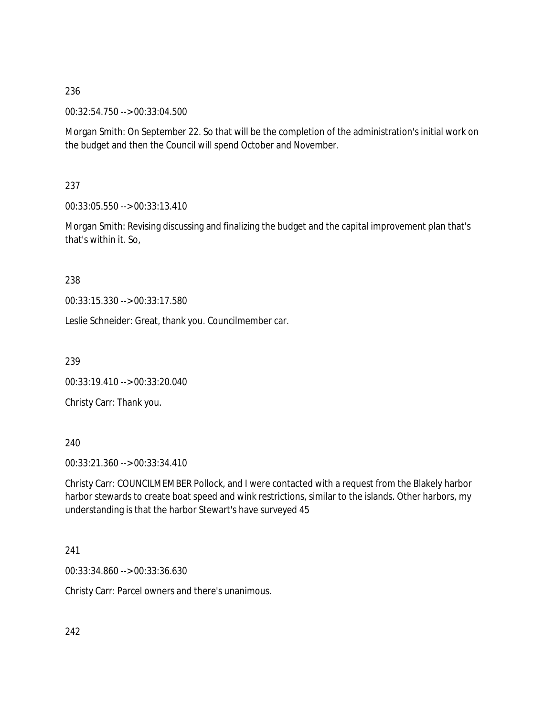00:32:54.750 --> 00:33:04.500

Morgan Smith: On September 22. So that will be the completion of the administration's initial work on the budget and then the Council will spend October and November.

237

00:33:05.550 --> 00:33:13.410

Morgan Smith: Revising discussing and finalizing the budget and the capital improvement plan that's that's within it. So,

238

00:33:15.330 --> 00:33:17.580

Leslie Schneider: Great, thank you. Councilmember car.

239

00:33:19.410 --> 00:33:20.040

Christy Carr: Thank you.

240

00:33:21.360 --> 00:33:34.410

Christy Carr: COUNCILMEMBER Pollock, and I were contacted with a request from the Blakely harbor harbor stewards to create boat speed and wink restrictions, similar to the islands. Other harbors, my understanding is that the harbor Stewart's have surveyed 45

241

00:33:34.860 --> 00:33:36.630

Christy Carr: Parcel owners and there's unanimous.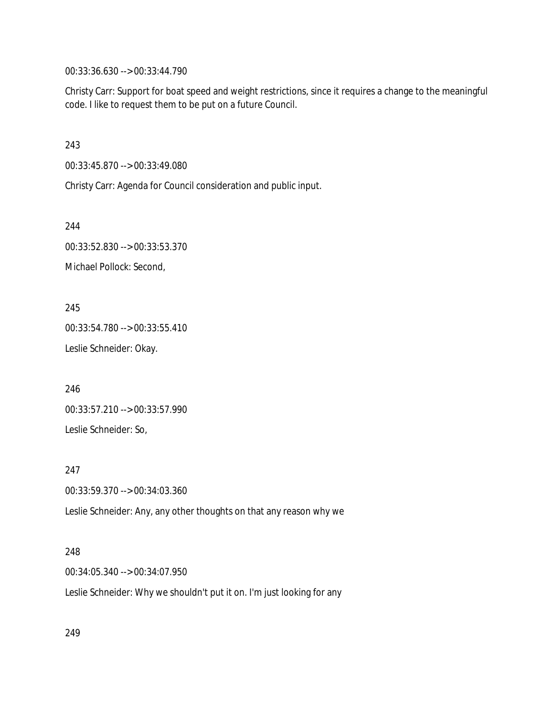00:33:36.630 --> 00:33:44.790

Christy Carr: Support for boat speed and weight restrictions, since it requires a change to the meaningful code. I like to request them to be put on a future Council.

243

00:33:45.870 --> 00:33:49.080

Christy Carr: Agenda for Council consideration and public input.

244

00:33:52.830 --> 00:33:53.370 Michael Pollock: Second,

245

00:33:54.780 --> 00:33:55.410 Leslie Schneider: Okay.

246 00:33:57.210 --> 00:33:57.990 Leslie Schneider: So,

247

00:33:59.370 --> 00:34:03.360

Leslie Schneider: Any, any other thoughts on that any reason why we

248

00:34:05.340 --> 00:34:07.950

Leslie Schneider: Why we shouldn't put it on. I'm just looking for any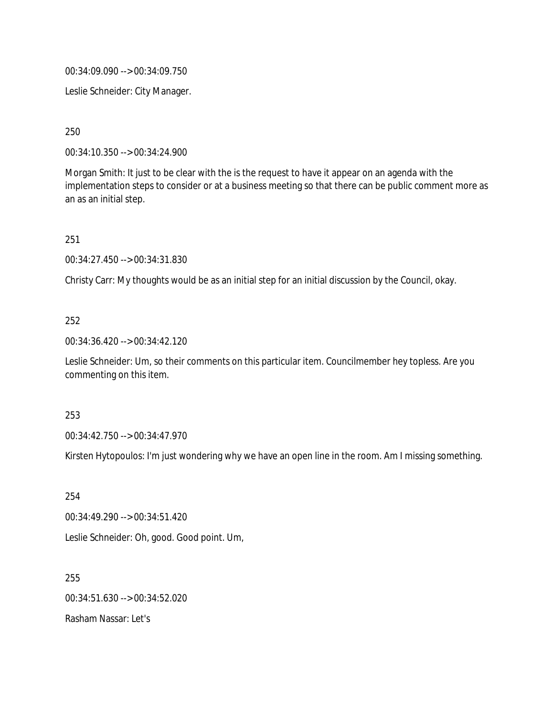00:34:09.090 --> 00:34:09.750

Leslie Schneider: City Manager.

250

00:34:10.350 --> 00:34:24.900

Morgan Smith: It just to be clear with the is the request to have it appear on an agenda with the implementation steps to consider or at a business meeting so that there can be public comment more as an as an initial step.

251

00:34:27.450 --> 00:34:31.830

Christy Carr: My thoughts would be as an initial step for an initial discussion by the Council, okay.

### 252

00:34:36.420 --> 00:34:42.120

Leslie Schneider: Um, so their comments on this particular item. Councilmember hey topless. Are you commenting on this item.

253

00:34:42.750 --> 00:34:47.970

Kirsten Hytopoulos: I'm just wondering why we have an open line in the room. Am I missing something.

254 00:34:49.290 --> 00:34:51.420 Leslie Schneider: Oh, good. Good point. Um,

255 00:34:51.630 --> 00:34:52.020 Rasham Nassar: Let's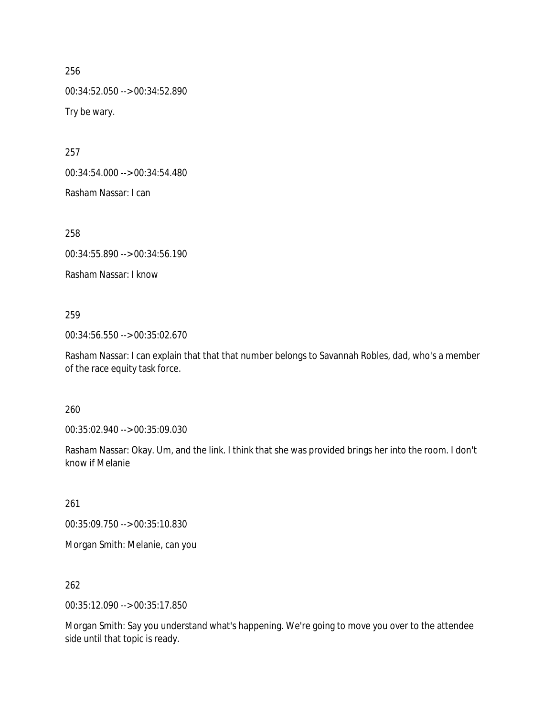00:34:52.050 --> 00:34:52.890 Try be wary.

257

00:34:54.000 --> 00:34:54.480

Rasham Nassar: I can

258

00:34:55.890 --> 00:34:56.190

Rasham Nassar: I know

### 259

00:34:56.550 --> 00:35:02.670

Rasham Nassar: I can explain that that that number belongs to Savannah Robles, dad, who's a member of the race equity task force.

## 260

00:35:02.940 --> 00:35:09.030

Rasham Nassar: Okay. Um, and the link. I think that she was provided brings her into the room. I don't know if Melanie

261

00:35:09.750 --> 00:35:10.830

Morgan Smith: Melanie, can you

262

00:35:12.090 --> 00:35:17.850

Morgan Smith: Say you understand what's happening. We're going to move you over to the attendee side until that topic is ready.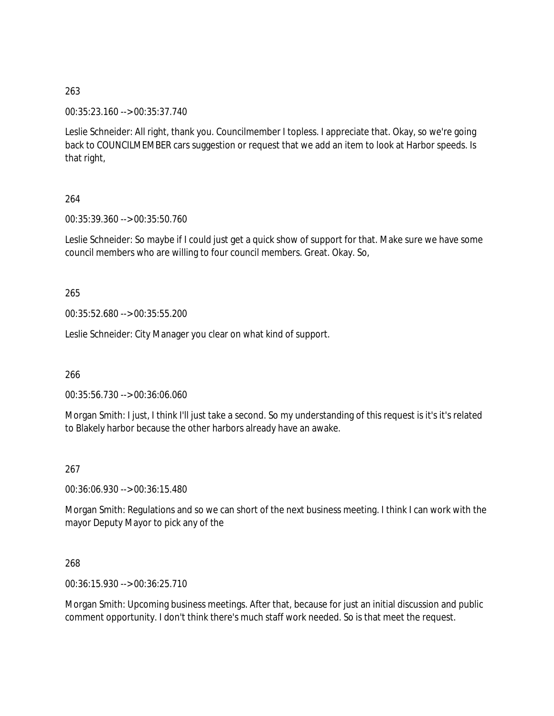00:35:23.160 --> 00:35:37.740

Leslie Schneider: All right, thank you. Councilmember I topless. I appreciate that. Okay, so we're going back to COUNCILMEMBER cars suggestion or request that we add an item to look at Harbor speeds. Is that right,

## 264

00:35:39.360 --> 00:35:50.760

Leslie Schneider: So maybe if I could just get a quick show of support for that. Make sure we have some council members who are willing to four council members. Great. Okay. So,

### 265

00:35:52.680 --> 00:35:55.200

Leslie Schneider: City Manager you clear on what kind of support.

266

00:35:56.730 --> 00:36:06.060

Morgan Smith: I just, I think I'll just take a second. So my understanding of this request is it's it's related to Blakely harbor because the other harbors already have an awake.

### 267

00:36:06.930 --> 00:36:15.480

Morgan Smith: Regulations and so we can short of the next business meeting. I think I can work with the mayor Deputy Mayor to pick any of the

### 268

00:36:15.930 --> 00:36:25.710

Morgan Smith: Upcoming business meetings. After that, because for just an initial discussion and public comment opportunity. I don't think there's much staff work needed. So is that meet the request.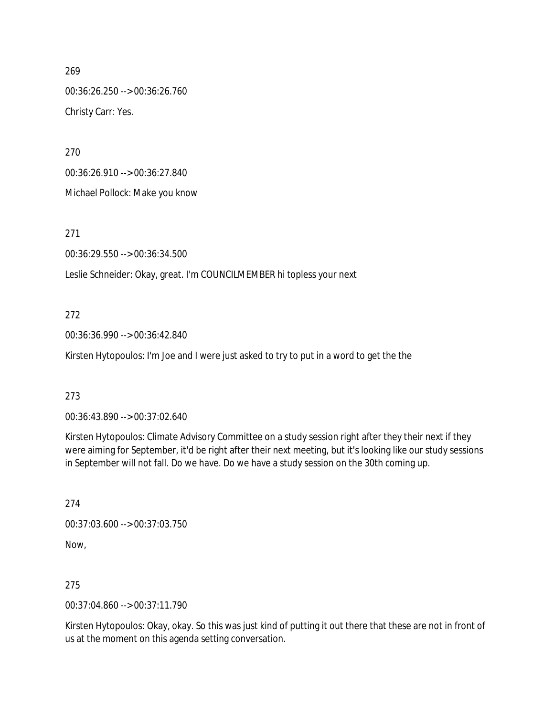00:36:26.250 --> 00:36:26.760 Christy Carr: Yes.

270

00:36:26.910 --> 00:36:27.840

Michael Pollock: Make you know

271

00:36:29.550 --> 00:36:34.500

Leslie Schneider: Okay, great. I'm COUNCILMEMBER hi topless your next

# 272

00:36:36.990 --> 00:36:42.840

Kirsten Hytopoulos: I'm Joe and I were just asked to try to put in a word to get the the

# 273

00:36:43.890 --> 00:37:02.640

Kirsten Hytopoulos: Climate Advisory Committee on a study session right after they their next if they were aiming for September, it'd be right after their next meeting, but it's looking like our study sessions in September will not fall. Do we have. Do we have a study session on the 30th coming up.

274

00:37:03.600 --> 00:37:03.750 Now,

275

00:37:04.860 --> 00:37:11.790

Kirsten Hytopoulos: Okay, okay. So this was just kind of putting it out there that these are not in front of us at the moment on this agenda setting conversation.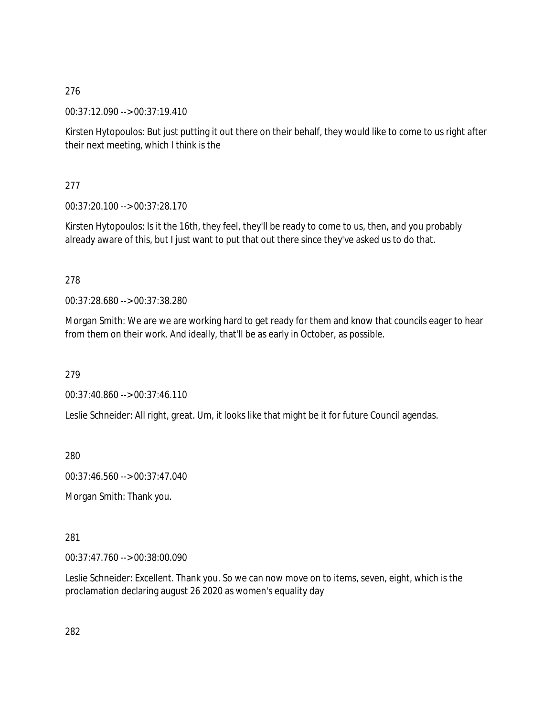00:37:12.090 --> 00:37:19.410

Kirsten Hytopoulos: But just putting it out there on their behalf, they would like to come to us right after their next meeting, which I think is the

277

00:37:20.100 --> 00:37:28.170

Kirsten Hytopoulos: Is it the 16th, they feel, they'll be ready to come to us, then, and you probably already aware of this, but I just want to put that out there since they've asked us to do that.

### 278

00:37:28.680 --> 00:37:38.280

Morgan Smith: We are we are working hard to get ready for them and know that councils eager to hear from them on their work. And ideally, that'll be as early in October, as possible.

279

00:37:40.860 --> 00:37:46.110

Leslie Schneider: All right, great. Um, it looks like that might be it for future Council agendas.

280

00:37:46.560 --> 00:37:47.040

Morgan Smith: Thank you.

281

00:37:47.760 --> 00:38:00.090

Leslie Schneider: Excellent. Thank you. So we can now move on to items, seven, eight, which is the proclamation declaring august 26 2020 as women's equality day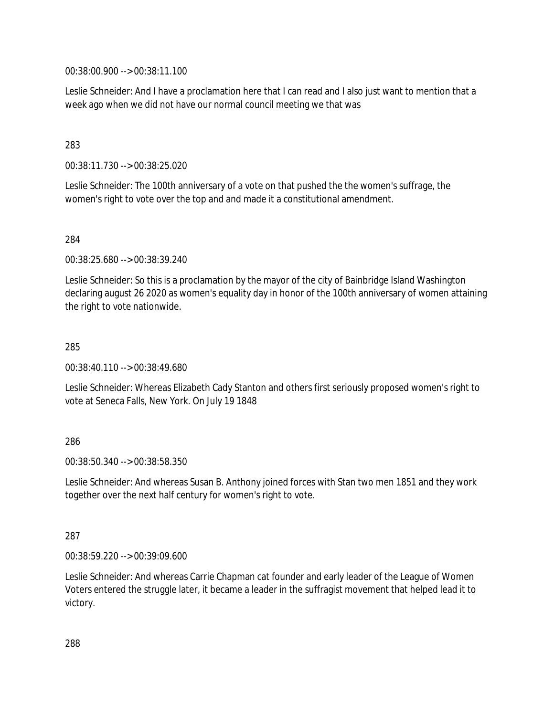00:38:00.900 --> 00:38:11.100

Leslie Schneider: And I have a proclamation here that I can read and I also just want to mention that a week ago when we did not have our normal council meeting we that was

### 283

00:38:11.730 --> 00:38:25.020

Leslie Schneider: The 100th anniversary of a vote on that pushed the the women's suffrage, the women's right to vote over the top and and made it a constitutional amendment.

284

00:38:25.680 --> 00:38:39.240

Leslie Schneider: So this is a proclamation by the mayor of the city of Bainbridge Island Washington declaring august 26 2020 as women's equality day in honor of the 100th anniversary of women attaining the right to vote nationwide.

### 285

00:38:40.110 --> 00:38:49.680

Leslie Schneider: Whereas Elizabeth Cady Stanton and others first seriously proposed women's right to vote at Seneca Falls, New York. On July 19 1848

### 286

00:38:50.340 --> 00:38:58.350

Leslie Schneider: And whereas Susan B. Anthony joined forces with Stan two men 1851 and they work together over the next half century for women's right to vote.

### 287

00:38:59.220 --> 00:39:09.600

Leslie Schneider: And whereas Carrie Chapman cat founder and early leader of the League of Women Voters entered the struggle later, it became a leader in the suffragist movement that helped lead it to victory.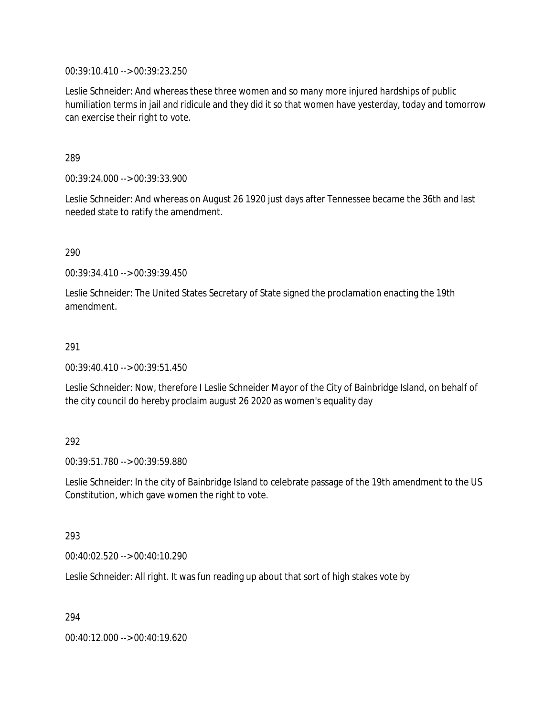00:39:10.410 --> 00:39:23.250

Leslie Schneider: And whereas these three women and so many more injured hardships of public humiliation terms in jail and ridicule and they did it so that women have yesterday, today and tomorrow can exercise their right to vote.

289

00:39:24.000 --> 00:39:33.900

Leslie Schneider: And whereas on August 26 1920 just days after Tennessee became the 36th and last needed state to ratify the amendment.

290

00:39:34.410 --> 00:39:39.450

Leslie Schneider: The United States Secretary of State signed the proclamation enacting the 19th amendment.

#### 291

00:39:40.410 --> 00:39:51.450

Leslie Schneider: Now, therefore I Leslie Schneider Mayor of the City of Bainbridge Island, on behalf of the city council do hereby proclaim august 26 2020 as women's equality day

#### 292

00:39:51.780 --> 00:39:59.880

Leslie Schneider: In the city of Bainbridge Island to celebrate passage of the 19th amendment to the US Constitution, which gave women the right to vote.

#### 293

00:40:02.520 --> 00:40:10.290

Leslie Schneider: All right. It was fun reading up about that sort of high stakes vote by

294

00:40:12.000 --> 00:40:19.620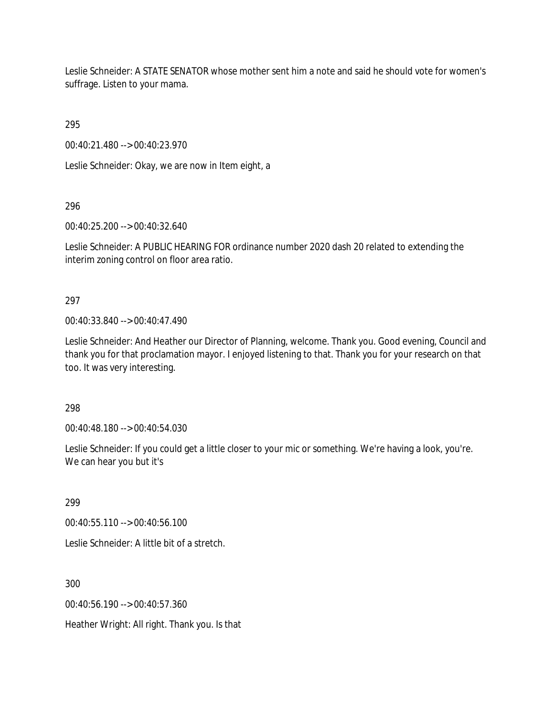Leslie Schneider: A STATE SENATOR whose mother sent him a note and said he should vote for women's suffrage. Listen to your mama.

295

00:40:21.480 --> 00:40:23.970

Leslie Schneider: Okay, we are now in Item eight, a

296

00:40:25.200 --> 00:40:32.640

Leslie Schneider: A PUBLIC HEARING FOR ordinance number 2020 dash 20 related to extending the interim zoning control on floor area ratio.

297

00:40:33.840 --> 00:40:47.490

Leslie Schneider: And Heather our Director of Planning, welcome. Thank you. Good evening, Council and thank you for that proclamation mayor. I enjoyed listening to that. Thank you for your research on that too. It was very interesting.

298

00:40:48.180 --> 00:40:54.030

Leslie Schneider: If you could get a little closer to your mic or something. We're having a look, you're. We can hear you but it's

299

00:40:55.110 --> 00:40:56.100

Leslie Schneider: A little bit of a stretch.

300

00:40:56.190 --> 00:40:57.360

Heather Wright: All right. Thank you. Is that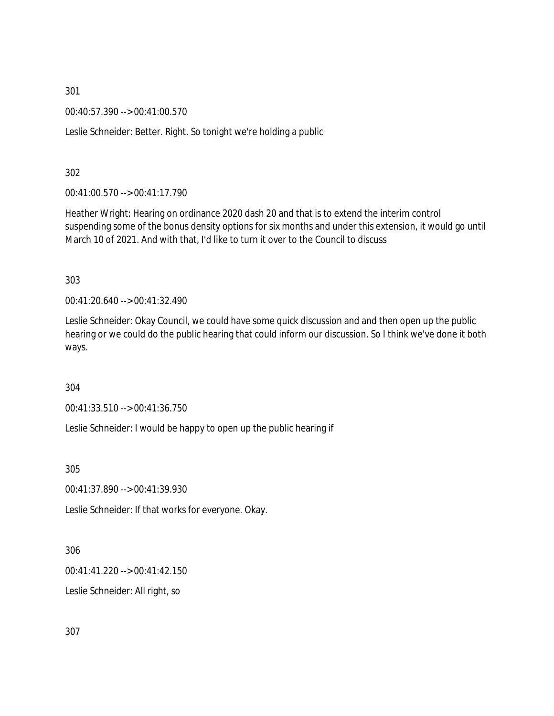00:40:57.390 --> 00:41:00.570

Leslie Schneider: Better. Right. So tonight we're holding a public

302

00:41:00.570 --> 00:41:17.790

Heather Wright: Hearing on ordinance 2020 dash 20 and that is to extend the interim control suspending some of the bonus density options for six months and under this extension, it would go until March 10 of 2021. And with that, I'd like to turn it over to the Council to discuss

303

00:41:20.640 --> 00:41:32.490

Leslie Schneider: Okay Council, we could have some quick discussion and and then open up the public hearing or we could do the public hearing that could inform our discussion. So I think we've done it both ways.

304

00:41:33.510 --> 00:41:36.750

Leslie Schneider: I would be happy to open up the public hearing if

305

00:41:37.890 --> 00:41:39.930

Leslie Schneider: If that works for everyone. Okay.

306

00:41:41.220 --> 00:41:42.150

Leslie Schneider: All right, so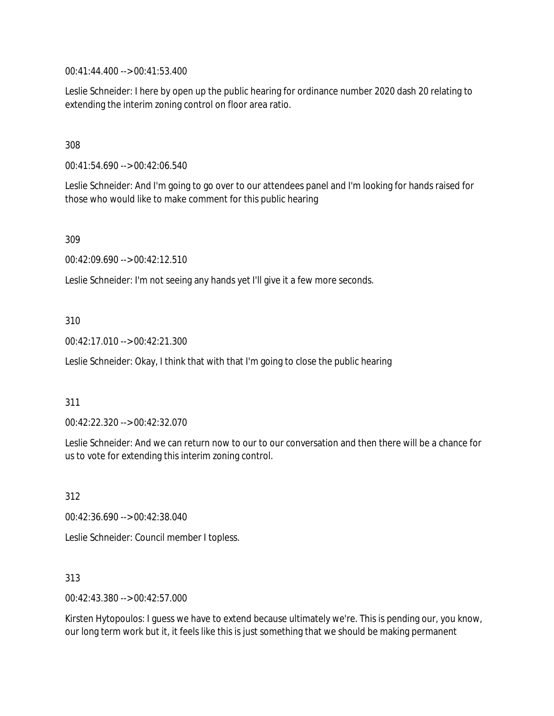00:41:44.400 --> 00:41:53.400

Leslie Schneider: I here by open up the public hearing for ordinance number 2020 dash 20 relating to extending the interim zoning control on floor area ratio.

308

00:41:54.690 --> 00:42:06.540

Leslie Schneider: And I'm going to go over to our attendees panel and I'm looking for hands raised for those who would like to make comment for this public hearing

309

00:42:09.690 --> 00:42:12.510

Leslie Schneider: I'm not seeing any hands yet I'll give it a few more seconds.

310

00:42:17.010 --> 00:42:21.300

Leslie Schneider: Okay, I think that with that I'm going to close the public hearing

#### 311

00:42:22.320 --> 00:42:32.070

Leslie Schneider: And we can return now to our to our conversation and then there will be a chance for us to vote for extending this interim zoning control.

312

00:42:36.690 --> 00:42:38.040

Leslie Schneider: Council member I topless.

313

00:42:43.380 --> 00:42:57.000

Kirsten Hytopoulos: I guess we have to extend because ultimately we're. This is pending our, you know, our long term work but it, it feels like this is just something that we should be making permanent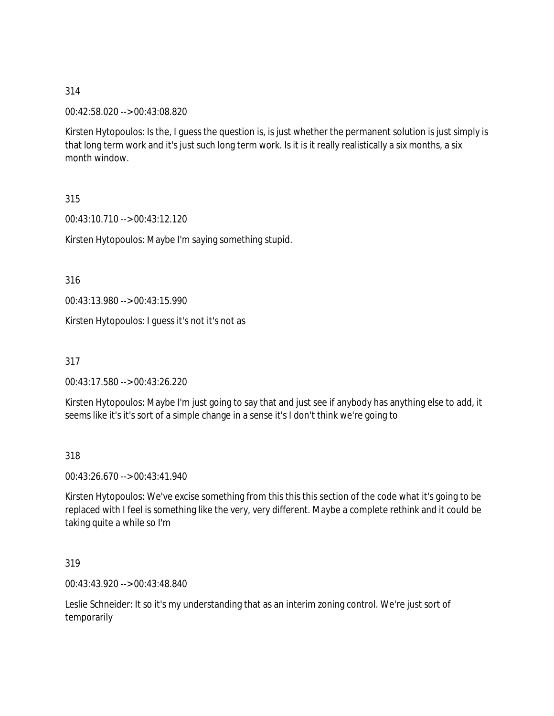00:42:58.020 --> 00:43:08.820

Kirsten Hytopoulos: Is the, I guess the question is, is just whether the permanent solution is just simply is that long term work and it's just such long term work. Is it is it really realistically a six months, a six month window.

315

00:43:10.710 --> 00:43:12.120

Kirsten Hytopoulos: Maybe I'm saying something stupid.

316

00:43:13.980 --> 00:43:15.990

Kirsten Hytopoulos: I guess it's not it's not as

317

00:43:17.580 --> 00:43:26.220

Kirsten Hytopoulos: Maybe I'm just going to say that and just see if anybody has anything else to add, it seems like it's it's sort of a simple change in a sense it's I don't think we're going to

318

00:43:26.670 --> 00:43:41.940

Kirsten Hytopoulos: We've excise something from this this this section of the code what it's going to be replaced with I feel is something like the very, very different. Maybe a complete rethink and it could be taking quite a while so I'm

319

00:43:43.920 --> 00:43:48.840

Leslie Schneider: It so it's my understanding that as an interim zoning control. We're just sort of temporarily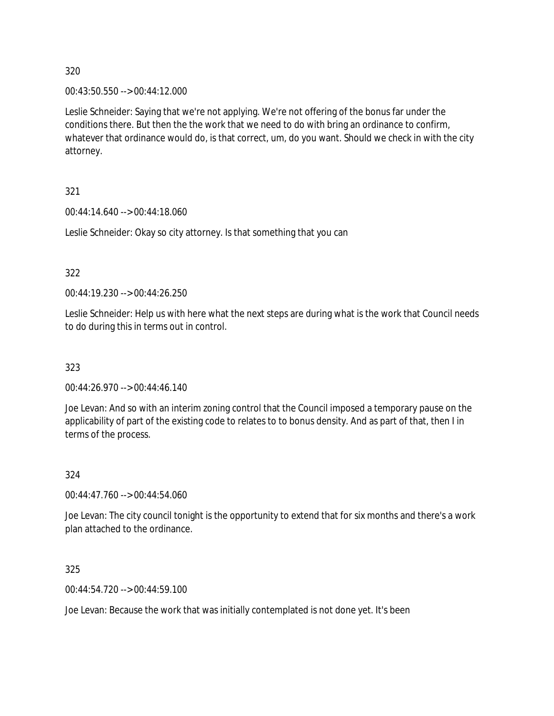00:43:50.550 --> 00:44:12.000

Leslie Schneider: Saying that we're not applying. We're not offering of the bonus far under the conditions there. But then the the work that we need to do with bring an ordinance to confirm, whatever that ordinance would do, is that correct, um, do you want. Should we check in with the city attorney.

321

00:44:14.640 --> 00:44:18.060

Leslie Schneider: Okay so city attorney. Is that something that you can

322

00:44:19.230 --> 00:44:26.250

Leslie Schneider: Help us with here what the next steps are during what is the work that Council needs to do during this in terms out in control.

323

00:44:26.970 --> 00:44:46.140

Joe Levan: And so with an interim zoning control that the Council imposed a temporary pause on the applicability of part of the existing code to relates to to bonus density. And as part of that, then I in terms of the process.

324

00:44:47.760 --> 00:44:54.060

Joe Levan: The city council tonight is the opportunity to extend that for six months and there's a work plan attached to the ordinance.

325

00:44:54.720 --> 00:44:59.100

Joe Levan: Because the work that was initially contemplated is not done yet. It's been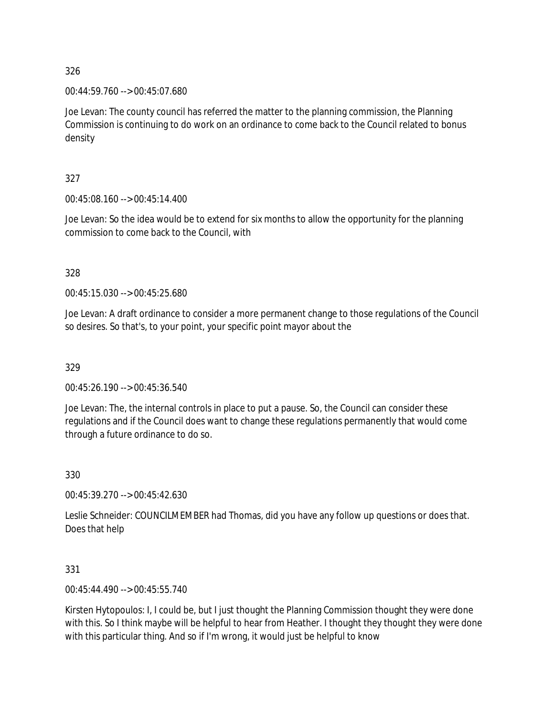00:44:59.760 --> 00:45:07.680

Joe Levan: The county council has referred the matter to the planning commission, the Planning Commission is continuing to do work on an ordinance to come back to the Council related to bonus density

327

00:45:08.160 --> 00:45:14.400

Joe Levan: So the idea would be to extend for six months to allow the opportunity for the planning commission to come back to the Council, with

328

00:45:15.030 --> 00:45:25.680

Joe Levan: A draft ordinance to consider a more permanent change to those regulations of the Council so desires. So that's, to your point, your specific point mayor about the

329

00:45:26.190 --> 00:45:36.540

Joe Levan: The, the internal controls in place to put a pause. So, the Council can consider these regulations and if the Council does want to change these regulations permanently that would come through a future ordinance to do so.

330

00:45:39.270 --> 00:45:42.630

Leslie Schneider: COUNCILMEMBER had Thomas, did you have any follow up questions or does that. Does that help

331

00:45:44.490 --> 00:45:55.740

Kirsten Hytopoulos: I, I could be, but I just thought the Planning Commission thought they were done with this. So I think maybe will be helpful to hear from Heather. I thought they thought they were done with this particular thing. And so if I'm wrong, it would just be helpful to know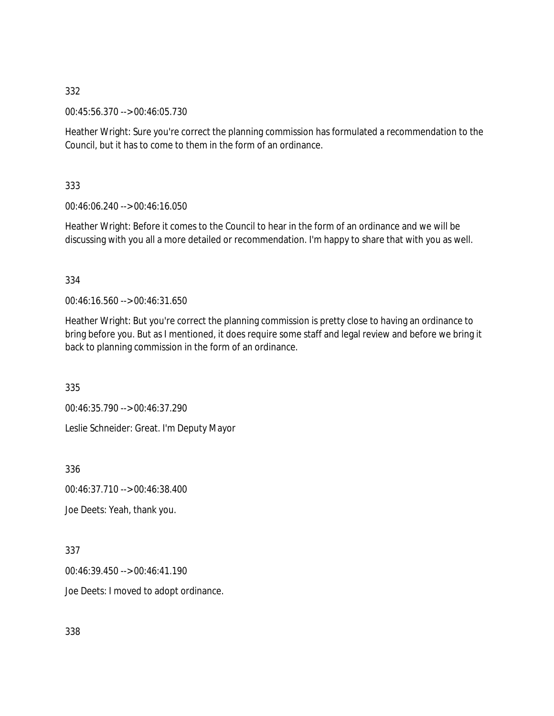00:45:56.370 --> 00:46:05.730

Heather Wright: Sure you're correct the planning commission has formulated a recommendation to the Council, but it has to come to them in the form of an ordinance.

333

00:46:06.240 --> 00:46:16.050

Heather Wright: Before it comes to the Council to hear in the form of an ordinance and we will be discussing with you all a more detailed or recommendation. I'm happy to share that with you as well.

334

00:46:16.560 --> 00:46:31.650

Heather Wright: But you're correct the planning commission is pretty close to having an ordinance to bring before you. But as I mentioned, it does require some staff and legal review and before we bring it back to planning commission in the form of an ordinance.

335

00:46:35.790 --> 00:46:37.290

Leslie Schneider: Great. I'm Deputy Mayor

336

00:46:37.710 --> 00:46:38.400

Joe Deets: Yeah, thank you.

337

00:46:39.450 --> 00:46:41.190

Joe Deets: I moved to adopt ordinance.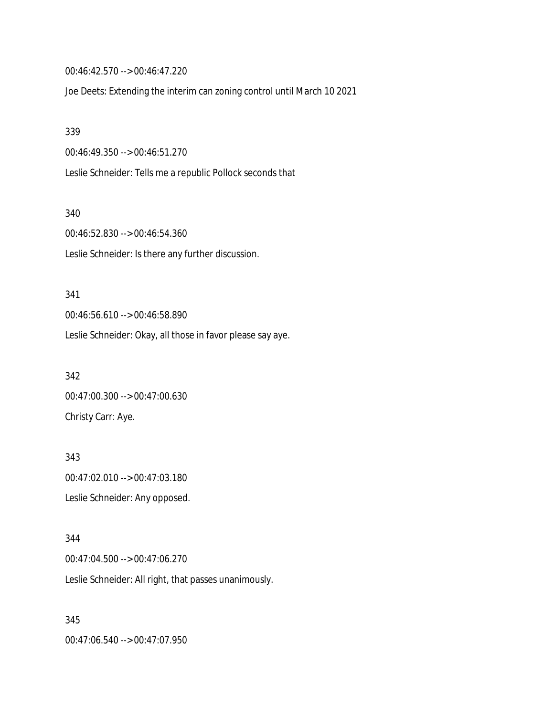00:46:42.570 --> 00:46:47.220

Joe Deets: Extending the interim can zoning control until March 10 2021

339

00:46:49.350 --> 00:46:51.270

Leslie Schneider: Tells me a republic Pollock seconds that

340

00:46:52.830 --> 00:46:54.360 Leslie Schneider: Is there any further discussion.

341 00:46:56.610 --> 00:46:58.890 Leslie Schneider: Okay, all those in favor please say aye.

342 00:47:00.300 --> 00:47:00.630 Christy Carr: Aye.

343 00:47:02.010 --> 00:47:03.180 Leslie Schneider: Any opposed.

344 00:47:04.500 --> 00:47:06.270 Leslie Schneider: All right, that passes unanimously.

345 00:47:06.540 --> 00:47:07.950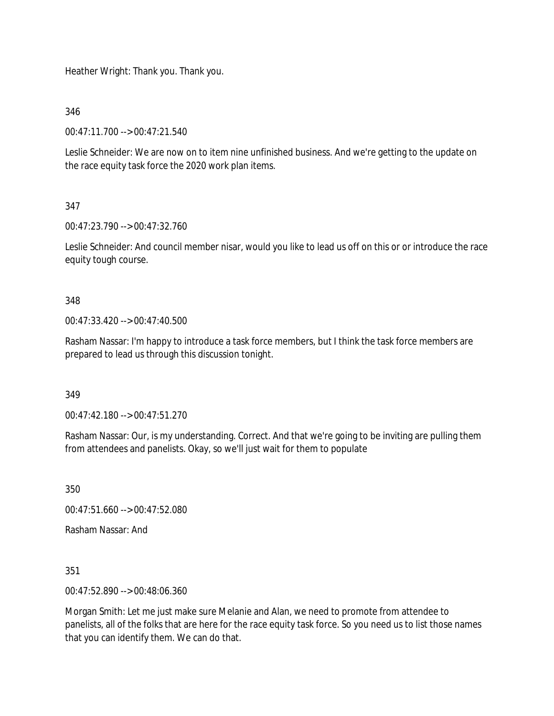Heather Wright: Thank you. Thank you.

346

00:47:11.700 --> 00:47:21.540

Leslie Schneider: We are now on to item nine unfinished business. And we're getting to the update on the race equity task force the 2020 work plan items.

## 347

00:47:23.790 --> 00:47:32.760

Leslie Schneider: And council member nisar, would you like to lead us off on this or or introduce the race equity tough course.

348

00:47:33.420 --> 00:47:40.500

Rasham Nassar: I'm happy to introduce a task force members, but I think the task force members are prepared to lead us through this discussion tonight.

349

00:47:42.180 --> 00:47:51.270

Rasham Nassar: Our, is my understanding. Correct. And that we're going to be inviting are pulling them from attendees and panelists. Okay, so we'll just wait for them to populate

350

00:47:51.660 --> 00:47:52.080

Rasham Nassar: And

351

00:47:52.890 --> 00:48:06.360

Morgan Smith: Let me just make sure Melanie and Alan, we need to promote from attendee to panelists, all of the folks that are here for the race equity task force. So you need us to list those names that you can identify them. We can do that.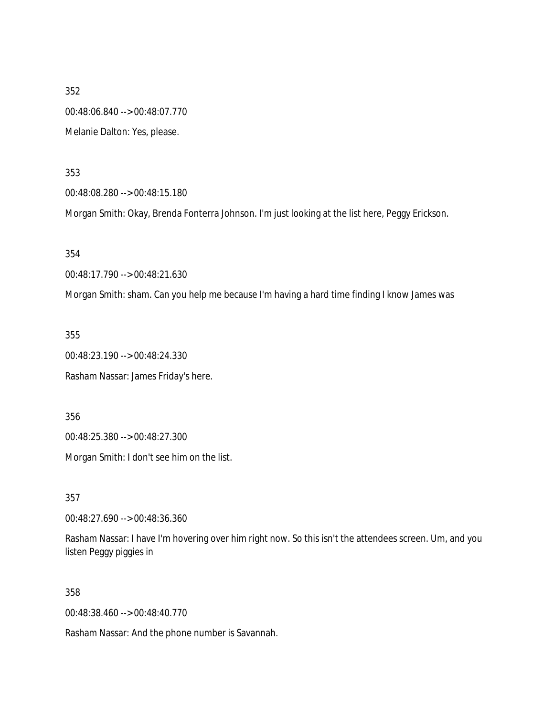352 00:48:06.840 --> 00:48:07.770 Melanie Dalton: Yes, please.

353

00:48:08.280 --> 00:48:15.180

Morgan Smith: Okay, Brenda Fonterra Johnson. I'm just looking at the list here, Peggy Erickson.

354

00:48:17.790 --> 00:48:21.630

Morgan Smith: sham. Can you help me because I'm having a hard time finding I know James was

355

00:48:23.190 --> 00:48:24.330

Rasham Nassar: James Friday's here.

356

00:48:25.380 --> 00:48:27.300

Morgan Smith: I don't see him on the list.

357

00:48:27.690 --> 00:48:36.360

Rasham Nassar: I have I'm hovering over him right now. So this isn't the attendees screen. Um, and you listen Peggy piggies in

358

00:48:38.460 --> 00:48:40.770

Rasham Nassar: And the phone number is Savannah.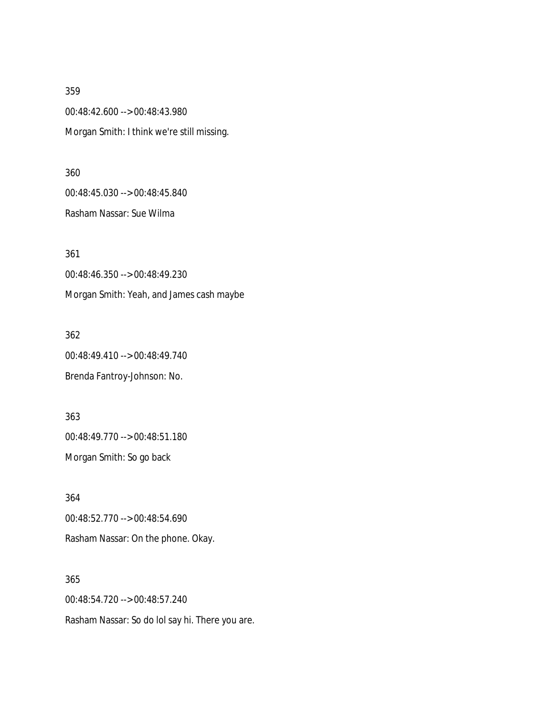359 00:48:42.600 --> 00:48:43.980 Morgan Smith: I think we're still missing.

360 00:48:45.030 --> 00:48:45.840 Rasham Nassar: Sue Wilma

361 00:48:46.350 --> 00:48:49.230 Morgan Smith: Yeah, and James cash maybe

362 00:48:49.410 --> 00:48:49.740 Brenda Fantroy-Johnson: No.

363 00:48:49.770 --> 00:48:51.180 Morgan Smith: So go back

364 00:48:52.770 --> 00:48:54.690 Rasham Nassar: On the phone. Okay.

365 00:48:54.720 --> 00:48:57.240 Rasham Nassar: So do lol say hi. There you are.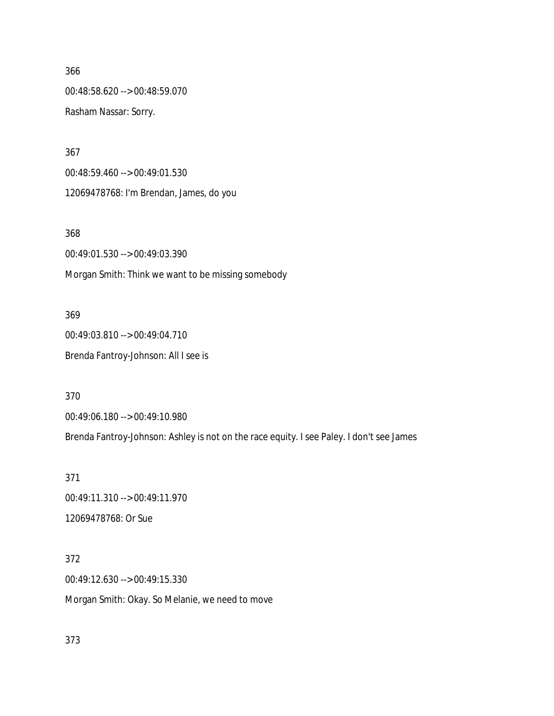366 00:48:58.620 --> 00:48:59.070 Rasham Nassar: Sorry.

367 00:48:59.460 --> 00:49:01.530 12069478768: I'm Brendan, James, do you

368 00:49:01.530 --> 00:49:03.390 Morgan Smith: Think we want to be missing somebody

369 00:49:03.810 --> 00:49:04.710 Brenda Fantroy-Johnson: All I see is

370

00:49:06.180 --> 00:49:10.980

Brenda Fantroy-Johnson: Ashley is not on the race equity. I see Paley. I don't see James

371 00:49:11.310 --> 00:49:11.970 12069478768: Or Sue

372 00:49:12.630 --> 00:49:15.330 Morgan Smith: Okay. So Melanie, we need to move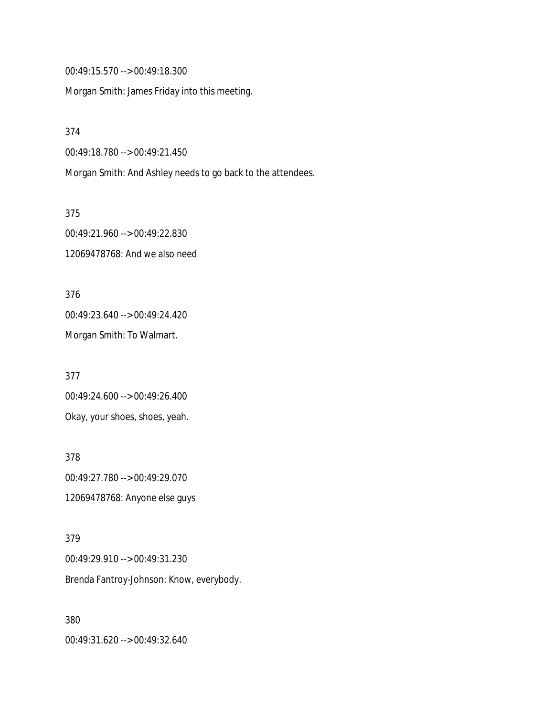00:49:15.570 --> 00:49:18.300

Morgan Smith: James Friday into this meeting.

374

00:49:18.780 --> 00:49:21.450

Morgan Smith: And Ashley needs to go back to the attendees.

375 00:49:21.960 --> 00:49:22.830 12069478768: And we also need

376 00:49:23.640 --> 00:49:24.420 Morgan Smith: To Walmart.

377 00:49:24.600 --> 00:49:26.400 Okay, your shoes, shoes, yeah.

378 00:49:27.780 --> 00:49:29.070 12069478768: Anyone else guys

379 00:49:29.910 --> 00:49:31.230 Brenda Fantroy-Johnson: Know, everybody.

380

00:49:31.620 --> 00:49:32.640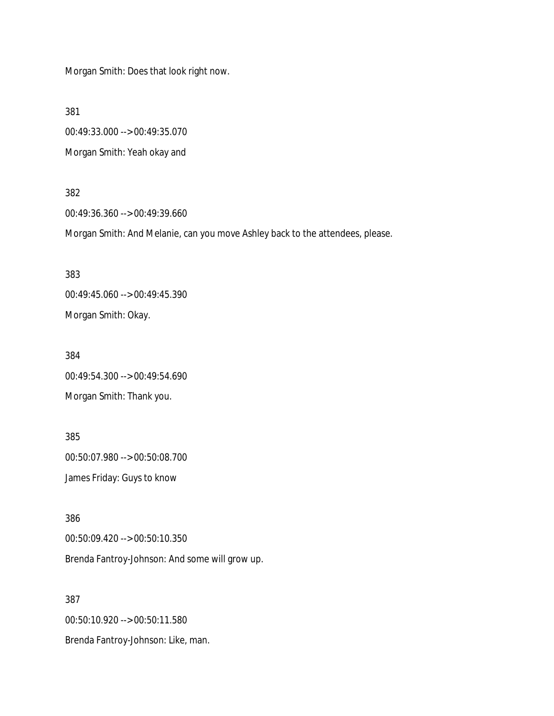Morgan Smith: Does that look right now.

381

00:49:33.000 --> 00:49:35.070

Morgan Smith: Yeah okay and

382

00:49:36.360 --> 00:49:39.660

Morgan Smith: And Melanie, can you move Ashley back to the attendees, please.

383 00:49:45.060 --> 00:49:45.390 Morgan Smith: Okay.

384 00:49:54.300 --> 00:49:54.690 Morgan Smith: Thank you.

385 00:50:07.980 --> 00:50:08.700 James Friday: Guys to know

386 00:50:09.420 --> 00:50:10.350 Brenda Fantroy-Johnson: And some will grow up.

387 00:50:10.920 --> 00:50:11.580 Brenda Fantroy-Johnson: Like, man.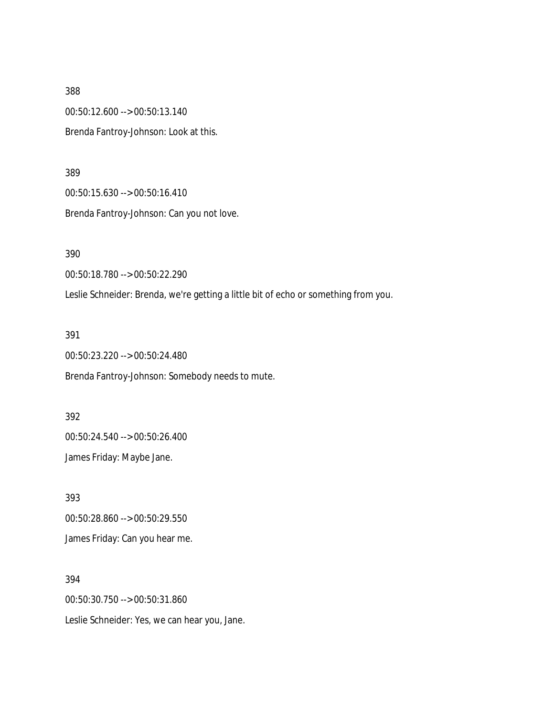388 00:50:12.600 --> 00:50:13.140 Brenda Fantroy-Johnson: Look at this.

389

00:50:15.630 --> 00:50:16.410 Brenda Fantroy-Johnson: Can you not love.

390

00:50:18.780 --> 00:50:22.290

Leslie Schneider: Brenda, we're getting a little bit of echo or something from you.

391

00:50:23.220 --> 00:50:24.480

Brenda Fantroy-Johnson: Somebody needs to mute.

392 00:50:24.540 --> 00:50:26.400 James Friday: Maybe Jane.

393 00:50:28.860 --> 00:50:29.550 James Friday: Can you hear me.

394 00:50:30.750 --> 00:50:31.860 Leslie Schneider: Yes, we can hear you, Jane.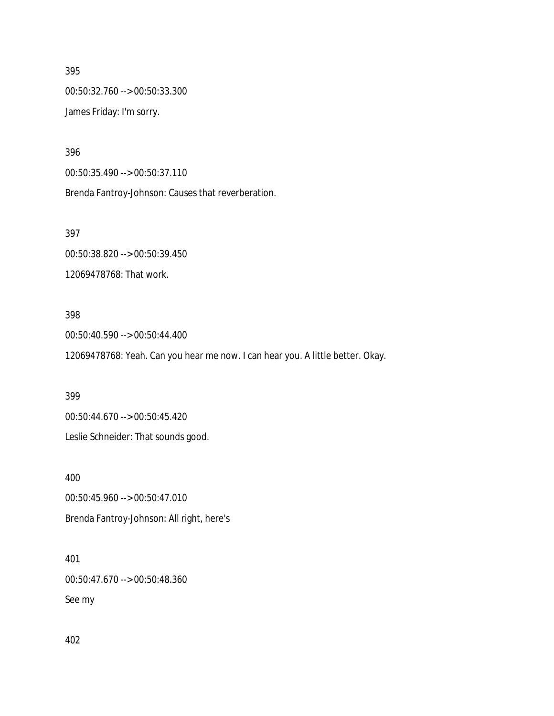395 00:50:32.760 --> 00:50:33.300 James Friday: I'm sorry.

396

00:50:35.490 --> 00:50:37.110

Brenda Fantroy-Johnson: Causes that reverberation.

397

00:50:38.820 --> 00:50:39.450 12069478768: That work.

### 398

00:50:40.590 --> 00:50:44.400 12069478768: Yeah. Can you hear me now. I can hear you. A little better. Okay.

399

00:50:44.670 --> 00:50:45.420

Leslie Schneider: That sounds good.

400

00:50:45.960 --> 00:50:47.010 Brenda Fantroy-Johnson: All right, here's

401

00:50:47.670 --> 00:50:48.360

See my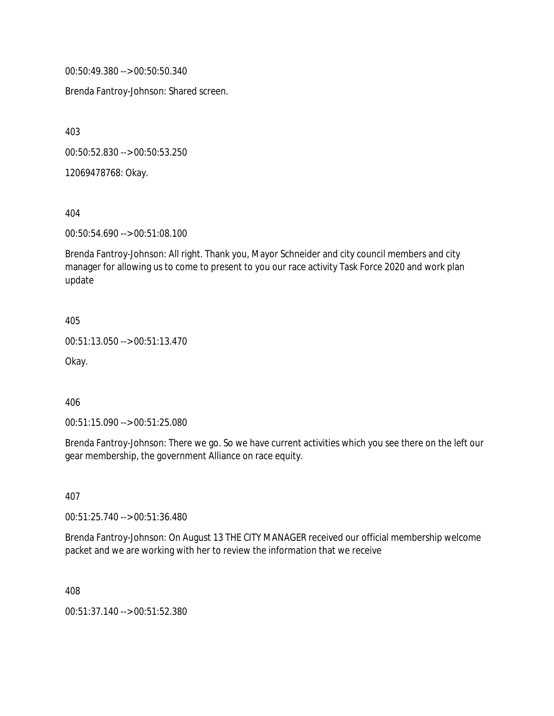00:50:49.380 --> 00:50:50.340

Brenda Fantroy-Johnson: Shared screen.

403

00:50:52.830 --> 00:50:53.250

12069478768: Okay.

404

00:50:54.690 --> 00:51:08.100

Brenda Fantroy-Johnson: All right. Thank you, Mayor Schneider and city council members and city manager for allowing us to come to present to you our race activity Task Force 2020 and work plan update

405

00:51:13.050 --> 00:51:13.470

Okay.

406

00:51:15.090 --> 00:51:25.080

Brenda Fantroy-Johnson: There we go. So we have current activities which you see there on the left our gear membership, the government Alliance on race equity.

407

00:51:25.740 --> 00:51:36.480

Brenda Fantroy-Johnson: On August 13 THE CITY MANAGER received our official membership welcome packet and we are working with her to review the information that we receive

408

00:51:37.140 --> 00:51:52.380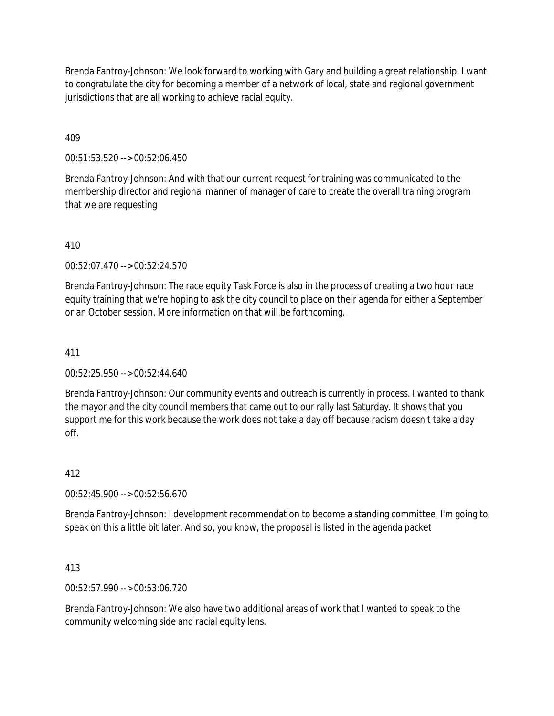Brenda Fantroy-Johnson: We look forward to working with Gary and building a great relationship, I want to congratulate the city for becoming a member of a network of local, state and regional government jurisdictions that are all working to achieve racial equity.

409

00:51:53.520 --> 00:52:06.450

Brenda Fantroy-Johnson: And with that our current request for training was communicated to the membership director and regional manner of manager of care to create the overall training program that we are requesting

410

00:52:07.470 --> 00:52:24.570

Brenda Fantroy-Johnson: The race equity Task Force is also in the process of creating a two hour race equity training that we're hoping to ask the city council to place on their agenda for either a September or an October session. More information on that will be forthcoming.

411

00:52:25.950 --> 00:52:44.640

Brenda Fantroy-Johnson: Our community events and outreach is currently in process. I wanted to thank the mayor and the city council members that came out to our rally last Saturday. It shows that you support me for this work because the work does not take a day off because racism doesn't take a day off.

### 412

00:52:45.900 --> 00:52:56.670

Brenda Fantroy-Johnson: I development recommendation to become a standing committee. I'm going to speak on this a little bit later. And so, you know, the proposal is listed in the agenda packet

413

00:52:57.990 --> 00:53:06.720

Brenda Fantroy-Johnson: We also have two additional areas of work that I wanted to speak to the community welcoming side and racial equity lens.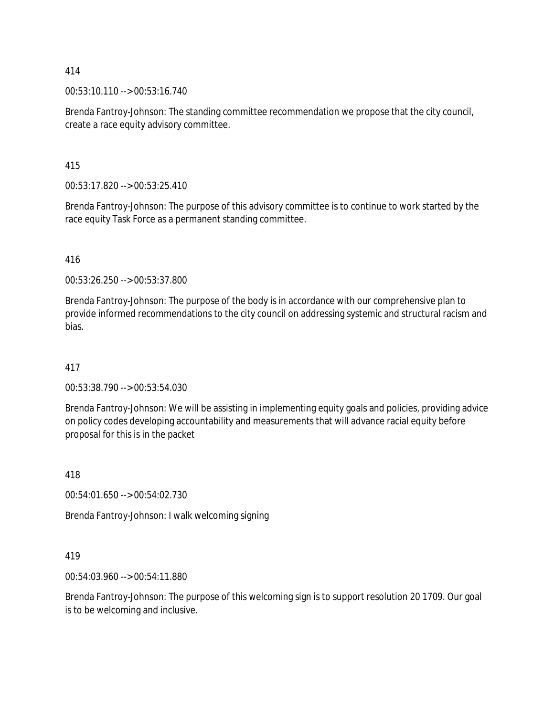00:53:10.110 --> 00:53:16.740

Brenda Fantroy-Johnson: The standing committee recommendation we propose that the city council, create a race equity advisory committee.

415

00:53:17.820 --> 00:53:25.410

Brenda Fantroy-Johnson: The purpose of this advisory committee is to continue to work started by the race equity Task Force as a permanent standing committee.

416

00:53:26.250 --> 00:53:37.800

Brenda Fantroy-Johnson: The purpose of the body is in accordance with our comprehensive plan to provide informed recommendations to the city council on addressing systemic and structural racism and bias.

417

00:53:38.790 --> 00:53:54.030

Brenda Fantroy-Johnson: We will be assisting in implementing equity goals and policies, providing advice on policy codes developing accountability and measurements that will advance racial equity before proposal for this is in the packet

418

00:54:01.650 --> 00:54:02.730

Brenda Fantroy-Johnson: I walk welcoming signing

419

00:54:03.960 --> 00:54:11.880

Brenda Fantroy-Johnson: The purpose of this welcoming sign is to support resolution 20 1709. Our goal is to be welcoming and inclusive.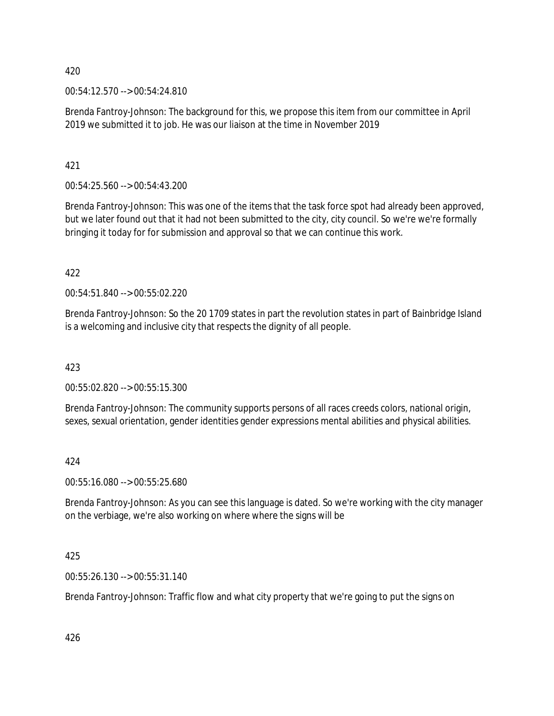00:54:12.570 --> 00:54:24.810

Brenda Fantroy-Johnson: The background for this, we propose this item from our committee in April 2019 we submitted it to job. He was our liaison at the time in November 2019

421

00:54:25.560 --> 00:54:43.200

Brenda Fantroy-Johnson: This was one of the items that the task force spot had already been approved, but we later found out that it had not been submitted to the city, city council. So we're we're formally bringing it today for for submission and approval so that we can continue this work.

422

00:54:51.840 --> 00:55:02.220

Brenda Fantroy-Johnson: So the 20 1709 states in part the revolution states in part of Bainbridge Island is a welcoming and inclusive city that respects the dignity of all people.

423

00:55:02.820 --> 00:55:15.300

Brenda Fantroy-Johnson: The community supports persons of all races creeds colors, national origin, sexes, sexual orientation, gender identities gender expressions mental abilities and physical abilities.

# 424

00:55:16.080 --> 00:55:25.680

Brenda Fantroy-Johnson: As you can see this language is dated. So we're working with the city manager on the verbiage, we're also working on where where the signs will be

425

00:55:26.130 --> 00:55:31.140

Brenda Fantroy-Johnson: Traffic flow and what city property that we're going to put the signs on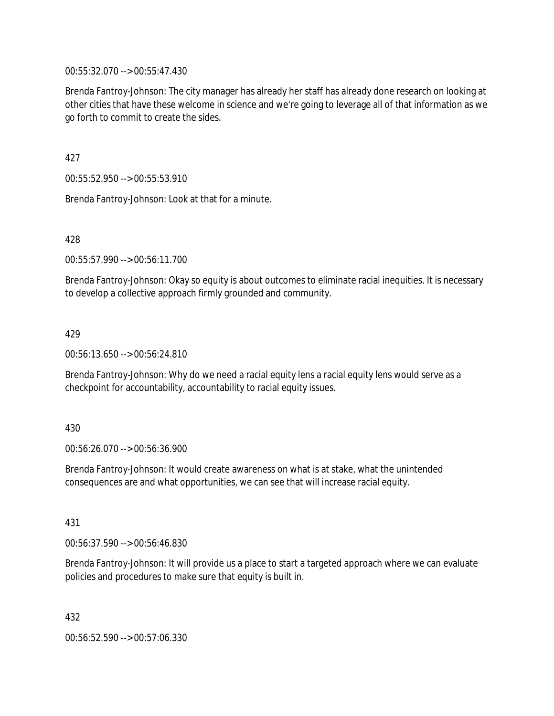00:55:32.070 --> 00:55:47.430

Brenda Fantroy-Johnson: The city manager has already her staff has already done research on looking at other cities that have these welcome in science and we're going to leverage all of that information as we go forth to commit to create the sides.

427

00:55:52.950 --> 00:55:53.910

Brenda Fantroy-Johnson: Look at that for a minute.

428

00:55:57.990 --> 00:56:11.700

Brenda Fantroy-Johnson: Okay so equity is about outcomes to eliminate racial inequities. It is necessary to develop a collective approach firmly grounded and community.

429

00:56:13.650 --> 00:56:24.810

Brenda Fantroy-Johnson: Why do we need a racial equity lens a racial equity lens would serve as a checkpoint for accountability, accountability to racial equity issues.

430

00:56:26.070 --> 00:56:36.900

Brenda Fantroy-Johnson: It would create awareness on what is at stake, what the unintended consequences are and what opportunities, we can see that will increase racial equity.

431

00:56:37.590 --> 00:56:46.830

Brenda Fantroy-Johnson: It will provide us a place to start a targeted approach where we can evaluate policies and procedures to make sure that equity is built in.

432

00:56:52.590 --> 00:57:06.330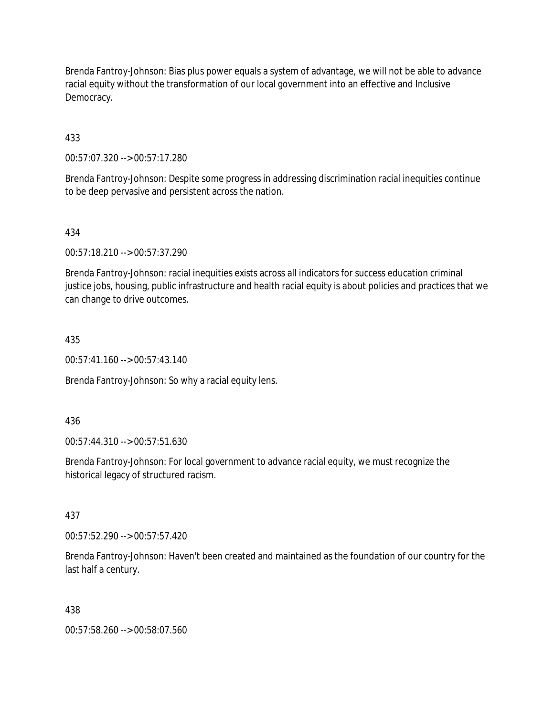Brenda Fantroy-Johnson: Bias plus power equals a system of advantage, we will not be able to advance racial equity without the transformation of our local government into an effective and Inclusive Democracy.

433

00:57:07.320 --> 00:57:17.280

Brenda Fantroy-Johnson: Despite some progress in addressing discrimination racial inequities continue to be deep pervasive and persistent across the nation.

434

00:57:18.210 --> 00:57:37.290

Brenda Fantroy-Johnson: racial inequities exists across all indicators for success education criminal justice jobs, housing, public infrastructure and health racial equity is about policies and practices that we can change to drive outcomes.

435

00:57:41.160 --> 00:57:43.140

Brenda Fantroy-Johnson: So why a racial equity lens.

436

00:57:44.310 --> 00:57:51.630

Brenda Fantroy-Johnson: For local government to advance racial equity, we must recognize the historical legacy of structured racism.

437

00:57:52.290 --> 00:57:57.420

Brenda Fantroy-Johnson: Haven't been created and maintained as the foundation of our country for the last half a century.

438

00:57:58.260 --> 00:58:07.560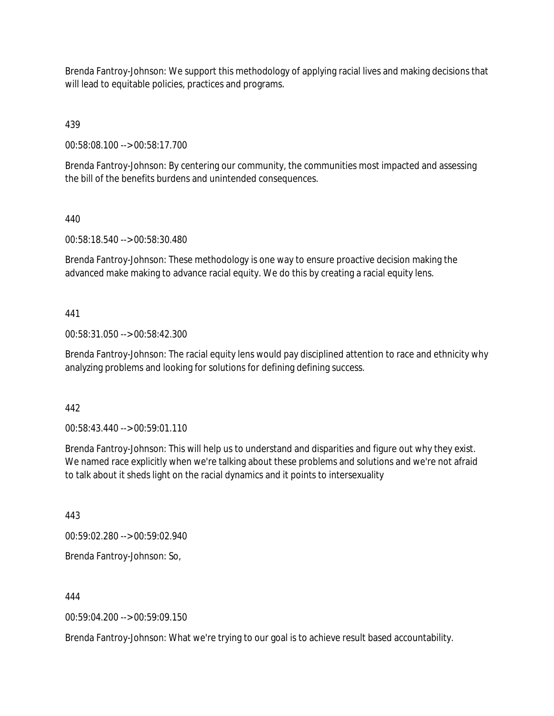Brenda Fantroy-Johnson: We support this methodology of applying racial lives and making decisions that will lead to equitable policies, practices and programs.

439

00:58:08.100 --> 00:58:17.700

Brenda Fantroy-Johnson: By centering our community, the communities most impacted and assessing the bill of the benefits burdens and unintended consequences.

## 440

00:58:18.540 --> 00:58:30.480

Brenda Fantroy-Johnson: These methodology is one way to ensure proactive decision making the advanced make making to advance racial equity. We do this by creating a racial equity lens.

## 441

00:58:31.050 --> 00:58:42.300

Brenda Fantroy-Johnson: The racial equity lens would pay disciplined attention to race and ethnicity why analyzing problems and looking for solutions for defining defining success.

### 442

00:58:43.440 --> 00:59:01.110

Brenda Fantroy-Johnson: This will help us to understand and disparities and figure out why they exist. We named race explicitly when we're talking about these problems and solutions and we're not afraid to talk about it sheds light on the racial dynamics and it points to intersexuality

443

00:59:02.280 --> 00:59:02.940

Brenda Fantroy-Johnson: So,

444

00:59:04.200 --> 00:59:09.150

Brenda Fantroy-Johnson: What we're trying to our goal is to achieve result based accountability.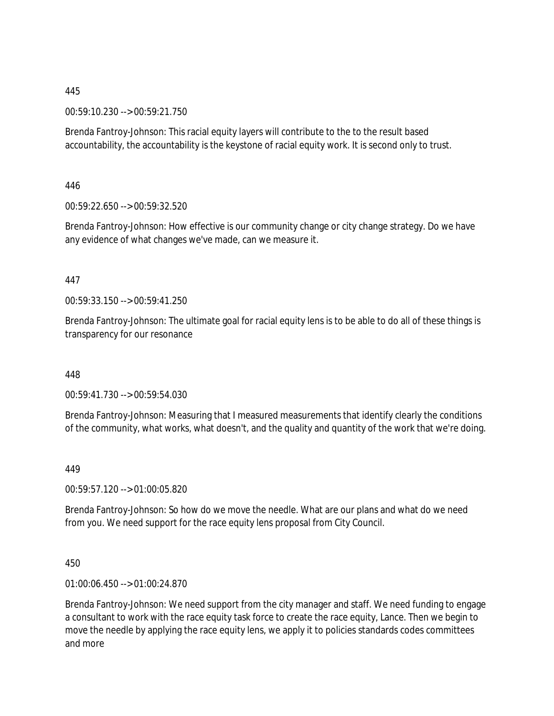00:59:10.230 --> 00:59:21.750

Brenda Fantroy-Johnson: This racial equity layers will contribute to the to the result based accountability, the accountability is the keystone of racial equity work. It is second only to trust.

446

00:59:22.650 --> 00:59:32.520

Brenda Fantroy-Johnson: How effective is our community change or city change strategy. Do we have any evidence of what changes we've made, can we measure it.

### 447

 $00:59:33.150 \rightarrow 00:59:41.250$ 

Brenda Fantroy-Johnson: The ultimate goal for racial equity lens is to be able to do all of these things is transparency for our resonance

448

00:59:41.730 --> 00:59:54.030

Brenda Fantroy-Johnson: Measuring that I measured measurements that identify clearly the conditions of the community, what works, what doesn't, and the quality and quantity of the work that we're doing.

#### 449

00:59:57.120 --> 01:00:05.820

Brenda Fantroy-Johnson: So how do we move the needle. What are our plans and what do we need from you. We need support for the race equity lens proposal from City Council.

450

01:00:06.450 --> 01:00:24.870

Brenda Fantroy-Johnson: We need support from the city manager and staff. We need funding to engage a consultant to work with the race equity task force to create the race equity, Lance. Then we begin to move the needle by applying the race equity lens, we apply it to policies standards codes committees and more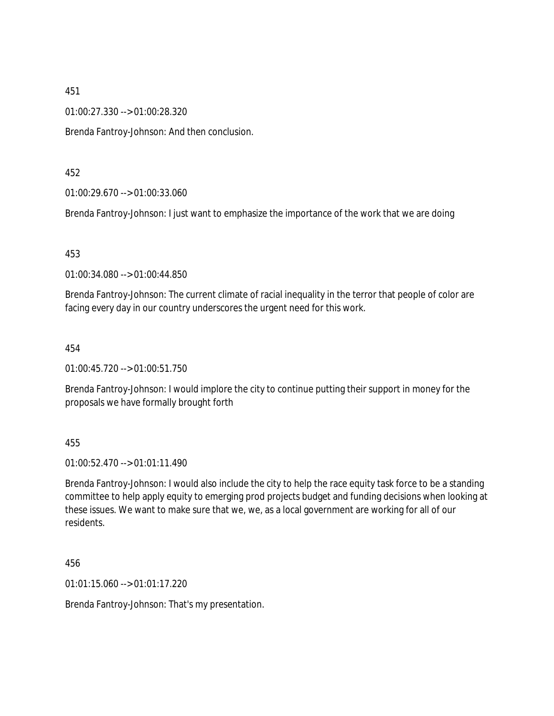01:00:27.330 --> 01:00:28.320

Brenda Fantroy-Johnson: And then conclusion.

452

01:00:29.670 --> 01:00:33.060

Brenda Fantroy-Johnson: I just want to emphasize the importance of the work that we are doing

453

01:00:34.080 --> 01:00:44.850

Brenda Fantroy-Johnson: The current climate of racial inequality in the terror that people of color are facing every day in our country underscores the urgent need for this work.

454

01:00:45.720 --> 01:00:51.750

Brenda Fantroy-Johnson: I would implore the city to continue putting their support in money for the proposals we have formally brought forth

455

01:00:52.470 --> 01:01:11.490

Brenda Fantroy-Johnson: I would also include the city to help the race equity task force to be a standing committee to help apply equity to emerging prod projects budget and funding decisions when looking at these issues. We want to make sure that we, we, as a local government are working for all of our residents.

456

01:01:15.060 --> 01:01:17.220

Brenda Fantroy-Johnson: That's my presentation.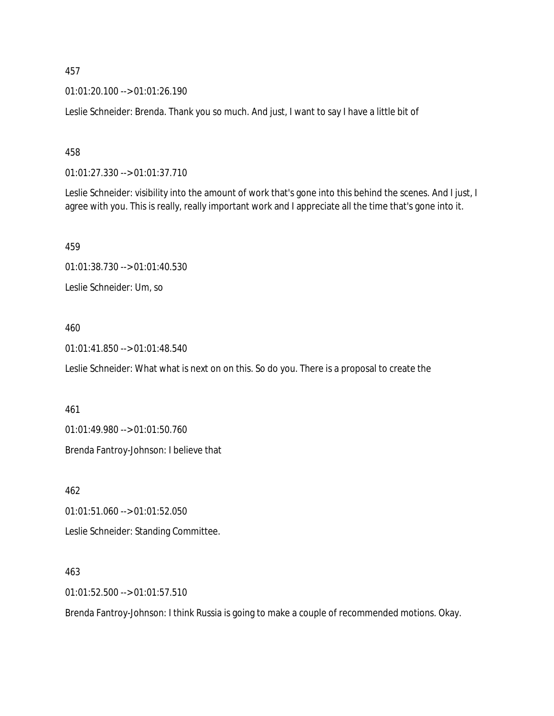01:01:20.100 --> 01:01:26.190

Leslie Schneider: Brenda. Thank you so much. And just, I want to say I have a little bit of

458

01:01:27.330 --> 01:01:37.710

Leslie Schneider: visibility into the amount of work that's gone into this behind the scenes. And I just, I agree with you. This is really, really important work and I appreciate all the time that's gone into it.

459

01:01:38.730 --> 01:01:40.530

Leslie Schneider: Um, so

### 460

01:01:41.850 --> 01:01:48.540

Leslie Schneider: What what is next on on this. So do you. There is a proposal to create the

#### 461

01:01:49.980 --> 01:01:50.760

Brenda Fantroy-Johnson: I believe that

462

01:01:51.060 --> 01:01:52.050

Leslie Schneider: Standing Committee.

### 463

01:01:52.500 --> 01:01:57.510

Brenda Fantroy-Johnson: I think Russia is going to make a couple of recommended motions. Okay.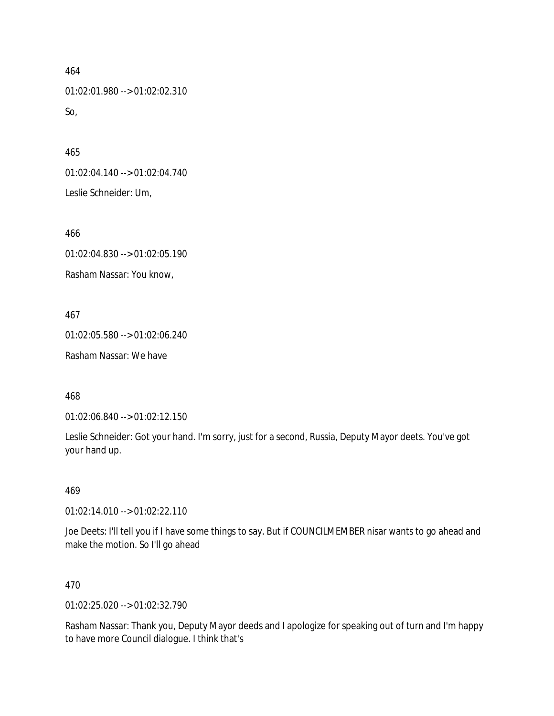01:02:01.980 --> 01:02:02.310 So,

465

01:02:04.140 --> 01:02:04.740 Leslie Schneider: Um,

466

01:02:04.830 --> 01:02:05.190

Rasham Nassar: You know,

467

01:02:05.580 --> 01:02:06.240

Rasham Nassar: We have

468

01:02:06.840 --> 01:02:12.150

Leslie Schneider: Got your hand. I'm sorry, just for a second, Russia, Deputy Mayor deets. You've got your hand up.

469

01:02:14.010 --> 01:02:22.110

Joe Deets: I'll tell you if I have some things to say. But if COUNCILMEMBER nisar wants to go ahead and make the motion. So I'll go ahead

470

01:02:25.020 --> 01:02:32.790

Rasham Nassar: Thank you, Deputy Mayor deeds and I apologize for speaking out of turn and I'm happy to have more Council dialogue. I think that's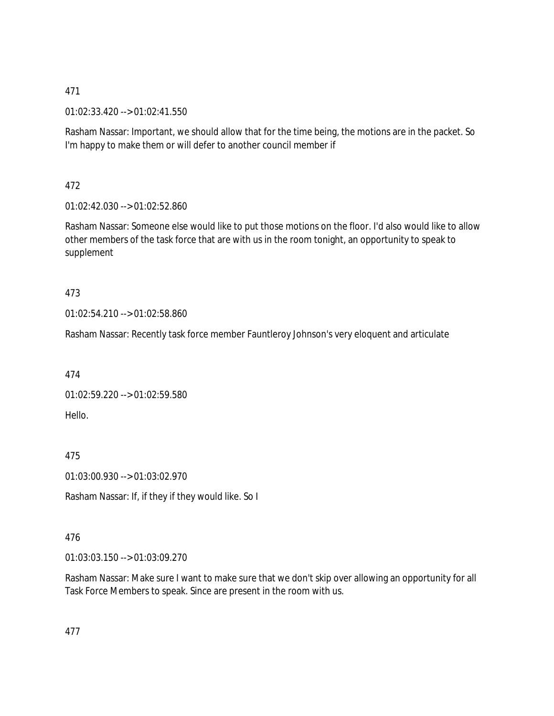01:02:33.420 --> 01:02:41.550

Rasham Nassar: Important, we should allow that for the time being, the motions are in the packet. So I'm happy to make them or will defer to another council member if

472

01:02:42.030 --> 01:02:52.860

Rasham Nassar: Someone else would like to put those motions on the floor. I'd also would like to allow other members of the task force that are with us in the room tonight, an opportunity to speak to supplement

# 473

01:02:54.210 --> 01:02:58.860

Rasham Nassar: Recently task force member Fauntleroy Johnson's very eloquent and articulate

474

01:02:59.220 --> 01:02:59.580 Hello.

475

01:03:00.930 --> 01:03:02.970

Rasham Nassar: If, if they if they would like. So I

# 476

01:03:03.150 --> 01:03:09.270

Rasham Nassar: Make sure I want to make sure that we don't skip over allowing an opportunity for all Task Force Members to speak. Since are present in the room with us.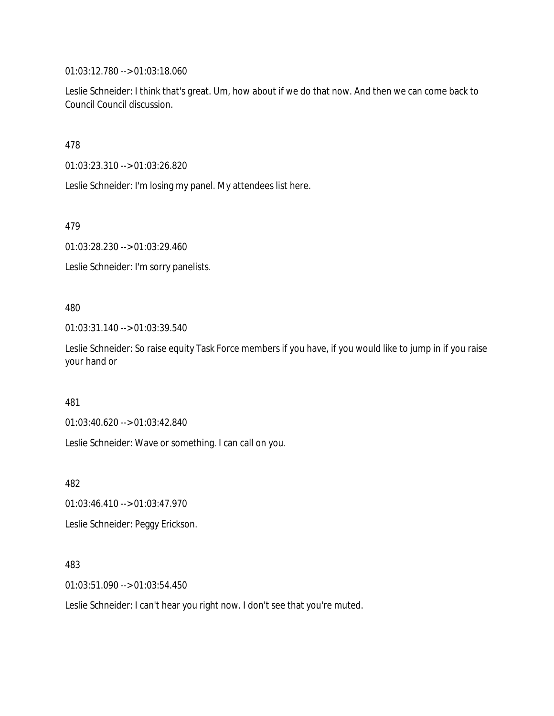01:03:12.780 --> 01:03:18.060

Leslie Schneider: I think that's great. Um, how about if we do that now. And then we can come back to Council Council discussion.

478

01:03:23.310 --> 01:03:26.820

Leslie Schneider: I'm losing my panel. My attendees list here.

479

01:03:28.230 --> 01:03:29.460

Leslie Schneider: I'm sorry panelists.

480

01:03:31.140 --> 01:03:39.540

Leslie Schneider: So raise equity Task Force members if you have, if you would like to jump in if you raise your hand or

481

01:03:40.620 --> 01:03:42.840

Leslie Schneider: Wave or something. I can call on you.

482

01:03:46.410 --> 01:03:47.970

Leslie Schneider: Peggy Erickson.

483

01:03:51.090 --> 01:03:54.450

Leslie Schneider: I can't hear you right now. I don't see that you're muted.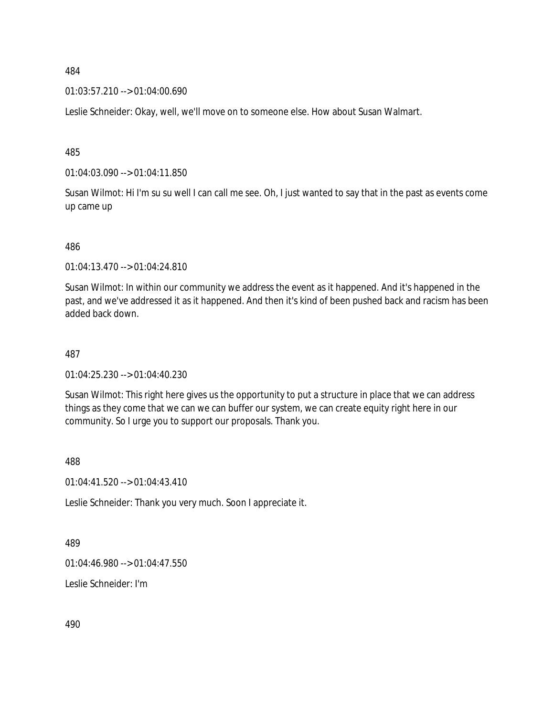01:03:57.210 --> 01:04:00.690

Leslie Schneider: Okay, well, we'll move on to someone else. How about Susan Walmart.

485

01:04:03.090 --> 01:04:11.850

Susan Wilmot: Hi I'm su su well I can call me see. Oh, I just wanted to say that in the past as events come up came up

486

01:04:13.470 --> 01:04:24.810

Susan Wilmot: In within our community we address the event as it happened. And it's happened in the past, and we've addressed it as it happened. And then it's kind of been pushed back and racism has been added back down.

487

01:04:25.230 --> 01:04:40.230

Susan Wilmot: This right here gives us the opportunity to put a structure in place that we can address things as they come that we can we can buffer our system, we can create equity right here in our community. So I urge you to support our proposals. Thank you.

488

01:04:41.520 --> 01:04:43.410

Leslie Schneider: Thank you very much. Soon I appreciate it.

489

01:04:46.980 --> 01:04:47.550

Leslie Schneider: I'm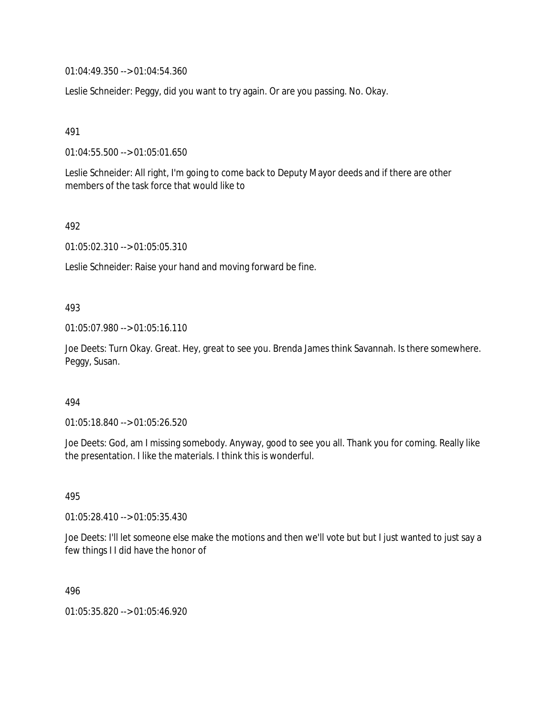01:04:49.350 --> 01:04:54.360

Leslie Schneider: Peggy, did you want to try again. Or are you passing. No. Okay.

491

01:04:55.500 --> 01:05:01.650

Leslie Schneider: All right, I'm going to come back to Deputy Mayor deeds and if there are other members of the task force that would like to

492

01:05:02.310 --> 01:05:05.310

Leslie Schneider: Raise your hand and moving forward be fine.

493

01:05:07.980 --> 01:05:16.110

Joe Deets: Turn Okay. Great. Hey, great to see you. Brenda James think Savannah. Is there somewhere. Peggy, Susan.

494

01:05:18.840 --> 01:05:26.520

Joe Deets: God, am I missing somebody. Anyway, good to see you all. Thank you for coming. Really like the presentation. I like the materials. I think this is wonderful.

495

01:05:28.410 --> 01:05:35.430

Joe Deets: I'll let someone else make the motions and then we'll vote but but I just wanted to just say a few things I I did have the honor of

496

01:05:35.820 --> 01:05:46.920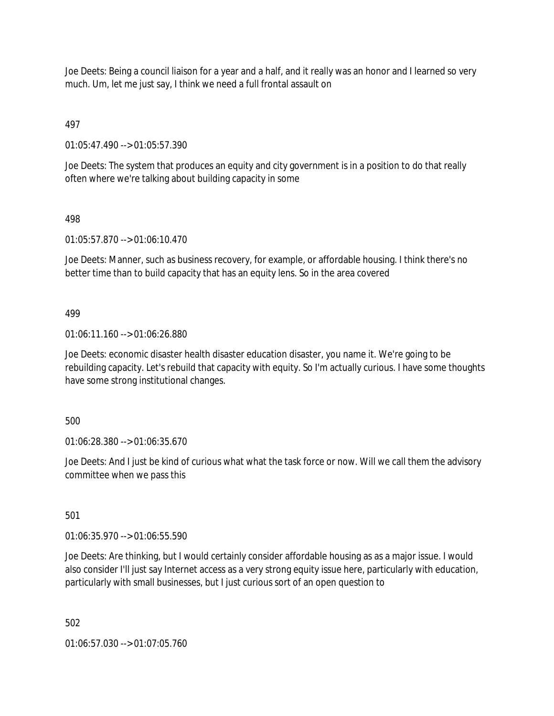Joe Deets: Being a council liaison for a year and a half, and it really was an honor and I learned so very much. Um, let me just say, I think we need a full frontal assault on

497

01:05:47.490 --> 01:05:57.390

Joe Deets: The system that produces an equity and city government is in a position to do that really often where we're talking about building capacity in some

# 498

01:05:57.870 --> 01:06:10.470

Joe Deets: Manner, such as business recovery, for example, or affordable housing. I think there's no better time than to build capacity that has an equity lens. So in the area covered

# 499

01:06:11.160 --> 01:06:26.880

Joe Deets: economic disaster health disaster education disaster, you name it. We're going to be rebuilding capacity. Let's rebuild that capacity with equity. So I'm actually curious. I have some thoughts have some strong institutional changes.

500

01:06:28.380 --> 01:06:35.670

Joe Deets: And I just be kind of curious what what the task force or now. Will we call them the advisory committee when we pass this

501

01:06:35.970 --> 01:06:55.590

Joe Deets: Are thinking, but I would certainly consider affordable housing as as a major issue. I would also consider I'll just say Internet access as a very strong equity issue here, particularly with education, particularly with small businesses, but I just curious sort of an open question to

502

01:06:57.030 --> 01:07:05.760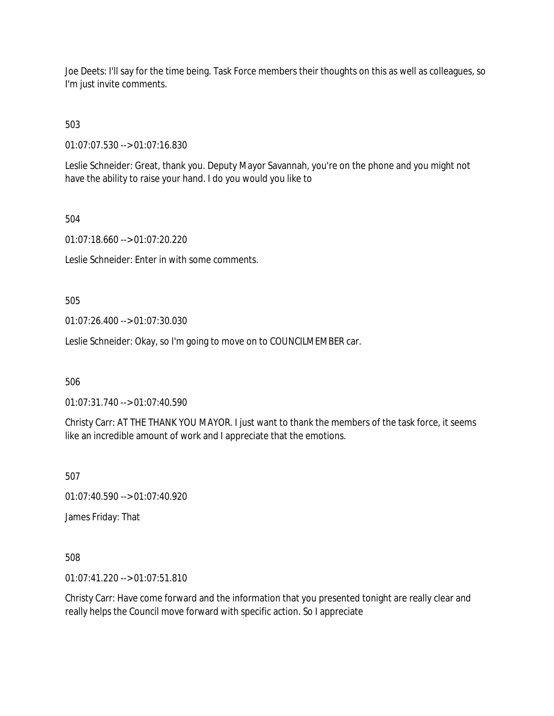Joe Deets: I'll say for the time being. Task Force members their thoughts on this as well as colleagues, so I'm just invite comments.

# 503

01:07:07.530 --> 01:07:16.830

Leslie Schneider: Great, thank you. Deputy Mayor Savannah, you're on the phone and you might not have the ability to raise your hand. I do you would you like to

# 504

01:07:18.660 --> 01:07:20.220

Leslie Schneider: Enter in with some comments.

505

01:07:26.400 --> 01:07:30.030

Leslie Schneider: Okay, so I'm going to move on to COUNCILMEMBER car.

506

01:07:31.740 --> 01:07:40.590

Christy Carr: AT THE THANK YOU MAYOR. I just want to thank the members of the task force, it seems like an incredible amount of work and I appreciate that the emotions.

507

01:07:40.590 --> 01:07:40.920

James Friday: That

508

01:07:41.220 --> 01:07:51.810

Christy Carr: Have come forward and the information that you presented tonight are really clear and really helps the Council move forward with specific action. So I appreciate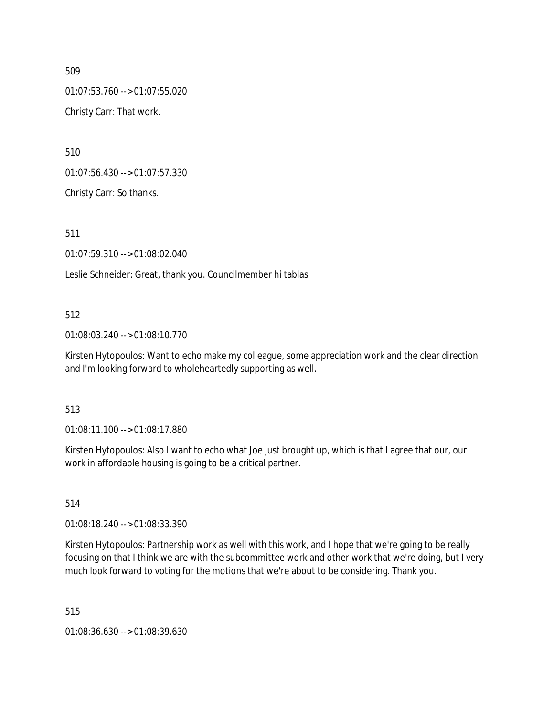01:07:53.760 --> 01:07:55.020 Christy Carr: That work.

510

01:07:56.430 --> 01:07:57.330

Christy Carr: So thanks.

511

01:07:59.310 --> 01:08:02.040

Leslie Schneider: Great, thank you. Councilmember hi tablas

# 512

01:08:03.240 --> 01:08:10.770

Kirsten Hytopoulos: Want to echo make my colleague, some appreciation work and the clear direction and I'm looking forward to wholeheartedly supporting as well.

## 513

01:08:11.100 --> 01:08:17.880

Kirsten Hytopoulos: Also I want to echo what Joe just brought up, which is that I agree that our, our work in affordable housing is going to be a critical partner.

514

01:08:18.240 --> 01:08:33.390

Kirsten Hytopoulos: Partnership work as well with this work, and I hope that we're going to be really focusing on that I think we are with the subcommittee work and other work that we're doing, but I very much look forward to voting for the motions that we're about to be considering. Thank you.

515

01:08:36.630 --> 01:08:39.630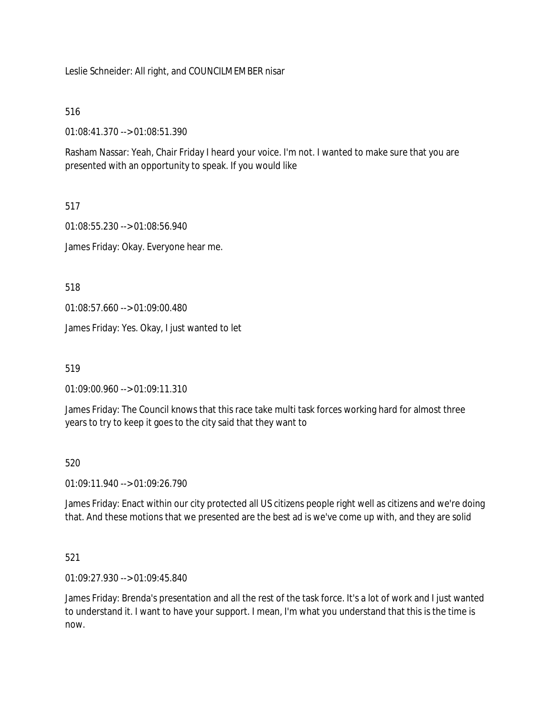Leslie Schneider: All right, and COUNCILMEMBER nisar

516

01:08:41.370 --> 01:08:51.390

Rasham Nassar: Yeah, Chair Friday I heard your voice. I'm not. I wanted to make sure that you are presented with an opportunity to speak. If you would like

517

01:08:55.230 --> 01:08:56.940 James Friday: Okay. Everyone hear me.

518

01:08:57.660 --> 01:09:00.480

James Friday: Yes. Okay, I just wanted to let

519

01:09:00.960 --> 01:09:11.310

James Friday: The Council knows that this race take multi task forces working hard for almost three years to try to keep it goes to the city said that they want to

520

01:09:11.940 --> 01:09:26.790

James Friday: Enact within our city protected all US citizens people right well as citizens and we're doing that. And these motions that we presented are the best ad is we've come up with, and they are solid

521

01:09:27.930 --> 01:09:45.840

James Friday: Brenda's presentation and all the rest of the task force. It's a lot of work and I just wanted to understand it. I want to have your support. I mean, I'm what you understand that this is the time is now.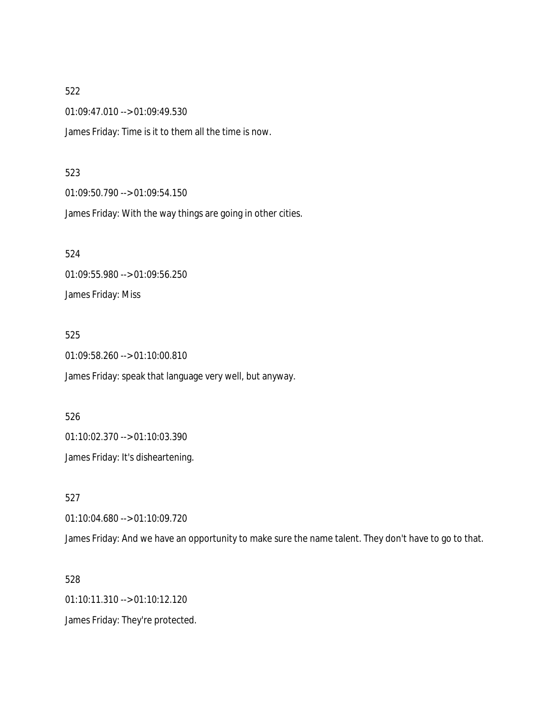01:09:47.010 --> 01:09:49.530

James Friday: Time is it to them all the time is now.

#### 523

01:09:50.790 --> 01:09:54.150

James Friday: With the way things are going in other cities.

524 01:09:55.980 --> 01:09:56.250 James Friday: Miss

#### 525

01:09:58.260 --> 01:10:00.810

James Friday: speak that language very well, but anyway.

526 01:10:02.370 --> 01:10:03.390 James Friday: It's disheartening.

527

01:10:04.680 --> 01:10:09.720

James Friday: And we have an opportunity to make sure the name talent. They don't have to go to that.

528 01:10:11.310 --> 01:10:12.120 James Friday: They're protected.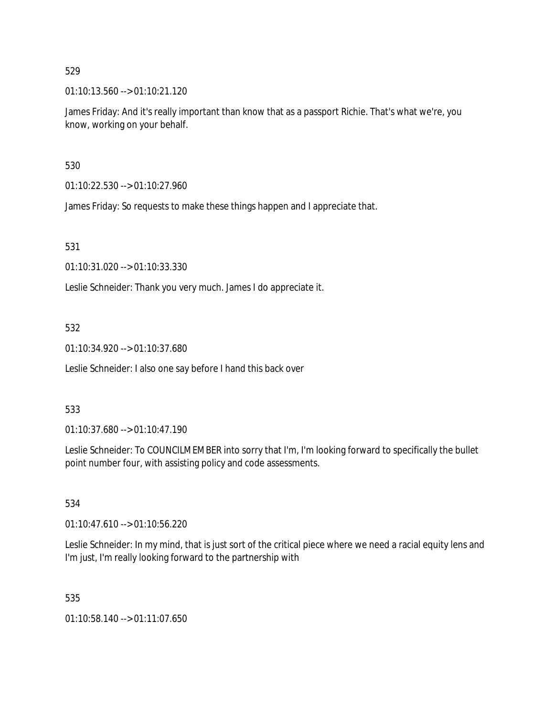01:10:13.560 --> 01:10:21.120

James Friday: And it's really important than know that as a passport Richie. That's what we're, you know, working on your behalf.

530

01:10:22.530 --> 01:10:27.960

James Friday: So requests to make these things happen and I appreciate that.

531

01:10:31.020 --> 01:10:33.330

Leslie Schneider: Thank you very much. James I do appreciate it.

532

01:10:34.920 --> 01:10:37.680

Leslie Schneider: I also one say before I hand this back over

## 533

01:10:37.680 --> 01:10:47.190

Leslie Schneider: To COUNCILMEMBER into sorry that I'm, I'm looking forward to specifically the bullet point number four, with assisting policy and code assessments.

## 534

01:10:47.610 --> 01:10:56.220

Leslie Schneider: In my mind, that is just sort of the critical piece where we need a racial equity lens and I'm just, I'm really looking forward to the partnership with

535

01:10:58.140 --> 01:11:07.650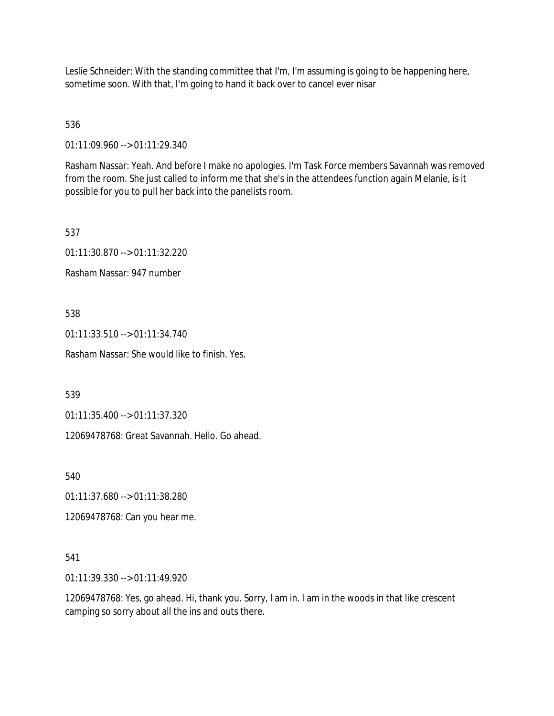Leslie Schneider: With the standing committee that I'm, I'm assuming is going to be happening here, sometime soon. With that, I'm going to hand it back over to cancel ever nisar

536

01:11:09.960 --> 01:11:29.340

Rasham Nassar: Yeah. And before I make no apologies. I'm Task Force members Savannah was removed from the room. She just called to inform me that she's in the attendees function again Melanie, is it possible for you to pull her back into the panelists room.

537

01:11:30.870 --> 01:11:32.220

Rasham Nassar: 947 number

538

01:11:33.510 --> 01:11:34.740

Rasham Nassar: She would like to finish. Yes.

539

01:11:35.400 --> 01:11:37.320

12069478768: Great Savannah. Hello. Go ahead.

540

01:11:37.680 --> 01:11:38.280

12069478768: Can you hear me.

## 541

01:11:39.330 --> 01:11:49.920

12069478768: Yes, go ahead. Hi, thank you. Sorry, I am in. I am in the woods in that like crescent camping so sorry about all the ins and outs there.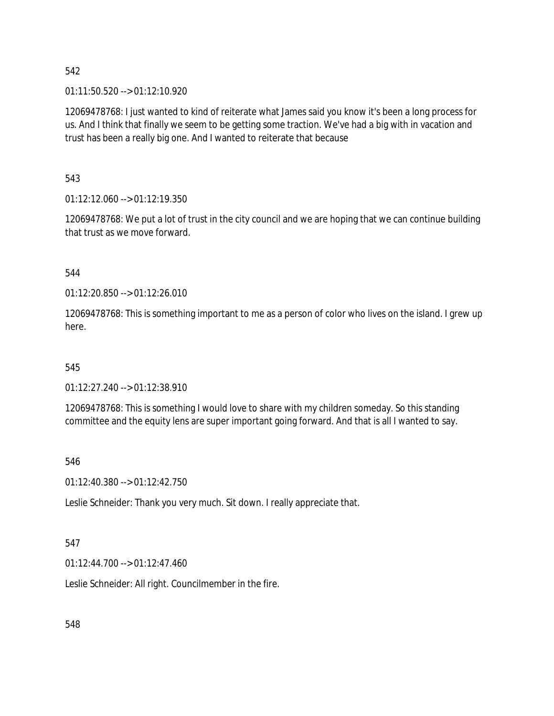01:11:50.520 --> 01:12:10.920

12069478768: I just wanted to kind of reiterate what James said you know it's been a long process for us. And I think that finally we seem to be getting some traction. We've had a big with in vacation and trust has been a really big one. And I wanted to reiterate that because

543

01:12:12.060 --> 01:12:19.350

12069478768: We put a lot of trust in the city council and we are hoping that we can continue building that trust as we move forward.

544

01:12:20.850 --> 01:12:26.010

12069478768: This is something important to me as a person of color who lives on the island. I grew up here.

545

01:12:27.240 --> 01:12:38.910

12069478768: This is something I would love to share with my children someday. So this standing committee and the equity lens are super important going forward. And that is all I wanted to say.

546

01:12:40.380 --> 01:12:42.750

Leslie Schneider: Thank you very much. Sit down. I really appreciate that.

# 547

01:12:44.700 --> 01:12:47.460

Leslie Schneider: All right. Councilmember in the fire.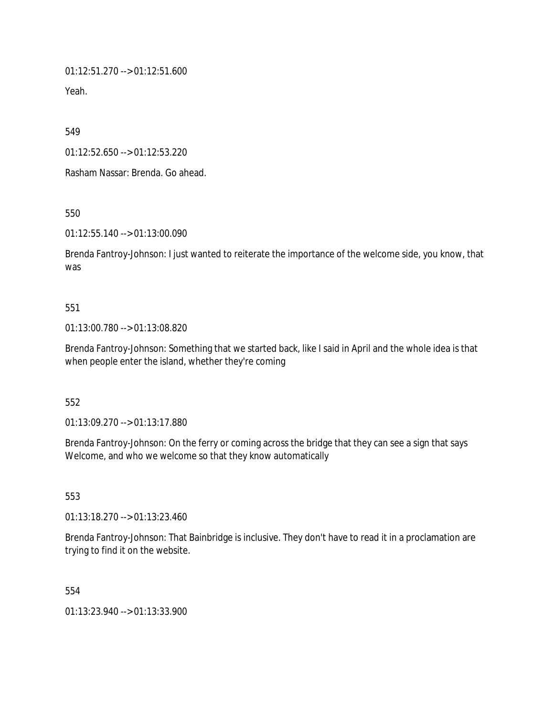01:12:51.270 --> 01:12:51.600

Yeah.

549

01:12:52.650 --> 01:12:53.220

Rasham Nassar: Brenda. Go ahead.

550

01:12:55.140 --> 01:13:00.090

Brenda Fantroy-Johnson: I just wanted to reiterate the importance of the welcome side, you know, that was

## 551

01:13:00.780 --> 01:13:08.820

Brenda Fantroy-Johnson: Something that we started back, like I said in April and the whole idea is that when people enter the island, whether they're coming

552

01:13:09.270 --> 01:13:17.880

Brenda Fantroy-Johnson: On the ferry or coming across the bridge that they can see a sign that says Welcome, and who we welcome so that they know automatically

553

01:13:18.270 --> 01:13:23.460

Brenda Fantroy-Johnson: That Bainbridge is inclusive. They don't have to read it in a proclamation are trying to find it on the website.

554

01:13:23.940 --> 01:13:33.900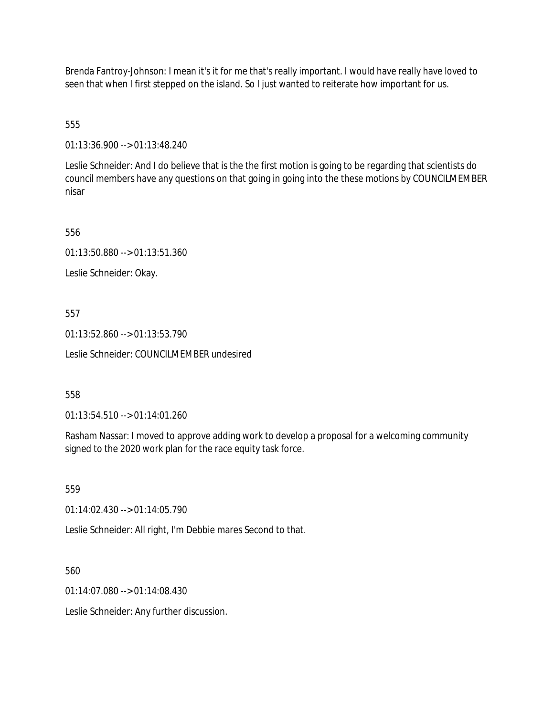Brenda Fantroy-Johnson: I mean it's it for me that's really important. I would have really have loved to seen that when I first stepped on the island. So I just wanted to reiterate how important for us.

555

01:13:36.900 --> 01:13:48.240

Leslie Schneider: And I do believe that is the the first motion is going to be regarding that scientists do council members have any questions on that going in going into the these motions by COUNCILMEMBER nisar

556

01:13:50.880 --> 01:13:51.360

Leslie Schneider: Okay.

557

01:13:52.860 --> 01:13:53.790

Leslie Schneider: COUNCILMEMBER undesired

558

01:13:54.510 --> 01:14:01.260

Rasham Nassar: I moved to approve adding work to develop a proposal for a welcoming community signed to the 2020 work plan for the race equity task force.

559

01:14:02.430 --> 01:14:05.790

Leslie Schneider: All right, I'm Debbie mares Second to that.

560

01:14:07.080 --> 01:14:08.430

Leslie Schneider: Any further discussion.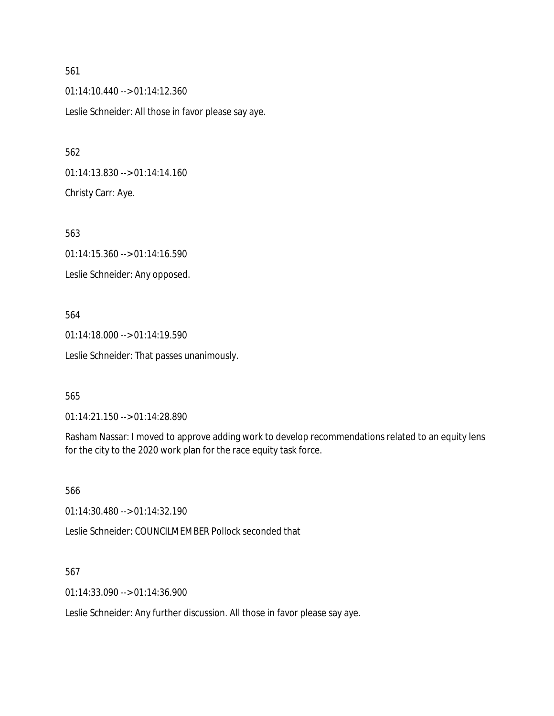01:14:10.440 --> 01:14:12.360 Leslie Schneider: All those in favor please say aye.

01:14:13.830 --> 01:14:14.160 Christy Carr: Aye.

563 01:14:15.360 --> 01:14:16.590 Leslie Schneider: Any opposed.

564 01:14:18.000 --> 01:14:19.590 Leslie Schneider: That passes unanimously.

565

01:14:21.150 --> 01:14:28.890

Rasham Nassar: I moved to approve adding work to develop recommendations related to an equity lens for the city to the 2020 work plan for the race equity task force.

566

01:14:30.480 --> 01:14:32.190

Leslie Schneider: COUNCILMEMBER Pollock seconded that

567

01:14:33.090 --> 01:14:36.900

Leslie Schneider: Any further discussion. All those in favor please say aye.

#### 561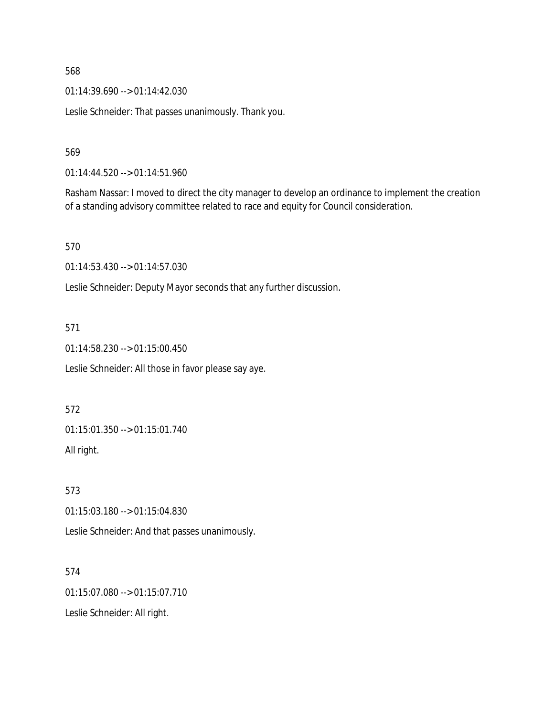01:14:39.690 --> 01:14:42.030

Leslie Schneider: That passes unanimously. Thank you.

569

01:14:44.520 --> 01:14:51.960

Rasham Nassar: I moved to direct the city manager to develop an ordinance to implement the creation of a standing advisory committee related to race and equity for Council consideration.

570

01:14:53.430 --> 01:14:57.030

Leslie Schneider: Deputy Mayor seconds that any further discussion.

571

01:14:58.230 --> 01:15:00.450

Leslie Schneider: All those in favor please say aye.

572

01:15:01.350 --> 01:15:01.740

All right.

573

01:15:03.180 --> 01:15:04.830

Leslie Schneider: And that passes unanimously.

574

01:15:07.080 --> 01:15:07.710

Leslie Schneider: All right.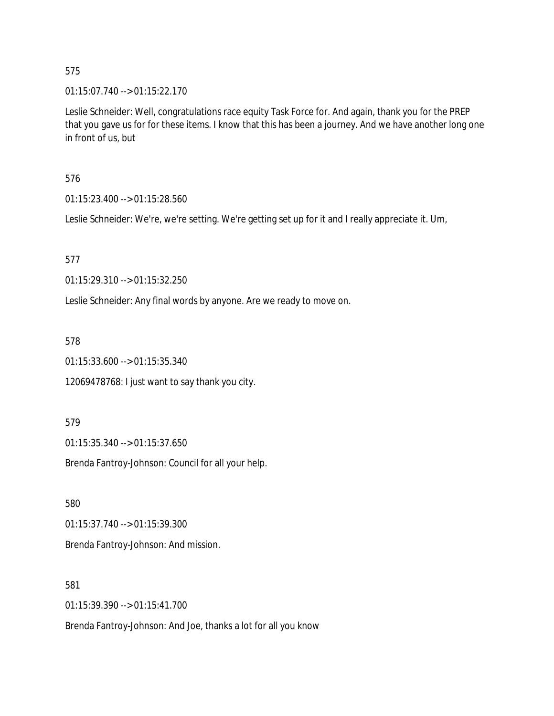01:15:07.740 --> 01:15:22.170

Leslie Schneider: Well, congratulations race equity Task Force for. And again, thank you for the PREP that you gave us for for these items. I know that this has been a journey. And we have another long one in front of us, but

576

01:15:23.400 --> 01:15:28.560

Leslie Schneider: We're, we're setting. We're getting set up for it and I really appreciate it. Um,

577

01:15:29.310 --> 01:15:32.250

Leslie Schneider: Any final words by anyone. Are we ready to move on.

578

01:15:33.600 --> 01:15:35.340

12069478768: I just want to say thank you city.

579

01:15:35.340 --> 01:15:37.650

Brenda Fantroy-Johnson: Council for all your help.

580

01:15:37.740 --> 01:15:39.300

Brenda Fantroy-Johnson: And mission.

581

01:15:39.390 --> 01:15:41.700

Brenda Fantroy-Johnson: And Joe, thanks a lot for all you know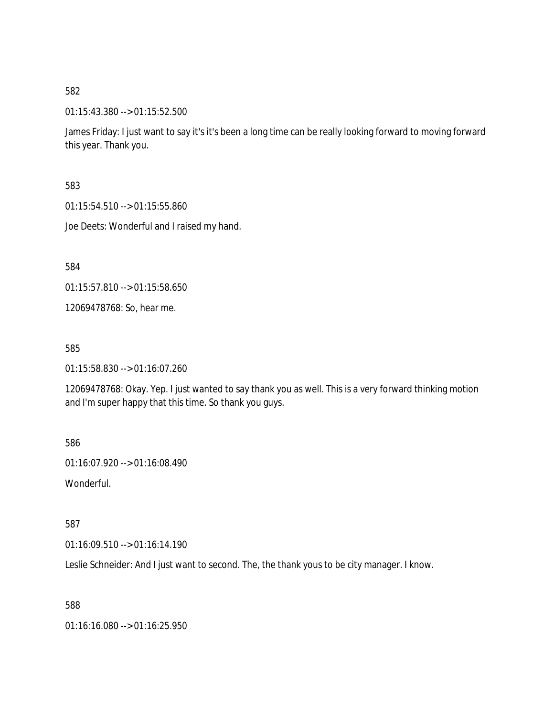01:15:43.380 --> 01:15:52.500

James Friday: I just want to say it's it's been a long time can be really looking forward to moving forward this year. Thank you.

583

01:15:54.510 --> 01:15:55.860

Joe Deets: Wonderful and I raised my hand.

584

01:15:57.810 --> 01:15:58.650

12069478768: So, hear me.

585

01:15:58.830 --> 01:16:07.260

12069478768: Okay. Yep. I just wanted to say thank you as well. This is a very forward thinking motion and I'm super happy that this time. So thank you guys.

586

01:16:07.920 --> 01:16:08.490

Wonderful.

587

01:16:09.510 --> 01:16:14.190

Leslie Schneider: And I just want to second. The, the thank yous to be city manager. I know.

588

01:16:16.080 --> 01:16:25.950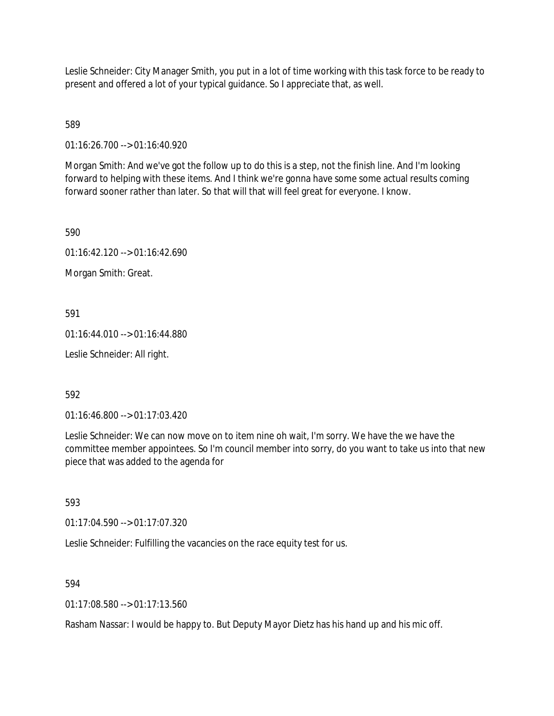Leslie Schneider: City Manager Smith, you put in a lot of time working with this task force to be ready to present and offered a lot of your typical guidance. So I appreciate that, as well.

589

01:16:26.700 --> 01:16:40.920

Morgan Smith: And we've got the follow up to do this is a step, not the finish line. And I'm looking forward to helping with these items. And I think we're gonna have some some actual results coming forward sooner rather than later. So that will that will feel great for everyone. I know.

590

01:16:42.120 --> 01:16:42.690

Morgan Smith: Great.

591

01:16:44.010 --> 01:16:44.880

Leslie Schneider: All right.

592

01:16:46.800 --> 01:17:03.420

Leslie Schneider: We can now move on to item nine oh wait, I'm sorry. We have the we have the committee member appointees. So I'm council member into sorry, do you want to take us into that new piece that was added to the agenda for

593

01:17:04.590 --> 01:17:07.320

Leslie Schneider: Fulfilling the vacancies on the race equity test for us.

594

01:17:08.580 --> 01:17:13.560

Rasham Nassar: I would be happy to. But Deputy Mayor Dietz has his hand up and his mic off.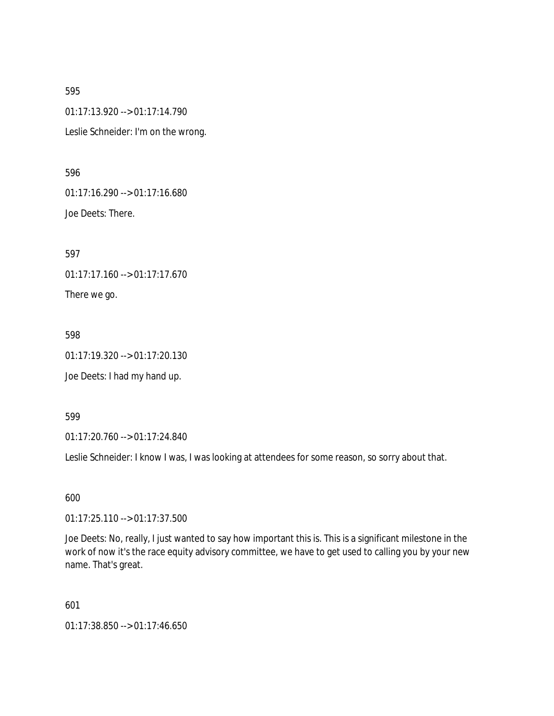595 01:17:13.920 --> 01:17:14.790 Leslie Schneider: I'm on the wrong.

596

01:17:16.290 --> 01:17:16.680 Joe Deets: There.

597 01:17:17.160 --> 01:17:17.670 There we go.

598 01:17:19.320 --> 01:17:20.130

Joe Deets: I had my hand up.

599

01:17:20.760 --> 01:17:24.840

Leslie Schneider: I know I was, I was looking at attendees for some reason, so sorry about that.

600

01:17:25.110 --> 01:17:37.500

Joe Deets: No, really, I just wanted to say how important this is. This is a significant milestone in the work of now it's the race equity advisory committee, we have to get used to calling you by your new name. That's great.

601

01:17:38.850 --> 01:17:46.650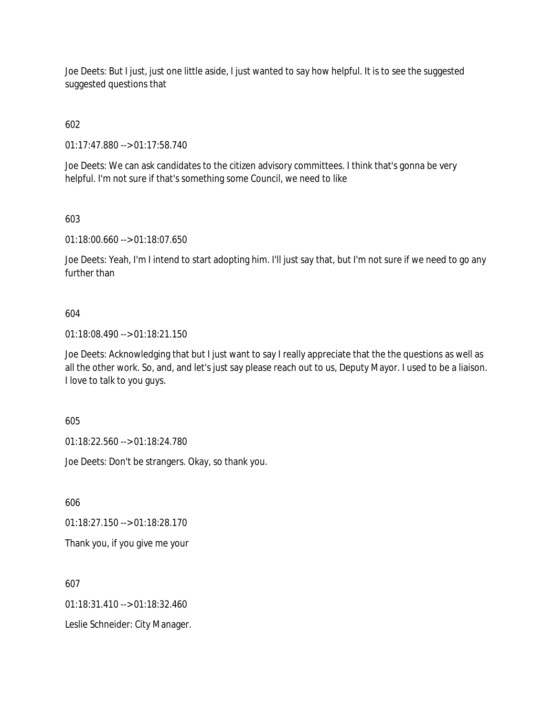Joe Deets: But I just, just one little aside, I just wanted to say how helpful. It is to see the suggested suggested questions that

602

01:17:47.880 --> 01:17:58.740

Joe Deets: We can ask candidates to the citizen advisory committees. I think that's gonna be very helpful. I'm not sure if that's something some Council, we need to like

603

01:18:00.660 --> 01:18:07.650

Joe Deets: Yeah, I'm I intend to start adopting him. I'll just say that, but I'm not sure if we need to go any further than

# 604

01:18:08.490 --> 01:18:21.150

Joe Deets: Acknowledging that but I just want to say I really appreciate that the the questions as well as all the other work. So, and, and let's just say please reach out to us, Deputy Mayor. I used to be a liaison. I love to talk to you guys.

605

01:18:22.560 --> 01:18:24.780

Joe Deets: Don't be strangers. Okay, so thank you.

606

01:18:27.150 --> 01:18:28.170

Thank you, if you give me your

607

01:18:31.410 --> 01:18:32.460

Leslie Schneider: City Manager.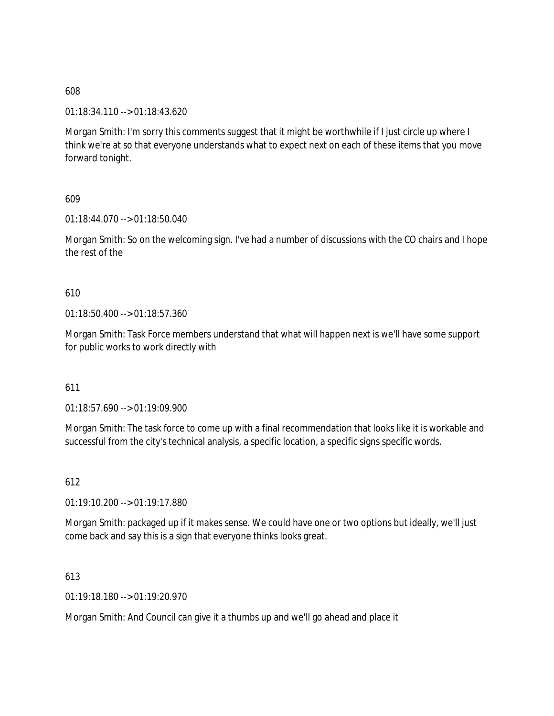01:18:34.110 --> 01:18:43.620

Morgan Smith: I'm sorry this comments suggest that it might be worthwhile if I just circle up where I think we're at so that everyone understands what to expect next on each of these items that you move forward tonight.

609

01:18:44.070 --> 01:18:50.040

Morgan Smith: So on the welcoming sign. I've had a number of discussions with the CO chairs and I hope the rest of the

## 610

01:18:50.400 --> 01:18:57.360

Morgan Smith: Task Force members understand that what will happen next is we'll have some support for public works to work directly with

## 611

01:18:57.690 --> 01:19:09.900

Morgan Smith: The task force to come up with a final recommendation that looks like it is workable and successful from the city's technical analysis, a specific location, a specific signs specific words.

612

01:19:10.200 --> 01:19:17.880

Morgan Smith: packaged up if it makes sense. We could have one or two options but ideally, we'll just come back and say this is a sign that everyone thinks looks great.

613

01:19:18.180 --> 01:19:20.970

Morgan Smith: And Council can give it a thumbs up and we'll go ahead and place it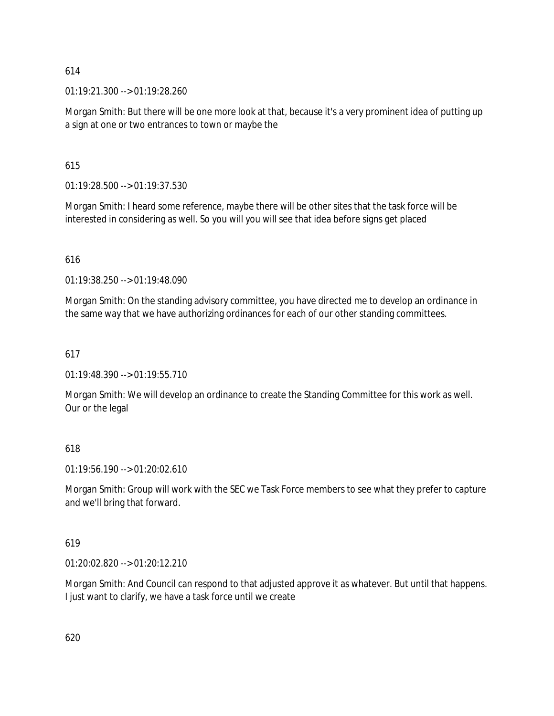01:19:21.300 --> 01:19:28.260

Morgan Smith: But there will be one more look at that, because it's a very prominent idea of putting up a sign at one or two entrances to town or maybe the

615

01:19:28.500 --> 01:19:37.530

Morgan Smith: I heard some reference, maybe there will be other sites that the task force will be interested in considering as well. So you will you will see that idea before signs get placed

# 616

01:19:38.250 --> 01:19:48.090

Morgan Smith: On the standing advisory committee, you have directed me to develop an ordinance in the same way that we have authorizing ordinances for each of our other standing committees.

# 617

01:19:48.390 --> 01:19:55.710

Morgan Smith: We will develop an ordinance to create the Standing Committee for this work as well. Our or the legal

## 618

01:19:56.190 --> 01:20:02.610

Morgan Smith: Group will work with the SEC we Task Force members to see what they prefer to capture and we'll bring that forward.

## 619

01:20:02.820 --> 01:20:12.210

Morgan Smith: And Council can respond to that adjusted approve it as whatever. But until that happens. I just want to clarify, we have a task force until we create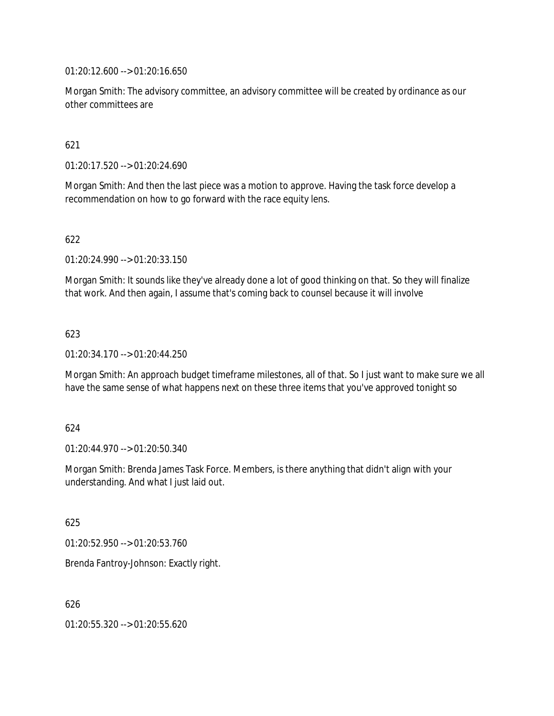01:20:12.600 --> 01:20:16.650

Morgan Smith: The advisory committee, an advisory committee will be created by ordinance as our other committees are

# 621

01:20:17.520 --> 01:20:24.690

Morgan Smith: And then the last piece was a motion to approve. Having the task force develop a recommendation on how to go forward with the race equity lens.

# 622

01:20:24.990 --> 01:20:33.150

Morgan Smith: It sounds like they've already done a lot of good thinking on that. So they will finalize that work. And then again, I assume that's coming back to counsel because it will involve

# 623

01:20:34.170 --> 01:20:44.250

Morgan Smith: An approach budget timeframe milestones, all of that. So I just want to make sure we all have the same sense of what happens next on these three items that you've approved tonight so

## 624

01:20:44.970 --> 01:20:50.340

Morgan Smith: Brenda James Task Force. Members, is there anything that didn't align with your understanding. And what I just laid out.

625

01:20:52.950 --> 01:20:53.760

Brenda Fantroy-Johnson: Exactly right.

626

01:20:55.320 --> 01:20:55.620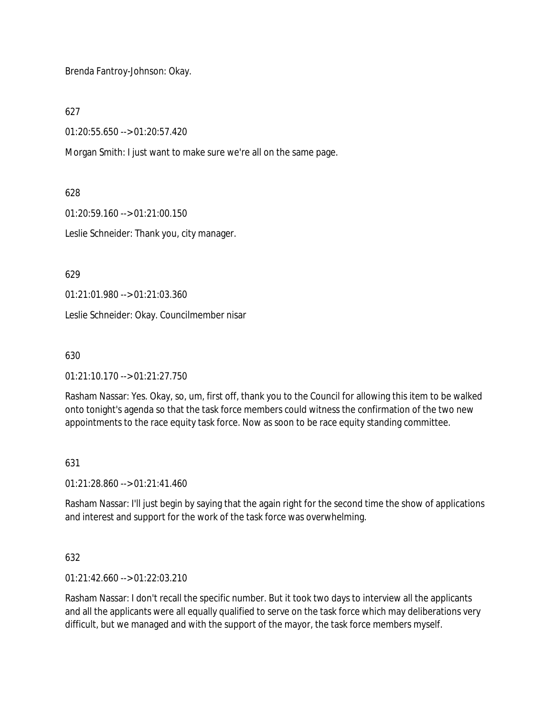Brenda Fantroy-Johnson: Okay.

627

01:20:55.650 --> 01:20:57.420

Morgan Smith: I just want to make sure we're all on the same page.

628

01:20:59.160 --> 01:21:00.150

Leslie Schneider: Thank you, city manager.

629

01:21:01.980 --> 01:21:03.360

Leslie Schneider: Okay. Councilmember nisar

630

01:21:10.170 --> 01:21:27.750

Rasham Nassar: Yes. Okay, so, um, first off, thank you to the Council for allowing this item to be walked onto tonight's agenda so that the task force members could witness the confirmation of the two new appointments to the race equity task force. Now as soon to be race equity standing committee.

# 631

01:21:28.860 --> 01:21:41.460

Rasham Nassar: I'll just begin by saying that the again right for the second time the show of applications and interest and support for the work of the task force was overwhelming.

# 632

01:21:42.660 --> 01:22:03.210

Rasham Nassar: I don't recall the specific number. But it took two days to interview all the applicants and all the applicants were all equally qualified to serve on the task force which may deliberations very difficult, but we managed and with the support of the mayor, the task force members myself.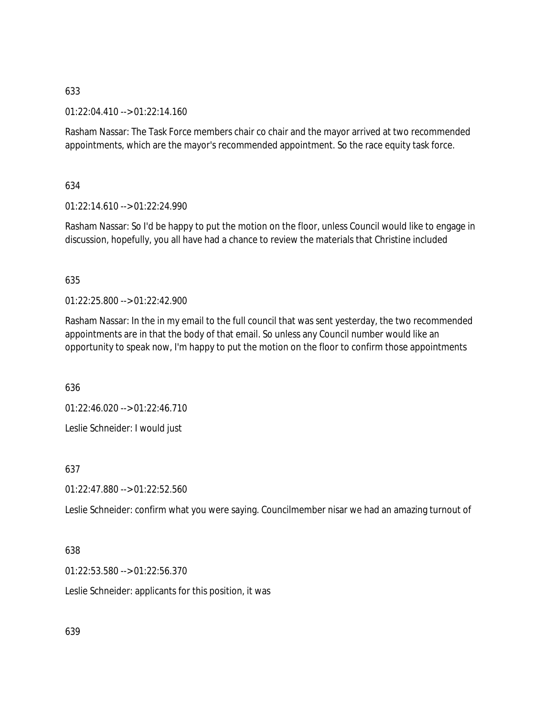01:22:04.410 --> 01:22:14.160

Rasham Nassar: The Task Force members chair co chair and the mayor arrived at two recommended appointments, which are the mayor's recommended appointment. So the race equity task force.

634

 $01:22:14.610 \rightarrow 01:22:24.990$ 

Rasham Nassar: So I'd be happy to put the motion on the floor, unless Council would like to engage in discussion, hopefully, you all have had a chance to review the materials that Christine included

# 635

 $01:22:25.800 -5.01:22:42.900$ 

Rasham Nassar: In the in my email to the full council that was sent yesterday, the two recommended appointments are in that the body of that email. So unless any Council number would like an opportunity to speak now, I'm happy to put the motion on the floor to confirm those appointments

636

01:22:46.020 --> 01:22:46.710 Leslie Schneider: I would just

637

01:22:47.880 --> 01:22:52.560

Leslie Schneider: confirm what you were saying. Councilmember nisar we had an amazing turnout of

# 638

01:22:53.580 --> 01:22:56.370

Leslie Schneider: applicants for this position, it was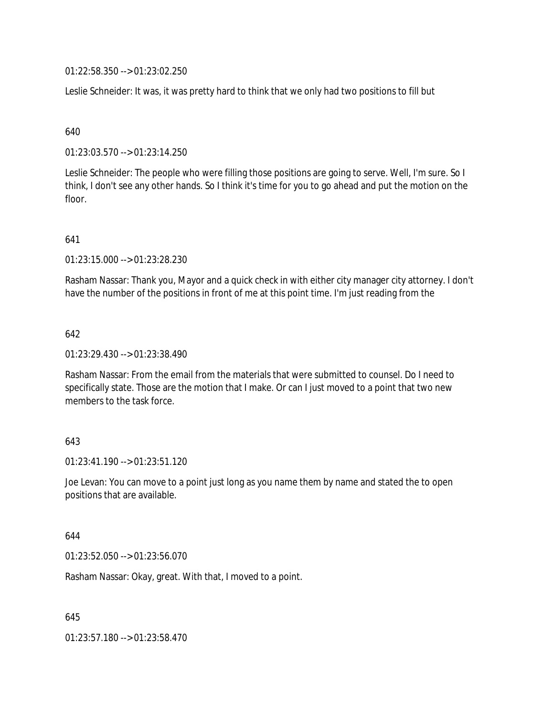01:22:58.350 --> 01:23:02.250

Leslie Schneider: It was, it was pretty hard to think that we only had two positions to fill but

640

01:23:03.570 --> 01:23:14.250

Leslie Schneider: The people who were filling those positions are going to serve. Well, I'm sure. So I think, I don't see any other hands. So I think it's time for you to go ahead and put the motion on the floor.

#### 641

01:23:15.000 --> 01:23:28.230

Rasham Nassar: Thank you, Mayor and a quick check in with either city manager city attorney. I don't have the number of the positions in front of me at this point time. I'm just reading from the

#### 642

01:23:29.430 --> 01:23:38.490

Rasham Nassar: From the email from the materials that were submitted to counsel. Do I need to specifically state. Those are the motion that I make. Or can I just moved to a point that two new members to the task force.

#### 643

01:23:41.190 --> 01:23:51.120

Joe Levan: You can move to a point just long as you name them by name and stated the to open positions that are available.

#### 644

01:23:52.050 --> 01:23:56.070

Rasham Nassar: Okay, great. With that, I moved to a point.

645

01:23:57.180 --> 01:23:58.470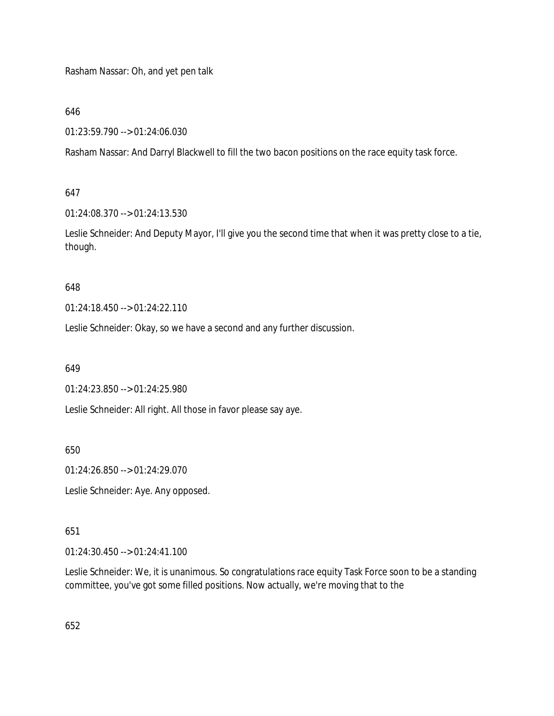Rasham Nassar: Oh, and yet pen talk

646

01:23:59.790 --> 01:24:06.030

Rasham Nassar: And Darryl Blackwell to fill the two bacon positions on the race equity task force.

# 647

01:24:08.370 --> 01:24:13.530

Leslie Schneider: And Deputy Mayor, I'll give you the second time that when it was pretty close to a tie, though.

# 648

01:24:18.450 --> 01:24:22.110

Leslie Schneider: Okay, so we have a second and any further discussion.

649

01:24:23.850 --> 01:24:25.980

Leslie Schneider: All right. All those in favor please say aye.

650

01:24:26.850 --> 01:24:29.070

Leslie Schneider: Aye. Any opposed.

# 651

01:24:30.450 --> 01:24:41.100

Leslie Schneider: We, it is unanimous. So congratulations race equity Task Force soon to be a standing committee, you've got some filled positions. Now actually, we're moving that to the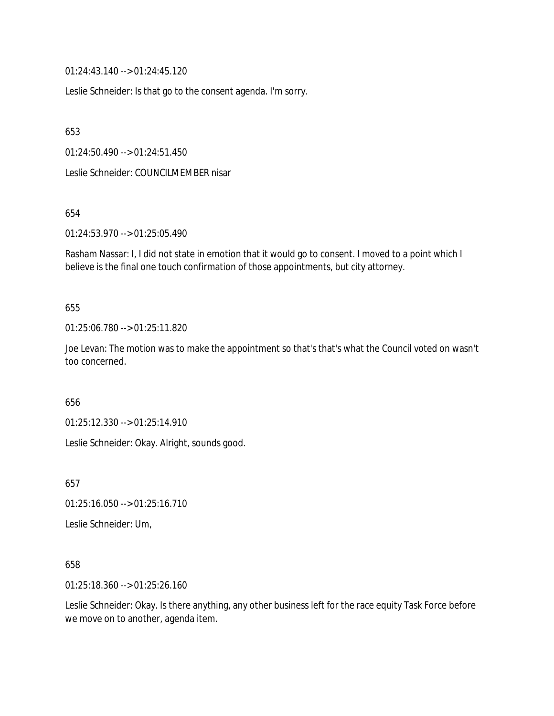01:24:43.140 --> 01:24:45.120

Leslie Schneider: Is that go to the consent agenda. I'm sorry.

653

01:24:50.490 --> 01:24:51.450

Leslie Schneider: COUNCILMEMBER nisar

654

01:24:53.970 --> 01:25:05.490

Rasham Nassar: I, I did not state in emotion that it would go to consent. I moved to a point which I believe is the final one touch confirmation of those appointments, but city attorney.

#### 655

01:25:06.780 --> 01:25:11.820

Joe Levan: The motion was to make the appointment so that's that's what the Council voted on wasn't too concerned.

656

01:25:12.330 --> 01:25:14.910

Leslie Schneider: Okay. Alright, sounds good.

657

01:25:16.050 --> 01:25:16.710

Leslie Schneider: Um,

## 658

01:25:18.360 --> 01:25:26.160

Leslie Schneider: Okay. Is there anything, any other business left for the race equity Task Force before we move on to another, agenda item.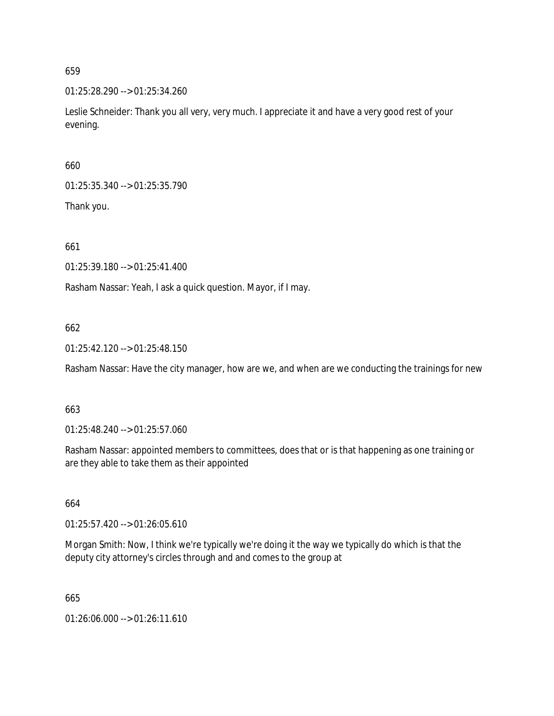01:25:28.290 --> 01:25:34.260

Leslie Schneider: Thank you all very, very much. I appreciate it and have a very good rest of your evening.

660

01:25:35.340 --> 01:25:35.790

Thank you.

661

01:25:39.180 --> 01:25:41.400

Rasham Nassar: Yeah, I ask a quick question. Mayor, if I may.

## 662

01:25:42.120 --> 01:25:48.150

Rasham Nassar: Have the city manager, how are we, and when are we conducting the trainings for new

## 663

01:25:48.240 --> 01:25:57.060

Rasham Nassar: appointed members to committees, does that or is that happening as one training or are they able to take them as their appointed

664

01:25:57.420 --> 01:26:05.610

Morgan Smith: Now, I think we're typically we're doing it the way we typically do which is that the deputy city attorney's circles through and and comes to the group at

665

01:26:06.000 --> 01:26:11.610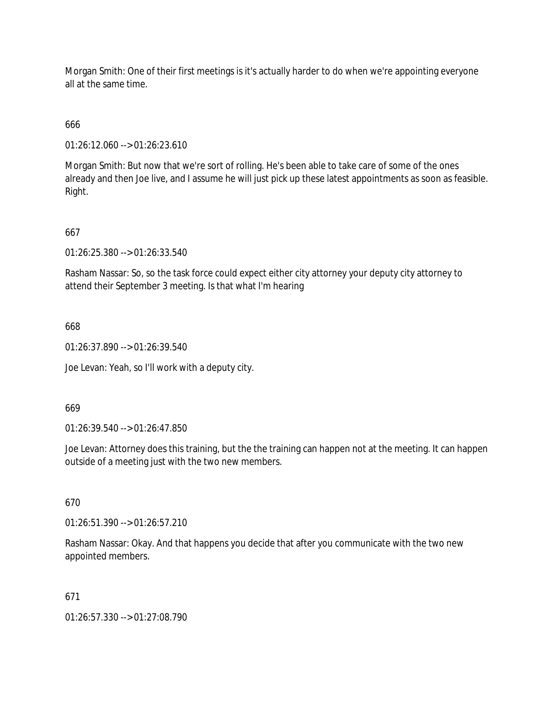Morgan Smith: One of their first meetings is it's actually harder to do when we're appointing everyone all at the same time.

# 666

01:26:12.060 --> 01:26:23.610

Morgan Smith: But now that we're sort of rolling. He's been able to take care of some of the ones already and then Joe live, and I assume he will just pick up these latest appointments as soon as feasible. Right.

# 667

01:26:25.380 --> 01:26:33.540

Rasham Nassar: So, so the task force could expect either city attorney your deputy city attorney to attend their September 3 meeting. Is that what I'm hearing

## 668

01:26:37.890 --> 01:26:39.540

Joe Levan: Yeah, so I'll work with a deputy city.

## 669

01:26:39.540 --> 01:26:47.850

Joe Levan: Attorney does this training, but the the training can happen not at the meeting. It can happen outside of a meeting just with the two new members.

## 670

01:26:51.390 --> 01:26:57.210

Rasham Nassar: Okay. And that happens you decide that after you communicate with the two new appointed members.

## 671

01:26:57.330 --> 01:27:08.790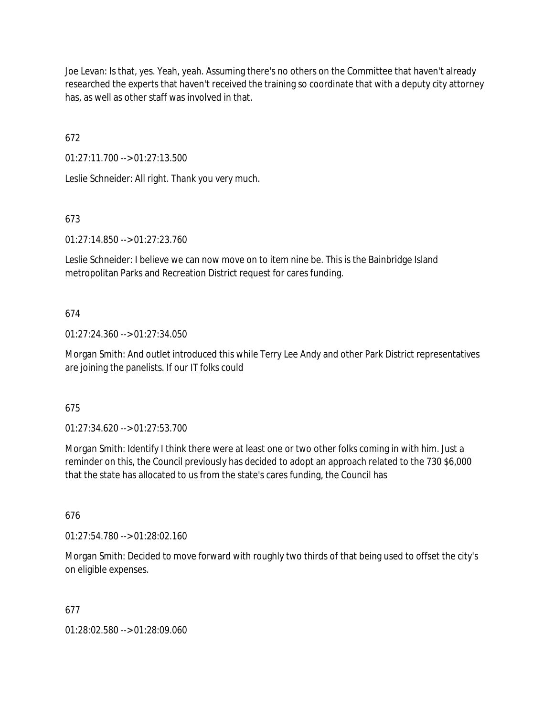Joe Levan: Is that, yes. Yeah, yeah. Assuming there's no others on the Committee that haven't already researched the experts that haven't received the training so coordinate that with a deputy city attorney has, as well as other staff was involved in that.

672

01:27:11.700 --> 01:27:13.500

Leslie Schneider: All right. Thank you very much.

# 673

01:27:14.850 --> 01:27:23.760

Leslie Schneider: I believe we can now move on to item nine be. This is the Bainbridge Island metropolitan Parks and Recreation District request for cares funding.

# 674

01:27:24.360 --> 01:27:34.050

Morgan Smith: And outlet introduced this while Terry Lee Andy and other Park District representatives are joining the panelists. If our IT folks could

# 675

01:27:34.620 --> 01:27:53.700

Morgan Smith: Identify I think there were at least one or two other folks coming in with him. Just a reminder on this, the Council previously has decided to adopt an approach related to the 730 \$6,000 that the state has allocated to us from the state's cares funding, the Council has

# 676

01:27:54.780 --> 01:28:02.160

Morgan Smith: Decided to move forward with roughly two thirds of that being used to offset the city's on eligible expenses.

# 677

01:28:02.580 --> 01:28:09.060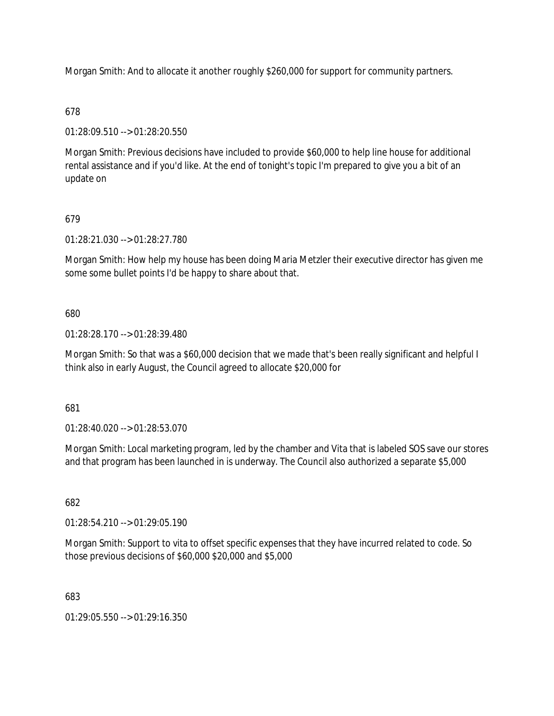Morgan Smith: And to allocate it another roughly \$260,000 for support for community partners.

# 678

01:28:09.510 --> 01:28:20.550

Morgan Smith: Previous decisions have included to provide \$60,000 to help line house for additional rental assistance and if you'd like. At the end of tonight's topic I'm prepared to give you a bit of an update on

# 679

01:28:21.030 --> 01:28:27.780

Morgan Smith: How help my house has been doing Maria Metzler their executive director has given me some some bullet points I'd be happy to share about that.

# 680

01:28:28.170 --> 01:28:39.480

Morgan Smith: So that was a \$60,000 decision that we made that's been really significant and helpful I think also in early August, the Council agreed to allocate \$20,000 for

681

01:28:40.020 --> 01:28:53.070

Morgan Smith: Local marketing program, led by the chamber and Vita that is labeled SOS save our stores and that program has been launched in is underway. The Council also authorized a separate \$5,000

# 682

01:28:54.210 --> 01:29:05.190

Morgan Smith: Support to vita to offset specific expenses that they have incurred related to code. So those previous decisions of \$60,000 \$20,000 and \$5,000

683

01:29:05.550 --> 01:29:16.350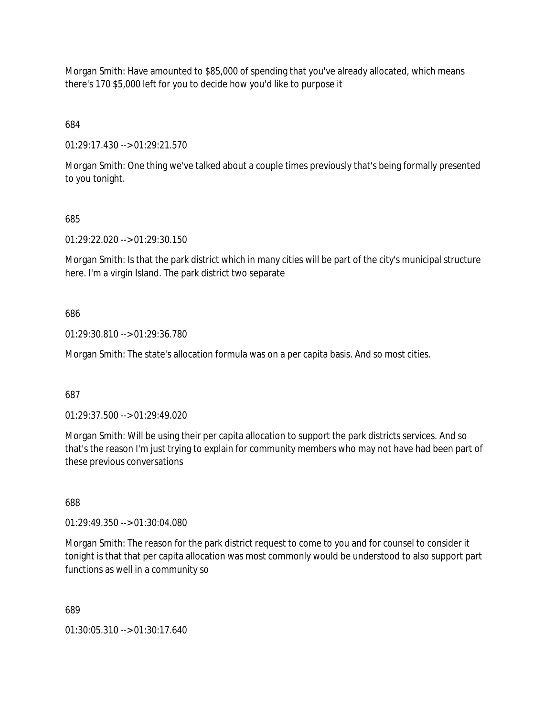Morgan Smith: Have amounted to \$85,000 of spending that you've already allocated, which means there's 170 \$5,000 left for you to decide how you'd like to purpose it

684

01:29:17.430 --> 01:29:21.570

Morgan Smith: One thing we've talked about a couple times previously that's being formally presented to you tonight.

685

01:29:22.020 --> 01:29:30.150

Morgan Smith: Is that the park district which in many cities will be part of the city's municipal structure here. I'm a virgin Island. The park district two separate

686

01:29:30.810 --> 01:29:36.780

Morgan Smith: The state's allocation formula was on a per capita basis. And so most cities.

687

01:29:37.500 --> 01:29:49.020

Morgan Smith: Will be using their per capita allocation to support the park districts services. And so that's the reason I'm just trying to explain for community members who may not have had been part of these previous conversations

688

01:29:49.350 --> 01:30:04.080

Morgan Smith: The reason for the park district request to come to you and for counsel to consider it tonight is that that per capita allocation was most commonly would be understood to also support part functions as well in a community so

689

01:30:05.310 --> 01:30:17.640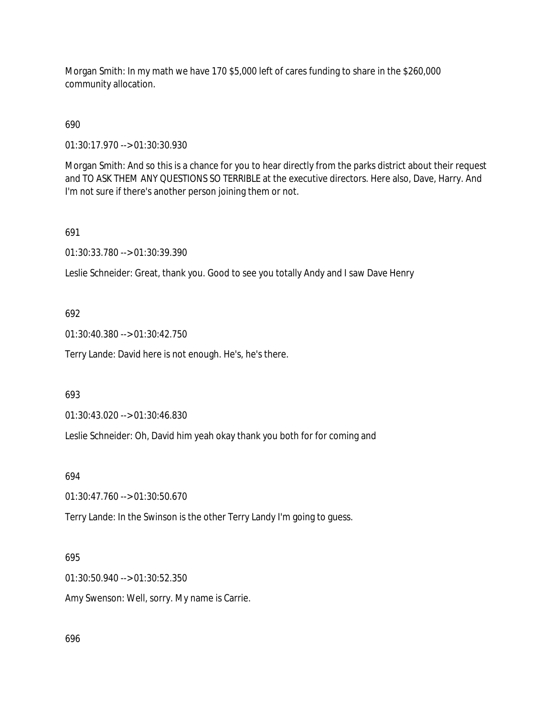Morgan Smith: In my math we have 170 \$5,000 left of cares funding to share in the \$260,000 community allocation.

690

01:30:17.970 --> 01:30:30.930

Morgan Smith: And so this is a chance for you to hear directly from the parks district about their request and TO ASK THEM ANY QUESTIONS SO TERRIBLE at the executive directors. Here also, Dave, Harry. And I'm not sure if there's another person joining them or not.

691

01:30:33.780 --> 01:30:39.390

Leslie Schneider: Great, thank you. Good to see you totally Andy and I saw Dave Henry

692

01:30:40.380 --> 01:30:42.750

Terry Lande: David here is not enough. He's, he's there.

693

01:30:43.020 --> 01:30:46.830

Leslie Schneider: Oh, David him yeah okay thank you both for for coming and

694

01:30:47.760 --> 01:30:50.670

Terry Lande: In the Swinson is the other Terry Landy I'm going to guess.

695

01:30:50.940 --> 01:30:52.350

Amy Swenson: Well, sorry. My name is Carrie.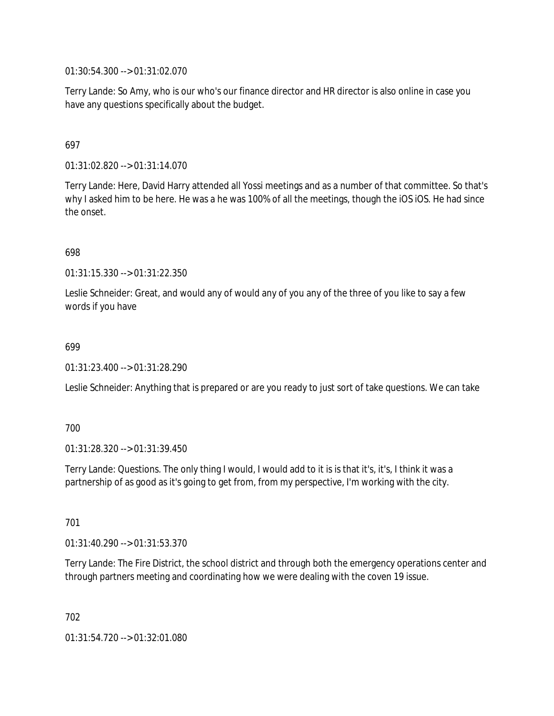01:30:54.300 --> 01:31:02.070

Terry Lande: So Amy, who is our who's our finance director and HR director is also online in case you have any questions specifically about the budget.

### 697

01:31:02.820 --> 01:31:14.070

Terry Lande: Here, David Harry attended all Yossi meetings and as a number of that committee. So that's why I asked him to be here. He was a he was 100% of all the meetings, though the iOS iOS. He had since the onset.

698

01:31:15.330 --> 01:31:22.350

Leslie Schneider: Great, and would any of would any of you any of the three of you like to say a few words if you have

699

01:31:23.400 --> 01:31:28.290

Leslie Schneider: Anything that is prepared or are you ready to just sort of take questions. We can take

700

01:31:28.320 --> 01:31:39.450

Terry Lande: Questions. The only thing I would, I would add to it is is that it's, it's, I think it was a partnership of as good as it's going to get from, from my perspective, I'm working with the city.

701

01:31:40.290 --> 01:31:53.370

Terry Lande: The Fire District, the school district and through both the emergency operations center and through partners meeting and coordinating how we were dealing with the coven 19 issue.

702 01:31:54.720 --> 01:32:01.080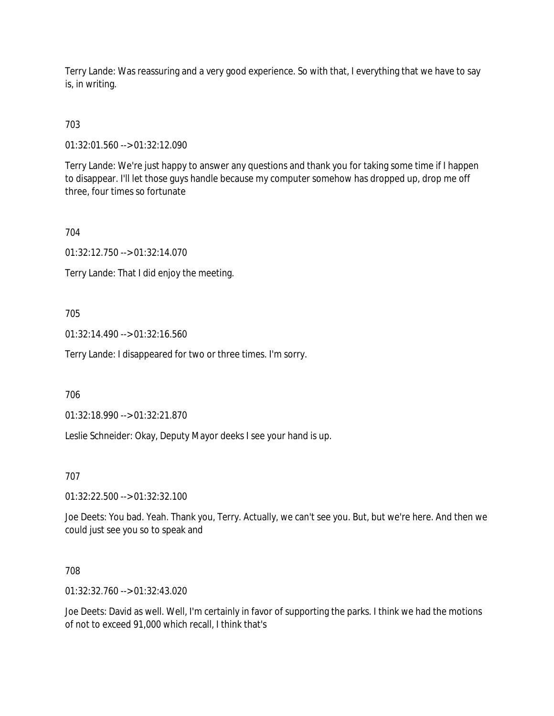Terry Lande: Was reassuring and a very good experience. So with that, I everything that we have to say is, in writing.

# 703

01:32:01.560 --> 01:32:12.090

Terry Lande: We're just happy to answer any questions and thank you for taking some time if I happen to disappear. I'll let those guys handle because my computer somehow has dropped up, drop me off three, four times so fortunate

## 704

01:32:12.750 --> 01:32:14.070

Terry Lande: That I did enjoy the meeting.

## 705

01:32:14.490 --> 01:32:16.560

Terry Lande: I disappeared for two or three times. I'm sorry.

706

01:32:18.990 --> 01:32:21.870

Leslie Schneider: Okay, Deputy Mayor deeks I see your hand is up.

707

01:32:22.500 --> 01:32:32.100

Joe Deets: You bad. Yeah. Thank you, Terry. Actually, we can't see you. But, but we're here. And then we could just see you so to speak and

708

01:32:32.760 --> 01:32:43.020

Joe Deets: David as well. Well, I'm certainly in favor of supporting the parks. I think we had the motions of not to exceed 91,000 which recall, I think that's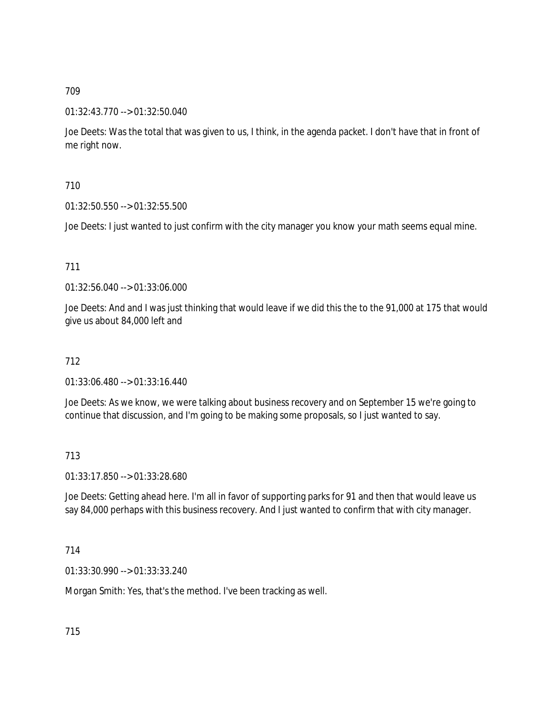### 01:32:43.770 --> 01:32:50.040

Joe Deets: Was the total that was given to us, I think, in the agenda packet. I don't have that in front of me right now.

## 710

## 01:32:50.550 --> 01:32:55.500

Joe Deets: I just wanted to just confirm with the city manager you know your math seems equal mine.

## 711

01:32:56.040 --> 01:33:06.000

Joe Deets: And and I was just thinking that would leave if we did this the to the 91,000 at 175 that would give us about 84,000 left and

## 712

01:33:06.480 --> 01:33:16.440

Joe Deets: As we know, we were talking about business recovery and on September 15 we're going to continue that discussion, and I'm going to be making some proposals, so I just wanted to say.

## 713

01:33:17.850 --> 01:33:28.680

Joe Deets: Getting ahead here. I'm all in favor of supporting parks for 91 and then that would leave us say 84,000 perhaps with this business recovery. And I just wanted to confirm that with city manager.

#### 714

01:33:30.990 --> 01:33:33.240

Morgan Smith: Yes, that's the method. I've been tracking as well.

715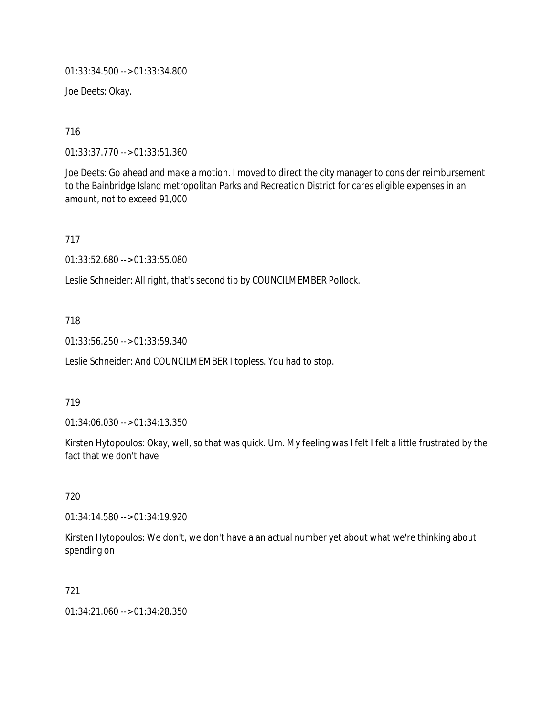01:33:34.500 --> 01:33:34.800

Joe Deets: Okay.

716

01:33:37.770 --> 01:33:51.360

Joe Deets: Go ahead and make a motion. I moved to direct the city manager to consider reimbursement to the Bainbridge Island metropolitan Parks and Recreation District for cares eligible expenses in an amount, not to exceed 91,000

717

01:33:52.680 --> 01:33:55.080

Leslie Schneider: All right, that's second tip by COUNCILMEMBER Pollock.

718

01:33:56.250 --> 01:33:59.340

Leslie Schneider: And COUNCILMEMBER I topless. You had to stop.

719

01:34:06.030 --> 01:34:13.350

Kirsten Hytopoulos: Okay, well, so that was quick. Um. My feeling was I felt I felt a little frustrated by the fact that we don't have

720

01:34:14.580 --> 01:34:19.920

Kirsten Hytopoulos: We don't, we don't have a an actual number yet about what we're thinking about spending on

721

01:34:21.060 --> 01:34:28.350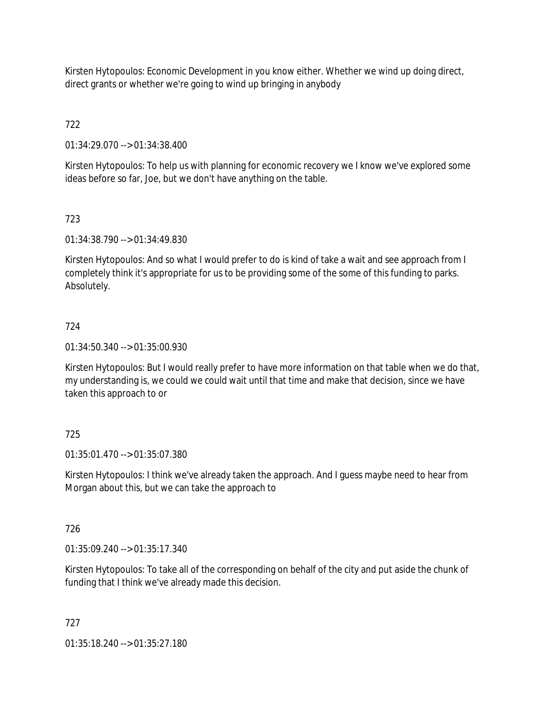Kirsten Hytopoulos: Economic Development in you know either. Whether we wind up doing direct, direct grants or whether we're going to wind up bringing in anybody

# 722

01:34:29.070 --> 01:34:38.400

Kirsten Hytopoulos: To help us with planning for economic recovery we I know we've explored some ideas before so far, Joe, but we don't have anything on the table.

# 723

01:34:38.790 --> 01:34:49.830

Kirsten Hytopoulos: And so what I would prefer to do is kind of take a wait and see approach from I completely think it's appropriate for us to be providing some of the some of this funding to parks. Absolutely.

## 724

01:34:50.340 --> 01:35:00.930

Kirsten Hytopoulos: But I would really prefer to have more information on that table when we do that, my understanding is, we could we could wait until that time and make that decision, since we have taken this approach to or

## 725

01:35:01.470 --> 01:35:07.380

Kirsten Hytopoulos: I think we've already taken the approach. And I guess maybe need to hear from Morgan about this, but we can take the approach to

## 726

01:35:09.240 --> 01:35:17.340

Kirsten Hytopoulos: To take all of the corresponding on behalf of the city and put aside the chunk of funding that I think we've already made this decision.

## 727

01:35:18.240 --> 01:35:27.180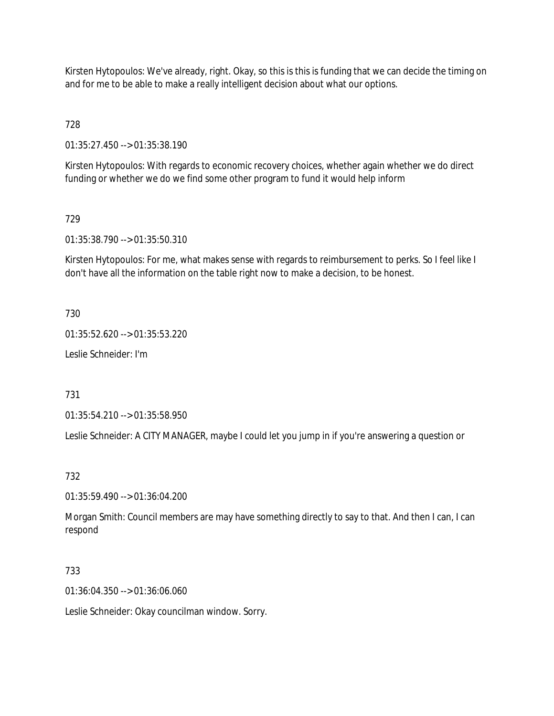Kirsten Hytopoulos: We've already, right. Okay, so this is this is funding that we can decide the timing on and for me to be able to make a really intelligent decision about what our options.

728

01:35:27.450 --> 01:35:38.190

Kirsten Hytopoulos: With regards to economic recovery choices, whether again whether we do direct funding or whether we do we find some other program to fund it would help inform

#### 729

01:35:38.790 --> 01:35:50.310

Kirsten Hytopoulos: For me, what makes sense with regards to reimbursement to perks. So I feel like I don't have all the information on the table right now to make a decision, to be honest.

730

01:35:52.620 --> 01:35:53.220

Leslie Schneider: I'm

731

01:35:54.210 --> 01:35:58.950

Leslie Schneider: A CITY MANAGER, maybe I could let you jump in if you're answering a question or

732

01:35:59.490 --> 01:36:04.200

Morgan Smith: Council members are may have something directly to say to that. And then I can, I can respond

733

01:36:04.350 --> 01:36:06.060

Leslie Schneider: Okay councilman window. Sorry.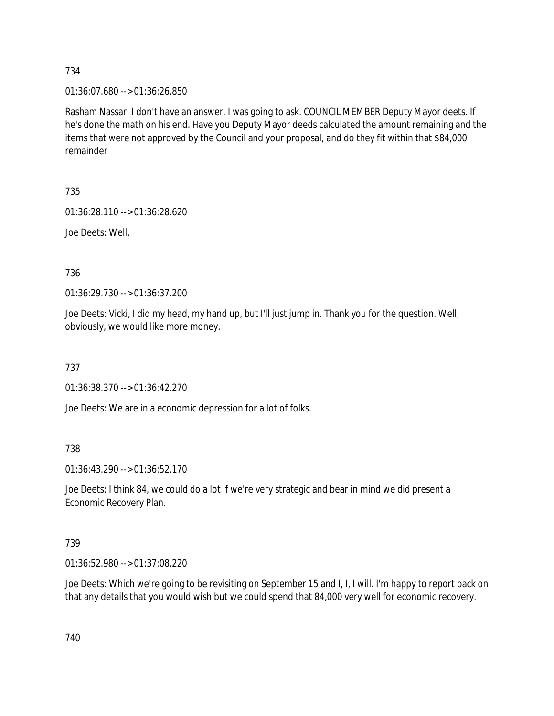01:36:07.680 --> 01:36:26.850

Rasham Nassar: I don't have an answer. I was going to ask. COUNCIL MEMBER Deputy Mayor deets. If he's done the math on his end. Have you Deputy Mayor deeds calculated the amount remaining and the items that were not approved by the Council and your proposal, and do they fit within that \$84,000 remainder

735

01:36:28.110 --> 01:36:28.620

Joe Deets: Well,

736

01:36:29.730 --> 01:36:37.200

Joe Deets: Vicki, I did my head, my hand up, but I'll just jump in. Thank you for the question. Well, obviously, we would like more money.

737

01:36:38.370 --> 01:36:42.270

Joe Deets: We are in a economic depression for a lot of folks.

738

01:36:43.290 --> 01:36:52.170

Joe Deets: I think 84, we could do a lot if we're very strategic and bear in mind we did present a Economic Recovery Plan.

739

01:36:52.980 --> 01:37:08.220

Joe Deets: Which we're going to be revisiting on September 15 and I, I, I will. I'm happy to report back on that any details that you would wish but we could spend that 84,000 very well for economic recovery.

740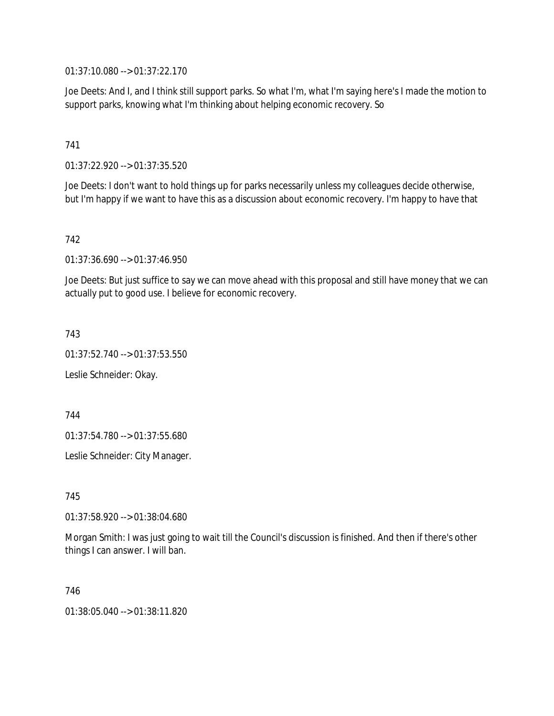01:37:10.080 --> 01:37:22.170

Joe Deets: And I, and I think still support parks. So what I'm, what I'm saying here's I made the motion to support parks, knowing what I'm thinking about helping economic recovery. So

### 741

01:37:22.920 --> 01:37:35.520

Joe Deets: I don't want to hold things up for parks necessarily unless my colleagues decide otherwise, but I'm happy if we want to have this as a discussion about economic recovery. I'm happy to have that

#### 742

01:37:36.690 --> 01:37:46.950

Joe Deets: But just suffice to say we can move ahead with this proposal and still have money that we can actually put to good use. I believe for economic recovery.

#### 743

01:37:52.740 --> 01:37:53.550

Leslie Schneider: Okay.

744

01:37:54.780 --> 01:37:55.680

Leslie Schneider: City Manager.

745

01:37:58.920 --> 01:38:04.680

Morgan Smith: I was just going to wait till the Council's discussion is finished. And then if there's other things I can answer. I will ban.

#### 746

01:38:05.040 --> 01:38:11.820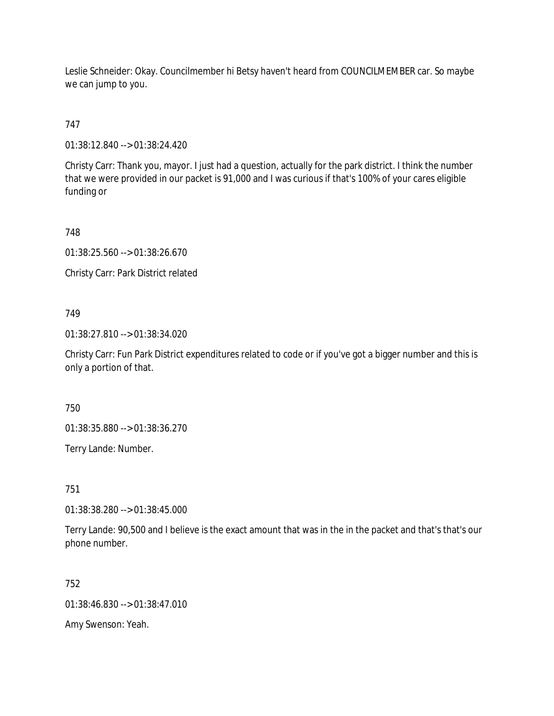Leslie Schneider: Okay. Councilmember hi Betsy haven't heard from COUNCILMEMBER car. So maybe we can jump to you.

747

01:38:12.840 --> 01:38:24.420

Christy Carr: Thank you, mayor. I just had a question, actually for the park district. I think the number that we were provided in our packet is 91,000 and I was curious if that's 100% of your cares eligible funding or

748

01:38:25.560 --> 01:38:26.670

Christy Carr: Park District related

749

01:38:27.810 --> 01:38:34.020

Christy Carr: Fun Park District expenditures related to code or if you've got a bigger number and this is only a portion of that.

750

01:38:35.880 --> 01:38:36.270

Terry Lande: Number.

751

01:38:38.280 --> 01:38:45.000

Terry Lande: 90,500 and I believe is the exact amount that was in the in the packet and that's that's our phone number.

752

01:38:46.830 --> 01:38:47.010

Amy Swenson: Yeah.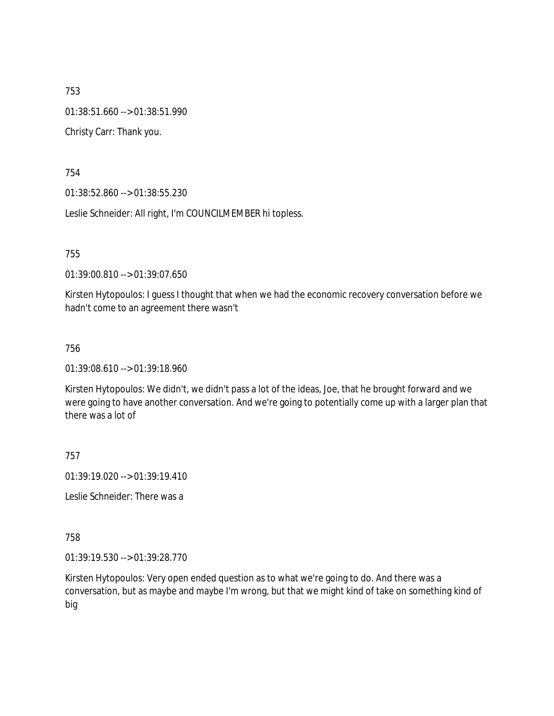753 01:38:51.660 --> 01:38:51.990 Christy Carr: Thank you.

754

01:38:52.860 --> 01:38:55.230

Leslie Schneider: All right, I'm COUNCILMEMBER hi topless.

755

01:39:00.810 --> 01:39:07.650

Kirsten Hytopoulos: I guess I thought that when we had the economic recovery conversation before we hadn't come to an agreement there wasn't

756

01:39:08.610 --> 01:39:18.960

Kirsten Hytopoulos: We didn't, we didn't pass a lot of the ideas, Joe, that he brought forward and we were going to have another conversation. And we're going to potentially come up with a larger plan that there was a lot of

757

01:39:19.020 --> 01:39:19.410

Leslie Schneider: There was a

758

01:39:19.530 --> 01:39:28.770

Kirsten Hytopoulos: Very open ended question as to what we're going to do. And there was a conversation, but as maybe and maybe I'm wrong, but that we might kind of take on something kind of big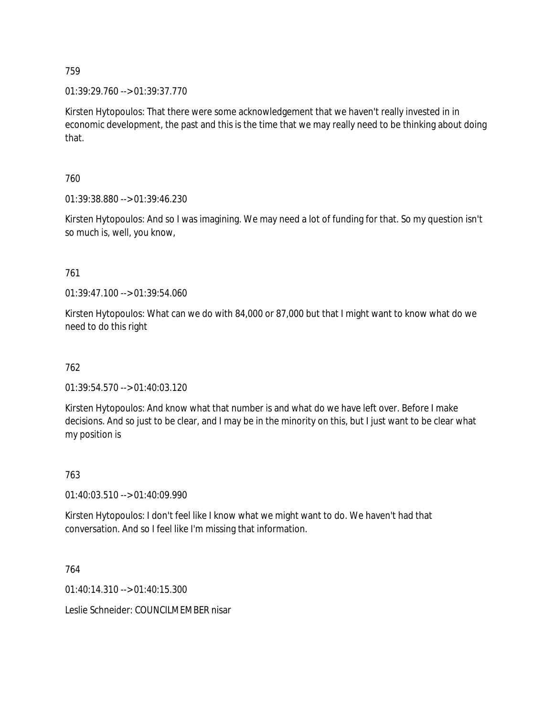01:39:29.760 --> 01:39:37.770

Kirsten Hytopoulos: That there were some acknowledgement that we haven't really invested in in economic development, the past and this is the time that we may really need to be thinking about doing that.

760

01:39:38.880 --> 01:39:46.230

Kirsten Hytopoulos: And so I was imagining. We may need a lot of funding for that. So my question isn't so much is, well, you know,

761

01:39:47.100 --> 01:39:54.060

Kirsten Hytopoulos: What can we do with 84,000 or 87,000 but that I might want to know what do we need to do this right

762

01:39:54.570 --> 01:40:03.120

Kirsten Hytopoulos: And know what that number is and what do we have left over. Before I make decisions. And so just to be clear, and I may be in the minority on this, but I just want to be clear what my position is

763

01:40:03.510 --> 01:40:09.990

Kirsten Hytopoulos: I don't feel like I know what we might want to do. We haven't had that conversation. And so I feel like I'm missing that information.

764

01:40:14.310 --> 01:40:15.300

Leslie Schneider: COUNCILMEMBER nisar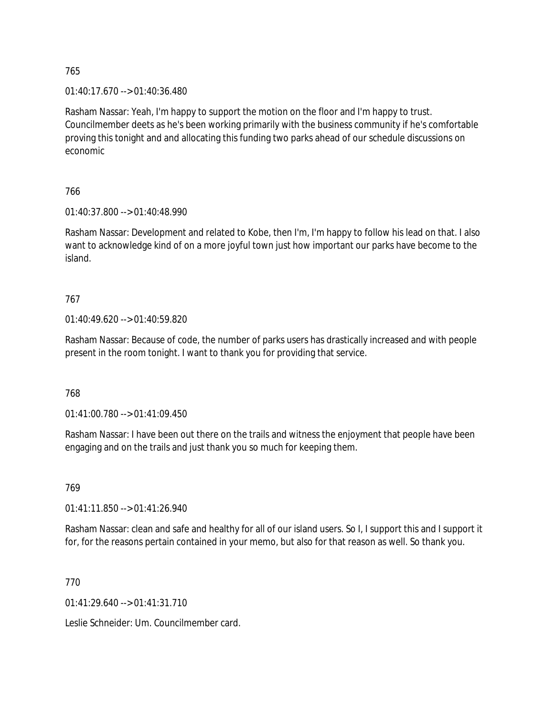01:40:17.670 --> 01:40:36.480

Rasham Nassar: Yeah, I'm happy to support the motion on the floor and I'm happy to trust. Councilmember deets as he's been working primarily with the business community if he's comfortable proving this tonight and and allocating this funding two parks ahead of our schedule discussions on economic

## 766

01:40:37.800 --> 01:40:48.990

Rasham Nassar: Development and related to Kobe, then I'm, I'm happy to follow his lead on that. I also want to acknowledge kind of on a more joyful town just how important our parks have become to the island.

## 767

01:40:49.620 --> 01:40:59.820

Rasham Nassar: Because of code, the number of parks users has drastically increased and with people present in the room tonight. I want to thank you for providing that service.

768

01:41:00.780 --> 01:41:09.450

Rasham Nassar: I have been out there on the trails and witness the enjoyment that people have been engaging and on the trails and just thank you so much for keeping them.

## 769

01:41:11.850 --> 01:41:26.940

Rasham Nassar: clean and safe and healthy for all of our island users. So I, I support this and I support it for, for the reasons pertain contained in your memo, but also for that reason as well. So thank you.

## 770

01:41:29.640 --> 01:41:31.710

Leslie Schneider: Um. Councilmember card.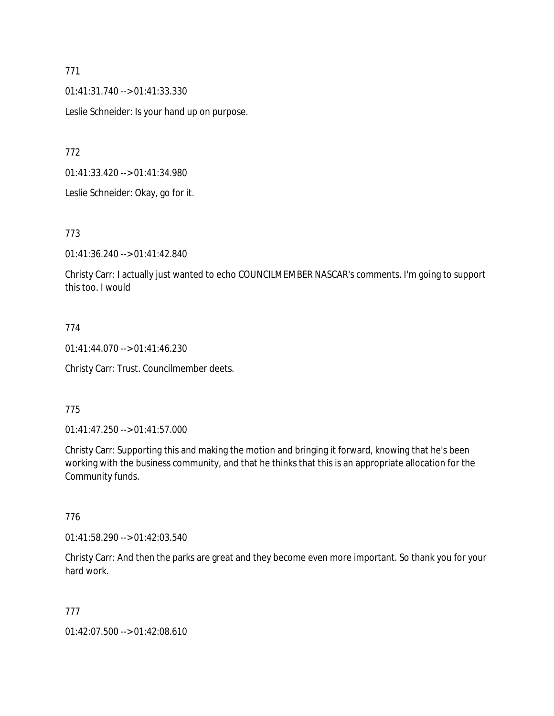01:41:31.740 --> 01:41:33.330

Leslie Schneider: Is your hand up on purpose.

772

01:41:33.420 --> 01:41:34.980

Leslie Schneider: Okay, go for it.

773

01:41:36.240 --> 01:41:42.840

Christy Carr: I actually just wanted to echo COUNCILMEMBER NASCAR's comments. I'm going to support this too. I would

#### 774

01:41:44.070 --> 01:41:46.230

Christy Carr: Trust. Councilmember deets.

#### 775

01:41:47.250 --> 01:41:57.000

Christy Carr: Supporting this and making the motion and bringing it forward, knowing that he's been working with the business community, and that he thinks that this is an appropriate allocation for the Community funds.

## 776

01:41:58.290 --> 01:42:03.540

Christy Carr: And then the parks are great and they become even more important. So thank you for your hard work.

#### 777

01:42:07.500 --> 01:42:08.610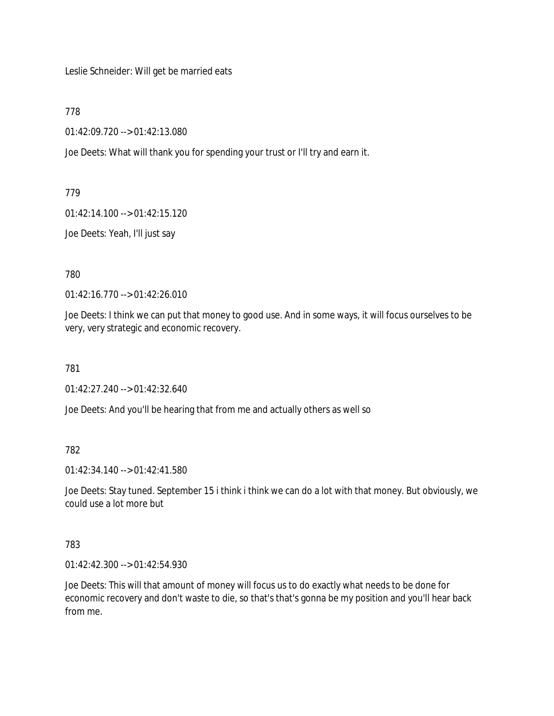Leslie Schneider: Will get be married eats

778

01:42:09.720 --> 01:42:13.080

Joe Deets: What will thank you for spending your trust or I'll try and earn it.

779

01:42:14.100 --> 01:42:15.120

Joe Deets: Yeah, I'll just say

780

01:42:16.770 --> 01:42:26.010

Joe Deets: I think we can put that money to good use. And in some ways, it will focus ourselves to be very, very strategic and economic recovery.

781

01:42:27.240 --> 01:42:32.640

Joe Deets: And you'll be hearing that from me and actually others as well so

782

01:42:34.140 --> 01:42:41.580

Joe Deets: Stay tuned. September 15 i think i think we can do a lot with that money. But obviously, we could use a lot more but

783

01:42:42.300 --> 01:42:54.930

Joe Deets: This will that amount of money will focus us to do exactly what needs to be done for economic recovery and don't waste to die, so that's that's gonna be my position and you'll hear back from me.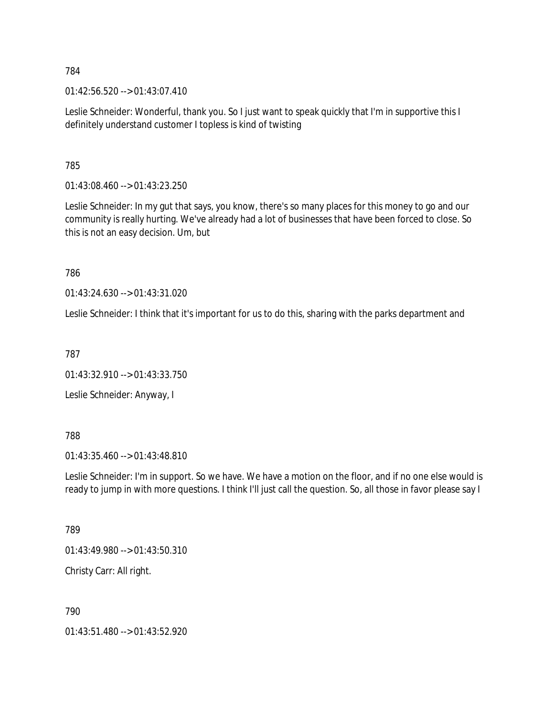$01:42:56.520 \rightarrow 01:43:07.410$ 

Leslie Schneider: Wonderful, thank you. So I just want to speak quickly that I'm in supportive this I definitely understand customer I topless is kind of twisting

785

01:43:08.460 --> 01:43:23.250

Leslie Schneider: In my gut that says, you know, there's so many places for this money to go and our community is really hurting. We've already had a lot of businesses that have been forced to close. So this is not an easy decision. Um, but

786

01:43:24.630 --> 01:43:31.020

Leslie Schneider: I think that it's important for us to do this, sharing with the parks department and

787

01:43:32.910 --> 01:43:33.750

Leslie Schneider: Anyway, I

788

01:43:35.460 --> 01:43:48.810

Leslie Schneider: I'm in support. So we have. We have a motion on the floor, and if no one else would is ready to jump in with more questions. I think I'll just call the question. So, all those in favor please say I

789

01:43:49.980 --> 01:43:50.310

Christy Carr: All right.

790

01:43:51.480 --> 01:43:52.920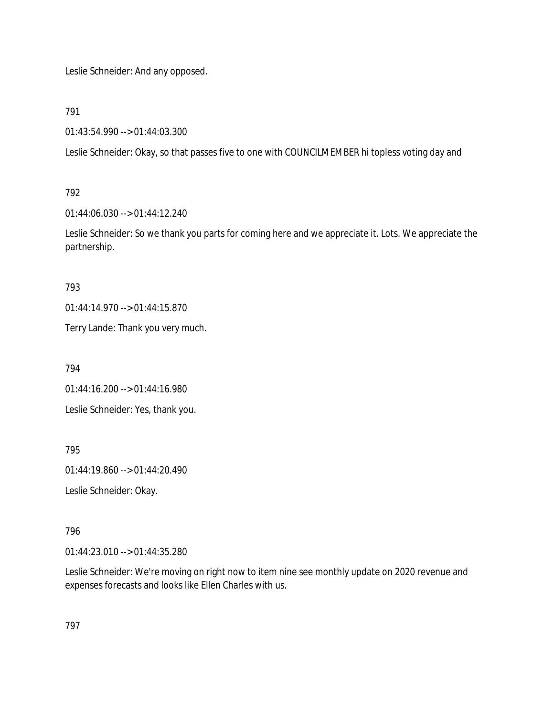Leslie Schneider: And any opposed.

791

01:43:54.990 --> 01:44:03.300

Leslie Schneider: Okay, so that passes five to one with COUNCILMEMBER hi topless voting day and

## 792

01:44:06.030 --> 01:44:12.240

Leslie Schneider: So we thank you parts for coming here and we appreciate it. Lots. We appreciate the partnership.

## 793

01:44:14.970 --> 01:44:15.870

Terry Lande: Thank you very much.

794

01:44:16.200 --> 01:44:16.980

Leslie Schneider: Yes, thank you.

795

01:44:19.860 --> 01:44:20.490

Leslie Schneider: Okay.

## 796

01:44:23.010 --> 01:44:35.280

Leslie Schneider: We're moving on right now to item nine see monthly update on 2020 revenue and expenses forecasts and looks like Ellen Charles with us.

797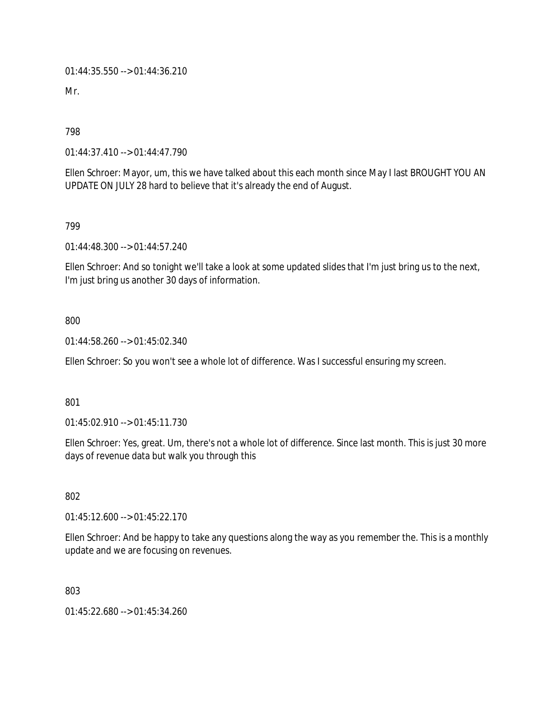01:44:35.550 --> 01:44:36.210

Mr.

798

01:44:37.410 --> 01:44:47.790

Ellen Schroer: Mayor, um, this we have talked about this each month since May I last BROUGHT YOU AN UPDATE ON JULY 28 hard to believe that it's already the end of August.

799

01:44:48.300 --> 01:44:57.240

Ellen Schroer: And so tonight we'll take a look at some updated slides that I'm just bring us to the next, I'm just bring us another 30 days of information.

## 800

01:44:58.260 --> 01:45:02.340

Ellen Schroer: So you won't see a whole lot of difference. Was I successful ensuring my screen.

#### 801

01:45:02.910 --> 01:45:11.730

Ellen Schroer: Yes, great. Um, there's not a whole lot of difference. Since last month. This is just 30 more days of revenue data but walk you through this

802

01:45:12.600 --> 01:45:22.170

Ellen Schroer: And be happy to take any questions along the way as you remember the. This is a monthly update and we are focusing on revenues.

803

01:45:22.680 --> 01:45:34.260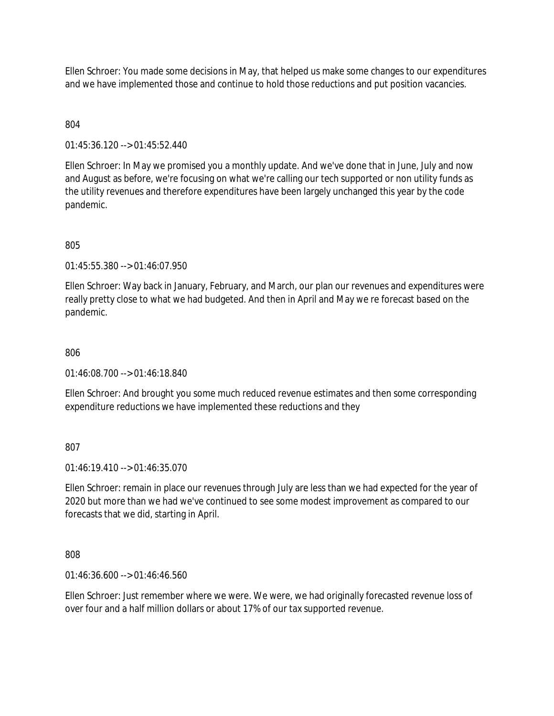Ellen Schroer: You made some decisions in May, that helped us make some changes to our expenditures and we have implemented those and continue to hold those reductions and put position vacancies.

# 804

01:45:36.120 --> 01:45:52.440

Ellen Schroer: In May we promised you a monthly update. And we've done that in June, July and now and August as before, we're focusing on what we're calling our tech supported or non utility funds as the utility revenues and therefore expenditures have been largely unchanged this year by the code pandemic.

## 805

01:45:55.380 --> 01:46:07.950

Ellen Schroer: Way back in January, February, and March, our plan our revenues and expenditures were really pretty close to what we had budgeted. And then in April and May we re forecast based on the pandemic.

## 806

01:46:08.700 --> 01:46:18.840

Ellen Schroer: And brought you some much reduced revenue estimates and then some corresponding expenditure reductions we have implemented these reductions and they

#### 807

01:46:19.410 --> 01:46:35.070

Ellen Schroer: remain in place our revenues through July are less than we had expected for the year of 2020 but more than we had we've continued to see some modest improvement as compared to our forecasts that we did, starting in April.

808

01:46:36.600 --> 01:46:46.560

Ellen Schroer: Just remember where we were. We were, we had originally forecasted revenue loss of over four and a half million dollars or about 17% of our tax supported revenue.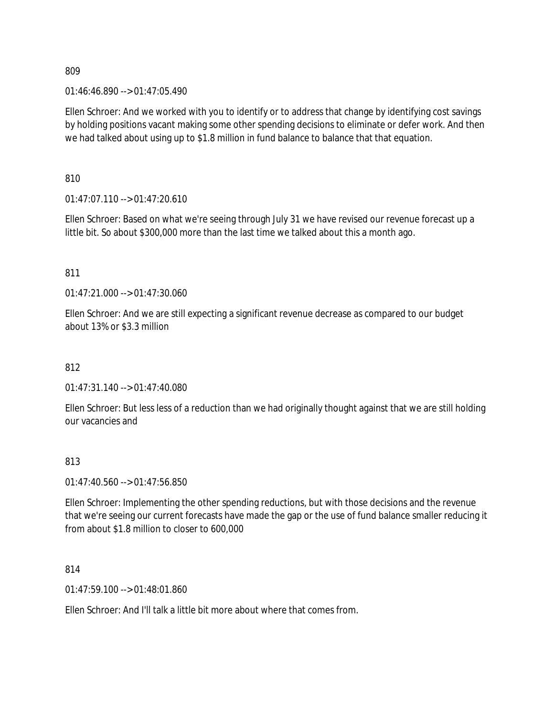01:46:46.890 --> 01:47:05.490

Ellen Schroer: And we worked with you to identify or to address that change by identifying cost savings by holding positions vacant making some other spending decisions to eliminate or defer work. And then we had talked about using up to \$1.8 million in fund balance to balance that that equation.

810

01:47:07.110 --> 01:47:20.610

Ellen Schroer: Based on what we're seeing through July 31 we have revised our revenue forecast up a little bit. So about \$300,000 more than the last time we talked about this a month ago.

811

01:47:21.000 --> 01:47:30.060

Ellen Schroer: And we are still expecting a significant revenue decrease as compared to our budget about 13% or \$3.3 million

812

01:47:31.140 --> 01:47:40.080

Ellen Schroer: But less less of a reduction than we had originally thought against that we are still holding our vacancies and

#### 813

01:47:40.560 --> 01:47:56.850

Ellen Schroer: Implementing the other spending reductions, but with those decisions and the revenue that we're seeing our current forecasts have made the gap or the use of fund balance smaller reducing it from about \$1.8 million to closer to 600,000

814

01:47:59.100 --> 01:48:01.860

Ellen Schroer: And I'll talk a little bit more about where that comes from.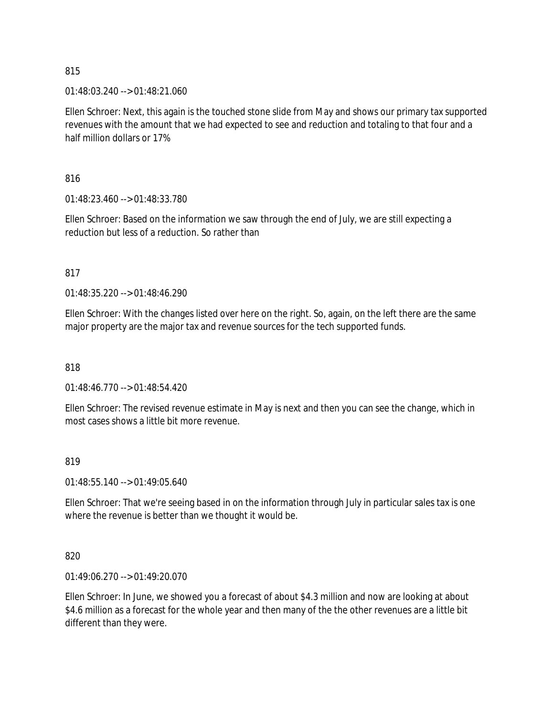01:48:03.240 --> 01:48:21.060

Ellen Schroer: Next, this again is the touched stone slide from May and shows our primary tax supported revenues with the amount that we had expected to see and reduction and totaling to that four and a half million dollars or 17%

816

01:48:23.460 --> 01:48:33.780

Ellen Schroer: Based on the information we saw through the end of July, we are still expecting a reduction but less of a reduction. So rather than

817

01:48:35.220 --> 01:48:46.290

Ellen Schroer: With the changes listed over here on the right. So, again, on the left there are the same major property are the major tax and revenue sources for the tech supported funds.

818

01:48:46.770 --> 01:48:54.420

Ellen Schroer: The revised revenue estimate in May is next and then you can see the change, which in most cases shows a little bit more revenue.

#### 819

01:48:55.140 --> 01:49:05.640

Ellen Schroer: That we're seeing based in on the information through July in particular sales tax is one where the revenue is better than we thought it would be.

#### 820

01:49:06.270 --> 01:49:20.070

Ellen Schroer: In June, we showed you a forecast of about \$4.3 million and now are looking at about \$4.6 million as a forecast for the whole year and then many of the the other revenues are a little bit different than they were.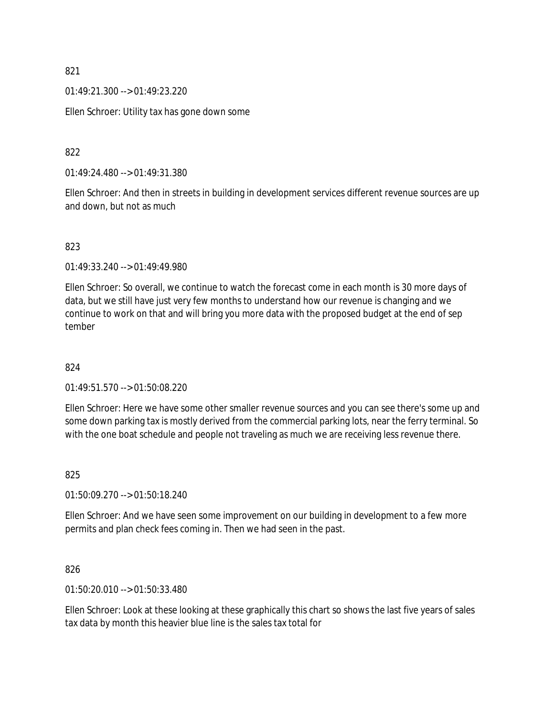01:49:21.300 --> 01:49:23.220

Ellen Schroer: Utility tax has gone down some

822

01:49:24.480 --> 01:49:31.380

Ellen Schroer: And then in streets in building in development services different revenue sources are up and down, but not as much

823

01:49:33.240 --> 01:49:49.980

Ellen Schroer: So overall, we continue to watch the forecast come in each month is 30 more days of data, but we still have just very few months to understand how our revenue is changing and we continue to work on that and will bring you more data with the proposed budget at the end of sep tember

824

01:49:51.570 --> 01:50:08.220

Ellen Schroer: Here we have some other smaller revenue sources and you can see there's some up and some down parking tax is mostly derived from the commercial parking lots, near the ferry terminal. So with the one boat schedule and people not traveling as much we are receiving less revenue there.

825

01:50:09.270 --> 01:50:18.240

Ellen Schroer: And we have seen some improvement on our building in development to a few more permits and plan check fees coming in. Then we had seen in the past.

826

01:50:20.010 --> 01:50:33.480

Ellen Schroer: Look at these looking at these graphically this chart so shows the last five years of sales tax data by month this heavier blue line is the sales tax total for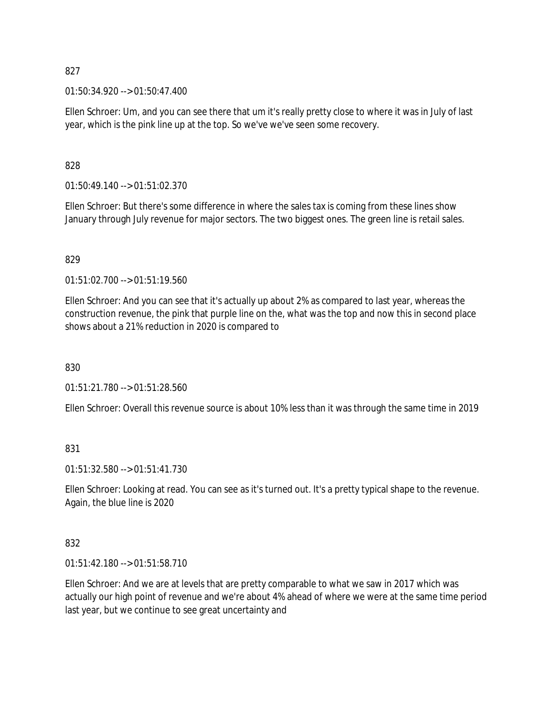01:50:34.920 --> 01:50:47.400

Ellen Schroer: Um, and you can see there that um it's really pretty close to where it was in July of last year, which is the pink line up at the top. So we've we've seen some recovery.

828

01:50:49.140 --> 01:51:02.370

Ellen Schroer: But there's some difference in where the sales tax is coming from these lines show January through July revenue for major sectors. The two biggest ones. The green line is retail sales.

## 829

01:51:02.700 --> 01:51:19.560

Ellen Schroer: And you can see that it's actually up about 2% as compared to last year, whereas the construction revenue, the pink that purple line on the, what was the top and now this in second place shows about a 21% reduction in 2020 is compared to

830

01:51:21.780 --> 01:51:28.560

Ellen Schroer: Overall this revenue source is about 10% less than it was through the same time in 2019

831

01:51:32.580 --> 01:51:41.730

Ellen Schroer: Looking at read. You can see as it's turned out. It's a pretty typical shape to the revenue. Again, the blue line is 2020

#### 832

01:51:42.180 --> 01:51:58.710

Ellen Schroer: And we are at levels that are pretty comparable to what we saw in 2017 which was actually our high point of revenue and we're about 4% ahead of where we were at the same time period last year, but we continue to see great uncertainty and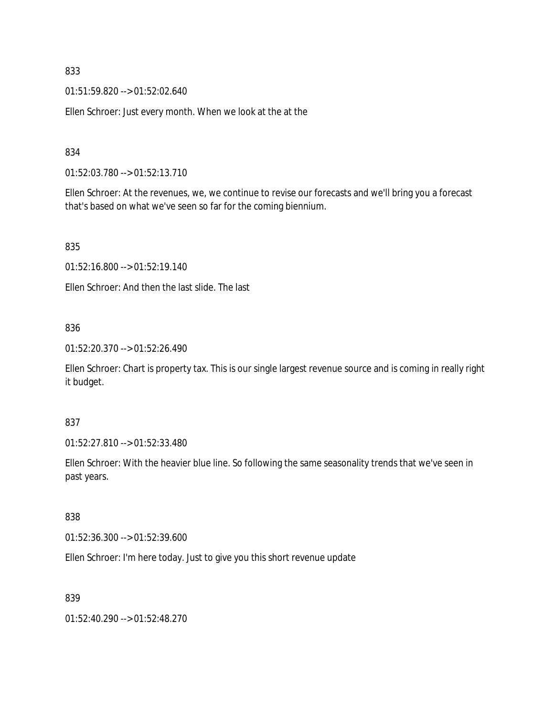01:51:59.820 --> 01:52:02.640

Ellen Schroer: Just every month. When we look at the at the

#### 834

01:52:03.780 --> 01:52:13.710

Ellen Schroer: At the revenues, we, we continue to revise our forecasts and we'll bring you a forecast that's based on what we've seen so far for the coming biennium.

835

01:52:16.800 --> 01:52:19.140

Ellen Schroer: And then the last slide. The last

#### 836

01:52:20.370 --> 01:52:26.490

Ellen Schroer: Chart is property tax. This is our single largest revenue source and is coming in really right it budget.

#### 837

01:52:27.810 --> 01:52:33.480

Ellen Schroer: With the heavier blue line. So following the same seasonality trends that we've seen in past years.

#### 838

01:52:36.300 --> 01:52:39.600

Ellen Schroer: I'm here today. Just to give you this short revenue update

#### 839

01:52:40.290 --> 01:52:48.270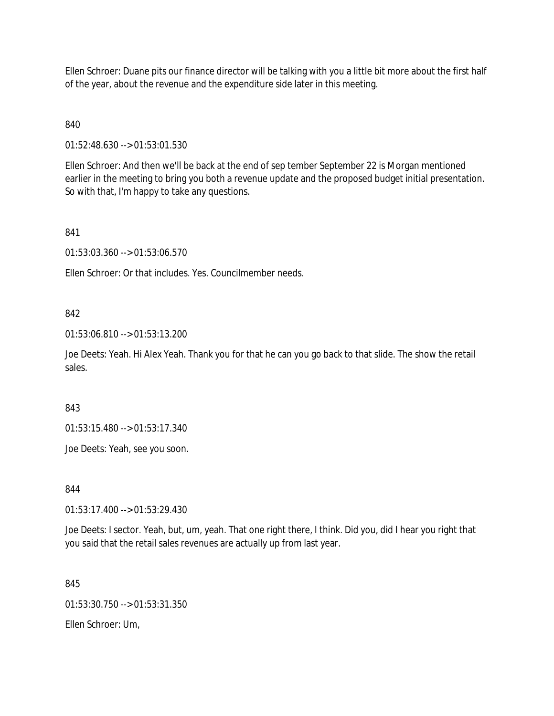Ellen Schroer: Duane pits our finance director will be talking with you a little bit more about the first half of the year, about the revenue and the expenditure side later in this meeting.

840

01:52:48.630 --> 01:53:01.530

Ellen Schroer: And then we'll be back at the end of sep tember September 22 is Morgan mentioned earlier in the meeting to bring you both a revenue update and the proposed budget initial presentation. So with that, I'm happy to take any questions.

841

01:53:03.360 --> 01:53:06.570

Ellen Schroer: Or that includes. Yes. Councilmember needs.

#### 842

01:53:06.810 --> 01:53:13.200

Joe Deets: Yeah. Hi Alex Yeah. Thank you for that he can you go back to that slide. The show the retail sales.

#### 843

01:53:15.480 --> 01:53:17.340

Joe Deets: Yeah, see you soon.

844

01:53:17.400 --> 01:53:29.430

Joe Deets: I sector. Yeah, but, um, yeah. That one right there, I think. Did you, did I hear you right that you said that the retail sales revenues are actually up from last year.

845

01:53:30.750 --> 01:53:31.350

Ellen Schroer: Um,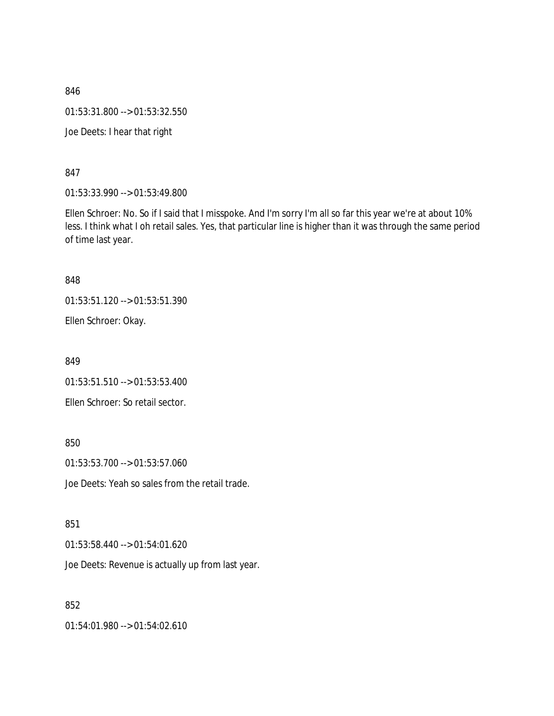846 01:53:31.800 --> 01:53:32.550 Joe Deets: I hear that right

847

01:53:33.990 --> 01:53:49.800

Ellen Schroer: No. So if I said that I misspoke. And I'm sorry I'm all so far this year we're at about 10% less. I think what I oh retail sales. Yes, that particular line is higher than it was through the same period of time last year.

848

01:53:51.120 --> 01:53:51.390

Ellen Schroer: Okay.

849

01:53:51.510 --> 01:53:53.400

Ellen Schroer: So retail sector.

850

01:53:53.700 --> 01:53:57.060

Joe Deets: Yeah so sales from the retail trade.

851

01:53:58.440 --> 01:54:01.620

Joe Deets: Revenue is actually up from last year.

852

01:54:01.980 --> 01:54:02.610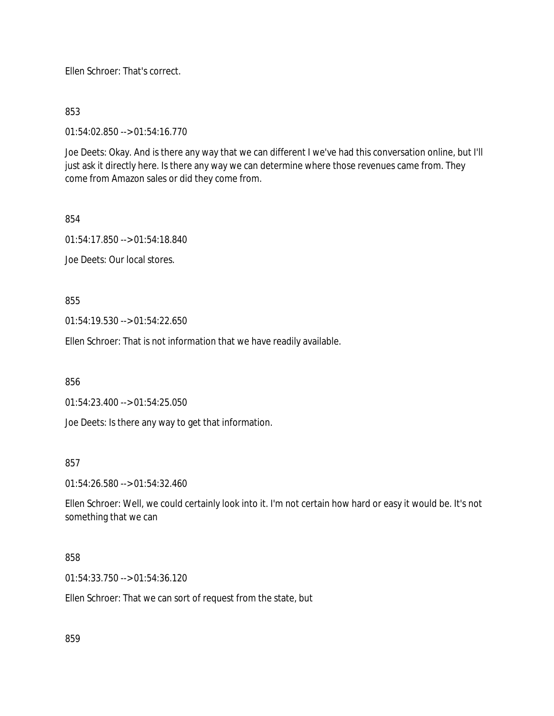Ellen Schroer: That's correct.

853

01:54:02.850 --> 01:54:16.770

Joe Deets: Okay. And is there any way that we can different I we've had this conversation online, but I'll just ask it directly here. Is there any way we can determine where those revenues came from. They come from Amazon sales or did they come from.

854

01:54:17.850 --> 01:54:18.840

Joe Deets: Our local stores.

855

01:54:19.530 --> 01:54:22.650

Ellen Schroer: That is not information that we have readily available.

856

01:54:23.400 --> 01:54:25.050

Joe Deets: Is there any way to get that information.

857

01:54:26.580 --> 01:54:32.460

Ellen Schroer: Well, we could certainly look into it. I'm not certain how hard or easy it would be. It's not something that we can

858

01:54:33.750 --> 01:54:36.120

Ellen Schroer: That we can sort of request from the state, but

859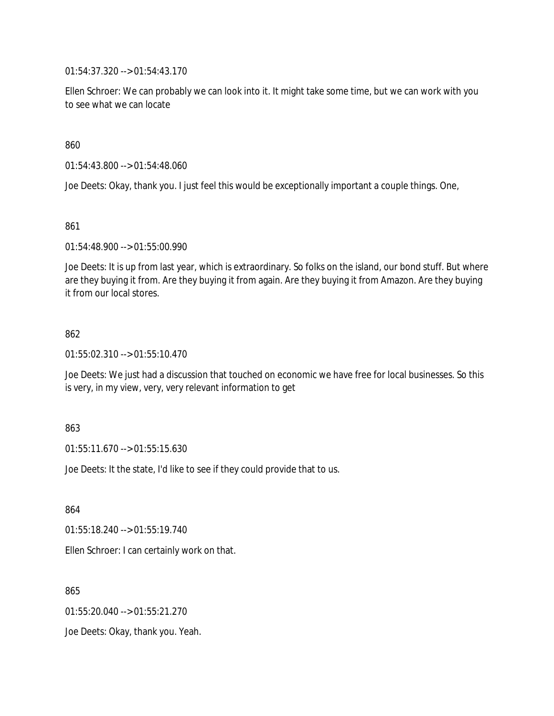01:54:37.320 --> 01:54:43.170

Ellen Schroer: We can probably we can look into it. It might take some time, but we can work with you to see what we can locate

860

01:54:43.800 --> 01:54:48.060

Joe Deets: Okay, thank you. I just feel this would be exceptionally important a couple things. One,

861

01:54:48.900 --> 01:55:00.990

Joe Deets: It is up from last year, which is extraordinary. So folks on the island, our bond stuff. But where are they buying it from. Are they buying it from again. Are they buying it from Amazon. Are they buying it from our local stores.

#### 862

01:55:02.310 --> 01:55:10.470

Joe Deets: We just had a discussion that touched on economic we have free for local businesses. So this is very, in my view, very, very relevant information to get

#### 863

01:55:11.670 --> 01:55:15.630

Joe Deets: It the state, I'd like to see if they could provide that to us.

864

01:55:18.240 --> 01:55:19.740

Ellen Schroer: I can certainly work on that.

865

01:55:20.040 --> 01:55:21.270

Joe Deets: Okay, thank you. Yeah.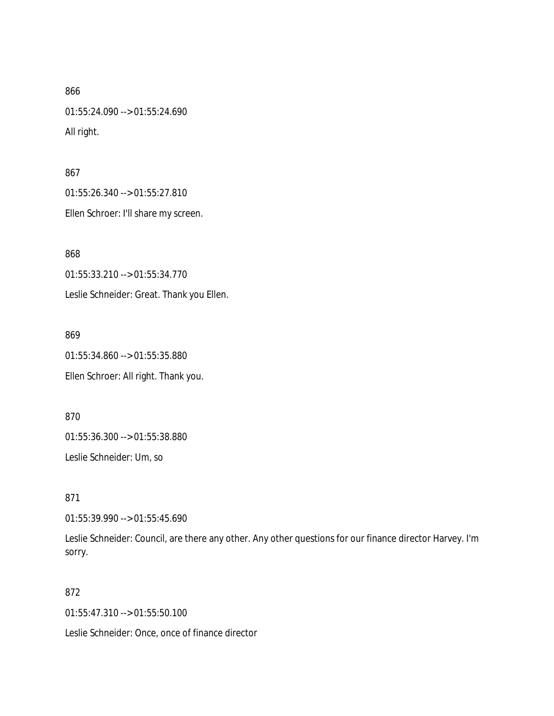866 01:55:24.090 --> 01:55:24.690 All right.

867 01:55:26.340 --> 01:55:27.810 Ellen Schroer: I'll share my screen.

868 01:55:33.210 --> 01:55:34.770 Leslie Schneider: Great. Thank you Ellen.

869 01:55:34.860 --> 01:55:35.880 Ellen Schroer: All right. Thank you.

870 01:55:36.300 --> 01:55:38.880

Leslie Schneider: Um, so

871

01:55:39.990 --> 01:55:45.690

Leslie Schneider: Council, are there any other. Any other questions for our finance director Harvey. I'm sorry.

## 872

01:55:47.310 --> 01:55:50.100

Leslie Schneider: Once, once of finance director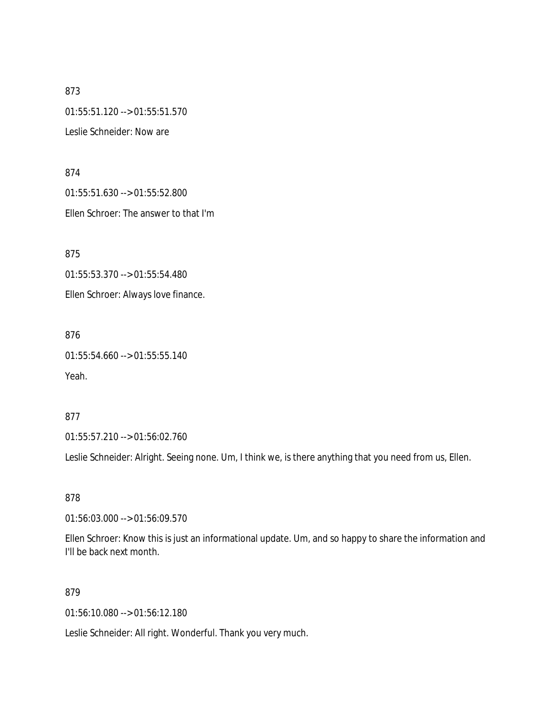873 01:55:51.120 --> 01:55:51.570 Leslie Schneider: Now are

874 01:55:51.630 --> 01:55:52.800 Ellen Schroer: The answer to that I'm

875

01:55:53.370 --> 01:55:54.480

Ellen Schroer: Always love finance.

876

01:55:54.660 --> 01:55:55.140

Yeah.

877

01:55:57.210 --> 01:56:02.760

Leslie Schneider: Alright. Seeing none. Um, I think we, is there anything that you need from us, Ellen.

878

01:56:03.000 --> 01:56:09.570

Ellen Schroer: Know this is just an informational update. Um, and so happy to share the information and I'll be back next month.

879

01:56:10.080 --> 01:56:12.180

Leslie Schneider: All right. Wonderful. Thank you very much.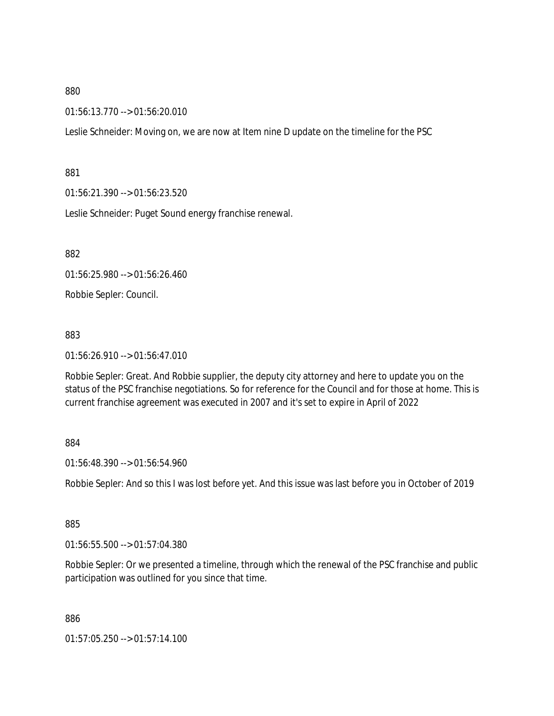01:56:13.770 --> 01:56:20.010

Leslie Schneider: Moving on, we are now at Item nine D update on the timeline for the PSC

881

01:56:21.390 --> 01:56:23.520

Leslie Schneider: Puget Sound energy franchise renewal.

882

01:56:25.980 --> 01:56:26.460

Robbie Sepler: Council.

883

01:56:26.910 --> 01:56:47.010

Robbie Sepler: Great. And Robbie supplier, the deputy city attorney and here to update you on the status of the PSC franchise negotiations. So for reference for the Council and for those at home. This is current franchise agreement was executed in 2007 and it's set to expire in April of 2022

#### 884

01:56:48.390 --> 01:56:54.960

Robbie Sepler: And so this I was lost before yet. And this issue was last before you in October of 2019

885

01:56:55.500 --> 01:57:04.380

Robbie Sepler: Or we presented a timeline, through which the renewal of the PSC franchise and public participation was outlined for you since that time.

886

01:57:05.250 --> 01:57:14.100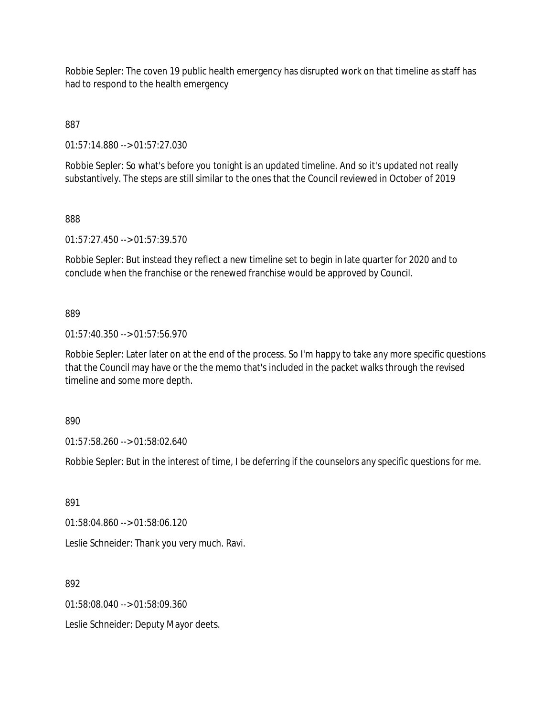Robbie Sepler: The coven 19 public health emergency has disrupted work on that timeline as staff has had to respond to the health emergency

887

01:57:14.880 --> 01:57:27.030

Robbie Sepler: So what's before you tonight is an updated timeline. And so it's updated not really substantively. The steps are still similar to the ones that the Council reviewed in October of 2019

888

01:57:27.450 --> 01:57:39.570

Robbie Sepler: But instead they reflect a new timeline set to begin in late quarter for 2020 and to conclude when the franchise or the renewed franchise would be approved by Council.

889

01:57:40.350 --> 01:57:56.970

Robbie Sepler: Later later on at the end of the process. So I'm happy to take any more specific questions that the Council may have or the the memo that's included in the packet walks through the revised timeline and some more depth.

890

01:57:58.260 --> 01:58:02.640

Robbie Sepler: But in the interest of time, I be deferring if the counselors any specific questions for me.

891

01:58:04.860 --> 01:58:06.120

Leslie Schneider: Thank you very much. Ravi.

892

01:58:08.040 --> 01:58:09.360

Leslie Schneider: Deputy Mayor deets.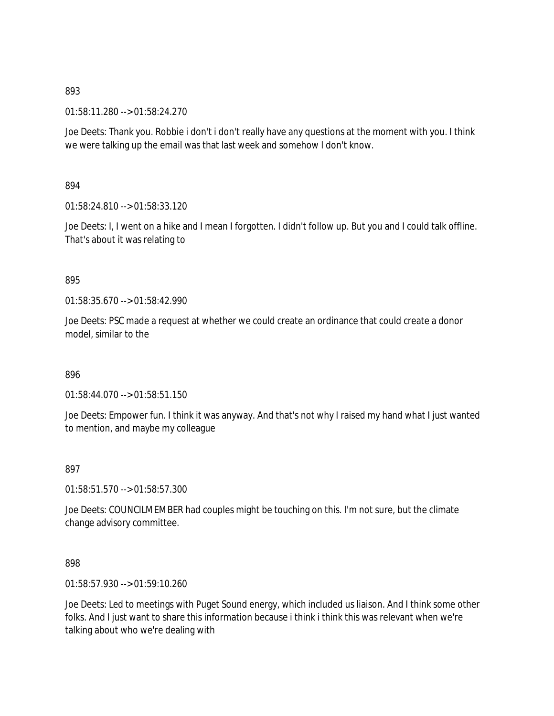01:58:11.280 --> 01:58:24.270

Joe Deets: Thank you. Robbie i don't i don't really have any questions at the moment with you. I think we were talking up the email was that last week and somehow I don't know.

## 894

01:58:24.810 --> 01:58:33.120

Joe Deets: I, I went on a hike and I mean I forgotten. I didn't follow up. But you and I could talk offline. That's about it was relating to

#### 895

 $01:58:35.670 \rightarrow 01:58:42.990$ 

Joe Deets: PSC made a request at whether we could create an ordinance that could create a donor model, similar to the

#### 896

01:58:44.070 --> 01:58:51.150

Joe Deets: Empower fun. I think it was anyway. And that's not why I raised my hand what I just wanted to mention, and maybe my colleague

#### 897

01:58:51.570 --> 01:58:57.300

Joe Deets: COUNCILMEMBER had couples might be touching on this. I'm not sure, but the climate change advisory committee.

#### 898

01:58:57.930 --> 01:59:10.260

Joe Deets: Led to meetings with Puget Sound energy, which included us liaison. And I think some other folks. And I just want to share this information because i think i think this was relevant when we're talking about who we're dealing with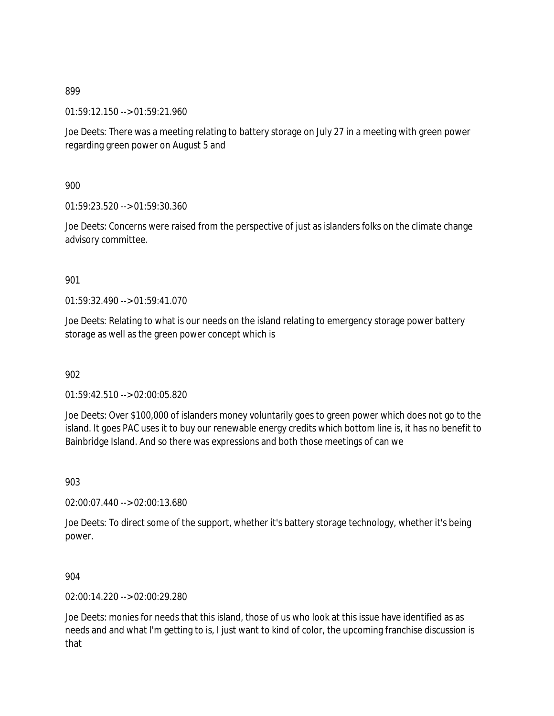01:59:12.150 --> 01:59:21.960

Joe Deets: There was a meeting relating to battery storage on July 27 in a meeting with green power regarding green power on August 5 and

900

01:59:23.520 --> 01:59:30.360

Joe Deets: Concerns were raised from the perspective of just as islanders folks on the climate change advisory committee.

901

01:59:32.490 --> 01:59:41.070

Joe Deets: Relating to what is our needs on the island relating to emergency storage power battery storage as well as the green power concept which is

902

01:59:42.510 --> 02:00:05.820

Joe Deets: Over \$100,000 of islanders money voluntarily goes to green power which does not go to the island. It goes PAC uses it to buy our renewable energy credits which bottom line is, it has no benefit to Bainbridge Island. And so there was expressions and both those meetings of can we

903

02:00:07.440 --> 02:00:13.680

Joe Deets: To direct some of the support, whether it's battery storage technology, whether it's being power.

904

02:00:14.220 --> 02:00:29.280

Joe Deets: monies for needs that this island, those of us who look at this issue have identified as as needs and and what I'm getting to is, I just want to kind of color, the upcoming franchise discussion is that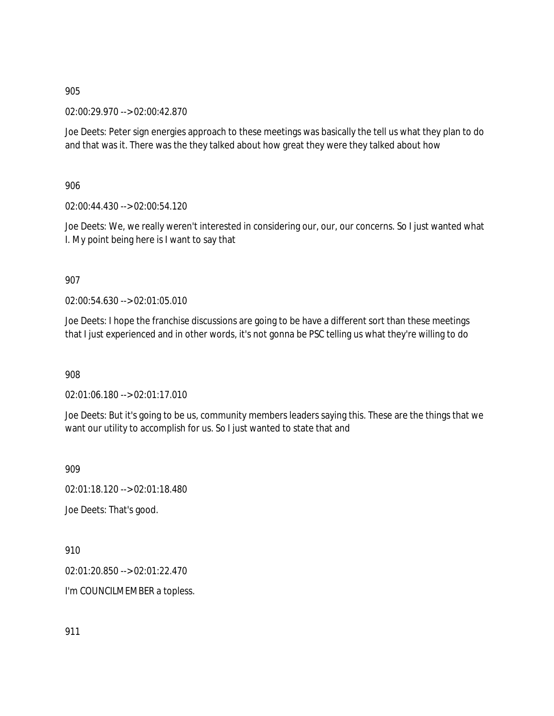02:00:29.970 --> 02:00:42.870

Joe Deets: Peter sign energies approach to these meetings was basically the tell us what they plan to do and that was it. There was the they talked about how great they were they talked about how

906

02:00:44.430 --> 02:00:54.120

Joe Deets: We, we really weren't interested in considering our, our, our concerns. So I just wanted what I. My point being here is I want to say that

907

02:00:54.630 --> 02:01:05.010

Joe Deets: I hope the franchise discussions are going to be have a different sort than these meetings that I just experienced and in other words, it's not gonna be PSC telling us what they're willing to do

908

02:01:06.180 --> 02:01:17.010

Joe Deets: But it's going to be us, community members leaders saying this. These are the things that we want our utility to accomplish for us. So I just wanted to state that and

909

02:01:18.120 --> 02:01:18.480

Joe Deets: That's good.

910

02:01:20.850 --> 02:01:22.470

I'm COUNCILMEMBER a topless.

911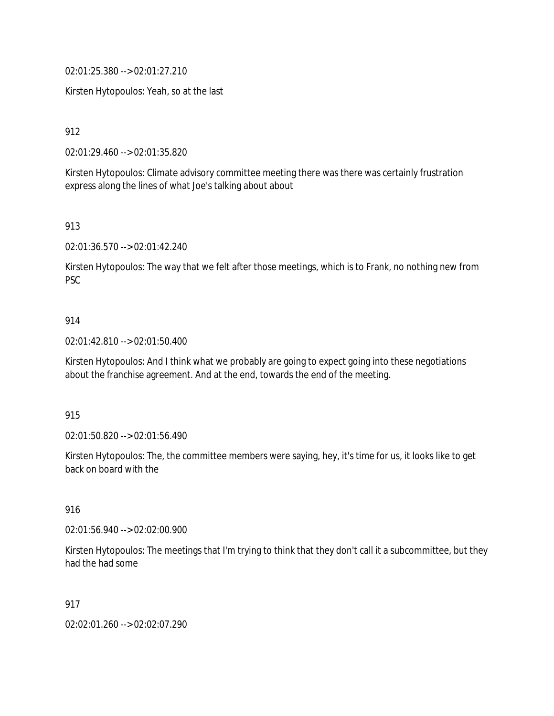02:01:25.380 --> 02:01:27.210

Kirsten Hytopoulos: Yeah, so at the last

912

02:01:29.460 --> 02:01:35.820

Kirsten Hytopoulos: Climate advisory committee meeting there was there was certainly frustration express along the lines of what Joe's talking about about

913

02:01:36.570 --> 02:01:42.240

Kirsten Hytopoulos: The way that we felt after those meetings, which is to Frank, no nothing new from PSC

## 914

02:01:42.810 --> 02:01:50.400

Kirsten Hytopoulos: And I think what we probably are going to expect going into these negotiations about the franchise agreement. And at the end, towards the end of the meeting.

#### 915

02:01:50.820 --> 02:01:56.490

Kirsten Hytopoulos: The, the committee members were saying, hey, it's time for us, it looks like to get back on board with the

#### 916

02:01:56.940 --> 02:02:00.900

Kirsten Hytopoulos: The meetings that I'm trying to think that they don't call it a subcommittee, but they had the had some

#### 917

02:02:01.260 --> 02:02:07.290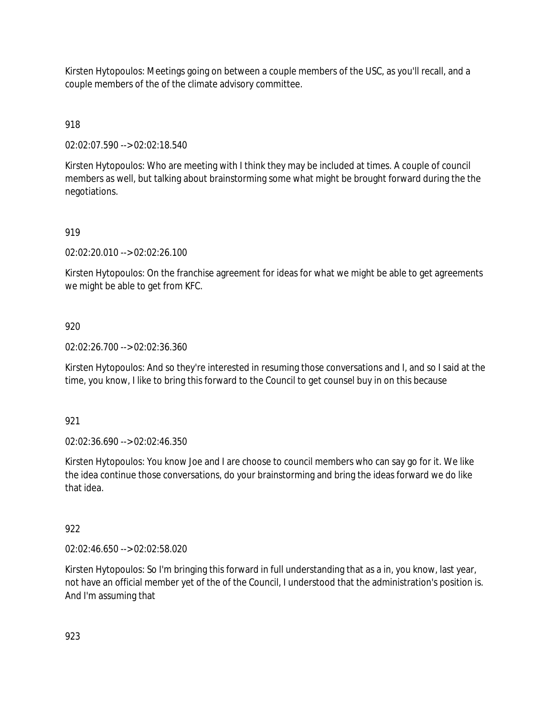Kirsten Hytopoulos: Meetings going on between a couple members of the USC, as you'll recall, and a couple members of the of the climate advisory committee.

918

02:02:07.590 --> 02:02:18.540

Kirsten Hytopoulos: Who are meeting with I think they may be included at times. A couple of council members as well, but talking about brainstorming some what might be brought forward during the the negotiations.

## 919

02:02:20.010 --> 02:02:26.100

Kirsten Hytopoulos: On the franchise agreement for ideas for what we might be able to get agreements we might be able to get from KFC.

## 920

02:02:26.700 --> 02:02:36.360

Kirsten Hytopoulos: And so they're interested in resuming those conversations and I, and so I said at the time, you know, I like to bring this forward to the Council to get counsel buy in on this because

#### 921

02:02:36.690 --> 02:02:46.350

Kirsten Hytopoulos: You know Joe and I are choose to council members who can say go for it. We like the idea continue those conversations, do your brainstorming and bring the ideas forward we do like that idea.

#### 922

02:02:46.650 --> 02:02:58.020

Kirsten Hytopoulos: So I'm bringing this forward in full understanding that as a in, you know, last year, not have an official member yet of the of the Council, I understood that the administration's position is. And I'm assuming that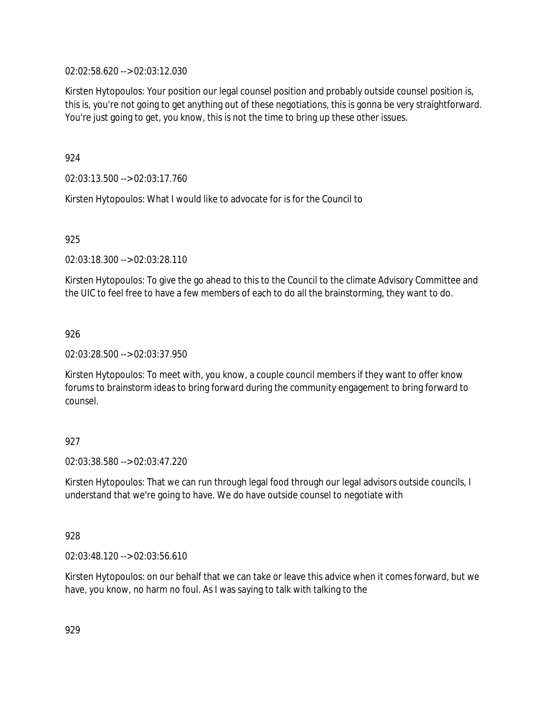02:02:58.620 --> 02:03:12.030

Kirsten Hytopoulos: Your position our legal counsel position and probably outside counsel position is, this is, you're not going to get anything out of these negotiations, this is gonna be very straightforward. You're just going to get, you know, this is not the time to bring up these other issues.

924

02:03:13.500 --> 02:03:17.760

Kirsten Hytopoulos: What I would like to advocate for is for the Council to

925

02:03:18.300 --> 02:03:28.110

Kirsten Hytopoulos: To give the go ahead to this to the Council to the climate Advisory Committee and the UIC to feel free to have a few members of each to do all the brainstorming, they want to do.

926

02:03:28.500 --> 02:03:37.950

Kirsten Hytopoulos: To meet with, you know, a couple council members if they want to offer know forums to brainstorm ideas to bring forward during the community engagement to bring forward to counsel.

## 927

02:03:38.580 --> 02:03:47.220

Kirsten Hytopoulos: That we can run through legal food through our legal advisors outside councils, I understand that we're going to have. We do have outside counsel to negotiate with

928

02:03:48.120 --> 02:03:56.610

Kirsten Hytopoulos: on our behalf that we can take or leave this advice when it comes forward, but we have, you know, no harm no foul. As I was saying to talk with talking to the

929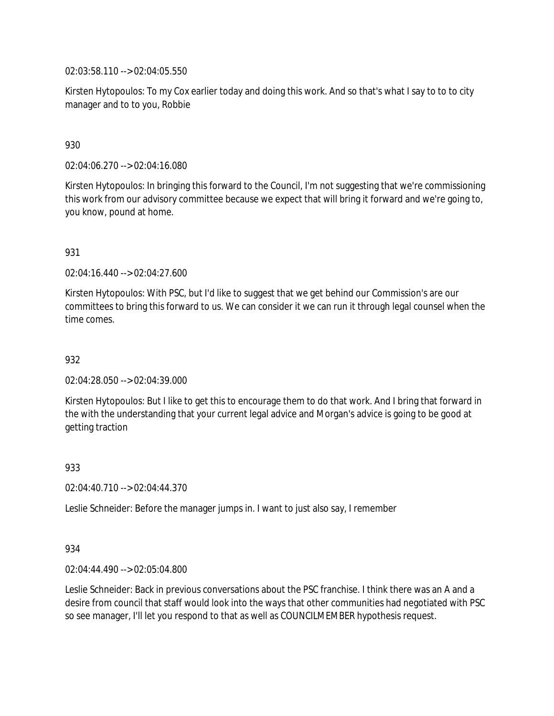02:03:58.110 --> 02:04:05.550

Kirsten Hytopoulos: To my Cox earlier today and doing this work. And so that's what I say to to to city manager and to to you, Robbie

## 930

02:04:06.270 --> 02:04:16.080

Kirsten Hytopoulos: In bringing this forward to the Council, I'm not suggesting that we're commissioning this work from our advisory committee because we expect that will bring it forward and we're going to, you know, pound at home.

#### 931

02:04:16.440 --> 02:04:27.600

Kirsten Hytopoulos: With PSC, but I'd like to suggest that we get behind our Commission's are our committees to bring this forward to us. We can consider it we can run it through legal counsel when the time comes.

## 932

02:04:28.050 --> 02:04:39.000

Kirsten Hytopoulos: But I like to get this to encourage them to do that work. And I bring that forward in the with the understanding that your current legal advice and Morgan's advice is going to be good at getting traction

#### 933

02:04:40.710 --> 02:04:44.370

Leslie Schneider: Before the manager jumps in. I want to just also say, I remember

#### 934

02:04:44.490 --> 02:05:04.800

Leslie Schneider: Back in previous conversations about the PSC franchise. I think there was an A and a desire from council that staff would look into the ways that other communities had negotiated with PSC so see manager, I'll let you respond to that as well as COUNCILMEMBER hypothesis request.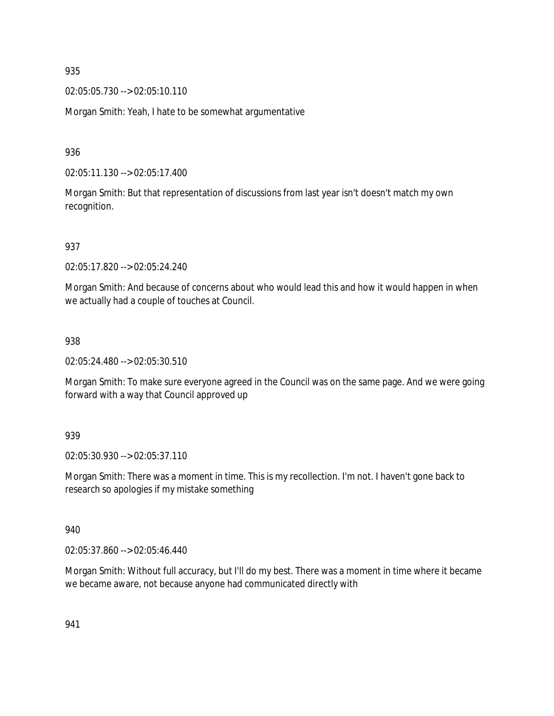02:05:05.730 --> 02:05:10.110

Morgan Smith: Yeah, I hate to be somewhat argumentative

936

02:05:11.130 --> 02:05:17.400

Morgan Smith: But that representation of discussions from last year isn't doesn't match my own recognition.

937

02:05:17.820 --> 02:05:24.240

Morgan Smith: And because of concerns about who would lead this and how it would happen in when we actually had a couple of touches at Council.

938

02:05:24.480 --> 02:05:30.510

Morgan Smith: To make sure everyone agreed in the Council was on the same page. And we were going forward with a way that Council approved up

939

02:05:30.930 --> 02:05:37.110

Morgan Smith: There was a moment in time. This is my recollection. I'm not. I haven't gone back to research so apologies if my mistake something

940

02:05:37.860 --> 02:05:46.440

Morgan Smith: Without full accuracy, but I'll do my best. There was a moment in time where it became we became aware, not because anyone had communicated directly with

941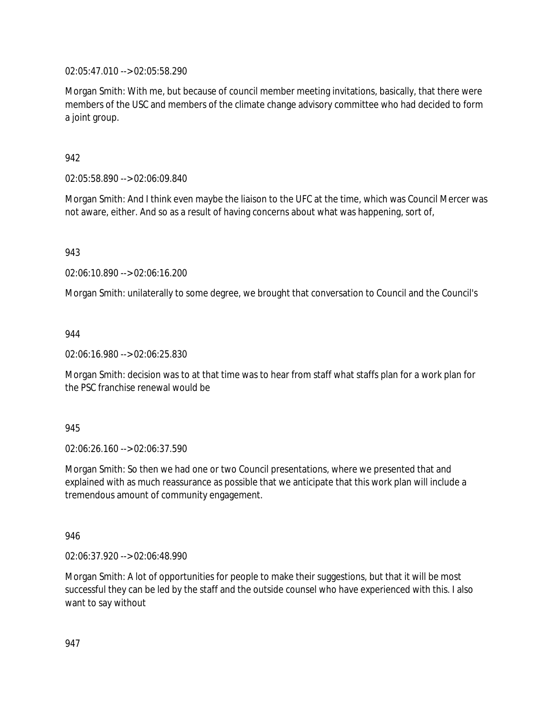02:05:47.010 --> 02:05:58.290

Morgan Smith: With me, but because of council member meeting invitations, basically, that there were members of the USC and members of the climate change advisory committee who had decided to form a joint group.

## 942

02:05:58.890 --> 02:06:09.840

Morgan Smith: And I think even maybe the liaison to the UFC at the time, which was Council Mercer was not aware, either. And so as a result of having concerns about what was happening, sort of,

943

02:06:10.890 --> 02:06:16.200

Morgan Smith: unilaterally to some degree, we brought that conversation to Council and the Council's

944

02:06:16.980 --> 02:06:25.830

Morgan Smith: decision was to at that time was to hear from staff what staffs plan for a work plan for the PSC franchise renewal would be

945

02:06:26.160 --> 02:06:37.590

Morgan Smith: So then we had one or two Council presentations, where we presented that and explained with as much reassurance as possible that we anticipate that this work plan will include a tremendous amount of community engagement.

946

02:06:37.920 --> 02:06:48.990

Morgan Smith: A lot of opportunities for people to make their suggestions, but that it will be most successful they can be led by the staff and the outside counsel who have experienced with this. I also want to say without

947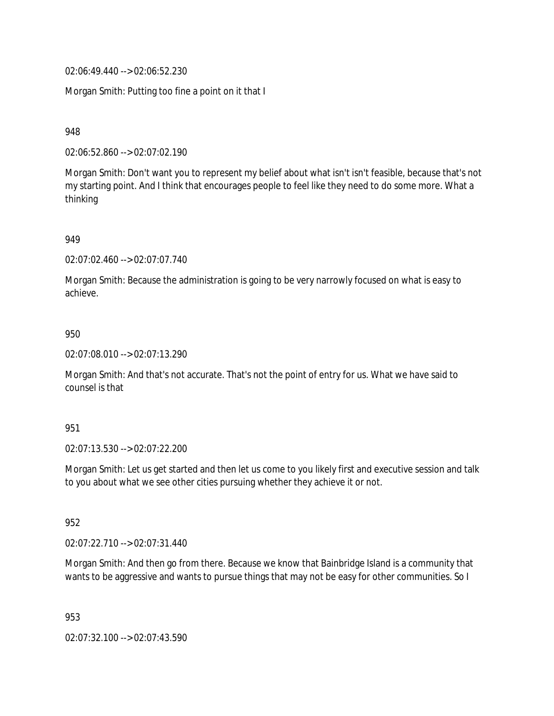02:06:49.440 --> 02:06:52.230

Morgan Smith: Putting too fine a point on it that I

948

02:06:52.860 --> 02:07:02.190

Morgan Smith: Don't want you to represent my belief about what isn't isn't feasible, because that's not my starting point. And I think that encourages people to feel like they need to do some more. What a thinking

949

02:07:02.460 --> 02:07:07.740

Morgan Smith: Because the administration is going to be very narrowly focused on what is easy to achieve.

950

02:07:08.010 --> 02:07:13.290

Morgan Smith: And that's not accurate. That's not the point of entry for us. What we have said to counsel is that

951

02:07:13.530 --> 02:07:22.200

Morgan Smith: Let us get started and then let us come to you likely first and executive session and talk to you about what we see other cities pursuing whether they achieve it or not.

952

02:07:22.710 --> 02:07:31.440

Morgan Smith: And then go from there. Because we know that Bainbridge Island is a community that wants to be aggressive and wants to pursue things that may not be easy for other communities. So I

953

02:07:32.100 --> 02:07:43.590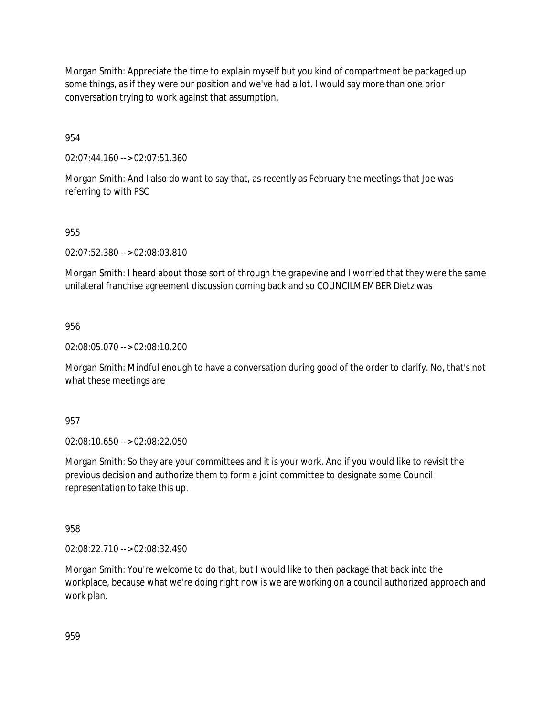Morgan Smith: Appreciate the time to explain myself but you kind of compartment be packaged up some things, as if they were our position and we've had a lot. I would say more than one prior conversation trying to work against that assumption.

954

02:07:44.160 --> 02:07:51.360

Morgan Smith: And I also do want to say that, as recently as February the meetings that Joe was referring to with PSC

## 955

02:07:52.380 --> 02:08:03.810

Morgan Smith: I heard about those sort of through the grapevine and I worried that they were the same unilateral franchise agreement discussion coming back and so COUNCILMEMBER Dietz was

## 956

02:08:05.070 --> 02:08:10.200

Morgan Smith: Mindful enough to have a conversation during good of the order to clarify. No, that's not what these meetings are

#### 957

02:08:10.650 --> 02:08:22.050

Morgan Smith: So they are your committees and it is your work. And if you would like to revisit the previous decision and authorize them to form a joint committee to designate some Council representation to take this up.

#### 958

02:08:22.710 --> 02:08:32.490

Morgan Smith: You're welcome to do that, but I would like to then package that back into the workplace, because what we're doing right now is we are working on a council authorized approach and work plan.

959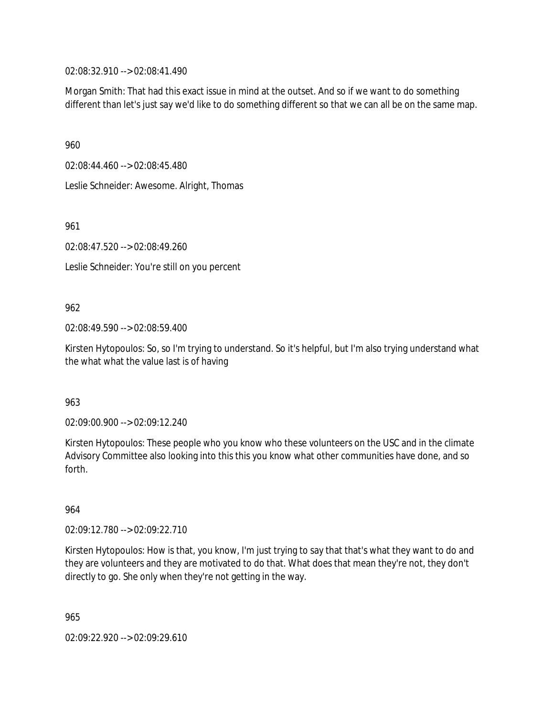02:08:32.910 --> 02:08:41.490

Morgan Smith: That had this exact issue in mind at the outset. And so if we want to do something different than let's just say we'd like to do something different so that we can all be on the same map.

960

02:08:44.460 --> 02:08:45.480

Leslie Schneider: Awesome. Alright, Thomas

961

02:08:47.520 --> 02:08:49.260

Leslie Schneider: You're still on you percent

#### 962

02:08:49.590 --> 02:08:59.400

Kirsten Hytopoulos: So, so I'm trying to understand. So it's helpful, but I'm also trying understand what the what what the value last is of having

963

02:09:00.900 --> 02:09:12.240

Kirsten Hytopoulos: These people who you know who these volunteers on the USC and in the climate Advisory Committee also looking into this this you know what other communities have done, and so forth.

964

02:09:12.780 --> 02:09:22.710

Kirsten Hytopoulos: How is that, you know, I'm just trying to say that that's what they want to do and they are volunteers and they are motivated to do that. What does that mean they're not, they don't directly to go. She only when they're not getting in the way.

965

02:09:22.920 --> 02:09:29.610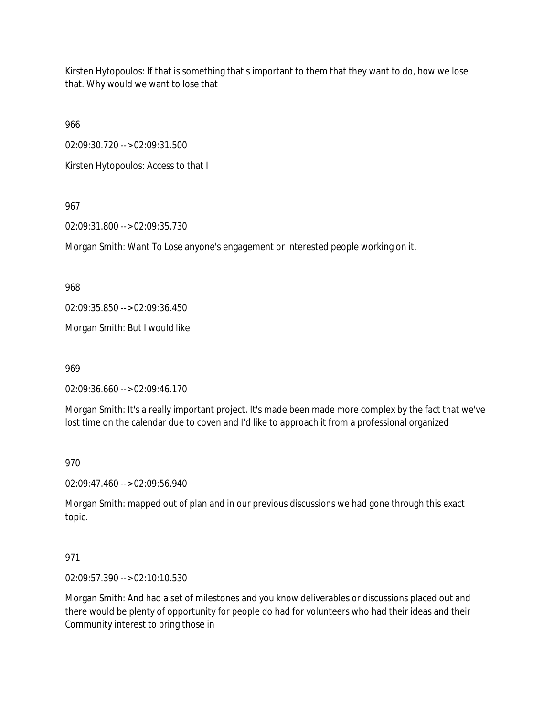Kirsten Hytopoulos: If that is something that's important to them that they want to do, how we lose that. Why would we want to lose that

966

02:09:30.720 --> 02:09:31.500

Kirsten Hytopoulos: Access to that I

967

02:09:31.800 --> 02:09:35.730

Morgan Smith: Want To Lose anyone's engagement or interested people working on it.

968

02:09:35.850 --> 02:09:36.450

Morgan Smith: But I would like

969

02:09:36.660 --> 02:09:46.170

Morgan Smith: It's a really important project. It's made been made more complex by the fact that we've lost time on the calendar due to coven and I'd like to approach it from a professional organized

970

02:09:47.460 --> 02:09:56.940

Morgan Smith: mapped out of plan and in our previous discussions we had gone through this exact topic.

## 971

02:09:57.390 --> 02:10:10.530

Morgan Smith: And had a set of milestones and you know deliverables or discussions placed out and there would be plenty of opportunity for people do had for volunteers who had their ideas and their Community interest to bring those in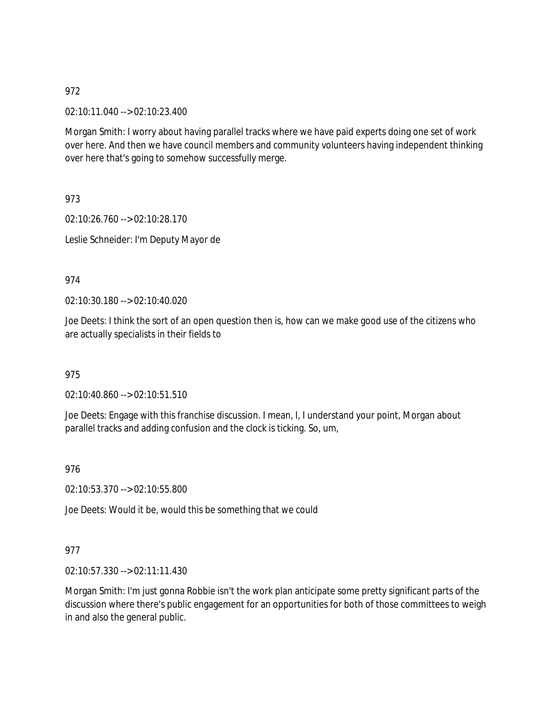02:10:11.040 --> 02:10:23.400

Morgan Smith: I worry about having parallel tracks where we have paid experts doing one set of work over here. And then we have council members and community volunteers having independent thinking over here that's going to somehow successfully merge.

973

02:10:26.760 --> 02:10:28.170 Leslie Schneider: I'm Deputy Mayor de

974

02:10:30.180 --> 02:10:40.020

Joe Deets: I think the sort of an open question then is, how can we make good use of the citizens who are actually specialists in their fields to

975

02:10:40.860 --> 02:10:51.510

Joe Deets: Engage with this franchise discussion. I mean, I, I understand your point, Morgan about parallel tracks and adding confusion and the clock is ticking. So, um,

976

02:10:53.370 --> 02:10:55.800

Joe Deets: Would it be, would this be something that we could

## 977

02:10:57.330 --> 02:11:11.430

Morgan Smith: I'm just gonna Robbie isn't the work plan anticipate some pretty significant parts of the discussion where there's public engagement for an opportunities for both of those committees to weigh in and also the general public.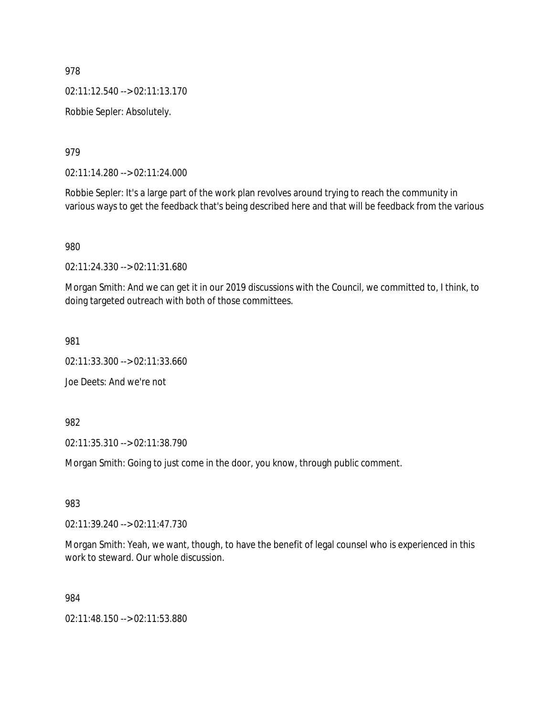02:11:12.540 --> 02:11:13.170

Robbie Sepler: Absolutely.

979

02:11:14.280 --> 02:11:24.000

Robbie Sepler: It's a large part of the work plan revolves around trying to reach the community in various ways to get the feedback that's being described here and that will be feedback from the various

980

02:11:24.330 --> 02:11:31.680

Morgan Smith: And we can get it in our 2019 discussions with the Council, we committed to, I think, to doing targeted outreach with both of those committees.

981

02:11:33.300 --> 02:11:33.660

Joe Deets: And we're not

982

02:11:35.310 --> 02:11:38.790

Morgan Smith: Going to just come in the door, you know, through public comment.

983

02:11:39.240 --> 02:11:47.730

Morgan Smith: Yeah, we want, though, to have the benefit of legal counsel who is experienced in this work to steward. Our whole discussion.

984

02:11:48.150 --> 02:11:53.880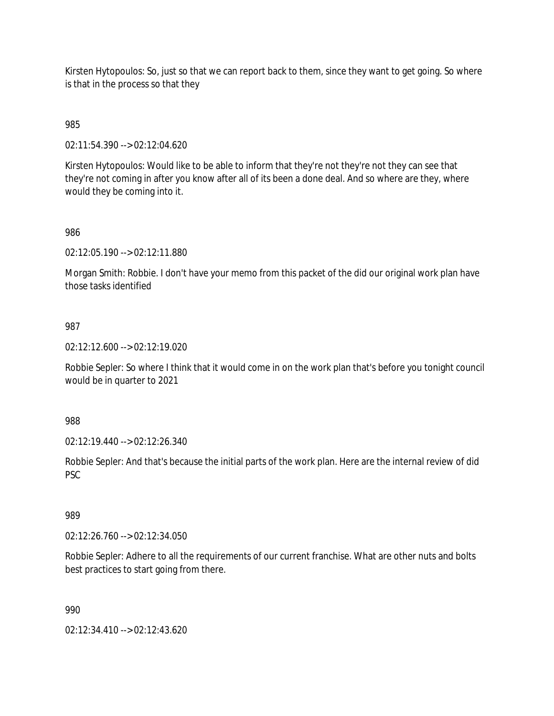Kirsten Hytopoulos: So, just so that we can report back to them, since they want to get going. So where is that in the process so that they

985

02:11:54.390 --> 02:12:04.620

Kirsten Hytopoulos: Would like to be able to inform that they're not they're not they can see that they're not coming in after you know after all of its been a done deal. And so where are they, where would they be coming into it.

#### 986

02:12:05.190 --> 02:12:11.880

Morgan Smith: Robbie. I don't have your memo from this packet of the did our original work plan have those tasks identified

#### 987

02:12:12.600 --> 02:12:19.020

Robbie Sepler: So where I think that it would come in on the work plan that's before you tonight council would be in quarter to 2021

988

02:12:19.440 --> 02:12:26.340

Robbie Sepler: And that's because the initial parts of the work plan. Here are the internal review of did PSC

#### 989

02:12:26.760 --> 02:12:34.050

Robbie Sepler: Adhere to all the requirements of our current franchise. What are other nuts and bolts best practices to start going from there.

#### 990

02:12:34.410 --> 02:12:43.620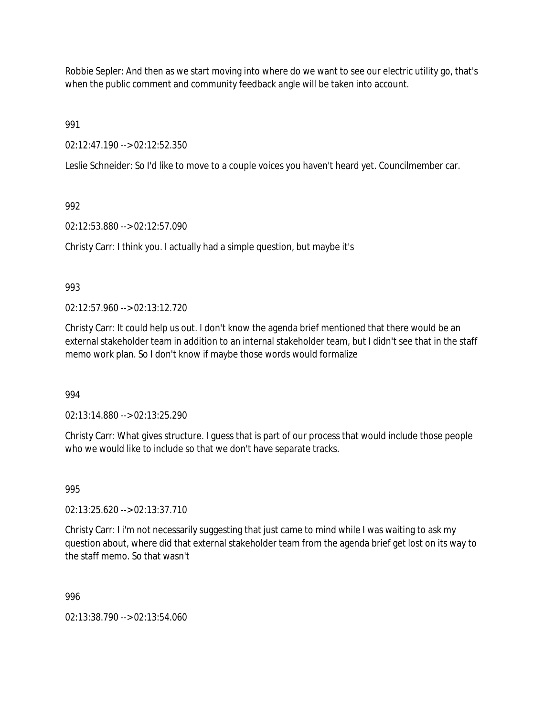Robbie Sepler: And then as we start moving into where do we want to see our electric utility go, that's when the public comment and community feedback angle will be taken into account.

991

02:12:47.190 --> 02:12:52.350

Leslie Schneider: So I'd like to move to a couple voices you haven't heard yet. Councilmember car.

992

02:12:53.880 --> 02:12:57.090

Christy Carr: I think you. I actually had a simple question, but maybe it's

993

02:12:57.960 --> 02:13:12.720

Christy Carr: It could help us out. I don't know the agenda brief mentioned that there would be an external stakeholder team in addition to an internal stakeholder team, but I didn't see that in the staff memo work plan. So I don't know if maybe those words would formalize

994

02:13:14.880 --> 02:13:25.290

Christy Carr: What gives structure. I guess that is part of our process that would include those people who we would like to include so that we don't have separate tracks.

995

02:13:25.620 --> 02:13:37.710

Christy Carr: I i'm not necessarily suggesting that just came to mind while I was waiting to ask my question about, where did that external stakeholder team from the agenda brief get lost on its way to the staff memo. So that wasn't

996

02:13:38.790 --> 02:13:54.060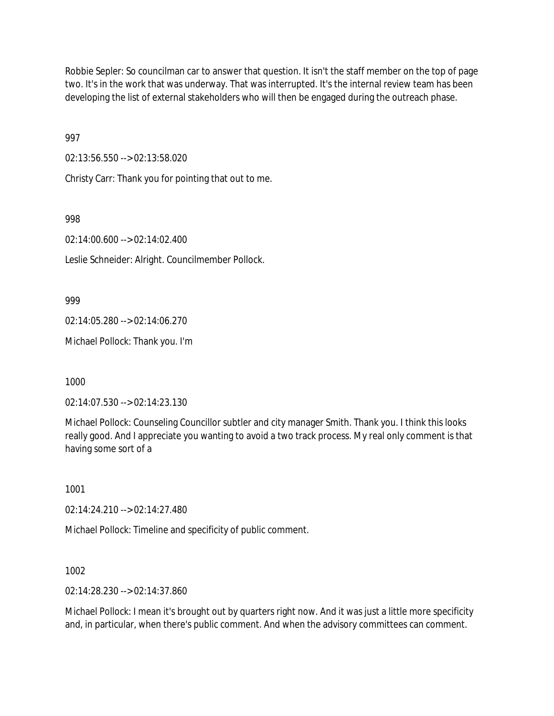Robbie Sepler: So councilman car to answer that question. It isn't the staff member on the top of page two. It's in the work that was underway. That was interrupted. It's the internal review team has been developing the list of external stakeholders who will then be engaged during the outreach phase.

997

02:13:56.550 --> 02:13:58.020

Christy Carr: Thank you for pointing that out to me.

998

02:14:00.600 --> 02:14:02.400

Leslie Schneider: Alright. Councilmember Pollock.

999

02:14:05.280 --> 02:14:06.270

Michael Pollock: Thank you. I'm

1000

02:14:07.530 --> 02:14:23.130

Michael Pollock: Counseling Councillor subtler and city manager Smith. Thank you. I think this looks really good. And I appreciate you wanting to avoid a two track process. My real only comment is that having some sort of a

1001

02:14:24.210 --> 02:14:27.480

Michael Pollock: Timeline and specificity of public comment.

1002

02:14:28.230 --> 02:14:37.860

Michael Pollock: I mean it's brought out by quarters right now. And it was just a little more specificity and, in particular, when there's public comment. And when the advisory committees can comment.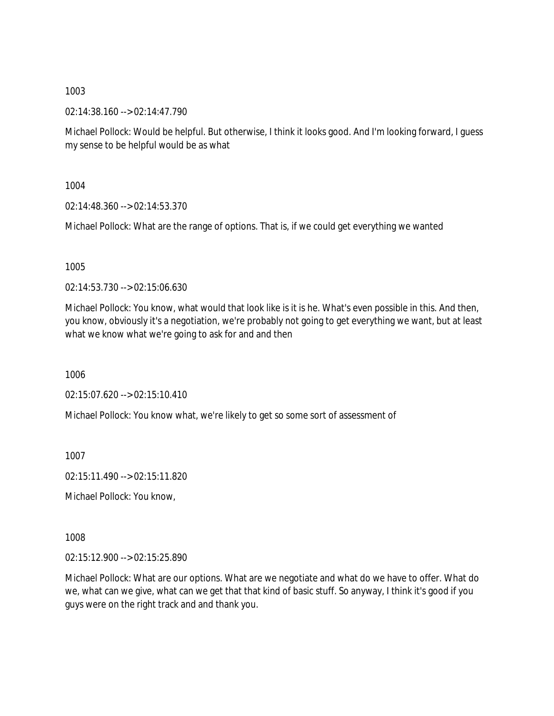02:14:38.160 --> 02:14:47.790

Michael Pollock: Would be helpful. But otherwise, I think it looks good. And I'm looking forward, I guess my sense to be helpful would be as what

1004

02:14:48.360 --> 02:14:53.370

Michael Pollock: What are the range of options. That is, if we could get everything we wanted

1005

02:14:53.730 --> 02:15:06.630

Michael Pollock: You know, what would that look like is it is he. What's even possible in this. And then, you know, obviously it's a negotiation, we're probably not going to get everything we want, but at least what we know what we're going to ask for and and then

1006

02:15:07.620 --> 02:15:10.410

Michael Pollock: You know what, we're likely to get so some sort of assessment of

1007

02:15:11.490 --> 02:15:11.820

Michael Pollock: You know,

1008

02:15:12.900 --> 02:15:25.890

Michael Pollock: What are our options. What are we negotiate and what do we have to offer. What do we, what can we give, what can we get that that kind of basic stuff. So anyway, I think it's good if you guys were on the right track and and thank you.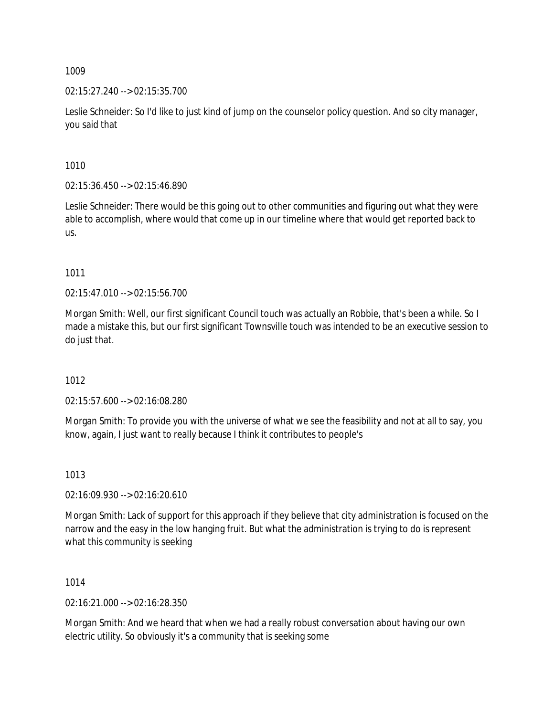02:15:27.240 --> 02:15:35.700

Leslie Schneider: So I'd like to just kind of jump on the counselor policy question. And so city manager, you said that

1010

02:15:36.450 --> 02:15:46.890

Leslie Schneider: There would be this going out to other communities and figuring out what they were able to accomplish, where would that come up in our timeline where that would get reported back to us.

1011

02:15:47.010 --> 02:15:56.700

Morgan Smith: Well, our first significant Council touch was actually an Robbie, that's been a while. So I made a mistake this, but our first significant Townsville touch was intended to be an executive session to do just that.

1012

02:15:57.600 --> 02:16:08.280

Morgan Smith: To provide you with the universe of what we see the feasibility and not at all to say, you know, again, I just want to really because I think it contributes to people's

1013

02:16:09.930 --> 02:16:20.610

Morgan Smith: Lack of support for this approach if they believe that city administration is focused on the narrow and the easy in the low hanging fruit. But what the administration is trying to do is represent what this community is seeking

1014

02:16:21.000 --> 02:16:28.350

Morgan Smith: And we heard that when we had a really robust conversation about having our own electric utility. So obviously it's a community that is seeking some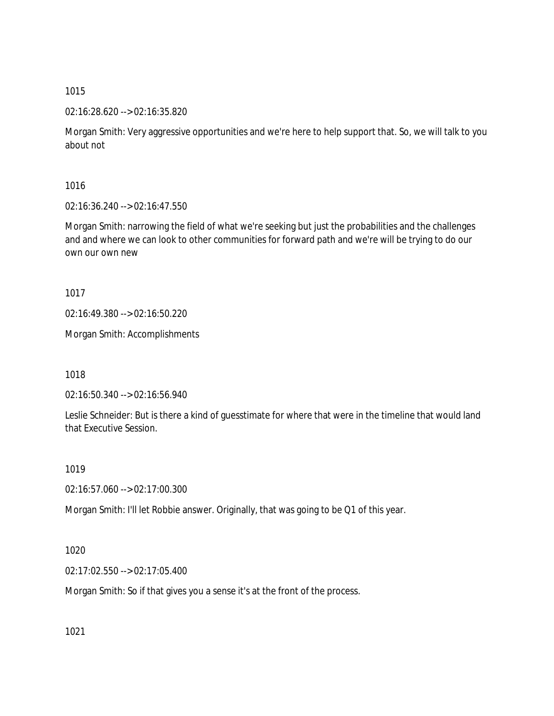## 02:16:28.620 --> 02:16:35.820

Morgan Smith: Very aggressive opportunities and we're here to help support that. So, we will talk to you about not

1016

02:16:36.240 --> 02:16:47.550

Morgan Smith: narrowing the field of what we're seeking but just the probabilities and the challenges and and where we can look to other communities for forward path and we're will be trying to do our own our own new

1017

02:16:49.380 --> 02:16:50.220

Morgan Smith: Accomplishments

1018

02:16:50.340 --> 02:16:56.940

Leslie Schneider: But is there a kind of guesstimate for where that were in the timeline that would land that Executive Session.

1019

02:16:57.060 --> 02:17:00.300

Morgan Smith: I'll let Robbie answer. Originally, that was going to be Q1 of this year.

1020

02:17:02.550 --> 02:17:05.400

Morgan Smith: So if that gives you a sense it's at the front of the process.

1021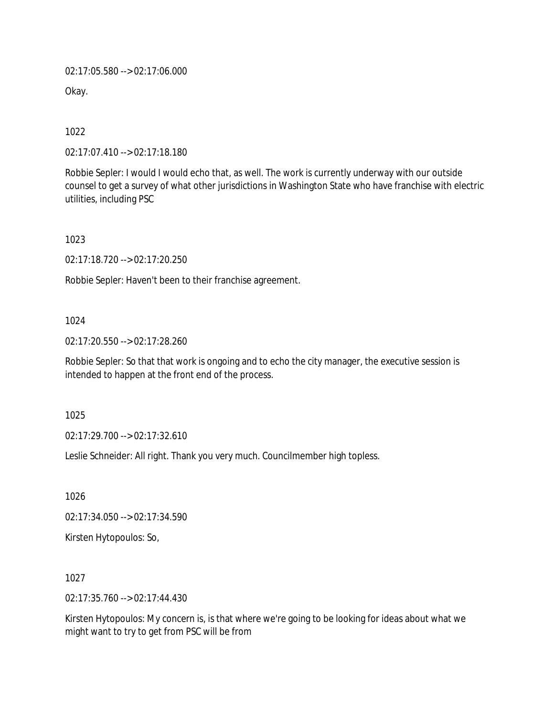02:17:05.580 --> 02:17:06.000

Okay.

1022

02:17:07.410 --> 02:17:18.180

Robbie Sepler: I would I would echo that, as well. The work is currently underway with our outside counsel to get a survey of what other jurisdictions in Washington State who have franchise with electric utilities, including PSC

1023

02:17:18.720 --> 02:17:20.250

Robbie Sepler: Haven't been to their franchise agreement.

1024

02:17:20.550 --> 02:17:28.260

Robbie Sepler: So that that work is ongoing and to echo the city manager, the executive session is intended to happen at the front end of the process.

1025

02:17:29.700 --> 02:17:32.610

Leslie Schneider: All right. Thank you very much. Councilmember high topless.

1026

02:17:34.050 --> 02:17:34.590

Kirsten Hytopoulos: So,

1027

02:17:35.760 --> 02:17:44.430

Kirsten Hytopoulos: My concern is, is that where we're going to be looking for ideas about what we might want to try to get from PSC will be from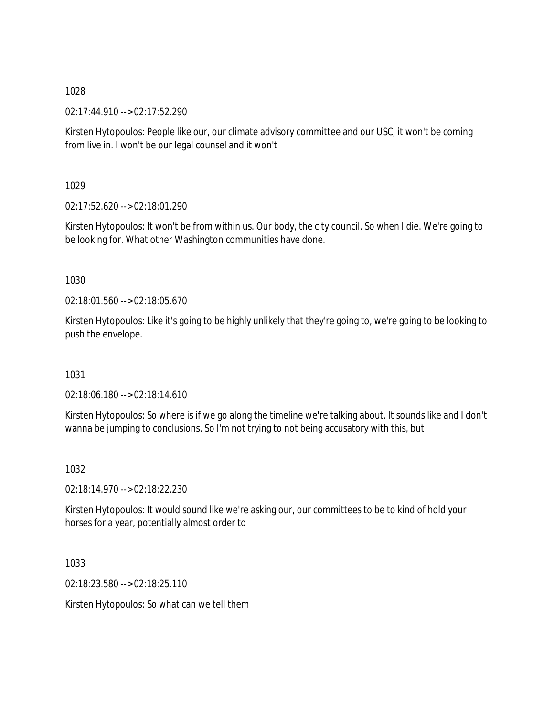02:17:44.910 --> 02:17:52.290

Kirsten Hytopoulos: People like our, our climate advisory committee and our USC, it won't be coming from live in. I won't be our legal counsel and it won't

1029

02:17:52.620 --> 02:18:01.290

Kirsten Hytopoulos: It won't be from within us. Our body, the city council. So when I die. We're going to be looking for. What other Washington communities have done.

1030

02:18:01.560 --> 02:18:05.670

Kirsten Hytopoulos: Like it's going to be highly unlikely that they're going to, we're going to be looking to push the envelope.

1031

02:18:06.180 --> 02:18:14.610

Kirsten Hytopoulos: So where is if we go along the timeline we're talking about. It sounds like and I don't wanna be jumping to conclusions. So I'm not trying to not being accusatory with this, but

1032

02:18:14.970 --> 02:18:22.230

Kirsten Hytopoulos: It would sound like we're asking our, our committees to be to kind of hold your horses for a year, potentially almost order to

1033

02:18:23.580 --> 02:18:25.110

Kirsten Hytopoulos: So what can we tell them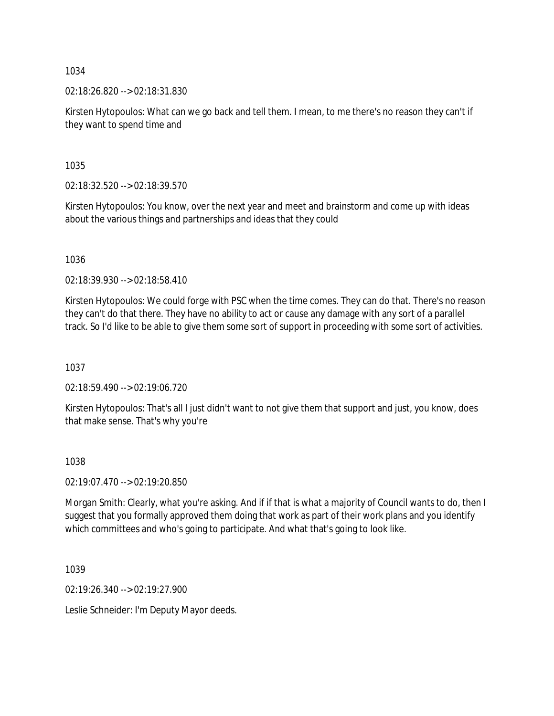02:18:26.820 --> 02:18:31.830

Kirsten Hytopoulos: What can we go back and tell them. I mean, to me there's no reason they can't if they want to spend time and

1035

02:18:32.520 --> 02:18:39.570

Kirsten Hytopoulos: You know, over the next year and meet and brainstorm and come up with ideas about the various things and partnerships and ideas that they could

1036

02:18:39.930 --> 02:18:58.410

Kirsten Hytopoulos: We could forge with PSC when the time comes. They can do that. There's no reason they can't do that there. They have no ability to act or cause any damage with any sort of a parallel track. So I'd like to be able to give them some sort of support in proceeding with some sort of activities.

1037

02:18:59.490 --> 02:19:06.720

Kirsten Hytopoulos: That's all I just didn't want to not give them that support and just, you know, does that make sense. That's why you're

## 1038

02:19:07.470 --> 02:19:20.850

Morgan Smith: Clearly, what you're asking. And if if that is what a majority of Council wants to do, then I suggest that you formally approved them doing that work as part of their work plans and you identify which committees and who's going to participate. And what that's going to look like.

1039

02:19:26.340 --> 02:19:27.900

Leslie Schneider: I'm Deputy Mayor deeds.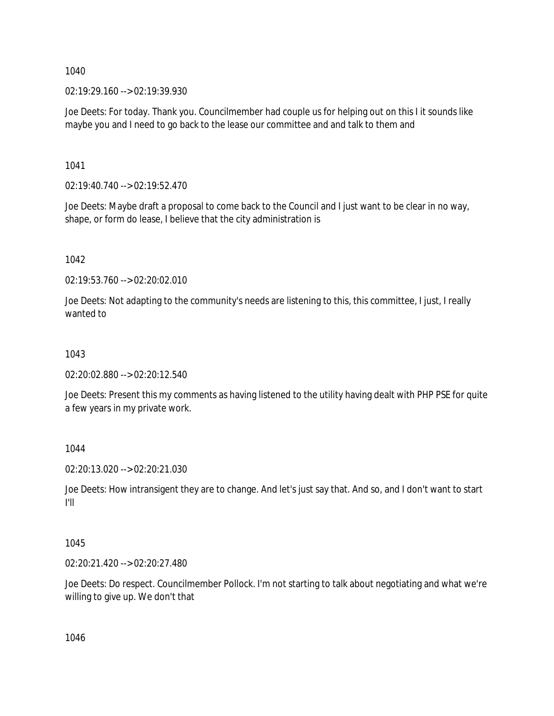02:19:29.160 --> 02:19:39.930

Joe Deets: For today. Thank you. Councilmember had couple us for helping out on this I it sounds like maybe you and I need to go back to the lease our committee and and talk to them and

1041

02:19:40.740 --> 02:19:52.470

Joe Deets: Maybe draft a proposal to come back to the Council and I just want to be clear in no way, shape, or form do lease, I believe that the city administration is

1042

02:19:53.760 --> 02:20:02.010

Joe Deets: Not adapting to the community's needs are listening to this, this committee, I just, I really wanted to

1043

02:20:02.880 --> 02:20:12.540

Joe Deets: Present this my comments as having listened to the utility having dealt with PHP PSE for quite a few years in my private work.

1044

02:20:13.020 --> 02:20:21.030

Joe Deets: How intransigent they are to change. And let's just say that. And so, and I don't want to start I'll

1045

02:20:21.420 --> 02:20:27.480

Joe Deets: Do respect. Councilmember Pollock. I'm not starting to talk about negotiating and what we're willing to give up. We don't that

1046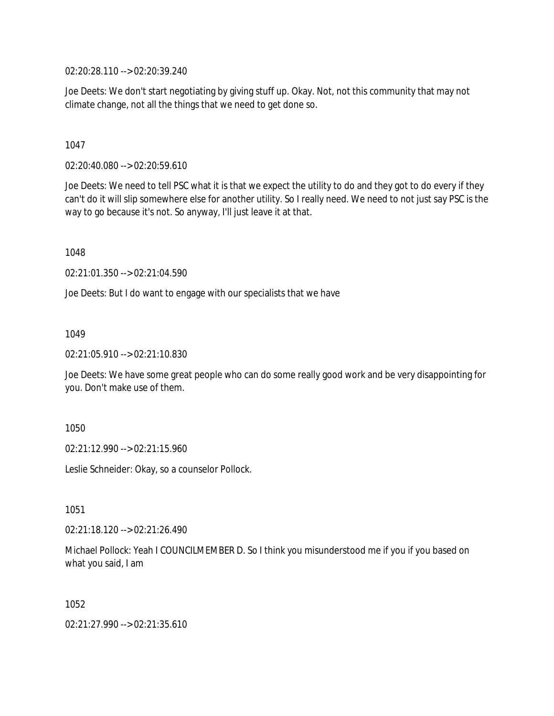02:20:28.110 --> 02:20:39.240

Joe Deets: We don't start negotiating by giving stuff up. Okay. Not, not this community that may not climate change, not all the things that we need to get done so.

1047

02:20:40.080 --> 02:20:59.610

Joe Deets: We need to tell PSC what it is that we expect the utility to do and they got to do every if they can't do it will slip somewhere else for another utility. So I really need. We need to not just say PSC is the way to go because it's not. So anyway, I'll just leave it at that.

1048

02:21:01.350 --> 02:21:04.590

Joe Deets: But I do want to engage with our specialists that we have

1049

02:21:05.910 --> 02:21:10.830

Joe Deets: We have some great people who can do some really good work and be very disappointing for you. Don't make use of them.

1050

02:21:12.990 --> 02:21:15.960

Leslie Schneider: Okay, so a counselor Pollock.

1051

02:21:18.120 --> 02:21:26.490

Michael Pollock: Yeah I COUNCILMEMBER D. So I think you misunderstood me if you if you based on what you said, I am

1052

02:21:27.990 --> 02:21:35.610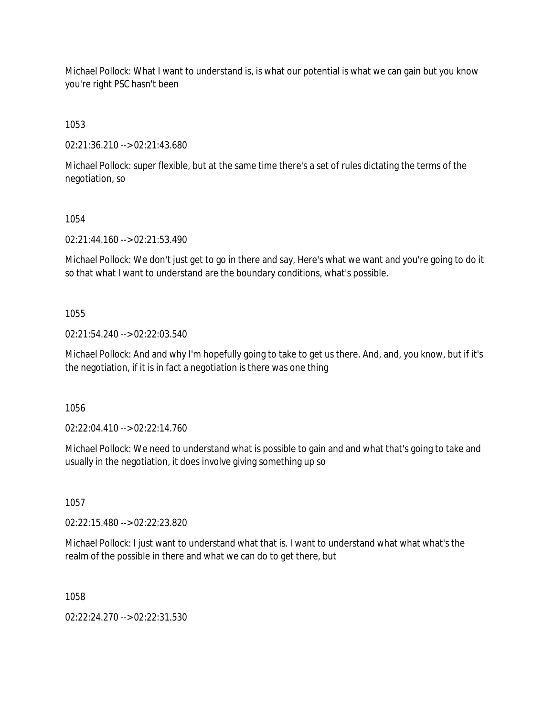Michael Pollock: What I want to understand is, is what our potential is what we can gain but you know you're right PSC hasn't been

1053

02:21:36.210 --> 02:21:43.680

Michael Pollock: super flexible, but at the same time there's a set of rules dictating the terms of the negotiation, so

1054

02:21:44.160 --> 02:21:53.490

Michael Pollock: We don't just get to go in there and say, Here's what we want and you're going to do it so that what I want to understand are the boundary conditions, what's possible.

1055

02:21:54.240 --> 02:22:03.540

Michael Pollock: And and why I'm hopefully going to take to get us there. And, and, you know, but if it's the negotiation, if it is in fact a negotiation is there was one thing

1056

02:22:04.410 --> 02:22:14.760

Michael Pollock: We need to understand what is possible to gain and and what that's going to take and usually in the negotiation, it does involve giving something up so

1057

02:22:15.480 --> 02:22:23.820

Michael Pollock: I just want to understand what that is. I want to understand what what what's the realm of the possible in there and what we can do to get there, but

1058

02:22:24.270 --> 02:22:31.530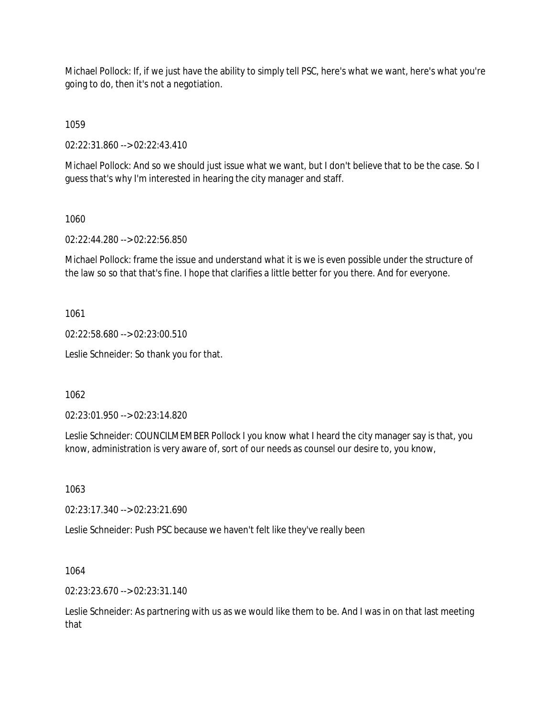Michael Pollock: If, if we just have the ability to simply tell PSC, here's what we want, here's what you're going to do, then it's not a negotiation.

1059

02:22:31.860 --> 02:22:43.410

Michael Pollock: And so we should just issue what we want, but I don't believe that to be the case. So I guess that's why I'm interested in hearing the city manager and staff.

## 1060

02:22:44.280 --> 02:22:56.850

Michael Pollock: frame the issue and understand what it is we is even possible under the structure of the law so so that that's fine. I hope that clarifies a little better for you there. And for everyone.

1061

02:22:58.680 --> 02:23:00.510

Leslie Schneider: So thank you for that.

1062

02:23:01.950 --> 02:23:14.820

Leslie Schneider: COUNCILMEMBER Pollock I you know what I heard the city manager say is that, you know, administration is very aware of, sort of our needs as counsel our desire to, you know,

1063

02:23:17.340 --> 02:23:21.690

Leslie Schneider: Push PSC because we haven't felt like they've really been

1064

02:23:23.670 --> 02:23:31.140

Leslie Schneider: As partnering with us as we would like them to be. And I was in on that last meeting that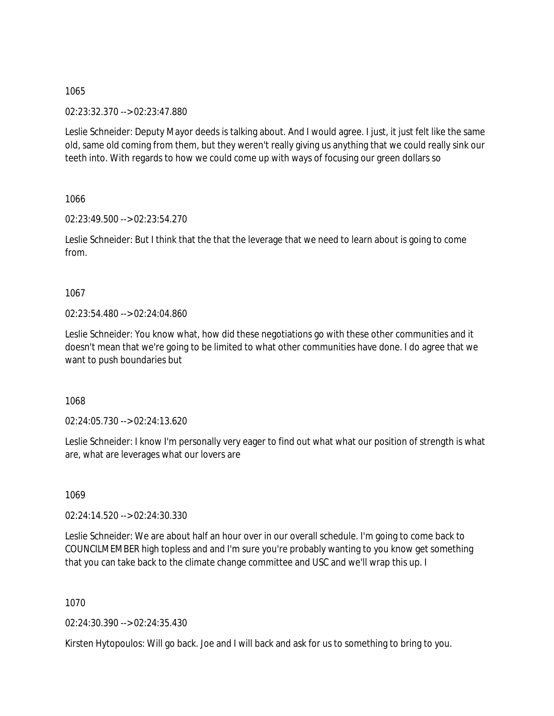02:23:32.370 --> 02:23:47.880

Leslie Schneider: Deputy Mayor deeds is talking about. And I would agree. I just, it just felt like the same old, same old coming from them, but they weren't really giving us anything that we could really sink our teeth into. With regards to how we could come up with ways of focusing our green dollars so

1066

02:23:49.500 --> 02:23:54.270

Leslie Schneider: But I think that the that the leverage that we need to learn about is going to come from.

1067

02:23:54.480 --> 02:24:04.860

Leslie Schneider: You know what, how did these negotiations go with these other communities and it doesn't mean that we're going to be limited to what other communities have done. I do agree that we want to push boundaries but

1068

02:24:05.730 --> 02:24:13.620

Leslie Schneider: I know I'm personally very eager to find out what what our position of strength is what are, what are leverages what our lovers are

1069

02:24:14.520 --> 02:24:30.330

Leslie Schneider: We are about half an hour over in our overall schedule. I'm going to come back to COUNCILMEMBER high topless and and I'm sure you're probably wanting to you know get something that you can take back to the climate change committee and USC and we'll wrap this up. I

1070

02:24:30.390 --> 02:24:35.430

Kirsten Hytopoulos: Will go back. Joe and I will back and ask for us to something to bring to you.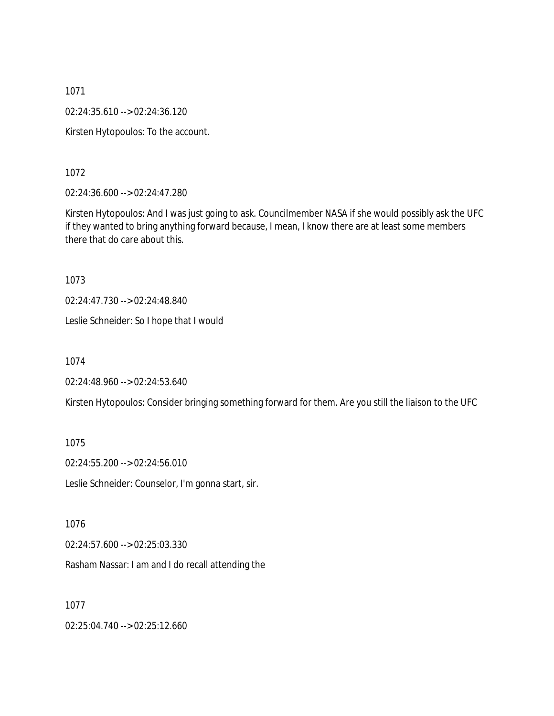02:24:35.610 --> 02:24:36.120

Kirsten Hytopoulos: To the account.

1072

02:24:36.600 --> 02:24:47.280

Kirsten Hytopoulos: And I was just going to ask. Councilmember NASA if she would possibly ask the UFC if they wanted to bring anything forward because, I mean, I know there are at least some members there that do care about this.

1073

02:24:47.730 --> 02:24:48.840

Leslie Schneider: So I hope that I would

1074

02:24:48.960 --> 02:24:53.640

Kirsten Hytopoulos: Consider bringing something forward for them. Are you still the liaison to the UFC

1075

02:24:55.200 --> 02:24:56.010

Leslie Schneider: Counselor, I'm gonna start, sir.

1076

02:24:57.600 --> 02:25:03.330

Rasham Nassar: I am and I do recall attending the

1077

02:25:04.740 --> 02:25:12.660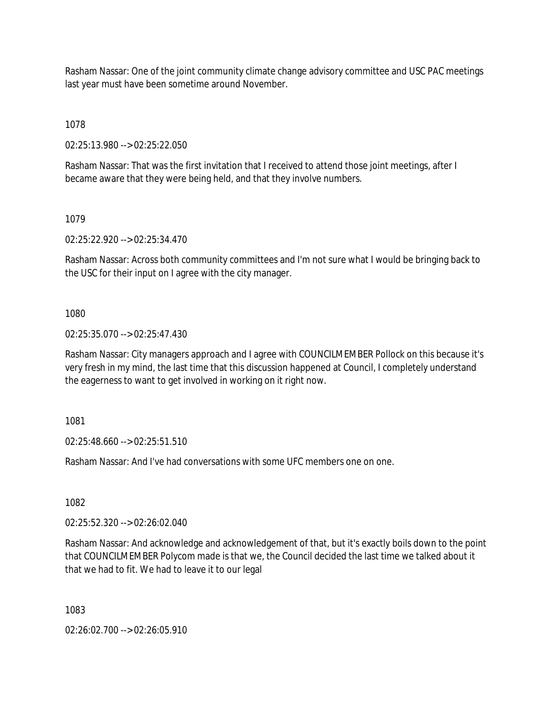Rasham Nassar: One of the joint community climate change advisory committee and USC PAC meetings last year must have been sometime around November.

1078

02:25:13.980 --> 02:25:22.050

Rasham Nassar: That was the first invitation that I received to attend those joint meetings, after I became aware that they were being held, and that they involve numbers.

1079

02:25:22.920 --> 02:25:34.470

Rasham Nassar: Across both community committees and I'm not sure what I would be bringing back to the USC for their input on I agree with the city manager.

1080

02:25:35.070 --> 02:25:47.430

Rasham Nassar: City managers approach and I agree with COUNCILMEMBER Pollock on this because it's very fresh in my mind, the last time that this discussion happened at Council, I completely understand the eagerness to want to get involved in working on it right now.

1081

02:25:48.660 --> 02:25:51.510

Rasham Nassar: And I've had conversations with some UFC members one on one.

1082

02:25:52.320 --> 02:26:02.040

Rasham Nassar: And acknowledge and acknowledgement of that, but it's exactly boils down to the point that COUNCILMEMBER Polycom made is that we, the Council decided the last time we talked about it that we had to fit. We had to leave it to our legal

1083

02:26:02.700 --> 02:26:05.910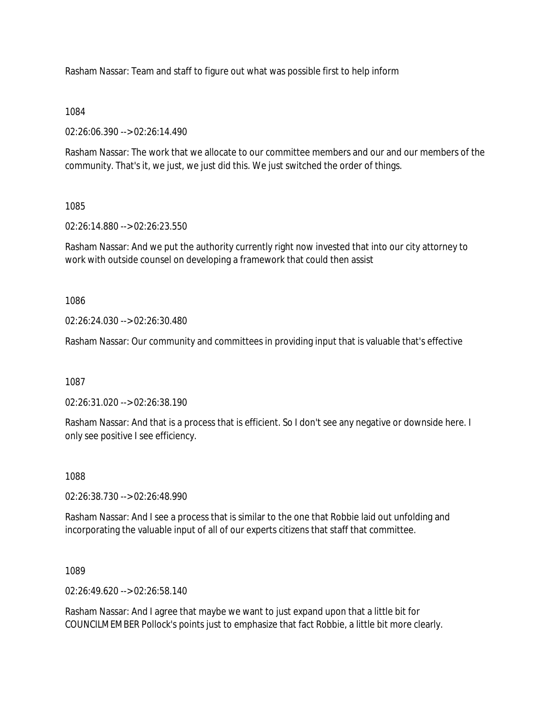Rasham Nassar: Team and staff to figure out what was possible first to help inform

## 1084

02:26:06.390 --> 02:26:14.490

Rasham Nassar: The work that we allocate to our committee members and our and our members of the community. That's it, we just, we just did this. We just switched the order of things.

## 1085

02:26:14.880 --> 02:26:23.550

Rasham Nassar: And we put the authority currently right now invested that into our city attorney to work with outside counsel on developing a framework that could then assist

1086

02:26:24.030 --> 02:26:30.480

Rasham Nassar: Our community and committees in providing input that is valuable that's effective

1087

02:26:31.020 --> 02:26:38.190

Rasham Nassar: And that is a process that is efficient. So I don't see any negative or downside here. I only see positive I see efficiency.

#### 1088

02:26:38.730 --> 02:26:48.990

Rasham Nassar: And I see a process that is similar to the one that Robbie laid out unfolding and incorporating the valuable input of all of our experts citizens that staff that committee.

1089

02:26:49.620 --> 02:26:58.140

Rasham Nassar: And I agree that maybe we want to just expand upon that a little bit for COUNCILMEMBER Pollock's points just to emphasize that fact Robbie, a little bit more clearly.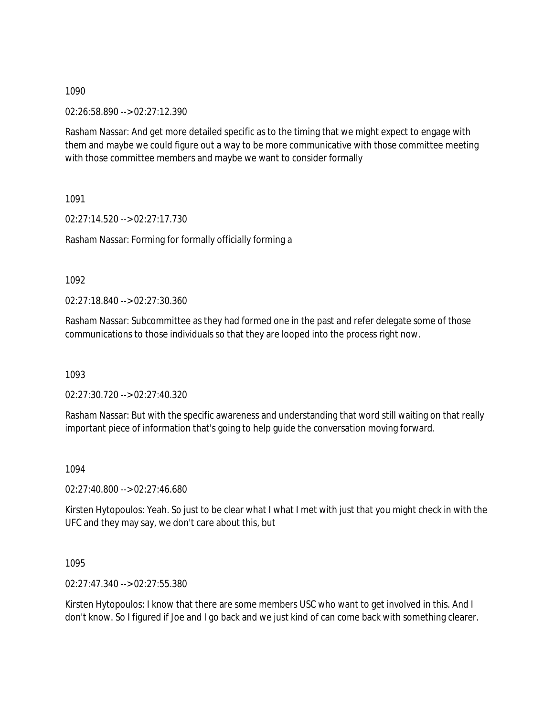02:26:58.890 --> 02:27:12.390

Rasham Nassar: And get more detailed specific as to the timing that we might expect to engage with them and maybe we could figure out a way to be more communicative with those committee meeting with those committee members and maybe we want to consider formally

1091

02:27:14.520 --> 02:27:17.730

Rasham Nassar: Forming for formally officially forming a

1092

02:27:18.840 --> 02:27:30.360

Rasham Nassar: Subcommittee as they had formed one in the past and refer delegate some of those communications to those individuals so that they are looped into the process right now.

1093

02:27:30.720 --> 02:27:40.320

Rasham Nassar: But with the specific awareness and understanding that word still waiting on that really important piece of information that's going to help guide the conversation moving forward.

1094

02:27:40.800 --> 02:27:46.680

Kirsten Hytopoulos: Yeah. So just to be clear what I what I met with just that you might check in with the UFC and they may say, we don't care about this, but

1095

02:27:47.340 --> 02:27:55.380

Kirsten Hytopoulos: I know that there are some members USC who want to get involved in this. And I don't know. So I figured if Joe and I go back and we just kind of can come back with something clearer.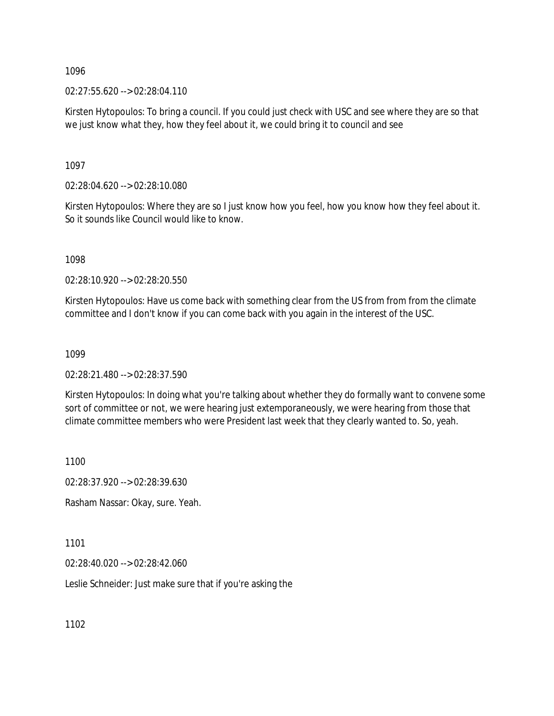02:27:55.620 --> 02:28:04.110

Kirsten Hytopoulos: To bring a council. If you could just check with USC and see where they are so that we just know what they, how they feel about it, we could bring it to council and see

1097

02:28:04.620 --> 02:28:10.080

Kirsten Hytopoulos: Where they are so I just know how you feel, how you know how they feel about it. So it sounds like Council would like to know.

1098

02:28:10.920 --> 02:28:20.550

Kirsten Hytopoulos: Have us come back with something clear from the US from from from the climate committee and I don't know if you can come back with you again in the interest of the USC.

1099

02:28:21.480 --> 02:28:37.590

Kirsten Hytopoulos: In doing what you're talking about whether they do formally want to convene some sort of committee or not, we were hearing just extemporaneously, we were hearing from those that climate committee members who were President last week that they clearly wanted to. So, yeah.

1100

02:28:37.920 --> 02:28:39.630

Rasham Nassar: Okay, sure. Yeah.

1101

02:28:40.020 --> 02:28:42.060

Leslie Schneider: Just make sure that if you're asking the

1102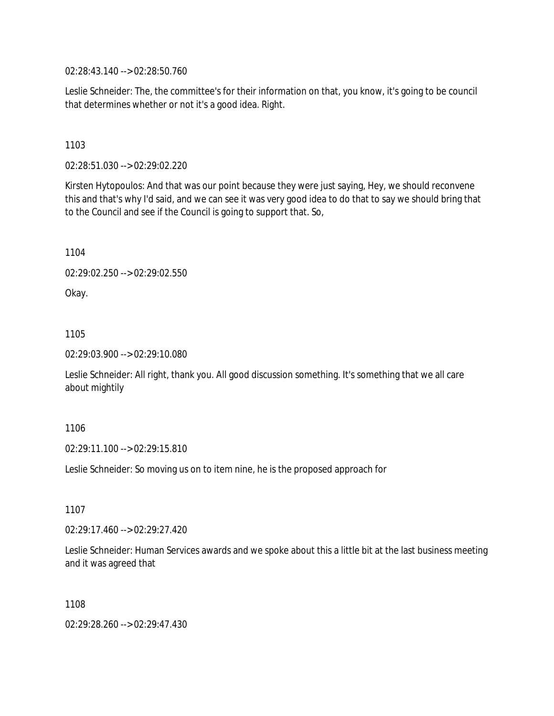02:28:43.140 --> 02:28:50.760

Leslie Schneider: The, the committee's for their information on that, you know, it's going to be council that determines whether or not it's a good idea. Right.

1103

02:28:51.030 --> 02:29:02.220

Kirsten Hytopoulos: And that was our point because they were just saying, Hey, we should reconvene this and that's why I'd said, and we can see it was very good idea to do that to say we should bring that to the Council and see if the Council is going to support that. So,

1104

02:29:02.250 --> 02:29:02.550

Okay.

1105

02:29:03.900 --> 02:29:10.080

Leslie Schneider: All right, thank you. All good discussion something. It's something that we all care about mightily

1106

02:29:11.100 --> 02:29:15.810

Leslie Schneider: So moving us on to item nine, he is the proposed approach for

1107

02:29:17.460 --> 02:29:27.420

Leslie Schneider: Human Services awards and we spoke about this a little bit at the last business meeting and it was agreed that

1108

02:29:28.260 --> 02:29:47.430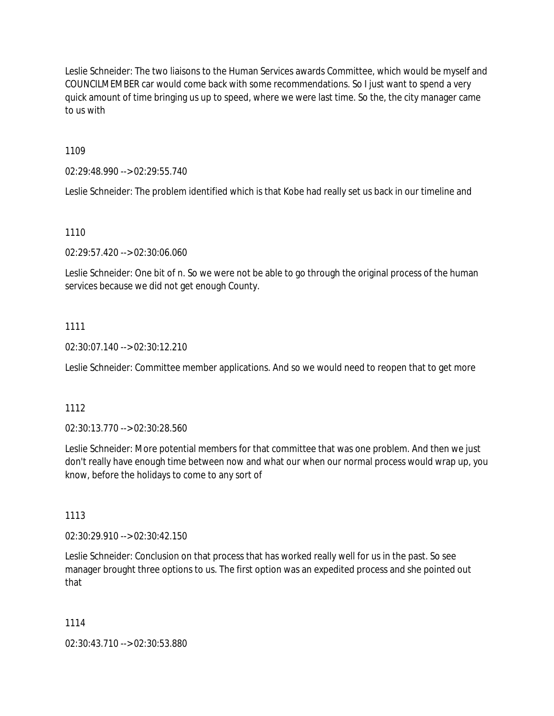Leslie Schneider: The two liaisons to the Human Services awards Committee, which would be myself and COUNCILMEMBER car would come back with some recommendations. So I just want to spend a very quick amount of time bringing us up to speed, where we were last time. So the, the city manager came to us with

1109

02:29:48.990 --> 02:29:55.740

Leslie Schneider: The problem identified which is that Kobe had really set us back in our timeline and

1110

02:29:57.420 --> 02:30:06.060

Leslie Schneider: One bit of n. So we were not be able to go through the original process of the human services because we did not get enough County.

## 1111

02:30:07.140 --> 02:30:12.210

Leslie Schneider: Committee member applications. And so we would need to reopen that to get more

# 1112

02:30:13.770 --> 02:30:28.560

Leslie Schneider: More potential members for that committee that was one problem. And then we just don't really have enough time between now and what our when our normal process would wrap up, you know, before the holidays to come to any sort of

1113

02:30:29.910 --> 02:30:42.150

Leslie Schneider: Conclusion on that process that has worked really well for us in the past. So see manager brought three options to us. The first option was an expedited process and she pointed out that

1114

02:30:43.710 --> 02:30:53.880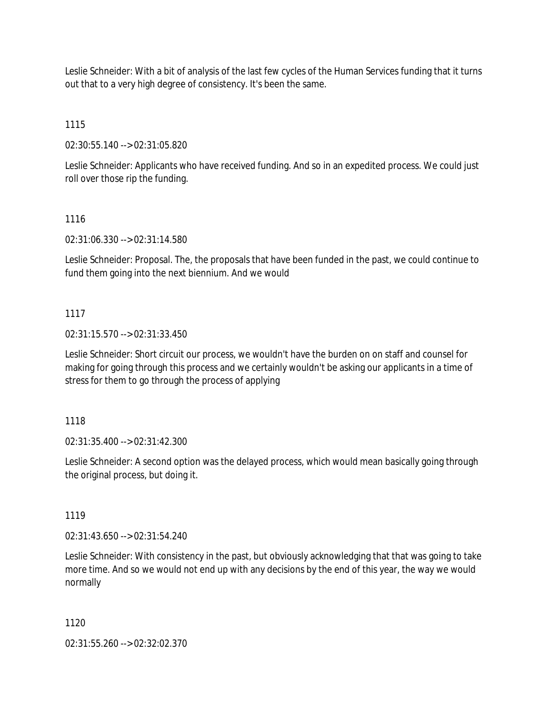Leslie Schneider: With a bit of analysis of the last few cycles of the Human Services funding that it turns out that to a very high degree of consistency. It's been the same.

1115

02:30:55.140 --> 02:31:05.820

Leslie Schneider: Applicants who have received funding. And so in an expedited process. We could just roll over those rip the funding.

1116

02:31:06.330 --> 02:31:14.580

Leslie Schneider: Proposal. The, the proposals that have been funded in the past, we could continue to fund them going into the next biennium. And we would

## 1117

02:31:15.570 --> 02:31:33.450

Leslie Schneider: Short circuit our process, we wouldn't have the burden on on staff and counsel for making for going through this process and we certainly wouldn't be asking our applicants in a time of stress for them to go through the process of applying

1118

02:31:35.400 --> 02:31:42.300

Leslie Schneider: A second option was the delayed process, which would mean basically going through the original process, but doing it.

1119

02:31:43.650 --> 02:31:54.240

Leslie Schneider: With consistency in the past, but obviously acknowledging that that was going to take more time. And so we would not end up with any decisions by the end of this year, the way we would normally

1120

02:31:55.260 --> 02:32:02.370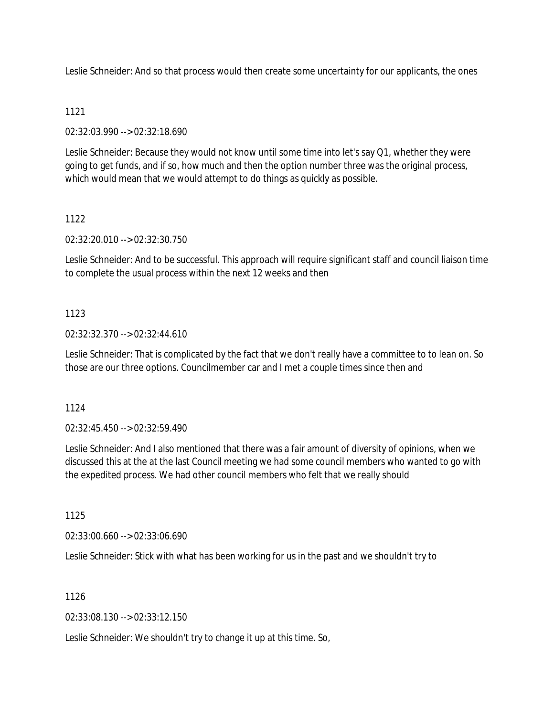Leslie Schneider: And so that process would then create some uncertainty for our applicants, the ones

## 1121

02:32:03.990 --> 02:32:18.690

Leslie Schneider: Because they would not know until some time into let's say Q1, whether they were going to get funds, and if so, how much and then the option number three was the original process, which would mean that we would attempt to do things as quickly as possible.

## 1122

02:32:20.010 --> 02:32:30.750

Leslie Schneider: And to be successful. This approach will require significant staff and council liaison time to complete the usual process within the next 12 weeks and then

## 1123

02:32:32.370 --> 02:32:44.610

Leslie Schneider: That is complicated by the fact that we don't really have a committee to to lean on. So those are our three options. Councilmember car and I met a couple times since then and

## 1124

02:32:45.450 --> 02:32:59.490

Leslie Schneider: And I also mentioned that there was a fair amount of diversity of opinions, when we discussed this at the at the last Council meeting we had some council members who wanted to go with the expedited process. We had other council members who felt that we really should

1125

02:33:00.660 --> 02:33:06.690

Leslie Schneider: Stick with what has been working for us in the past and we shouldn't try to

## 1126

02:33:08.130 --> 02:33:12.150

Leslie Schneider: We shouldn't try to change it up at this time. So,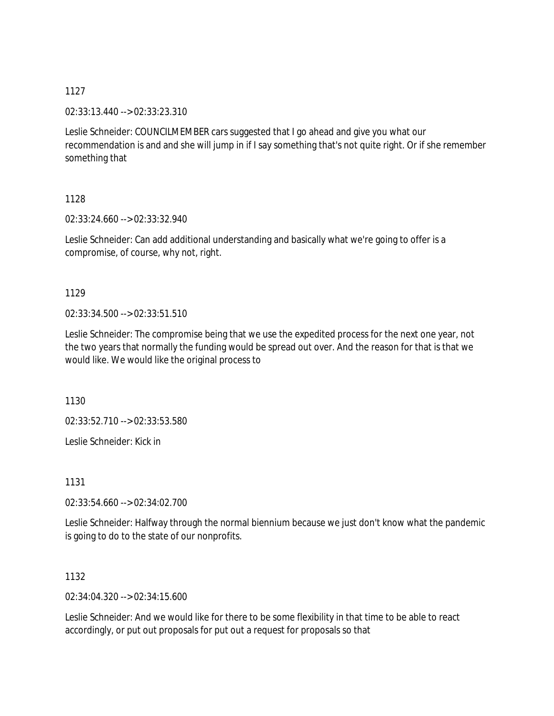02:33:13.440 --> 02:33:23.310

Leslie Schneider: COUNCILMEMBER cars suggested that I go ahead and give you what our recommendation is and and she will jump in if I say something that's not quite right. Or if she remember something that

1128

02:33:24.660 --> 02:33:32.940

Leslie Schneider: Can add additional understanding and basically what we're going to offer is a compromise, of course, why not, right.

1129

02:33:34.500 --> 02:33:51.510

Leslie Schneider: The compromise being that we use the expedited process for the next one year, not the two years that normally the funding would be spread out over. And the reason for that is that we would like. We would like the original process to

1130

02:33:52.710 --> 02:33:53.580

Leslie Schneider: Kick in

1131

02:33:54.660 --> 02:34:02.700

Leslie Schneider: Halfway through the normal biennium because we just don't know what the pandemic is going to do to the state of our nonprofits.

1132

02:34:04.320 --> 02:34:15.600

Leslie Schneider: And we would like for there to be some flexibility in that time to be able to react accordingly, or put out proposals for put out a request for proposals so that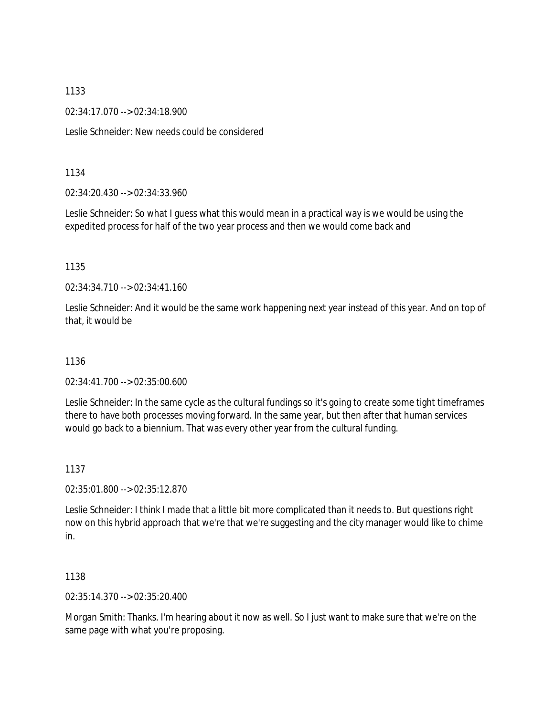02:34:17.070 --> 02:34:18.900

Leslie Schneider: New needs could be considered

1134

02:34:20.430 --> 02:34:33.960

Leslie Schneider: So what I guess what this would mean in a practical way is we would be using the expedited process for half of the two year process and then we would come back and

1135

02:34:34.710 --> 02:34:41.160

Leslie Schneider: And it would be the same work happening next year instead of this year. And on top of that, it would be

1136

02:34:41.700 --> 02:35:00.600

Leslie Schneider: In the same cycle as the cultural fundings so it's going to create some tight timeframes there to have both processes moving forward. In the same year, but then after that human services would go back to a biennium. That was every other year from the cultural funding.

1137

02:35:01.800 --> 02:35:12.870

Leslie Schneider: I think I made that a little bit more complicated than it needs to. But questions right now on this hybrid approach that we're that we're suggesting and the city manager would like to chime in.

1138

02:35:14.370 --> 02:35:20.400

Morgan Smith: Thanks. I'm hearing about it now as well. So I just want to make sure that we're on the same page with what you're proposing.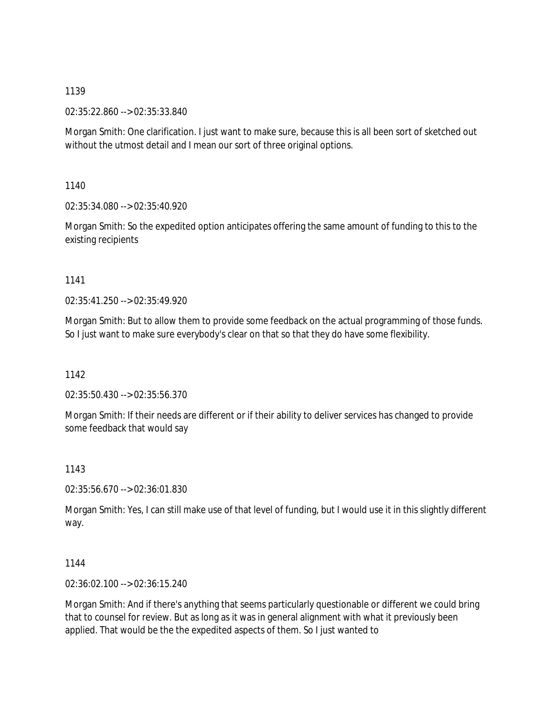02:35:22.860 --> 02:35:33.840

Morgan Smith: One clarification. I just want to make sure, because this is all been sort of sketched out without the utmost detail and I mean our sort of three original options.

1140

02:35:34.080 --> 02:35:40.920

Morgan Smith: So the expedited option anticipates offering the same amount of funding to this to the existing recipients

1141

 $02:35:41.250 \rightarrow 02:35:49.920$ 

Morgan Smith: But to allow them to provide some feedback on the actual programming of those funds. So I just want to make sure everybody's clear on that so that they do have some flexibility.

1142

02:35:50.430 --> 02:35:56.370

Morgan Smith: If their needs are different or if their ability to deliver services has changed to provide some feedback that would say

1143

02:35:56.670 --> 02:36:01.830

Morgan Smith: Yes, I can still make use of that level of funding, but I would use it in this slightly different way.

1144

02:36:02.100 --> 02:36:15.240

Morgan Smith: And if there's anything that seems particularly questionable or different we could bring that to counsel for review. But as long as it was in general alignment with what it previously been applied. That would be the the expedited aspects of them. So I just wanted to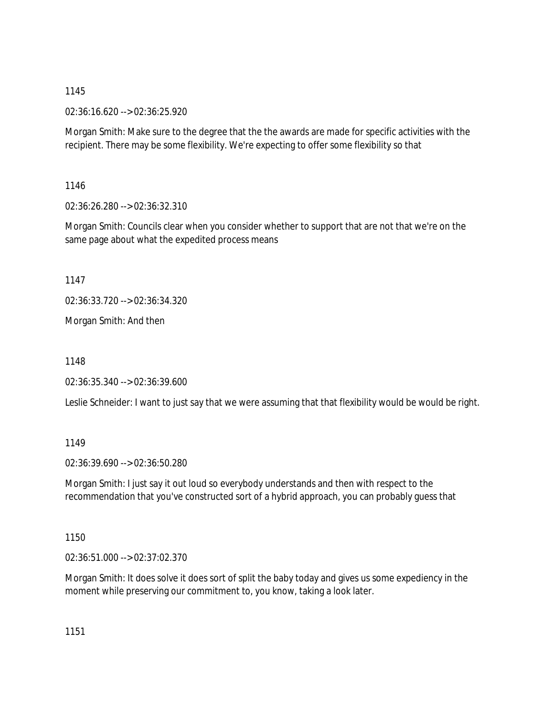02:36:16.620 --> 02:36:25.920

Morgan Smith: Make sure to the degree that the the awards are made for specific activities with the recipient. There may be some flexibility. We're expecting to offer some flexibility so that

1146

02:36:26.280 --> 02:36:32.310

Morgan Smith: Councils clear when you consider whether to support that are not that we're on the same page about what the expedited process means

1147

02:36:33.720 --> 02:36:34.320

Morgan Smith: And then

1148

02:36:35.340 --> 02:36:39.600

Leslie Schneider: I want to just say that we were assuming that that flexibility would be would be right.

1149

02:36:39.690 --> 02:36:50.280

Morgan Smith: I just say it out loud so everybody understands and then with respect to the recommendation that you've constructed sort of a hybrid approach, you can probably guess that

1150

02:36:51.000 --> 02:37:02.370

Morgan Smith: It does solve it does sort of split the baby today and gives us some expediency in the moment while preserving our commitment to, you know, taking a look later.

1151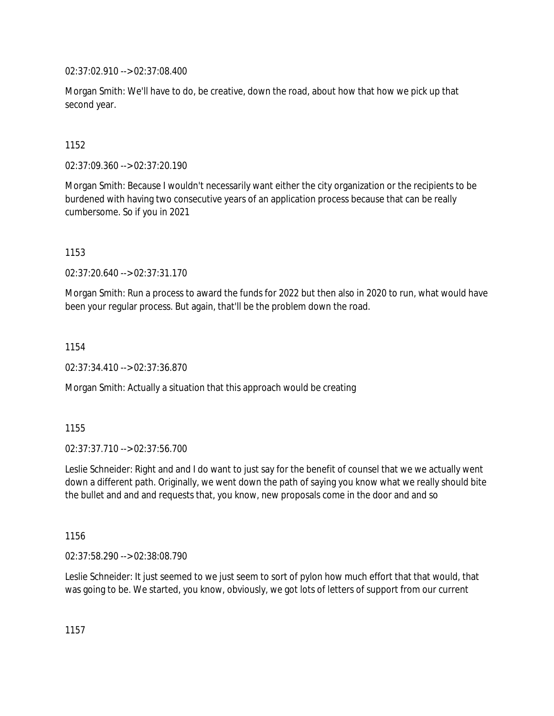02:37:02.910 --> 02:37:08.400

Morgan Smith: We'll have to do, be creative, down the road, about how that how we pick up that second year.

1152

02:37:09.360 --> 02:37:20.190

Morgan Smith: Because I wouldn't necessarily want either the city organization or the recipients to be burdened with having two consecutive years of an application process because that can be really cumbersome. So if you in 2021

1153

02:37:20.640 --> 02:37:31.170

Morgan Smith: Run a process to award the funds for 2022 but then also in 2020 to run, what would have been your regular process. But again, that'll be the problem down the road.

1154

02:37:34.410 --> 02:37:36.870

Morgan Smith: Actually a situation that this approach would be creating

1155

02:37:37.710 --> 02:37:56.700

Leslie Schneider: Right and and I do want to just say for the benefit of counsel that we we actually went down a different path. Originally, we went down the path of saying you know what we really should bite the bullet and and and requests that, you know, new proposals come in the door and and so

1156

02:37:58.290 --> 02:38:08.790

Leslie Schneider: It just seemed to we just seem to sort of pylon how much effort that that would, that was going to be. We started, you know, obviously, we got lots of letters of support from our current

1157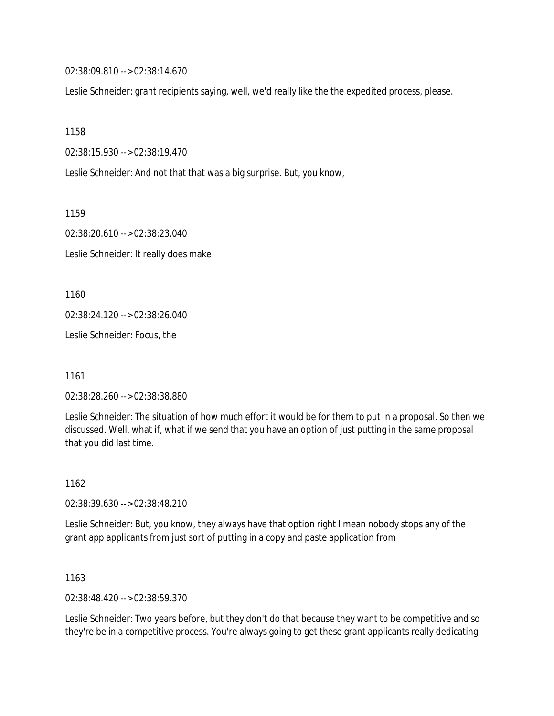02:38:09.810 --> 02:38:14.670

Leslie Schneider: grant recipients saying, well, we'd really like the the expedited process, please.

1158

02:38:15.930 --> 02:38:19.470

Leslie Schneider: And not that that was a big surprise. But, you know,

1159

02:38:20.610 --> 02:38:23.040 Leslie Schneider: It really does make

1160

02:38:24.120 --> 02:38:26.040

Leslie Schneider: Focus, the

1161

02:38:28.260 --> 02:38:38.880

Leslie Schneider: The situation of how much effort it would be for them to put in a proposal. So then we discussed. Well, what if, what if we send that you have an option of just putting in the same proposal that you did last time.

1162

02:38:39.630 --> 02:38:48.210

Leslie Schneider: But, you know, they always have that option right I mean nobody stops any of the grant app applicants from just sort of putting in a copy and paste application from

1163

02:38:48.420 --> 02:38:59.370

Leslie Schneider: Two years before, but they don't do that because they want to be competitive and so they're be in a competitive process. You're always going to get these grant applicants really dedicating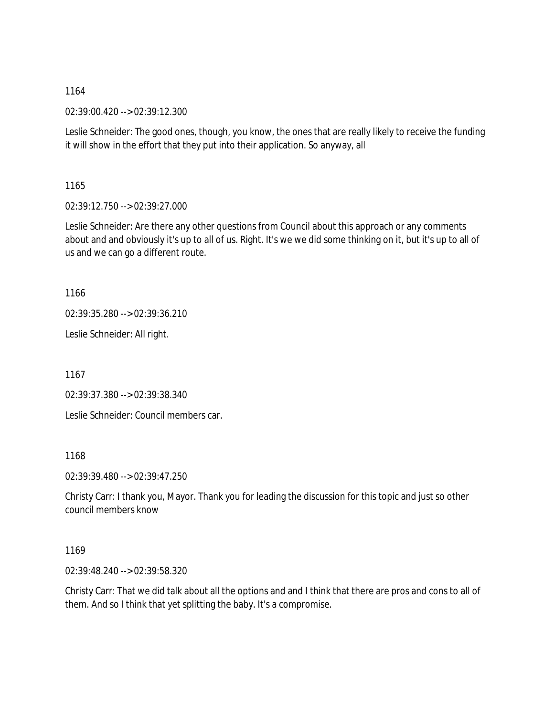02:39:00.420 --> 02:39:12.300

Leslie Schneider: The good ones, though, you know, the ones that are really likely to receive the funding it will show in the effort that they put into their application. So anyway, all

1165

02:39:12.750 --> 02:39:27.000

Leslie Schneider: Are there any other questions from Council about this approach or any comments about and and obviously it's up to all of us. Right. It's we we did some thinking on it, but it's up to all of us and we can go a different route.

1166

02:39:35.280 --> 02:39:36.210

Leslie Schneider: All right.

1167

02:39:37.380 --> 02:39:38.340

Leslie Schneider: Council members car.

1168

02:39:39.480 --> 02:39:47.250

Christy Carr: I thank you, Mayor. Thank you for leading the discussion for this topic and just so other council members know

1169

02:39:48.240 --> 02:39:58.320

Christy Carr: That we did talk about all the options and and I think that there are pros and cons to all of them. And so I think that yet splitting the baby. It's a compromise.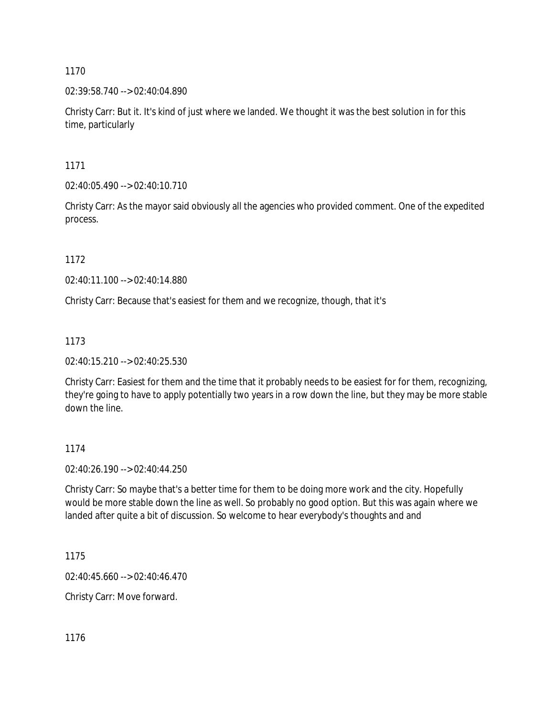02:39:58.740 --> 02:40:04.890

Christy Carr: But it. It's kind of just where we landed. We thought it was the best solution in for this time, particularly

1171

02:40:05.490 --> 02:40:10.710

Christy Carr: As the mayor said obviously all the agencies who provided comment. One of the expedited process.

1172

02:40:11.100 --> 02:40:14.880

Christy Carr: Because that's easiest for them and we recognize, though, that it's

1173

02:40:15.210 --> 02:40:25.530

Christy Carr: Easiest for them and the time that it probably needs to be easiest for for them, recognizing, they're going to have to apply potentially two years in a row down the line, but they may be more stable down the line.

1174

02:40:26.190 --> 02:40:44.250

Christy Carr: So maybe that's a better time for them to be doing more work and the city. Hopefully would be more stable down the line as well. So probably no good option. But this was again where we landed after quite a bit of discussion. So welcome to hear everybody's thoughts and and

1175

02:40:45.660 --> 02:40:46.470

Christy Carr: Move forward.

1176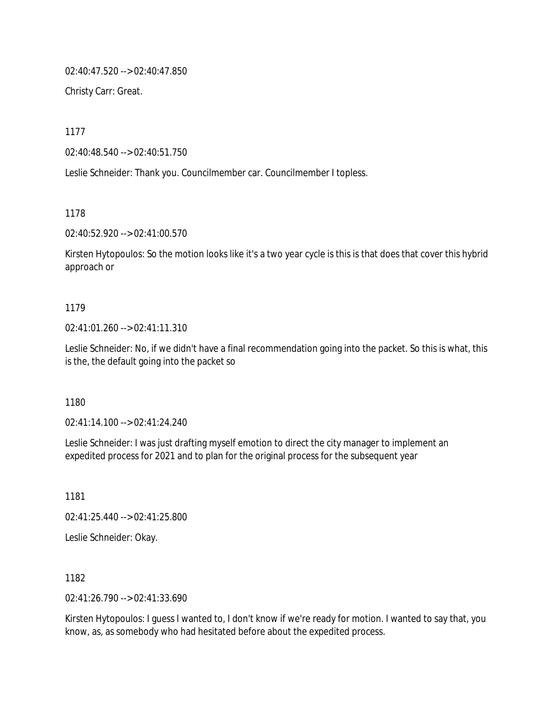02:40:47.520 --> 02:40:47.850

Christy Carr: Great.

1177

02:40:48.540 --> 02:40:51.750

Leslie Schneider: Thank you. Councilmember car. Councilmember I topless.

1178

02:40:52.920 --> 02:41:00.570

Kirsten Hytopoulos: So the motion looks like it's a two year cycle is this is that does that cover this hybrid approach or

#### 1179

02:41:01.260 --> 02:41:11.310

Leslie Schneider: No, if we didn't have a final recommendation going into the packet. So this is what, this is the, the default going into the packet so

1180

02:41:14.100 --> 02:41:24.240

Leslie Schneider: I was just drafting myself emotion to direct the city manager to implement an expedited process for 2021 and to plan for the original process for the subsequent year

1181

02:41:25.440 --> 02:41:25.800

Leslie Schneider: Okay.

1182

02:41:26.790 --> 02:41:33.690

Kirsten Hytopoulos: I guess I wanted to, I don't know if we're ready for motion. I wanted to say that, you know, as, as somebody who had hesitated before about the expedited process.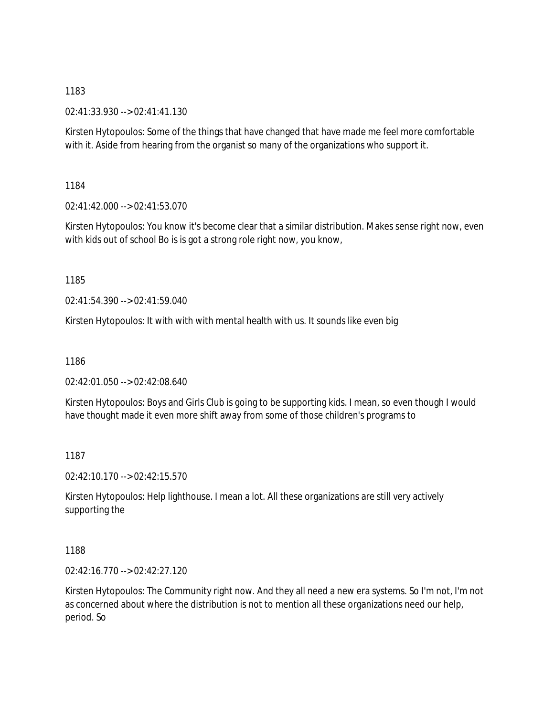02:41:33.930 --> 02:41:41.130

Kirsten Hytopoulos: Some of the things that have changed that have made me feel more comfortable with it. Aside from hearing from the organist so many of the organizations who support it.

1184

02:41:42.000 --> 02:41:53.070

Kirsten Hytopoulos: You know it's become clear that a similar distribution. Makes sense right now, even with kids out of school Bo is is got a strong role right now, you know,

1185

02:41:54.390 --> 02:41:59.040

Kirsten Hytopoulos: It with with with mental health with us. It sounds like even big

1186

02:42:01.050 --> 02:42:08.640

Kirsten Hytopoulos: Boys and Girls Club is going to be supporting kids. I mean, so even though I would have thought made it even more shift away from some of those children's programs to

1187

02:42:10.170 --> 02:42:15.570

Kirsten Hytopoulos: Help lighthouse. I mean a lot. All these organizations are still very actively supporting the

1188

02:42:16.770 --> 02:42:27.120

Kirsten Hytopoulos: The Community right now. And they all need a new era systems. So I'm not, I'm not as concerned about where the distribution is not to mention all these organizations need our help, period. So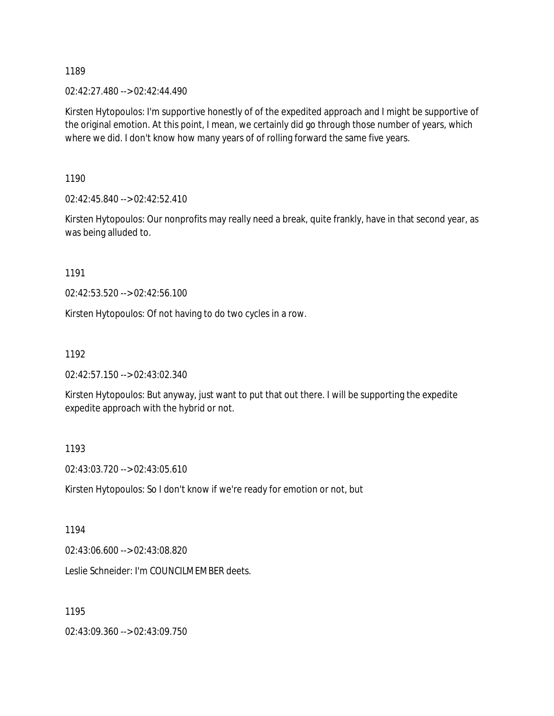02:42:27.480 --> 02:42:44.490

Kirsten Hytopoulos: I'm supportive honestly of of the expedited approach and I might be supportive of the original emotion. At this point, I mean, we certainly did go through those number of years, which where we did. I don't know how many years of of rolling forward the same five years.

1190

02:42:45.840 --> 02:42:52.410

Kirsten Hytopoulos: Our nonprofits may really need a break, quite frankly, have in that second year, as was being alluded to.

1191

02:42:53.520 --> 02:42:56.100

Kirsten Hytopoulos: Of not having to do two cycles in a row.

1192

02:42:57.150 --> 02:43:02.340

Kirsten Hytopoulos: But anyway, just want to put that out there. I will be supporting the expedite expedite approach with the hybrid or not.

1193

02:43:03.720 --> 02:43:05.610

Kirsten Hytopoulos: So I don't know if we're ready for emotion or not, but

1194

02:43:06.600 --> 02:43:08.820

Leslie Schneider: I'm COUNCILMEMBER deets.

1195

02:43:09.360 --> 02:43:09.750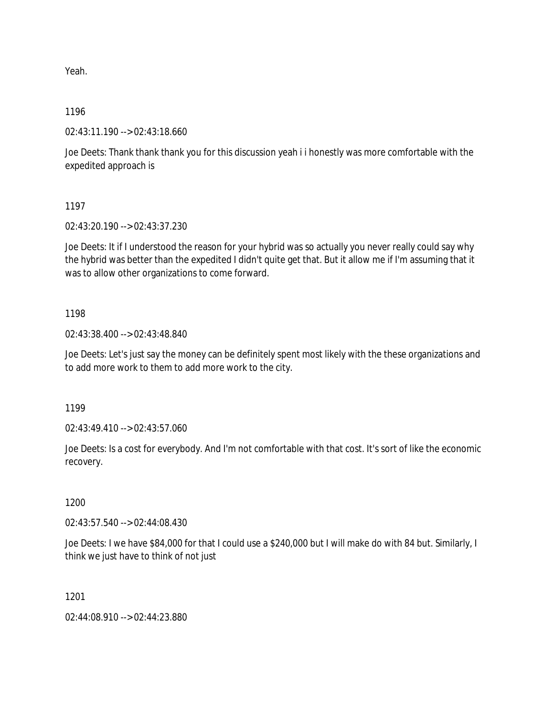Yeah.

### 1196

02:43:11.190 --> 02:43:18.660

Joe Deets: Thank thank thank you for this discussion yeah i i honestly was more comfortable with the expedited approach is

1197

02:43:20.190 --> 02:43:37.230

Joe Deets: It if I understood the reason for your hybrid was so actually you never really could say why the hybrid was better than the expedited I didn't quite get that. But it allow me if I'm assuming that it was to allow other organizations to come forward.

### 1198

02:43:38.400 --> 02:43:48.840

Joe Deets: Let's just say the money can be definitely spent most likely with the these organizations and to add more work to them to add more work to the city.

1199

02:43:49.410 --> 02:43:57.060

Joe Deets: Is a cost for everybody. And I'm not comfortable with that cost. It's sort of like the economic recovery.

## 1200

02:43:57.540 --> 02:44:08.430

Joe Deets: I we have \$84,000 for that I could use a \$240,000 but I will make do with 84 but. Similarly, I think we just have to think of not just

1201

02:44:08.910 --> 02:44:23.880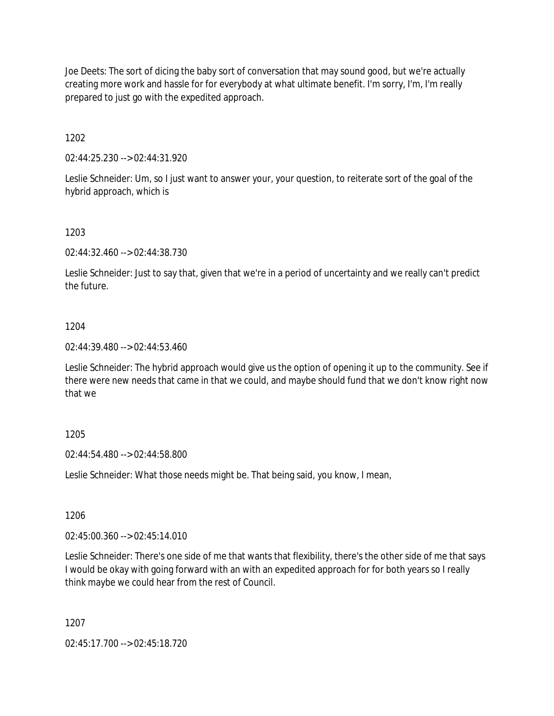Joe Deets: The sort of dicing the baby sort of conversation that may sound good, but we're actually creating more work and hassle for for everybody at what ultimate benefit. I'm sorry, I'm, I'm really prepared to just go with the expedited approach.

1202

02:44:25.230 --> 02:44:31.920

Leslie Schneider: Um, so I just want to answer your, your question, to reiterate sort of the goal of the hybrid approach, which is

1203

02:44:32.460 --> 02:44:38.730

Leslie Schneider: Just to say that, given that we're in a period of uncertainty and we really can't predict the future.

### 1204

02:44:39.480 --> 02:44:53.460

Leslie Schneider: The hybrid approach would give us the option of opening it up to the community. See if there were new needs that came in that we could, and maybe should fund that we don't know right now that we

### 1205

02:44:54.480 --> 02:44:58.800

Leslie Schneider: What those needs might be. That being said, you know, I mean,

1206

02:45:00.360 --> 02:45:14.010

Leslie Schneider: There's one side of me that wants that flexibility, there's the other side of me that says I would be okay with going forward with an with an expedited approach for for both years so I really think maybe we could hear from the rest of Council.

1207

02:45:17.700 --> 02:45:18.720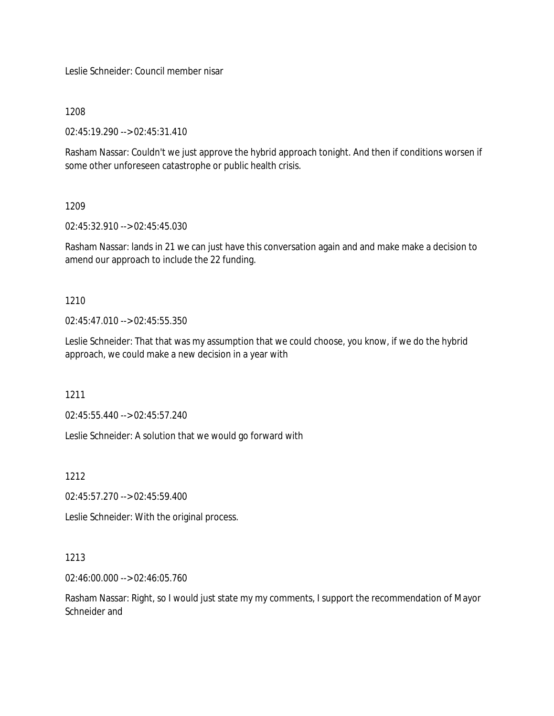Leslie Schneider: Council member nisar

1208

02:45:19.290 --> 02:45:31.410

Rasham Nassar: Couldn't we just approve the hybrid approach tonight. And then if conditions worsen if some other unforeseen catastrophe or public health crisis.

### 1209

02:45:32.910 --> 02:45:45.030

Rasham Nassar: lands in 21 we can just have this conversation again and and make make a decision to amend our approach to include the 22 funding.

1210

02:45:47.010 --> 02:45:55.350

Leslie Schneider: That that was my assumption that we could choose, you know, if we do the hybrid approach, we could make a new decision in a year with

1211

02:45:55.440 --> 02:45:57.240

Leslie Schneider: A solution that we would go forward with

1212

02:45:57.270 --> 02:45:59.400

Leslie Schneider: With the original process.

## 1213

02:46:00.000 --> 02:46:05.760

Rasham Nassar: Right, so I would just state my my comments, I support the recommendation of Mayor Schneider and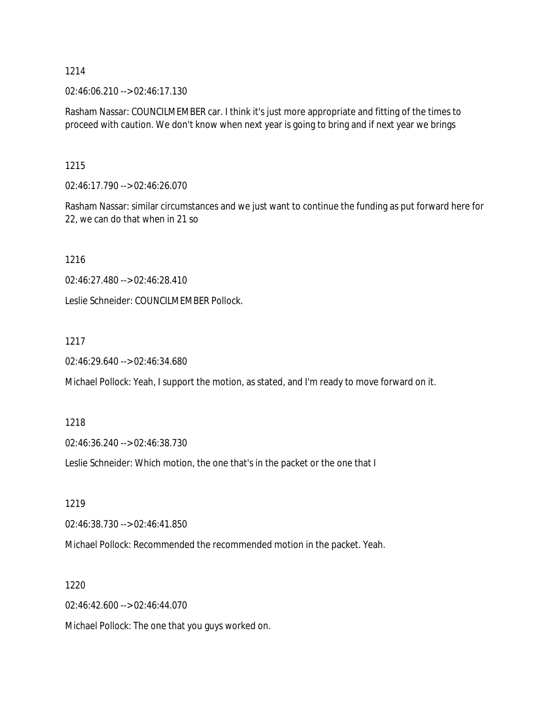02:46:06.210 --> 02:46:17.130

Rasham Nassar: COUNCILMEMBER car. I think it's just more appropriate and fitting of the times to proceed with caution. We don't know when next year is going to bring and if next year we brings

1215

02:46:17.790 --> 02:46:26.070

Rasham Nassar: similar circumstances and we just want to continue the funding as put forward here for 22, we can do that when in 21 so

1216

02:46:27.480 --> 02:46:28.410

Leslie Schneider: COUNCILMEMBER Pollock.

1217

02:46:29.640 --> 02:46:34.680

Michael Pollock: Yeah, I support the motion, as stated, and I'm ready to move forward on it.

1218

02:46:36.240 --> 02:46:38.730

Leslie Schneider: Which motion, the one that's in the packet or the one that I

1219

02:46:38.730 --> 02:46:41.850

Michael Pollock: Recommended the recommended motion in the packet. Yeah.

1220

02:46:42.600 --> 02:46:44.070

Michael Pollock: The one that you guys worked on.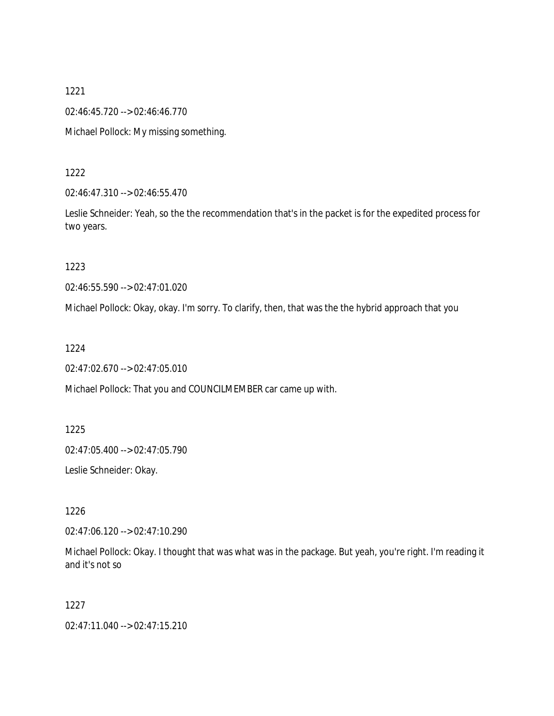02:46:45.720 --> 02:46:46.770

Michael Pollock: My missing something.

1222

02:46:47.310 --> 02:46:55.470

Leslie Schneider: Yeah, so the the recommendation that's in the packet is for the expedited process for two years.

1223

02:46:55.590 --> 02:47:01.020

Michael Pollock: Okay, okay. I'm sorry. To clarify, then, that was the the hybrid approach that you

1224

02:47:02.670 --> 02:47:05.010

Michael Pollock: That you and COUNCILMEMBER car came up with.

1225

02:47:05.400 --> 02:47:05.790

Leslie Schneider: Okay.

1226

02:47:06.120 --> 02:47:10.290

Michael Pollock: Okay. I thought that was what was in the package. But yeah, you're right. I'm reading it and it's not so

1227

02:47:11.040 --> 02:47:15.210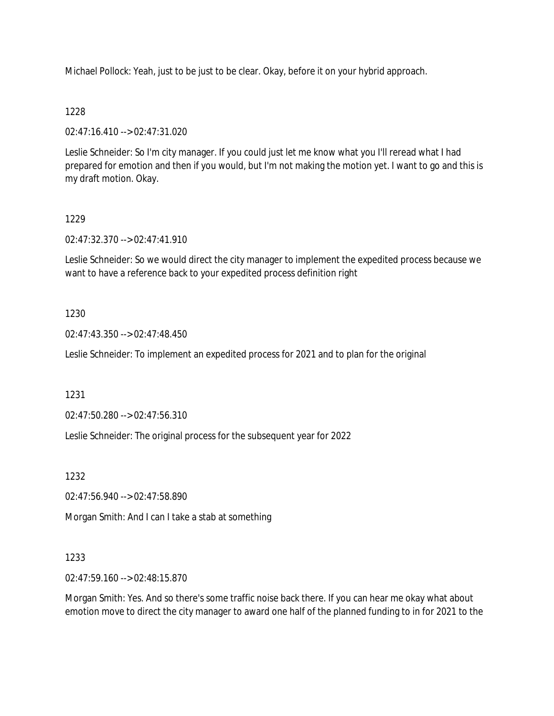Michael Pollock: Yeah, just to be just to be clear. Okay, before it on your hybrid approach.

### 1228

02:47:16.410 --> 02:47:31.020

Leslie Schneider: So I'm city manager. If you could just let me know what you I'll reread what I had prepared for emotion and then if you would, but I'm not making the motion yet. I want to go and this is my draft motion. Okay.

### 1229

02:47:32.370 --> 02:47:41.910

Leslie Schneider: So we would direct the city manager to implement the expedited process because we want to have a reference back to your expedited process definition right

### 1230

02:47:43.350 --> 02:47:48.450

Leslie Schneider: To implement an expedited process for 2021 and to plan for the original

1231

02:47:50.280 --> 02:47:56.310

Leslie Schneider: The original process for the subsequent year for 2022

1232

02:47:56.940 --> 02:47:58.890

Morgan Smith: And I can I take a stab at something

### 1233

02:47:59.160 --> 02:48:15.870

Morgan Smith: Yes. And so there's some traffic noise back there. If you can hear me okay what about emotion move to direct the city manager to award one half of the planned funding to in for 2021 to the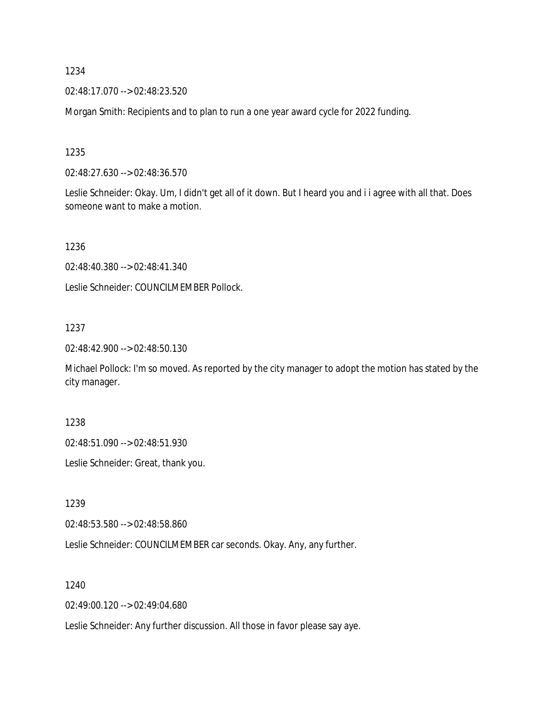02:48:17.070 --> 02:48:23.520

Morgan Smith: Recipients and to plan to run a one year award cycle for 2022 funding.

1235

02:48:27.630 --> 02:48:36.570

Leslie Schneider: Okay. Um, I didn't get all of it down. But I heard you and i i agree with all that. Does someone want to make a motion.

1236

02:48:40.380 --> 02:48:41.340

Leslie Schneider: COUNCILMEMBER Pollock.

### 1237

02:48:42.900 --> 02:48:50.130

Michael Pollock: I'm so moved. As reported by the city manager to adopt the motion has stated by the city manager.

1238

02:48:51.090 --> 02:48:51.930

Leslie Schneider: Great, thank you.

1239

02:48:53.580 --> 02:48:58.860

Leslie Schneider: COUNCILMEMBER car seconds. Okay. Any, any further.

1240

02:49:00.120 --> 02:49:04.680

Leslie Schneider: Any further discussion. All those in favor please say aye.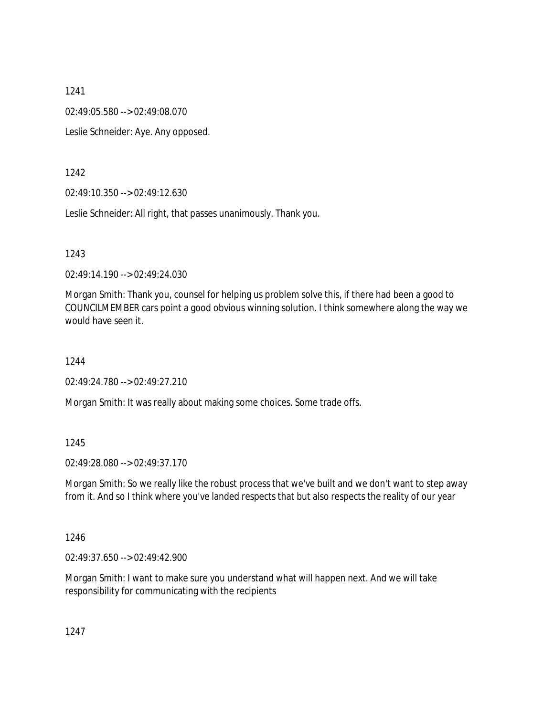02:49:05.580 --> 02:49:08.070

Leslie Schneider: Aye. Any opposed.

1242

02:49:10.350 --> 02:49:12.630

Leslie Schneider: All right, that passes unanimously. Thank you.

1243

02:49:14.190 --> 02:49:24.030

Morgan Smith: Thank you, counsel for helping us problem solve this, if there had been a good to COUNCILMEMBER cars point a good obvious winning solution. I think somewhere along the way we would have seen it.

1244

02:49:24.780 --> 02:49:27.210

Morgan Smith: It was really about making some choices. Some trade offs.

1245

02:49:28.080 --> 02:49:37.170

Morgan Smith: So we really like the robust process that we've built and we don't want to step away from it. And so I think where you've landed respects that but also respects the reality of our year

1246

02:49:37.650 --> 02:49:42.900

Morgan Smith: I want to make sure you understand what will happen next. And we will take responsibility for communicating with the recipients

1247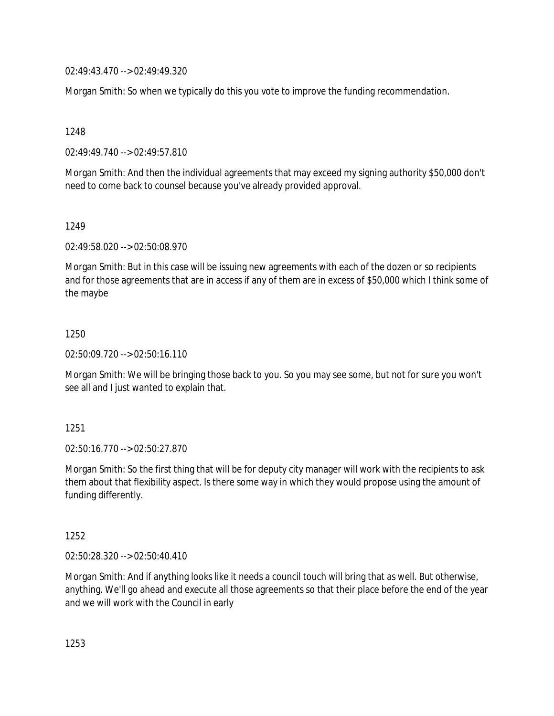02:49:43.470 --> 02:49:49.320

Morgan Smith: So when we typically do this you vote to improve the funding recommendation.

1248

02:49:49.740 --> 02:49:57.810

Morgan Smith: And then the individual agreements that may exceed my signing authority \$50,000 don't need to come back to counsel because you've already provided approval.

1249

02:49:58.020 --> 02:50:08.970

Morgan Smith: But in this case will be issuing new agreements with each of the dozen or so recipients and for those agreements that are in access if any of them are in excess of \$50,000 which I think some of the maybe

1250

02:50:09.720 --> 02:50:16.110

Morgan Smith: We will be bringing those back to you. So you may see some, but not for sure you won't see all and I just wanted to explain that.

1251

02:50:16.770 --> 02:50:27.870

Morgan Smith: So the first thing that will be for deputy city manager will work with the recipients to ask them about that flexibility aspect. Is there some way in which they would propose using the amount of funding differently.

1252

02:50:28.320 --> 02:50:40.410

Morgan Smith: And if anything looks like it needs a council touch will bring that as well. But otherwise, anything. We'll go ahead and execute all those agreements so that their place before the end of the year and we will work with the Council in early

1253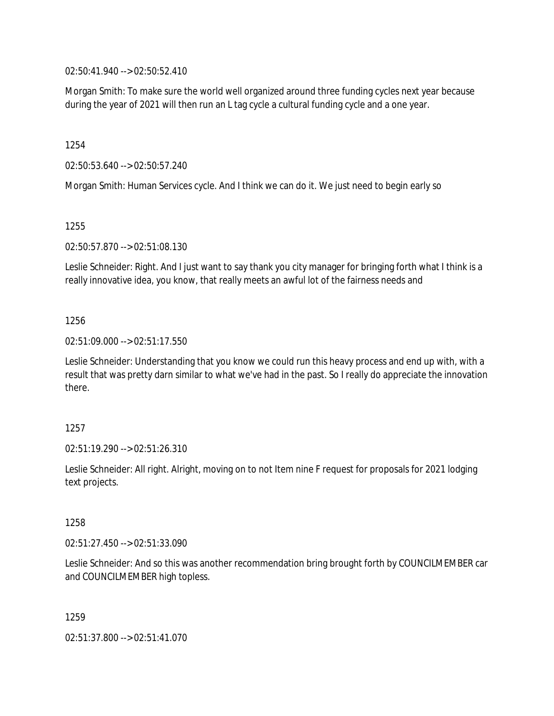02:50:41.940 --> 02:50:52.410

Morgan Smith: To make sure the world well organized around three funding cycles next year because during the year of 2021 will then run an L tag cycle a cultural funding cycle and a one year.

1254

02:50:53.640 --> 02:50:57.240

Morgan Smith: Human Services cycle. And I think we can do it. We just need to begin early so

1255

02:50:57.870 --> 02:51:08.130

Leslie Schneider: Right. And I just want to say thank you city manager for bringing forth what I think is a really innovative idea, you know, that really meets an awful lot of the fairness needs and

1256

02:51:09.000 --> 02:51:17.550

Leslie Schneider: Understanding that you know we could run this heavy process and end up with, with a result that was pretty darn similar to what we've had in the past. So I really do appreciate the innovation there.

1257

02:51:19.290 --> 02:51:26.310

Leslie Schneider: All right. Alright, moving on to not Item nine F request for proposals for 2021 lodging text projects.

1258

02:51:27.450 --> 02:51:33.090

Leslie Schneider: And so this was another recommendation bring brought forth by COUNCILMEMBER car and COUNCILMEMBER high topless.

1259

02:51:37.800 --> 02:51:41.070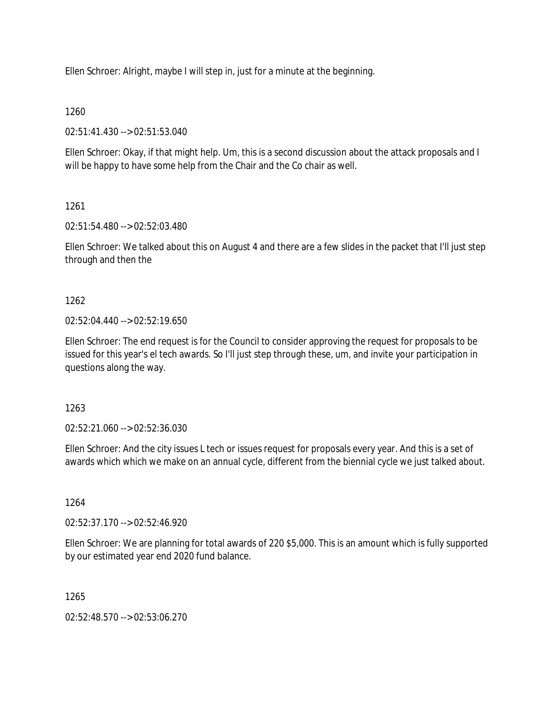Ellen Schroer: Alright, maybe I will step in, just for a minute at the beginning.

## 1260

02:51:41.430 --> 02:51:53.040

Ellen Schroer: Okay, if that might help. Um, this is a second discussion about the attack proposals and I will be happy to have some help from the Chair and the Co chair as well.

# 1261

02:51:54.480 --> 02:52:03.480

Ellen Schroer: We talked about this on August 4 and there are a few slides in the packet that I'll just step through and then the

# 1262

 $02:52:04.440 \rightarrow 02:52:19.650$ 

Ellen Schroer: The end request is for the Council to consider approving the request for proposals to be issued for this year's el tech awards. So I'll just step through these, um, and invite your participation in questions along the way.

1263

02:52:21.060 --> 02:52:36.030

Ellen Schroer: And the city issues L tech or issues request for proposals every year. And this is a set of awards which which we make on an annual cycle, different from the biennial cycle we just talked about.

# 1264

02:52:37.170 --> 02:52:46.920

Ellen Schroer: We are planning for total awards of 220 \$5,000. This is an amount which is fully supported by our estimated year end 2020 fund balance.

1265

02:52:48.570 --> 02:53:06.270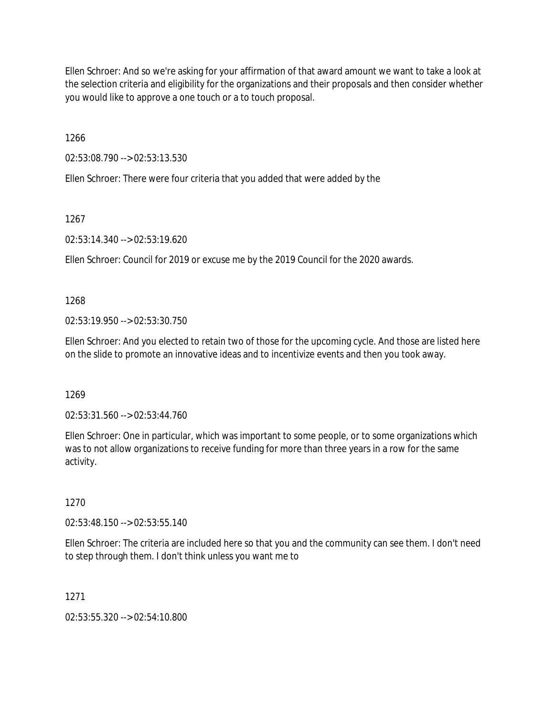Ellen Schroer: And so we're asking for your affirmation of that award amount we want to take a look at the selection criteria and eligibility for the organizations and their proposals and then consider whether you would like to approve a one touch or a to touch proposal.

1266

02:53:08.790 --> 02:53:13.530

Ellen Schroer: There were four criteria that you added that were added by the

1267

02:53:14.340 --> 02:53:19.620

Ellen Schroer: Council for 2019 or excuse me by the 2019 Council for the 2020 awards.

1268

02:53:19.950 --> 02:53:30.750

Ellen Schroer: And you elected to retain two of those for the upcoming cycle. And those are listed here on the slide to promote an innovative ideas and to incentivize events and then you took away.

1269

02:53:31.560 --> 02:53:44.760

Ellen Schroer: One in particular, which was important to some people, or to some organizations which was to not allow organizations to receive funding for more than three years in a row for the same activity.

1270

02:53:48.150 --> 02:53:55.140

Ellen Schroer: The criteria are included here so that you and the community can see them. I don't need to step through them. I don't think unless you want me to

1271

02:53:55.320 --> 02:54:10.800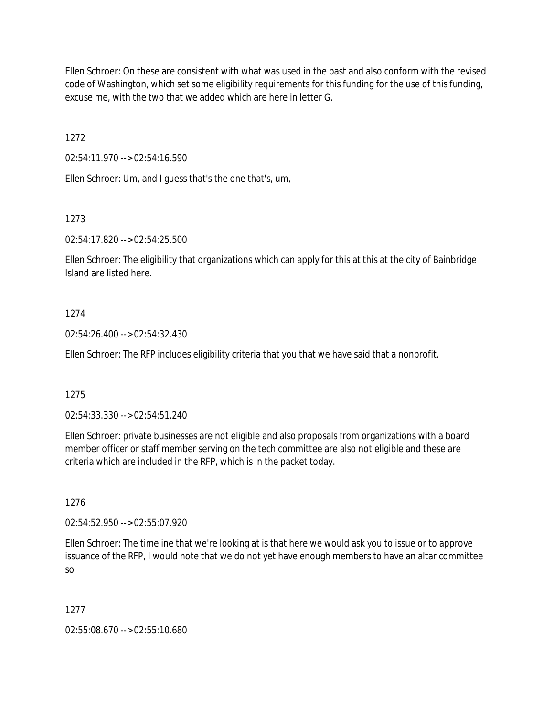Ellen Schroer: On these are consistent with what was used in the past and also conform with the revised code of Washington, which set some eligibility requirements for this funding for the use of this funding, excuse me, with the two that we added which are here in letter G.

1272

02:54:11.970 --> 02:54:16.590

Ellen Schroer: Um, and I guess that's the one that's, um,

1273

02:54:17.820 --> 02:54:25.500

Ellen Schroer: The eligibility that organizations which can apply for this at this at the city of Bainbridge Island are listed here.

## 1274

02:54:26.400 --> 02:54:32.430

Ellen Schroer: The RFP includes eligibility criteria that you that we have said that a nonprofit.

1275

02:54:33.330 --> 02:54:51.240

Ellen Schroer: private businesses are not eligible and also proposals from organizations with a board member officer or staff member serving on the tech committee are also not eligible and these are criteria which are included in the RFP, which is in the packet today.

1276

02:54:52.950 --> 02:55:07.920

Ellen Schroer: The timeline that we're looking at is that here we would ask you to issue or to approve issuance of the RFP, I would note that we do not yet have enough members to have an altar committee so

1277

02:55:08.670 --> 02:55:10.680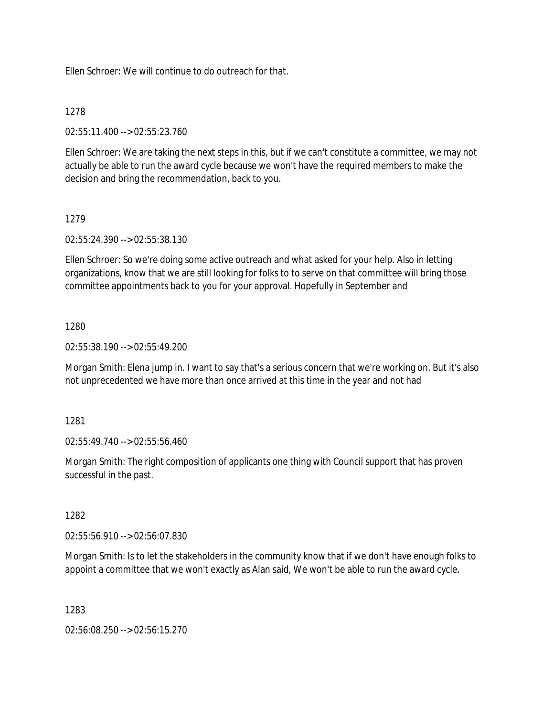Ellen Schroer: We will continue to do outreach for that.

### 1278

02:55:11.400 --> 02:55:23.760

Ellen Schroer: We are taking the next steps in this, but if we can't constitute a committee, we may not actually be able to run the award cycle because we won't have the required members to make the decision and bring the recommendation, back to you.

### 1279

02:55:24.390 --> 02:55:38.130

Ellen Schroer: So we're doing some active outreach and what asked for your help. Also in letting organizations, know that we are still looking for folks to to serve on that committee will bring those committee appointments back to you for your approval. Hopefully in September and

### 1280

02:55:38.190 --> 02:55:49.200

Morgan Smith: Elena jump in. I want to say that's a serious concern that we're working on. But it's also not unprecedented we have more than once arrived at this time in the year and not had

### 1281

02:55:49.740 --> 02:55:56.460

Morgan Smith: The right composition of applicants one thing with Council support that has proven successful in the past.

# 1282

02:55:56.910 --> 02:56:07.830

Morgan Smith: Is to let the stakeholders in the community know that if we don't have enough folks to appoint a committee that we won't exactly as Alan said, We won't be able to run the award cycle.

1283

02:56:08.250 --> 02:56:15.270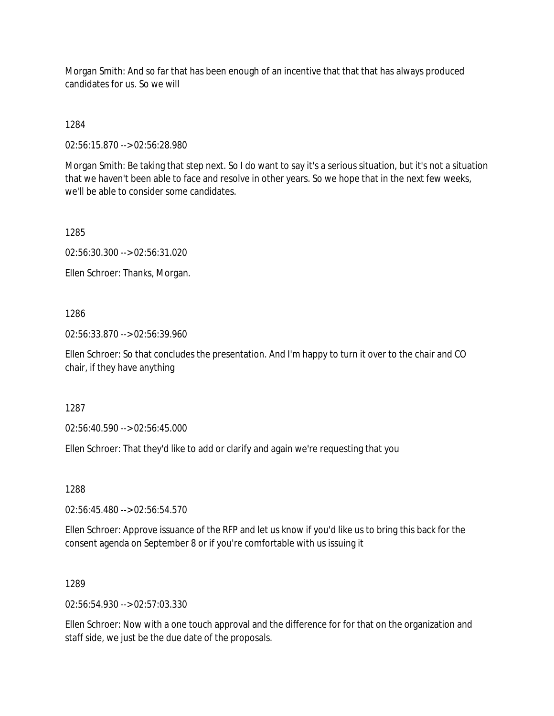Morgan Smith: And so far that has been enough of an incentive that that that has always produced candidates for us. So we will

1284

02:56:15.870 --> 02:56:28.980

Morgan Smith: Be taking that step next. So I do want to say it's a serious situation, but it's not a situation that we haven't been able to face and resolve in other years. So we hope that in the next few weeks, we'll be able to consider some candidates.

1285

02:56:30.300 --> 02:56:31.020

Ellen Schroer: Thanks, Morgan.

1286

02:56:33.870 --> 02:56:39.960

Ellen Schroer: So that concludes the presentation. And I'm happy to turn it over to the chair and CO chair, if they have anything

1287

02:56:40.590 --> 02:56:45.000

Ellen Schroer: That they'd like to add or clarify and again we're requesting that you

1288

02:56:45.480 --> 02:56:54.570

Ellen Schroer: Approve issuance of the RFP and let us know if you'd like us to bring this back for the consent agenda on September 8 or if you're comfortable with us issuing it

#### 1289

02:56:54.930 --> 02:57:03.330

Ellen Schroer: Now with a one touch approval and the difference for for that on the organization and staff side, we just be the due date of the proposals.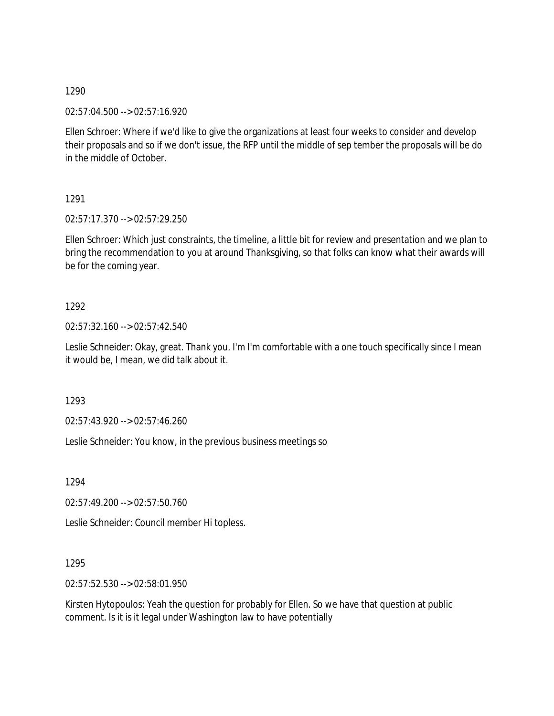02:57:04.500 --> 02:57:16.920

Ellen Schroer: Where if we'd like to give the organizations at least four weeks to consider and develop their proposals and so if we don't issue, the RFP until the middle of sep tember the proposals will be do in the middle of October.

1291

02:57:17.370 --> 02:57:29.250

Ellen Schroer: Which just constraints, the timeline, a little bit for review and presentation and we plan to bring the recommendation to you at around Thanksgiving, so that folks can know what their awards will be for the coming year.

1292

02:57:32.160 --> 02:57:42.540

Leslie Schneider: Okay, great. Thank you. I'm I'm comfortable with a one touch specifically since I mean it would be, I mean, we did talk about it.

1293

02:57:43.920 --> 02:57:46.260

Leslie Schneider: You know, in the previous business meetings so

1294

02:57:49.200 --> 02:57:50.760

Leslie Schneider: Council member Hi topless.

1295

02:57:52.530 --> 02:58:01.950

Kirsten Hytopoulos: Yeah the question for probably for Ellen. So we have that question at public comment. Is it is it legal under Washington law to have potentially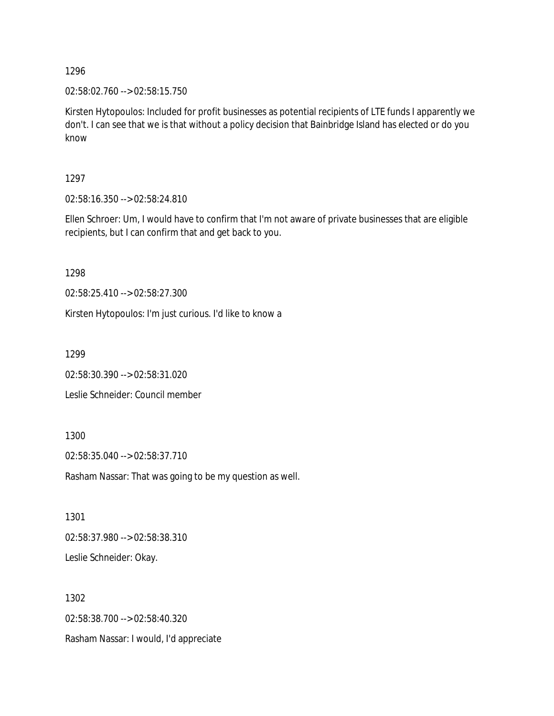02:58:02.760 --> 02:58:15.750

Kirsten Hytopoulos: Included for profit businesses as potential recipients of LTE funds I apparently we don't. I can see that we is that without a policy decision that Bainbridge Island has elected or do you know

1297

02:58:16.350 --> 02:58:24.810

Ellen Schroer: Um, I would have to confirm that I'm not aware of private businesses that are eligible recipients, but I can confirm that and get back to you.

1298

02:58:25.410 --> 02:58:27.300

Kirsten Hytopoulos: I'm just curious. I'd like to know a

1299

02:58:30.390 --> 02:58:31.020

Leslie Schneider: Council member

1300

02:58:35.040 --> 02:58:37.710

Rasham Nassar: That was going to be my question as well.

1301 02:58:37.980 --> 02:58:38.310 Leslie Schneider: Okay.

1302 02:58:38.700 --> 02:58:40.320 Rasham Nassar: I would, I'd appreciate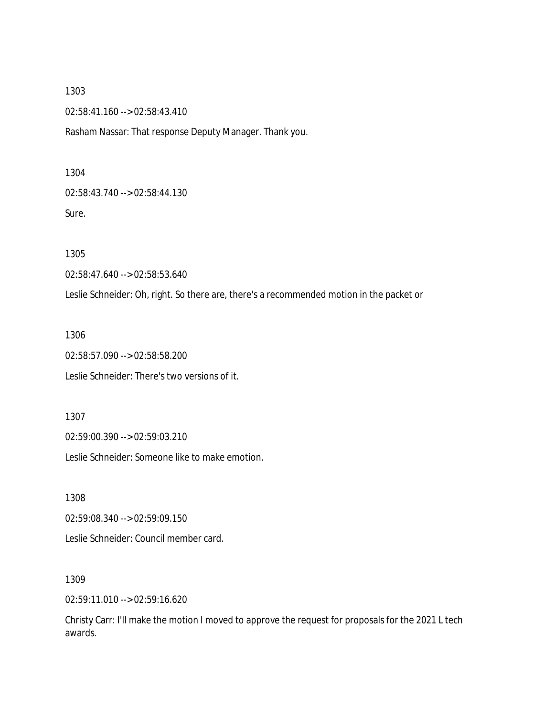02:58:41.160 --> 02:58:43.410

Rasham Nassar: That response Deputy Manager. Thank you.

1304

02:58:43.740 --> 02:58:44.130

Sure.

1305

02:58:47.640 --> 02:58:53.640

Leslie Schneider: Oh, right. So there are, there's a recommended motion in the packet or

1306

02:58:57.090 --> 02:58:58.200

Leslie Schneider: There's two versions of it.

1307

02:59:00.390 --> 02:59:03.210

Leslie Schneider: Someone like to make emotion.

1308

02:59:08.340 --> 02:59:09.150

Leslie Schneider: Council member card.

1309

02:59:11.010 --> 02:59:16.620

Christy Carr: I'll make the motion I moved to approve the request for proposals for the 2021 L tech awards.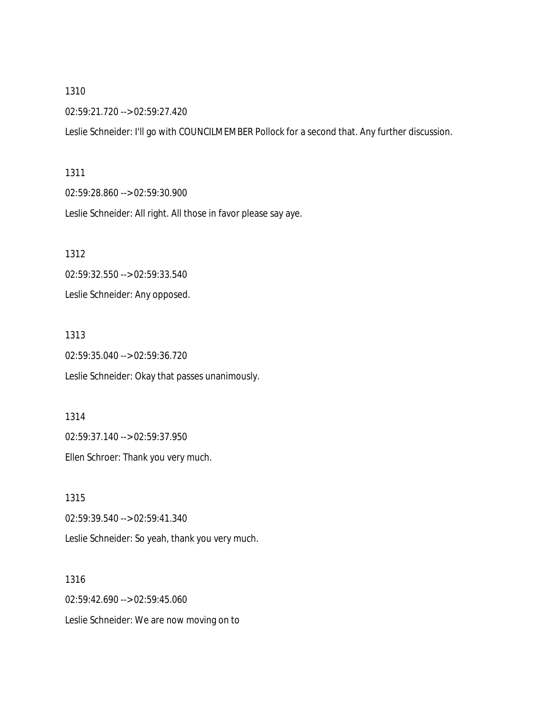02:59:21.720 --> 02:59:27.420

Leslie Schneider: I'll go with COUNCILMEMBER Pollock for a second that. Any further discussion.

1311

02:59:28.860 --> 02:59:30.900

Leslie Schneider: All right. All those in favor please say aye.

1312 02:59:32.550 --> 02:59:33.540 Leslie Schneider: Any opposed.

1313 02:59:35.040 --> 02:59:36.720 Leslie Schneider: Okay that passes unanimously.

1314 02:59:37.140 --> 02:59:37.950 Ellen Schroer: Thank you very much.

1315 02:59:39.540 --> 02:59:41.340 Leslie Schneider: So yeah, thank you very much.

1316 02:59:42.690 --> 02:59:45.060 Leslie Schneider: We are now moving on to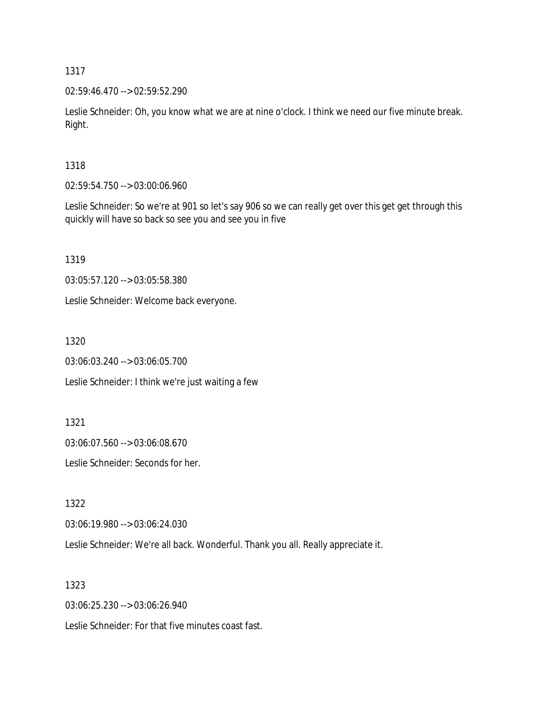02:59:46.470 --> 02:59:52.290

Leslie Schneider: Oh, you know what we are at nine o'clock. I think we need our five minute break. Right.

1318

02:59:54.750 --> 03:00:06.960

Leslie Schneider: So we're at 901 so let's say 906 so we can really get over this get get through this quickly will have so back so see you and see you in five

1319

03:05:57.120 --> 03:05:58.380

Leslie Schneider: Welcome back everyone.

1320

03:06:03.240 --> 03:06:05.700

Leslie Schneider: I think we're just waiting a few

1321

03:06:07.560 --> 03:06:08.670

Leslie Schneider: Seconds for her.

1322

03:06:19.980 --> 03:06:24.030

Leslie Schneider: We're all back. Wonderful. Thank you all. Really appreciate it.

1323

03:06:25.230 --> 03:06:26.940

Leslie Schneider: For that five minutes coast fast.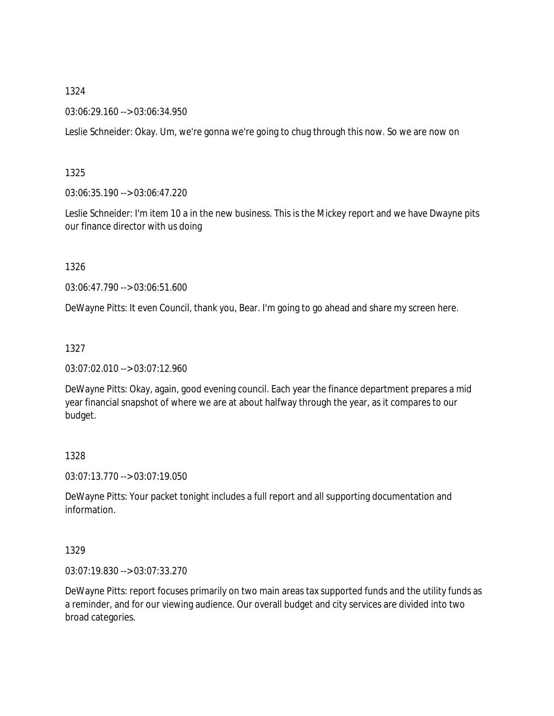03:06:29.160 --> 03:06:34.950

Leslie Schneider: Okay. Um, we're gonna we're going to chug through this now. So we are now on

1325

03:06:35.190 --> 03:06:47.220

Leslie Schneider: I'm item 10 a in the new business. This is the Mickey report and we have Dwayne pits our finance director with us doing

1326

03:06:47.790 --> 03:06:51.600

DeWayne Pitts: It even Council, thank you, Bear. I'm going to go ahead and share my screen here.

1327

03:07:02.010 --> 03:07:12.960

DeWayne Pitts: Okay, again, good evening council. Each year the finance department prepares a mid year financial snapshot of where we are at about halfway through the year, as it compares to our budget.

1328

03:07:13.770 --> 03:07:19.050

DeWayne Pitts: Your packet tonight includes a full report and all supporting documentation and information.

1329

03:07:19.830 --> 03:07:33.270

DeWayne Pitts: report focuses primarily on two main areas tax supported funds and the utility funds as a reminder, and for our viewing audience. Our overall budget and city services are divided into two broad categories.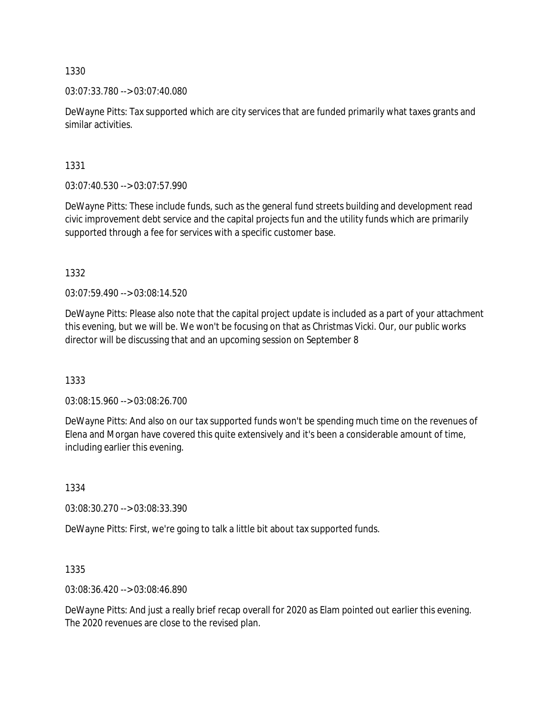03:07:33.780 --> 03:07:40.080

DeWayne Pitts: Tax supported which are city services that are funded primarily what taxes grants and similar activities.

1331

03:07:40.530 --> 03:07:57.990

DeWayne Pitts: These include funds, such as the general fund streets building and development read civic improvement debt service and the capital projects fun and the utility funds which are primarily supported through a fee for services with a specific customer base.

1332

03:07:59.490 --> 03:08:14.520

DeWayne Pitts: Please also note that the capital project update is included as a part of your attachment this evening, but we will be. We won't be focusing on that as Christmas Vicki. Our, our public works director will be discussing that and an upcoming session on September 8

1333

03:08:15.960 --> 03:08:26.700

DeWayne Pitts: And also on our tax supported funds won't be spending much time on the revenues of Elena and Morgan have covered this quite extensively and it's been a considerable amount of time, including earlier this evening.

1334

03:08:30.270 --> 03:08:33.390

DeWayne Pitts: First, we're going to talk a little bit about tax supported funds.

1335

03:08:36.420 --> 03:08:46.890

DeWayne Pitts: And just a really brief recap overall for 2020 as Elam pointed out earlier this evening. The 2020 revenues are close to the revised plan.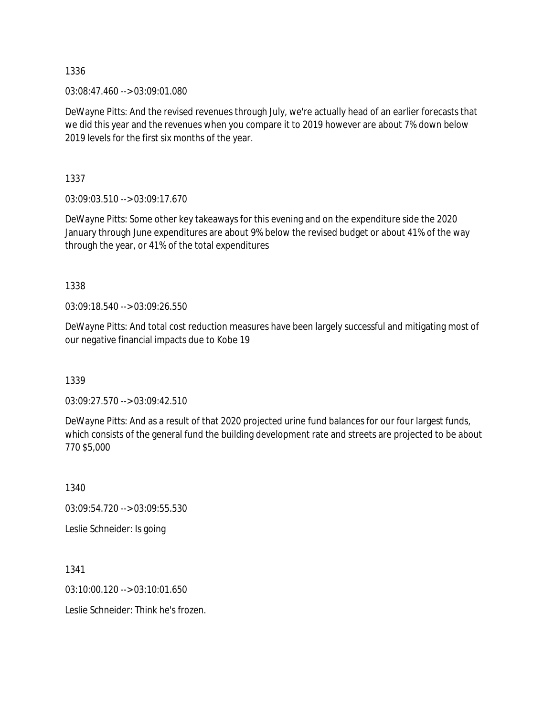03:08:47.460 --> 03:09:01.080

DeWayne Pitts: And the revised revenues through July, we're actually head of an earlier forecasts that we did this year and the revenues when you compare it to 2019 however are about 7% down below 2019 levels for the first six months of the year.

1337

03:09:03.510 --> 03:09:17.670

DeWayne Pitts: Some other key takeaways for this evening and on the expenditure side the 2020 January through June expenditures are about 9% below the revised budget or about 41% of the way through the year, or 41% of the total expenditures

1338

03:09:18.540 --> 03:09:26.550

DeWayne Pitts: And total cost reduction measures have been largely successful and mitigating most of our negative financial impacts due to Kobe 19

1339

03:09:27.570 --> 03:09:42.510

DeWayne Pitts: And as a result of that 2020 projected urine fund balances for our four largest funds, which consists of the general fund the building development rate and streets are projected to be about 770 \$5,000

1340

03:09:54.720 --> 03:09:55.530

Leslie Schneider: Is going

1341

03:10:00.120 --> 03:10:01.650

Leslie Schneider: Think he's frozen.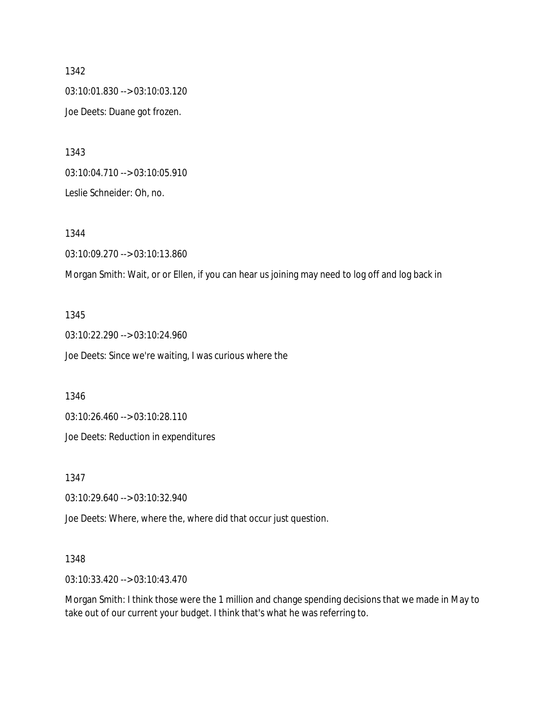03:10:01.830 --> 03:10:03.120 Joe Deets: Duane got frozen.

1343

03:10:04.710 --> 03:10:05.910 Leslie Schneider: Oh, no.

1344

03:10:09.270 --> 03:10:13.860

Morgan Smith: Wait, or or Ellen, if you can hear us joining may need to log off and log back in

1345

03:10:22.290 --> 03:10:24.960 Joe Deets: Since we're waiting, I was curious where the

1346

03:10:26.460 --> 03:10:28.110

Joe Deets: Reduction in expenditures

1347

03:10:29.640 --> 03:10:32.940

Joe Deets: Where, where the, where did that occur just question.

1348

03:10:33.420 --> 03:10:43.470

Morgan Smith: I think those were the 1 million and change spending decisions that we made in May to take out of our current your budget. I think that's what he was referring to.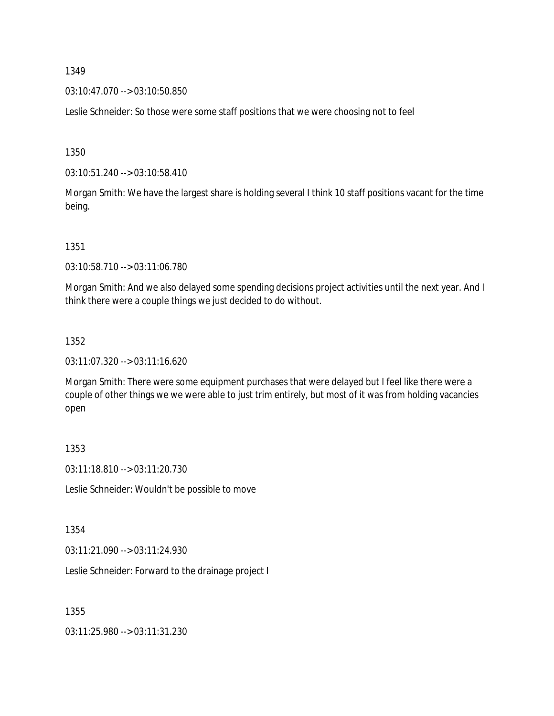03:10:47.070 --> 03:10:50.850

Leslie Schneider: So those were some staff positions that we were choosing not to feel

1350

03:10:51.240 --> 03:10:58.410

Morgan Smith: We have the largest share is holding several I think 10 staff positions vacant for the time being.

1351

03:10:58.710 --> 03:11:06.780

Morgan Smith: And we also delayed some spending decisions project activities until the next year. And I think there were a couple things we just decided to do without.

#### 1352

03:11:07.320 --> 03:11:16.620

Morgan Smith: There were some equipment purchases that were delayed but I feel like there were a couple of other things we we were able to just trim entirely, but most of it was from holding vacancies open

1353

03:11:18.810 --> 03:11:20.730

Leslie Schneider: Wouldn't be possible to move

1354

03:11:21.090 --> 03:11:24.930

Leslie Schneider: Forward to the drainage project I

1355

03:11:25.980 --> 03:11:31.230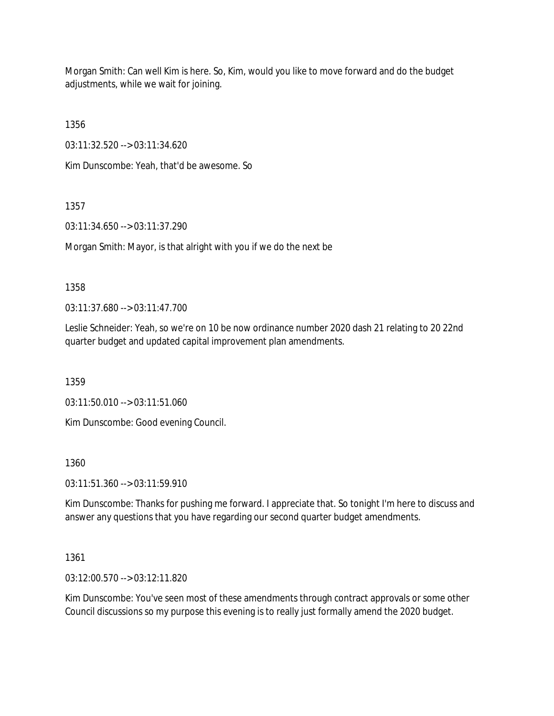Morgan Smith: Can well Kim is here. So, Kim, would you like to move forward and do the budget adjustments, while we wait for joining.

1356

03:11:32.520 --> 03:11:34.620

Kim Dunscombe: Yeah, that'd be awesome. So

1357

03:11:34.650 --> 03:11:37.290

Morgan Smith: Mayor, is that alright with you if we do the next be

1358

03:11:37.680 --> 03:11:47.700

Leslie Schneider: Yeah, so we're on 10 be now ordinance number 2020 dash 21 relating to 20 22nd quarter budget and updated capital improvement plan amendments.

1359

03:11:50.010 --> 03:11:51.060

Kim Dunscombe: Good evening Council.

1360

03:11:51.360 --> 03:11:59.910

Kim Dunscombe: Thanks for pushing me forward. I appreciate that. So tonight I'm here to discuss and answer any questions that you have regarding our second quarter budget amendments.

1361

03:12:00.570 --> 03:12:11.820

Kim Dunscombe: You've seen most of these amendments through contract approvals or some other Council discussions so my purpose this evening is to really just formally amend the 2020 budget.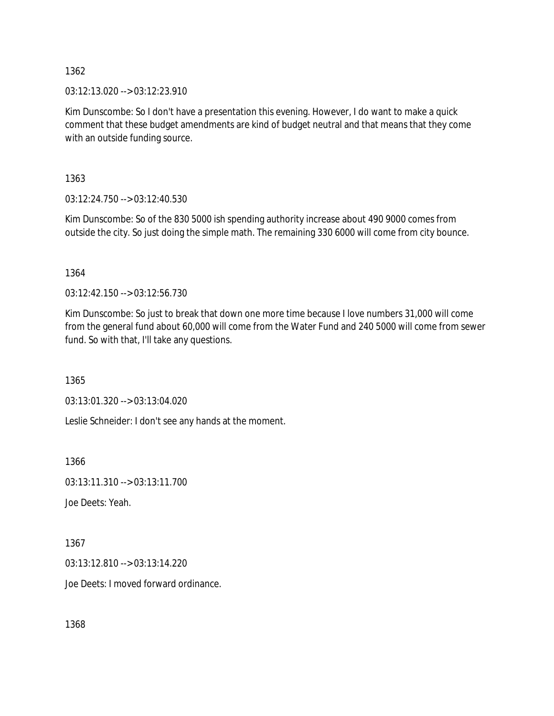03:12:13.020 --> 03:12:23.910

Kim Dunscombe: So I don't have a presentation this evening. However, I do want to make a quick comment that these budget amendments are kind of budget neutral and that means that they come with an outside funding source.

1363

03:12:24.750 --> 03:12:40.530

Kim Dunscombe: So of the 830 5000 ish spending authority increase about 490 9000 comes from outside the city. So just doing the simple math. The remaining 330 6000 will come from city bounce.

1364

03:12:42.150 --> 03:12:56.730

Kim Dunscombe: So just to break that down one more time because I love numbers 31,000 will come from the general fund about 60,000 will come from the Water Fund and 240 5000 will come from sewer fund. So with that, I'll take any questions.

1365

03:13:01.320 --> 03:13:04.020

Leslie Schneider: I don't see any hands at the moment.

1366

03:13:11.310 --> 03:13:11.700

Joe Deets: Yeah.

1367

03:13:12.810 --> 03:13:14.220

Joe Deets: I moved forward ordinance.

1368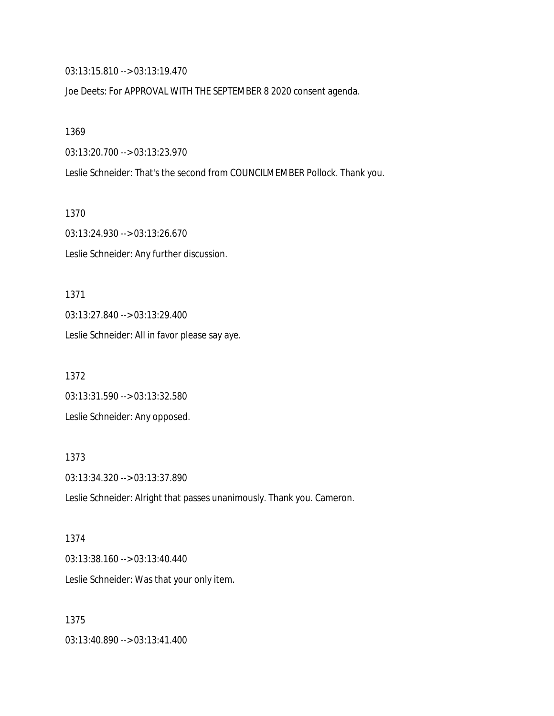03:13:15.810 --> 03:13:19.470

Joe Deets: For APPROVAL WITH THE SEPTEMBER 8 2020 consent agenda.

1369

03:13:20.700 --> 03:13:23.970

Leslie Schneider: That's the second from COUNCILMEMBER Pollock. Thank you.

1370

03:13:24.930 --> 03:13:26.670 Leslie Schneider: Any further discussion.

1371 03:13:27.840 --> 03:13:29.400 Leslie Schneider: All in favor please say aye.

1372 03:13:31.590 --> 03:13:32.580 Leslie Schneider: Any opposed.

1373 03:13:34.320 --> 03:13:37.890

Leslie Schneider: Alright that passes unanimously. Thank you. Cameron.

1374 03:13:38.160 --> 03:13:40.440 Leslie Schneider: Was that your only item.

1375 03:13:40.890 --> 03:13:41.400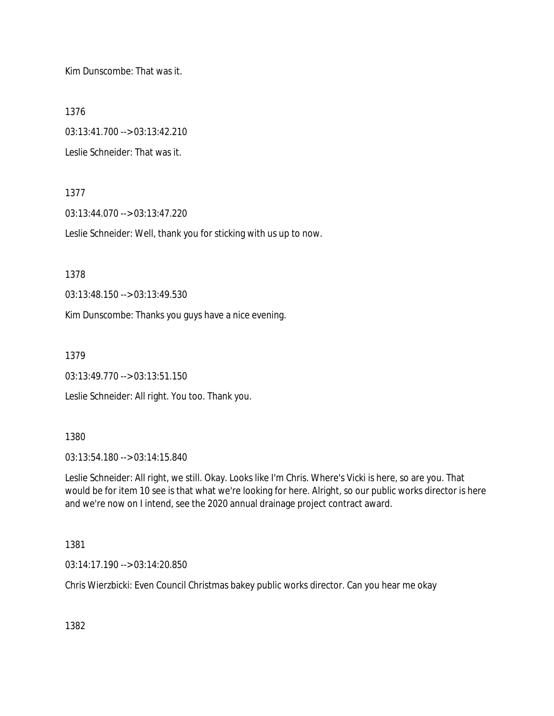Kim Dunscombe: That was it.

1376

03:13:41.700 --> 03:13:42.210

Leslie Schneider: That was it.

1377

03:13:44.070 --> 03:13:47.220

Leslie Schneider: Well, thank you for sticking with us up to now.

1378

03:13:48.150 --> 03:13:49.530

Kim Dunscombe: Thanks you guys have a nice evening.

1379

03:13:49.770 --> 03:13:51.150

Leslie Schneider: All right. You too. Thank you.

### 1380

03:13:54.180 --> 03:14:15.840

Leslie Schneider: All right, we still. Okay. Looks like I'm Chris. Where's Vicki is here, so are you. That would be for item 10 see is that what we're looking for here. Alright, so our public works director is here and we're now on I intend, see the 2020 annual drainage project contract award.

### 1381

03:14:17.190 --> 03:14:20.850

Chris Wierzbicki: Even Council Christmas bakey public works director. Can you hear me okay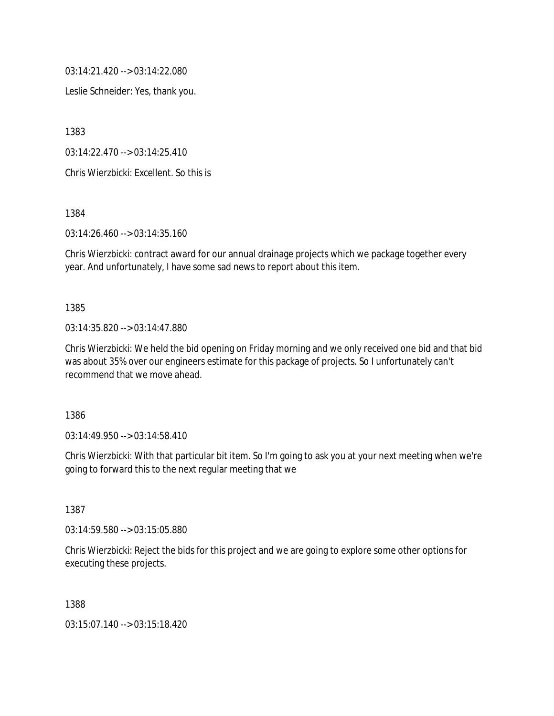03:14:21.420 --> 03:14:22.080

Leslie Schneider: Yes, thank you.

1383

03:14:22.470 --> 03:14:25.410

Chris Wierzbicki: Excellent. So this is

1384

03:14:26.460 --> 03:14:35.160

Chris Wierzbicki: contract award for our annual drainage projects which we package together every year. And unfortunately, I have some sad news to report about this item.

#### 1385

03:14:35.820 --> 03:14:47.880

Chris Wierzbicki: We held the bid opening on Friday morning and we only received one bid and that bid was about 35% over our engineers estimate for this package of projects. So I unfortunately can't recommend that we move ahead.

1386

03:14:49.950 --> 03:14:58.410

Chris Wierzbicki: With that particular bit item. So I'm going to ask you at your next meeting when we're going to forward this to the next regular meeting that we

1387

03:14:59.580 --> 03:15:05.880

Chris Wierzbicki: Reject the bids for this project and we are going to explore some other options for executing these projects.

1388

03:15:07.140 --> 03:15:18.420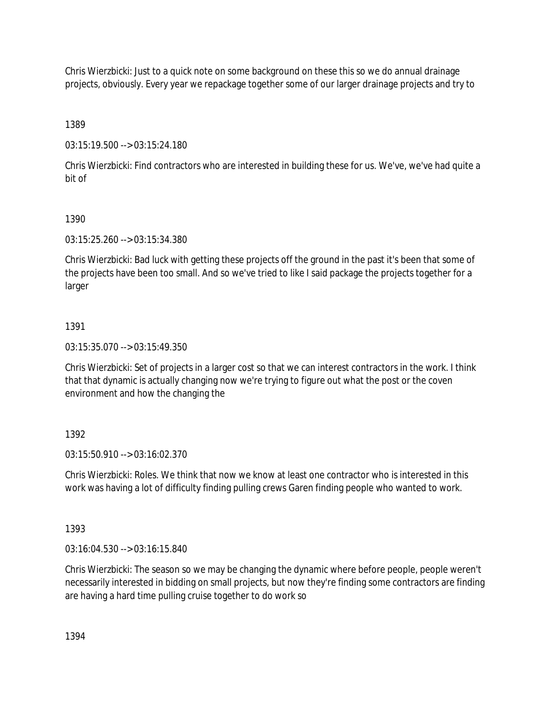Chris Wierzbicki: Just to a quick note on some background on these this so we do annual drainage projects, obviously. Every year we repackage together some of our larger drainage projects and try to

1389

03:15:19.500 --> 03:15:24.180

Chris Wierzbicki: Find contractors who are interested in building these for us. We've, we've had quite a bit of

## 1390

03:15:25.260 --> 03:15:34.380

Chris Wierzbicki: Bad luck with getting these projects off the ground in the past it's been that some of the projects have been too small. And so we've tried to like I said package the projects together for a larger

## 1391

03:15:35.070 --> 03:15:49.350

Chris Wierzbicki: Set of projects in a larger cost so that we can interest contractors in the work. I think that that dynamic is actually changing now we're trying to figure out what the post or the coven environment and how the changing the

# 1392

03:15:50.910 --> 03:16:02.370

Chris Wierzbicki: Roles. We think that now we know at least one contractor who is interested in this work was having a lot of difficulty finding pulling crews Garen finding people who wanted to work.

# 1393

03:16:04.530 --> 03:16:15.840

Chris Wierzbicki: The season so we may be changing the dynamic where before people, people weren't necessarily interested in bidding on small projects, but now they're finding some contractors are finding are having a hard time pulling cruise together to do work so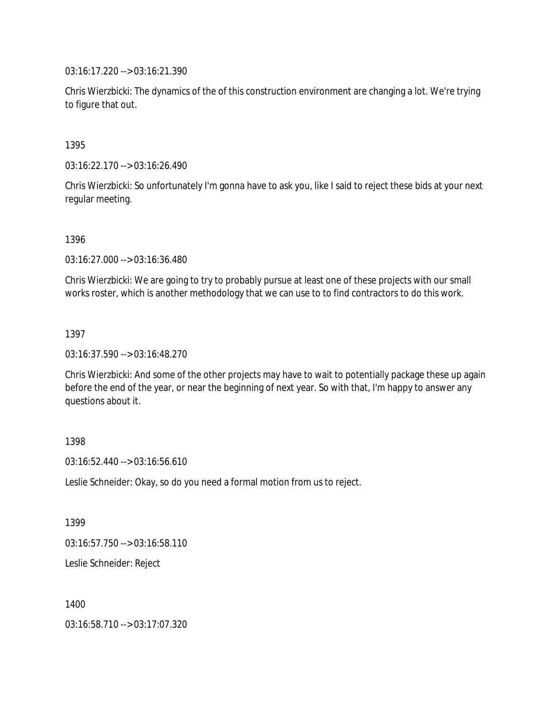03:16:17.220 --> 03:16:21.390

Chris Wierzbicki: The dynamics of the of this construction environment are changing a lot. We're trying to figure that out.

1395

03:16:22.170 --> 03:16:26.490

Chris Wierzbicki: So unfortunately I'm gonna have to ask you, like I said to reject these bids at your next regular meeting.

1396

03:16:27.000 --> 03:16:36.480

Chris Wierzbicki: We are going to try to probably pursue at least one of these projects with our small works roster, which is another methodology that we can use to to find contractors to do this work.

1397

03:16:37.590 --> 03:16:48.270

Chris Wierzbicki: And some of the other projects may have to wait to potentially package these up again before the end of the year, or near the beginning of next year. So with that, I'm happy to answer any questions about it.

1398

03:16:52.440 --> 03:16:56.610

Leslie Schneider: Okay, so do you need a formal motion from us to reject.

1399

03:16:57.750 --> 03:16:58.110

Leslie Schneider: Reject

1400

03:16:58.710 --> 03:17:07.320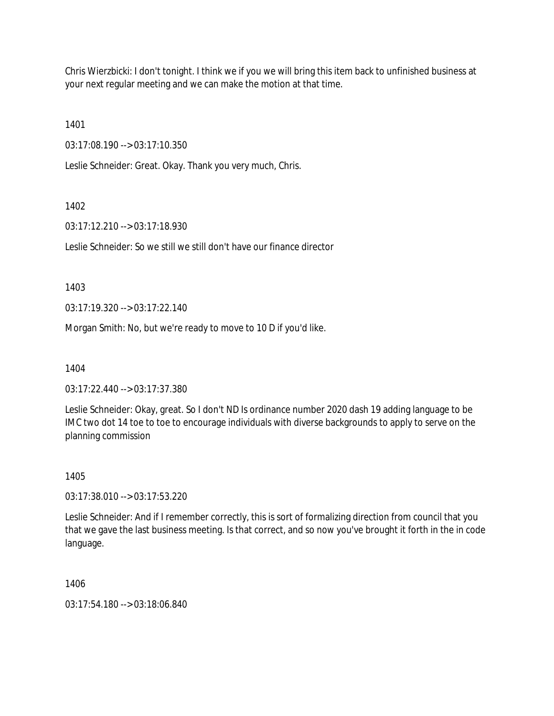Chris Wierzbicki: I don't tonight. I think we if you we will bring this item back to unfinished business at your next regular meeting and we can make the motion at that time.

1401

03:17:08.190 --> 03:17:10.350

Leslie Schneider: Great. Okay. Thank you very much, Chris.

# 1402

03:17:12.210 --> 03:17:18.930

Leslie Schneider: So we still we still don't have our finance director

1403

03:17:19.320 --> 03:17:22.140

Morgan Smith: No, but we're ready to move to 10 D if you'd like.

1404

03:17:22.440 --> 03:17:37.380

Leslie Schneider: Okay, great. So I don't ND Is ordinance number 2020 dash 19 adding language to be IMC two dot 14 toe to toe to encourage individuals with diverse backgrounds to apply to serve on the planning commission

# 1405

03:17:38.010 --> 03:17:53.220

Leslie Schneider: And if I remember correctly, this is sort of formalizing direction from council that you that we gave the last business meeting. Is that correct, and so now you've brought it forth in the in code language.

1406

03:17:54.180 --> 03:18:06.840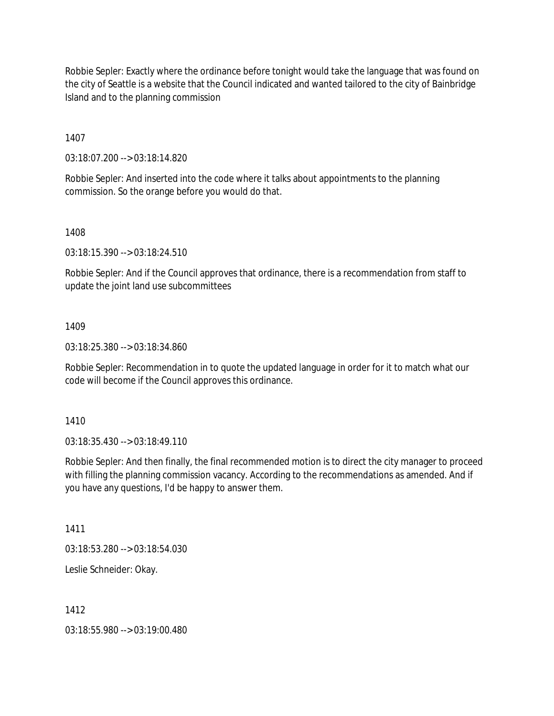Robbie Sepler: Exactly where the ordinance before tonight would take the language that was found on the city of Seattle is a website that the Council indicated and wanted tailored to the city of Bainbridge Island and to the planning commission

1407

03:18:07.200 --> 03:18:14.820

Robbie Sepler: And inserted into the code where it talks about appointments to the planning commission. So the orange before you would do that.

1408

03:18:15.390 --> 03:18:24.510

Robbie Sepler: And if the Council approves that ordinance, there is a recommendation from staff to update the joint land use subcommittees

1409

03:18:25.380 --> 03:18:34.860

Robbie Sepler: Recommendation in to quote the updated language in order for it to match what our code will become if the Council approves this ordinance.

1410

03:18:35.430 --> 03:18:49.110

Robbie Sepler: And then finally, the final recommended motion is to direct the city manager to proceed with filling the planning commission vacancy. According to the recommendations as amended. And if you have any questions, I'd be happy to answer them.

1411

03:18:53.280 --> 03:18:54.030

Leslie Schneider: Okay.

1412

03:18:55.980 --> 03:19:00.480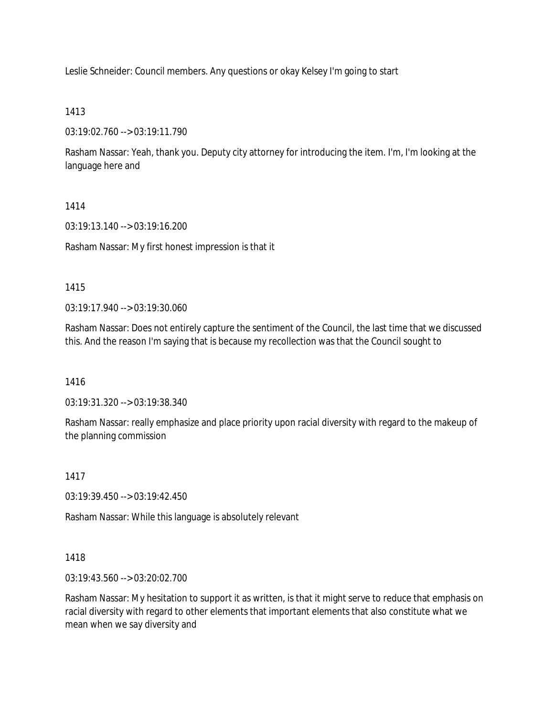Leslie Schneider: Council members. Any questions or okay Kelsey I'm going to start

# 1413

03:19:02.760 --> 03:19:11.790

Rasham Nassar: Yeah, thank you. Deputy city attorney for introducing the item. I'm, I'm looking at the language here and

# 1414

03:19:13.140 --> 03:19:16.200

Rasham Nassar: My first honest impression is that it

## 1415

03:19:17.940 --> 03:19:30.060

Rasham Nassar: Does not entirely capture the sentiment of the Council, the last time that we discussed this. And the reason I'm saying that is because my recollection was that the Council sought to

### 1416

03:19:31.320 --> 03:19:38.340

Rasham Nassar: really emphasize and place priority upon racial diversity with regard to the makeup of the planning commission

# 1417

03:19:39.450 --> 03:19:42.450

Rasham Nassar: While this language is absolutely relevant

# 1418

03:19:43.560 --> 03:20:02.700

Rasham Nassar: My hesitation to support it as written, is that it might serve to reduce that emphasis on racial diversity with regard to other elements that important elements that also constitute what we mean when we say diversity and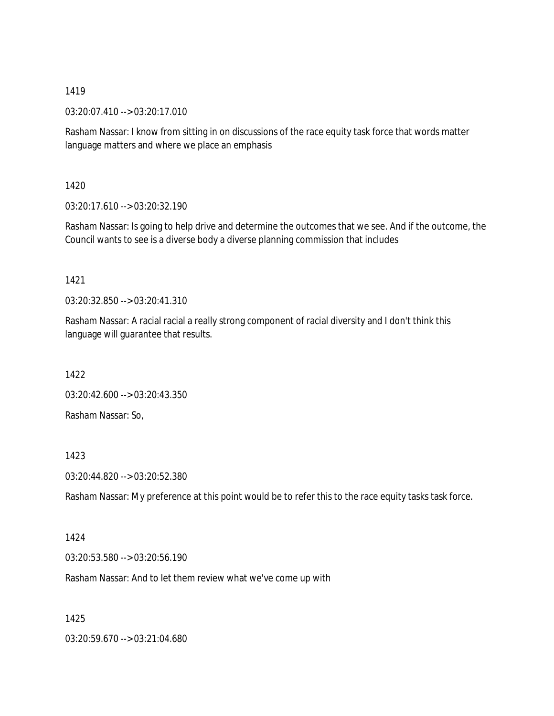03:20:07.410 --> 03:20:17.010

Rasham Nassar: I know from sitting in on discussions of the race equity task force that words matter language matters and where we place an emphasis

1420

03:20:17.610 --> 03:20:32.190

Rasham Nassar: Is going to help drive and determine the outcomes that we see. And if the outcome, the Council wants to see is a diverse body a diverse planning commission that includes

1421

03:20:32.850 --> 03:20:41.310

Rasham Nassar: A racial racial a really strong component of racial diversity and I don't think this language will guarantee that results.

1422

03:20:42.600 --> 03:20:43.350 Rasham Nassar: So,

1423

03:20:44.820 --> 03:20:52.380

Rasham Nassar: My preference at this point would be to refer this to the race equity tasks task force.

1424

03:20:53.580 --> 03:20:56.190

Rasham Nassar: And to let them review what we've come up with

1425

03:20:59.670 --> 03:21:04.680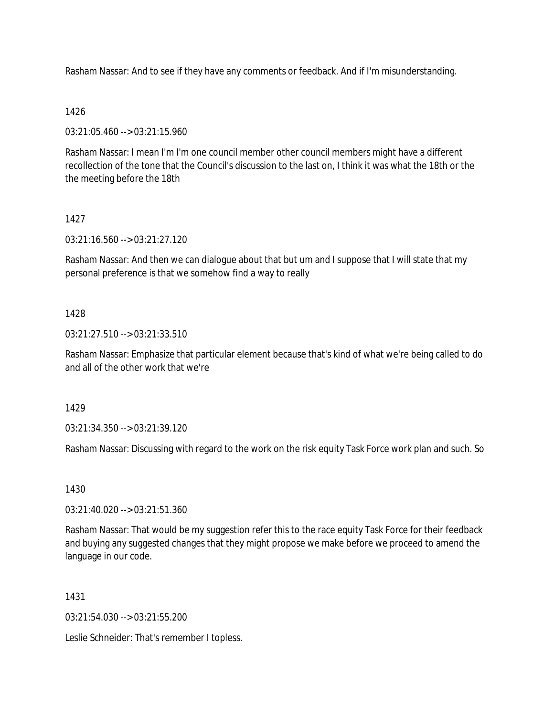Rasham Nassar: And to see if they have any comments or feedback. And if I'm misunderstanding.

### 1426

03:21:05.460 --> 03:21:15.960

Rasham Nassar: I mean I'm I'm one council member other council members might have a different recollection of the tone that the Council's discussion to the last on, I think it was what the 18th or the the meeting before the 18th

## 1427

03:21:16.560 --> 03:21:27.120

Rasham Nassar: And then we can dialogue about that but um and I suppose that I will state that my personal preference is that we somehow find a way to really

## 1428

03:21:27.510 --> 03:21:33.510

Rasham Nassar: Emphasize that particular element because that's kind of what we're being called to do and all of the other work that we're

### 1429

03:21:34.350 --> 03:21:39.120

Rasham Nassar: Discussing with regard to the work on the risk equity Task Force work plan and such. So

### 1430

03:21:40.020 --> 03:21:51.360

Rasham Nassar: That would be my suggestion refer this to the race equity Task Force for their feedback and buying any suggested changes that they might propose we make before we proceed to amend the language in our code.

### 1431

03:21:54.030 --> 03:21:55.200

Leslie Schneider: That's remember I topless.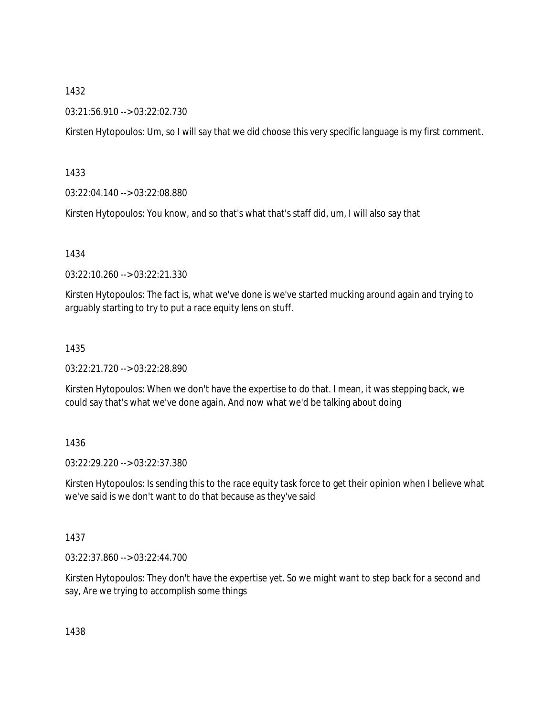03:21:56.910 --> 03:22:02.730

Kirsten Hytopoulos: Um, so I will say that we did choose this very specific language is my first comment.

1433

03:22:04.140 --> 03:22:08.880

Kirsten Hytopoulos: You know, and so that's what that's staff did, um, I will also say that

1434

03:22:10.260 --> 03:22:21.330

Kirsten Hytopoulos: The fact is, what we've done is we've started mucking around again and trying to arguably starting to try to put a race equity lens on stuff.

1435

03:22:21.720 --> 03:22:28.890

Kirsten Hytopoulos: When we don't have the expertise to do that. I mean, it was stepping back, we could say that's what we've done again. And now what we'd be talking about doing

1436

03:22:29.220 --> 03:22:37.380

Kirsten Hytopoulos: Is sending this to the race equity task force to get their opinion when I believe what we've said is we don't want to do that because as they've said

1437

03:22:37.860 --> 03:22:44.700

Kirsten Hytopoulos: They don't have the expertise yet. So we might want to step back for a second and say, Are we trying to accomplish some things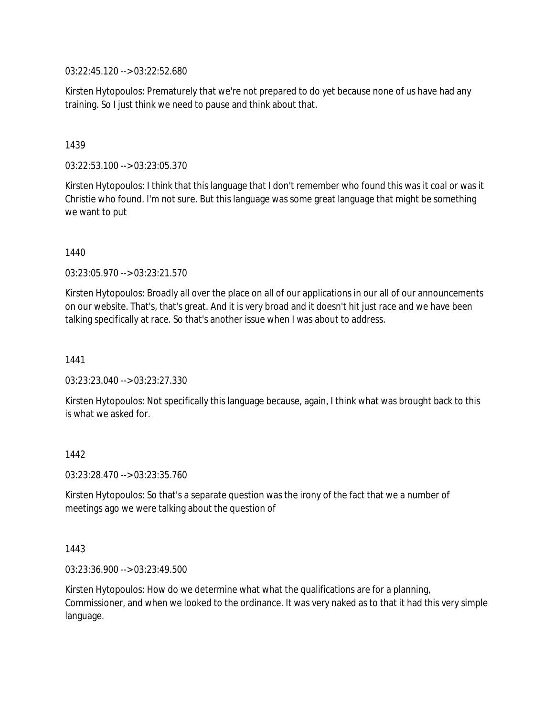03:22:45.120 --> 03:22:52.680

Kirsten Hytopoulos: Prematurely that we're not prepared to do yet because none of us have had any training. So I just think we need to pause and think about that.

### 1439

03:22:53.100 --> 03:23:05.370

Kirsten Hytopoulos: I think that this language that I don't remember who found this was it coal or was it Christie who found. I'm not sure. But this language was some great language that might be something we want to put

1440

03:23:05.970 --> 03:23:21.570

Kirsten Hytopoulos: Broadly all over the place on all of our applications in our all of our announcements on our website. That's, that's great. And it is very broad and it doesn't hit just race and we have been talking specifically at race. So that's another issue when I was about to address.

1441

03:23:23.040 --> 03:23:27.330

Kirsten Hytopoulos: Not specifically this language because, again, I think what was brought back to this is what we asked for.

### 1442

03:23:28.470 --> 03:23:35.760

Kirsten Hytopoulos: So that's a separate question was the irony of the fact that we a number of meetings ago we were talking about the question of

1443

03:23:36.900 --> 03:23:49.500

Kirsten Hytopoulos: How do we determine what what the qualifications are for a planning, Commissioner, and when we looked to the ordinance. It was very naked as to that it had this very simple language.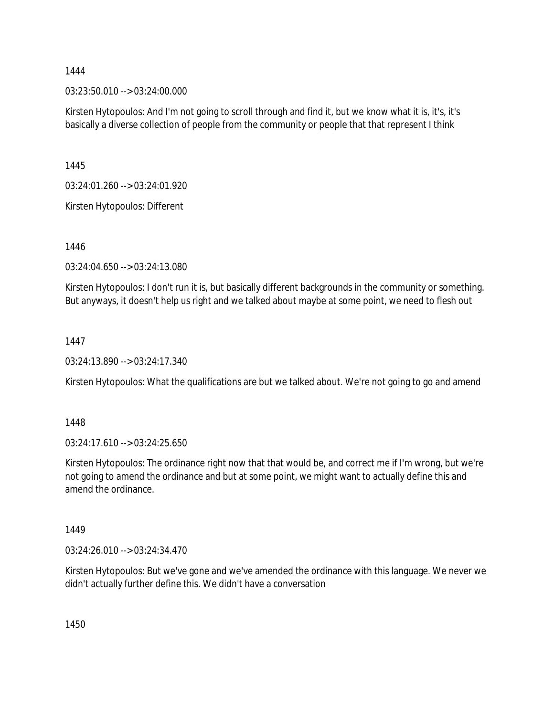03:23:50.010 --> 03:24:00.000

Kirsten Hytopoulos: And I'm not going to scroll through and find it, but we know what it is, it's, it's basically a diverse collection of people from the community or people that that represent I think

1445

03:24:01.260 --> 03:24:01.920

Kirsten Hytopoulos: Different

1446

03:24:04.650 --> 03:24:13.080

Kirsten Hytopoulos: I don't run it is, but basically different backgrounds in the community or something. But anyways, it doesn't help us right and we talked about maybe at some point, we need to flesh out

1447

03:24:13.890 --> 03:24:17.340

Kirsten Hytopoulos: What the qualifications are but we talked about. We're not going to go and amend

1448

03:24:17.610 --> 03:24:25.650

Kirsten Hytopoulos: The ordinance right now that that would be, and correct me if I'm wrong, but we're not going to amend the ordinance and but at some point, we might want to actually define this and amend the ordinance.

1449

03:24:26.010 --> 03:24:34.470

Kirsten Hytopoulos: But we've gone and we've amended the ordinance with this language. We never we didn't actually further define this. We didn't have a conversation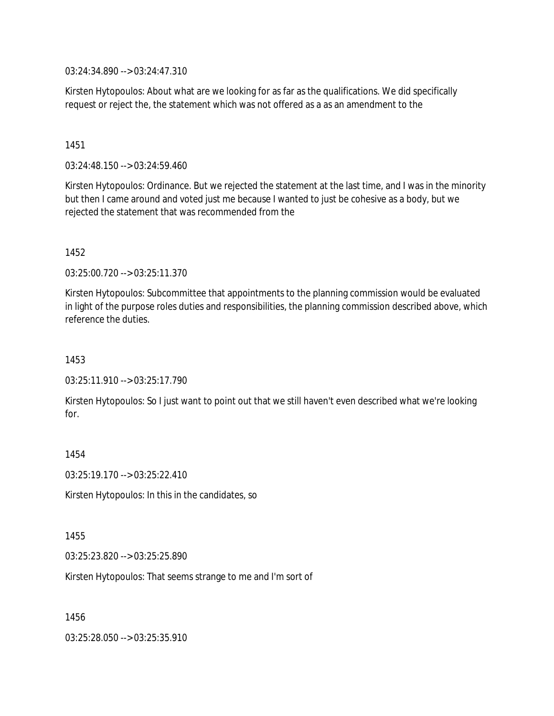03:24:34.890 --> 03:24:47.310

Kirsten Hytopoulos: About what are we looking for as far as the qualifications. We did specifically request or reject the, the statement which was not offered as a as an amendment to the

1451

03:24:48.150 --> 03:24:59.460

Kirsten Hytopoulos: Ordinance. But we rejected the statement at the last time, and I was in the minority but then I came around and voted just me because I wanted to just be cohesive as a body, but we rejected the statement that was recommended from the

1452

03:25:00.720 --> 03:25:11.370

Kirsten Hytopoulos: Subcommittee that appointments to the planning commission would be evaluated in light of the purpose roles duties and responsibilities, the planning commission described above, which reference the duties.

1453

 $03:25:11.910 \rightarrow 03:25:17.790$ 

Kirsten Hytopoulos: So I just want to point out that we still haven't even described what we're looking for.

1454

03:25:19.170 --> 03:25:22.410

Kirsten Hytopoulos: In this in the candidates, so

1455

03:25:23.820 --> 03:25:25.890

Kirsten Hytopoulos: That seems strange to me and I'm sort of

1456

03:25:28.050 --> 03:25:35.910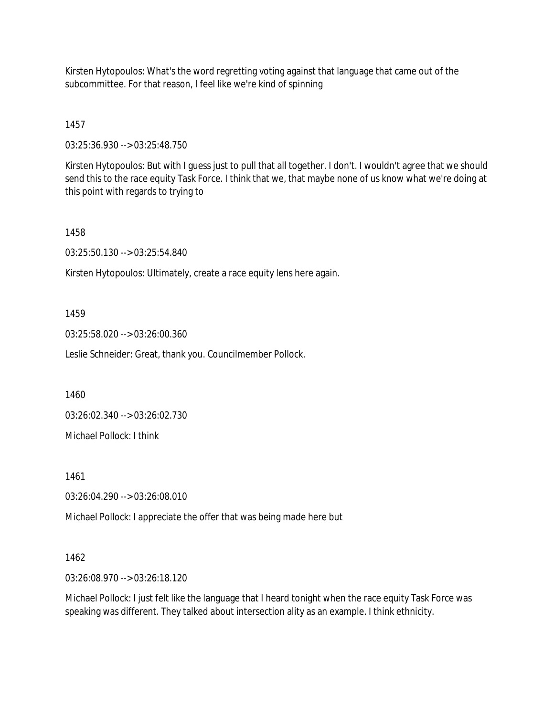Kirsten Hytopoulos: What's the word regretting voting against that language that came out of the subcommittee. For that reason, I feel like we're kind of spinning

1457

03:25:36.930 --> 03:25:48.750

Kirsten Hytopoulos: But with I guess just to pull that all together. I don't. I wouldn't agree that we should send this to the race equity Task Force. I think that we, that maybe none of us know what we're doing at this point with regards to trying to

1458

03:25:50.130 --> 03:25:54.840

Kirsten Hytopoulos: Ultimately, create a race equity lens here again.

1459

03:25:58.020 --> 03:26:00.360

Leslie Schneider: Great, thank you. Councilmember Pollock.

1460

03:26:02.340 --> 03:26:02.730

Michael Pollock: I think

1461

03:26:04.290 --> 03:26:08.010

Michael Pollock: I appreciate the offer that was being made here but

1462

03:26:08.970 --> 03:26:18.120

Michael Pollock: I just felt like the language that I heard tonight when the race equity Task Force was speaking was different. They talked about intersection ality as an example. I think ethnicity.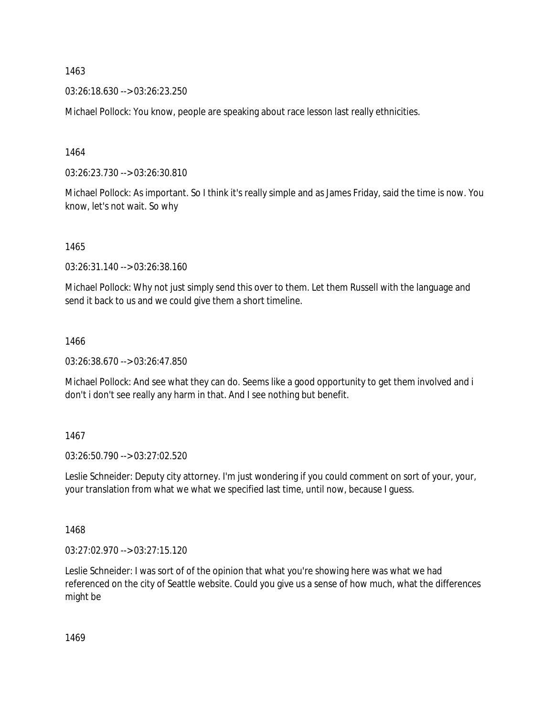03:26:18.630 --> 03:26:23.250

Michael Pollock: You know, people are speaking about race lesson last really ethnicities.

1464

03:26:23.730 --> 03:26:30.810

Michael Pollock: As important. So I think it's really simple and as James Friday, said the time is now. You know, let's not wait. So why

1465

03:26:31.140 --> 03:26:38.160

Michael Pollock: Why not just simply send this over to them. Let them Russell with the language and send it back to us and we could give them a short timeline.

### 1466

03:26:38.670 --> 03:26:47.850

Michael Pollock: And see what they can do. Seems like a good opportunity to get them involved and i don't i don't see really any harm in that. And I see nothing but benefit.

### 1467

03:26:50.790 --> 03:27:02.520

Leslie Schneider: Deputy city attorney. I'm just wondering if you could comment on sort of your, your, your translation from what we what we specified last time, until now, because I guess.

1468

03:27:02.970 --> 03:27:15.120

Leslie Schneider: I was sort of of the opinion that what you're showing here was what we had referenced on the city of Seattle website. Could you give us a sense of how much, what the differences might be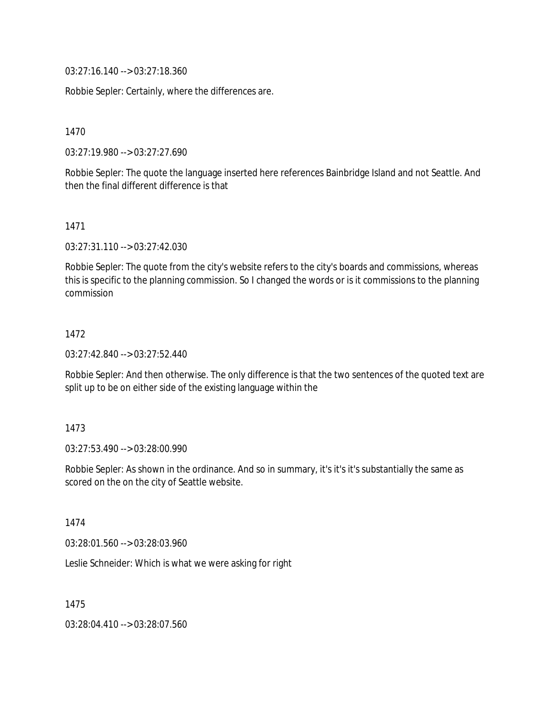03:27:16.140 --> 03:27:18.360

Robbie Sepler: Certainly, where the differences are.

1470

03:27:19.980 --> 03:27:27.690

Robbie Sepler: The quote the language inserted here references Bainbridge Island and not Seattle. And then the final different difference is that

#### 1471

03:27:31.110 --> 03:27:42.030

Robbie Sepler: The quote from the city's website refers to the city's boards and commissions, whereas this is specific to the planning commission. So I changed the words or is it commissions to the planning commission

#### 1472

03:27:42.840 --> 03:27:52.440

Robbie Sepler: And then otherwise. The only difference is that the two sentences of the quoted text are split up to be on either side of the existing language within the

#### 1473

03:27:53.490 --> 03:28:00.990

Robbie Sepler: As shown in the ordinance. And so in summary, it's it's it's substantially the same as scored on the on the city of Seattle website.

#### 1474

03:28:01.560 --> 03:28:03.960

Leslie Schneider: Which is what we were asking for right

1475

03:28:04.410 --> 03:28:07.560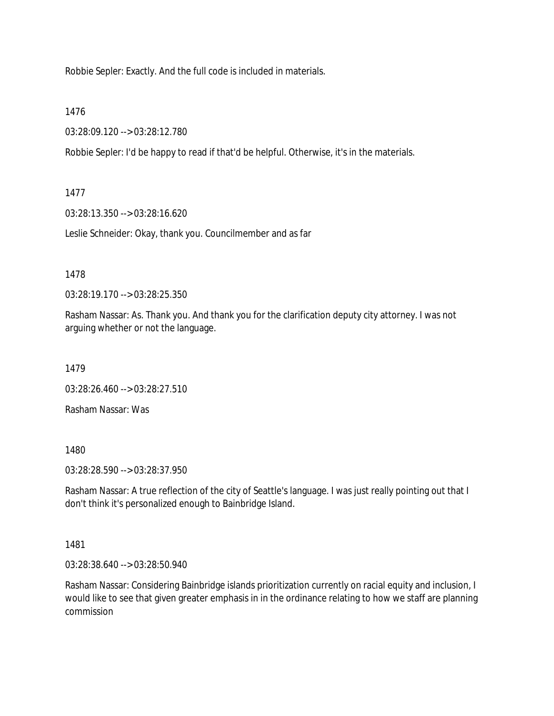Robbie Sepler: Exactly. And the full code is included in materials.

1476

03:28:09.120 --> 03:28:12.780

Robbie Sepler: I'd be happy to read if that'd be helpful. Otherwise, it's in the materials.

1477

03:28:13.350 --> 03:28:16.620

Leslie Schneider: Okay, thank you. Councilmember and as far

1478

03:28:19.170 --> 03:28:25.350

Rasham Nassar: As. Thank you. And thank you for the clarification deputy city attorney. I was not arguing whether or not the language.

1479

03:28:26.460 --> 03:28:27.510

Rasham Nassar: Was

1480

03:28:28.590 --> 03:28:37.950

Rasham Nassar: A true reflection of the city of Seattle's language. I was just really pointing out that I don't think it's personalized enough to Bainbridge Island.

1481

03:28:38.640 --> 03:28:50.940

Rasham Nassar: Considering Bainbridge islands prioritization currently on racial equity and inclusion, I would like to see that given greater emphasis in in the ordinance relating to how we staff are planning commission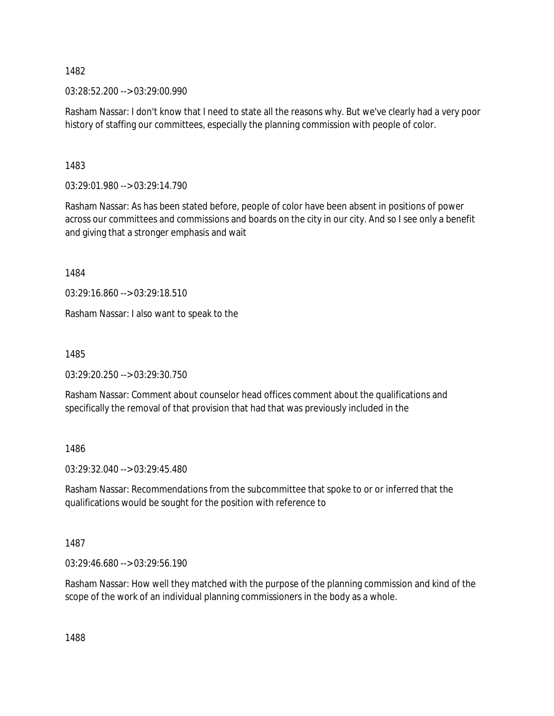03:28:52.200 --> 03:29:00.990

Rasham Nassar: I don't know that I need to state all the reasons why. But we've clearly had a very poor history of staffing our committees, especially the planning commission with people of color.

1483

03:29:01.980 --> 03:29:14.790

Rasham Nassar: As has been stated before, people of color have been absent in positions of power across our committees and commissions and boards on the city in our city. And so I see only a benefit and giving that a stronger emphasis and wait

1484

03:29:16.860 --> 03:29:18.510

Rasham Nassar: I also want to speak to the

1485

03:29:20.250 --> 03:29:30.750

Rasham Nassar: Comment about counselor head offices comment about the qualifications and specifically the removal of that provision that had that was previously included in the

1486

03:29:32.040 --> 03:29:45.480

Rasham Nassar: Recommendations from the subcommittee that spoke to or or inferred that the qualifications would be sought for the position with reference to

1487

03:29:46.680 --> 03:29:56.190

Rasham Nassar: How well they matched with the purpose of the planning commission and kind of the scope of the work of an individual planning commissioners in the body as a whole.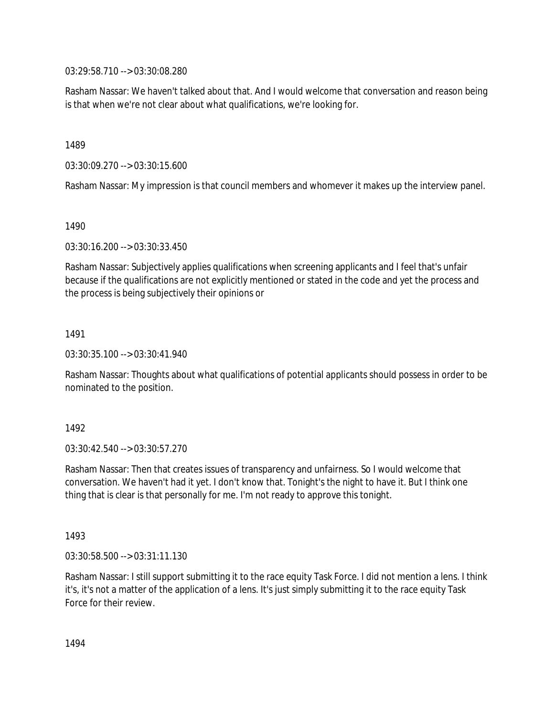03:29:58.710 --> 03:30:08.280

Rasham Nassar: We haven't talked about that. And I would welcome that conversation and reason being is that when we're not clear about what qualifications, we're looking for.

1489

03:30:09.270 --> 03:30:15.600

Rasham Nassar: My impression is that council members and whomever it makes up the interview panel.

1490

03:30:16.200 --> 03:30:33.450

Rasham Nassar: Subjectively applies qualifications when screening applicants and I feel that's unfair because if the qualifications are not explicitly mentioned or stated in the code and yet the process and the process is being subjectively their opinions or

1491

03:30:35.100 --> 03:30:41.940

Rasham Nassar: Thoughts about what qualifications of potential applicants should possess in order to be nominated to the position.

1492

03:30:42.540 --> 03:30:57.270

Rasham Nassar: Then that creates issues of transparency and unfairness. So I would welcome that conversation. We haven't had it yet. I don't know that. Tonight's the night to have it. But I think one thing that is clear is that personally for me. I'm not ready to approve this tonight.

1493

03:30:58.500 --> 03:31:11.130

Rasham Nassar: I still support submitting it to the race equity Task Force. I did not mention a lens. I think it's, it's not a matter of the application of a lens. It's just simply submitting it to the race equity Task Force for their review.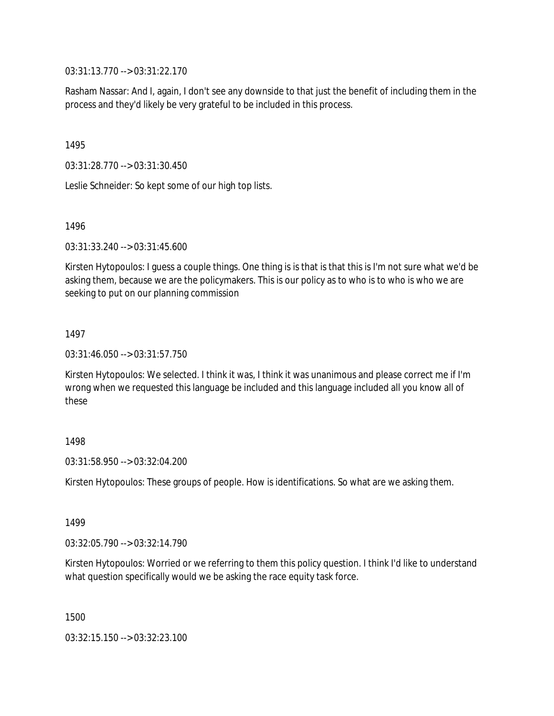03:31:13.770 --> 03:31:22.170

Rasham Nassar: And I, again, I don't see any downside to that just the benefit of including them in the process and they'd likely be very grateful to be included in this process.

1495

03:31:28.770 --> 03:31:30.450

Leslie Schneider: So kept some of our high top lists.

1496

03:31:33.240 --> 03:31:45.600

Kirsten Hytopoulos: I guess a couple things. One thing is is that is that this is I'm not sure what we'd be asking them, because we are the policymakers. This is our policy as to who is to who is who we are seeking to put on our planning commission

1497

03:31:46.050 --> 03:31:57.750

Kirsten Hytopoulos: We selected. I think it was, I think it was unanimous and please correct me if I'm wrong when we requested this language be included and this language included all you know all of these

### 1498

03:31:58.950 --> 03:32:04.200

Kirsten Hytopoulos: These groups of people. How is identifications. So what are we asking them.

1499

03:32:05.790 --> 03:32:14.790

Kirsten Hytopoulos: Worried or we referring to them this policy question. I think I'd like to understand what question specifically would we be asking the race equity task force.

1500

03:32:15.150 --> 03:32:23.100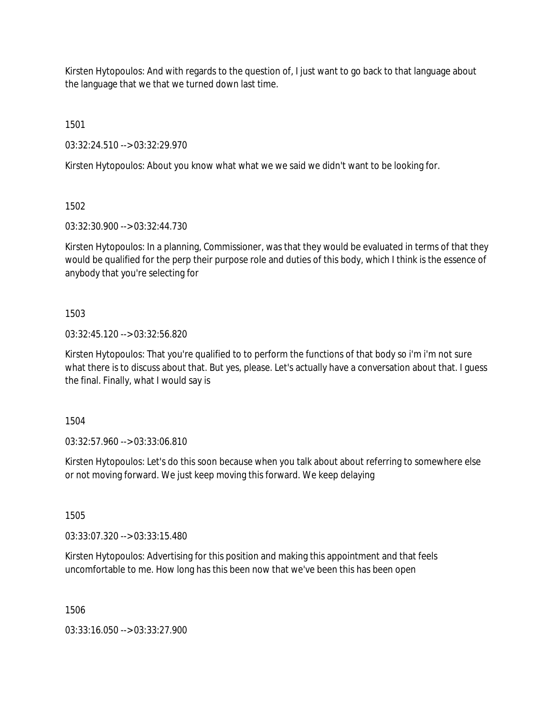Kirsten Hytopoulos: And with regards to the question of, I just want to go back to that language about the language that we that we turned down last time.

1501

03:32:24.510 --> 03:32:29.970

Kirsten Hytopoulos: About you know what what we we said we didn't want to be looking for.

1502

03:32:30.900 --> 03:32:44.730

Kirsten Hytopoulos: In a planning, Commissioner, was that they would be evaluated in terms of that they would be qualified for the perp their purpose role and duties of this body, which I think is the essence of anybody that you're selecting for

# 1503

03:32:45.120 --> 03:32:56.820

Kirsten Hytopoulos: That you're qualified to to perform the functions of that body so i'm i'm not sure what there is to discuss about that. But yes, please. Let's actually have a conversation about that. I guess the final. Finally, what I would say is

1504

03:32:57.960 --> 03:33:06.810

Kirsten Hytopoulos: Let's do this soon because when you talk about about referring to somewhere else or not moving forward. We just keep moving this forward. We keep delaying

1505

03:33:07.320 --> 03:33:15.480

Kirsten Hytopoulos: Advertising for this position and making this appointment and that feels uncomfortable to me. How long has this been now that we've been this has been open

1506

03:33:16.050 --> 03:33:27.900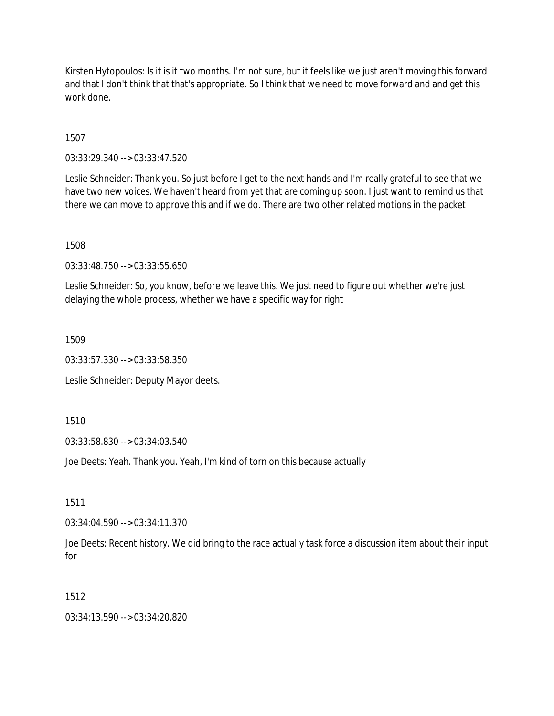Kirsten Hytopoulos: Is it is it two months. I'm not sure, but it feels like we just aren't moving this forward and that I don't think that that's appropriate. So I think that we need to move forward and and get this work done.

1507

03:33:29.340 --> 03:33:47.520

Leslie Schneider: Thank you. So just before I get to the next hands and I'm really grateful to see that we have two new voices. We haven't heard from yet that are coming up soon. I just want to remind us that there we can move to approve this and if we do. There are two other related motions in the packet

1508

03:33:48.750 --> 03:33:55.650

Leslie Schneider: So, you know, before we leave this. We just need to figure out whether we're just delaying the whole process, whether we have a specific way for right

1509

03:33:57.330 --> 03:33:58.350

Leslie Schneider: Deputy Mayor deets.

1510

03:33:58.830 --> 03:34:03.540

Joe Deets: Yeah. Thank you. Yeah, I'm kind of torn on this because actually

1511

03:34:04.590 --> 03:34:11.370

Joe Deets: Recent history. We did bring to the race actually task force a discussion item about their input for

1512

03:34:13.590 --> 03:34:20.820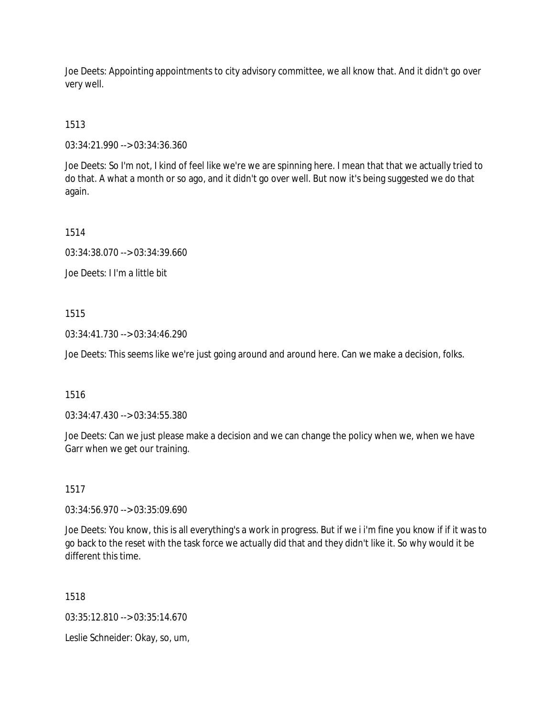Joe Deets: Appointing appointments to city advisory committee, we all know that. And it didn't go over very well.

1513

03:34:21.990 --> 03:34:36.360

Joe Deets: So I'm not, I kind of feel like we're we are spinning here. I mean that that we actually tried to do that. A what a month or so ago, and it didn't go over well. But now it's being suggested we do that again.

1514

03:34:38.070 --> 03:34:39.660

Joe Deets: I I'm a little bit

1515

03:34:41.730 --> 03:34:46.290

Joe Deets: This seems like we're just going around and around here. Can we make a decision, folks.

1516

03:34:47.430 --> 03:34:55.380

Joe Deets: Can we just please make a decision and we can change the policy when we, when we have Garr when we get our training.

1517

03:34:56.970 --> 03:35:09.690

Joe Deets: You know, this is all everything's a work in progress. But if we i i'm fine you know if if it was to go back to the reset with the task force we actually did that and they didn't like it. So why would it be different this time.

1518

03:35:12.810 --> 03:35:14.670

Leslie Schneider: Okay, so, um,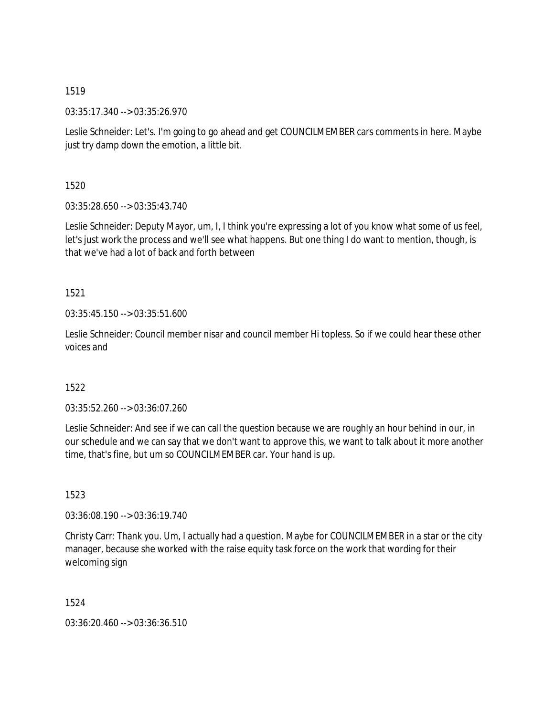03:35:17.340 --> 03:35:26.970

Leslie Schneider: Let's. I'm going to go ahead and get COUNCILMEMBER cars comments in here. Maybe just try damp down the emotion, a little bit.

1520

03:35:28.650 --> 03:35:43.740

Leslie Schneider: Deputy Mayor, um, I, I think you're expressing a lot of you know what some of us feel, let's just work the process and we'll see what happens. But one thing I do want to mention, though, is that we've had a lot of back and forth between

1521

03:35:45.150 --> 03:35:51.600

Leslie Schneider: Council member nisar and council member Hi topless. So if we could hear these other voices and

### 1522

03:35:52.260 --> 03:36:07.260

Leslie Schneider: And see if we can call the question because we are roughly an hour behind in our, in our schedule and we can say that we don't want to approve this, we want to talk about it more another time, that's fine, but um so COUNCILMEMBER car. Your hand is up.

1523

03:36:08.190 --> 03:36:19.740

Christy Carr: Thank you. Um, I actually had a question. Maybe for COUNCILMEMBER in a star or the city manager, because she worked with the raise equity task force on the work that wording for their welcoming sign

1524

03:36:20.460 --> 03:36:36.510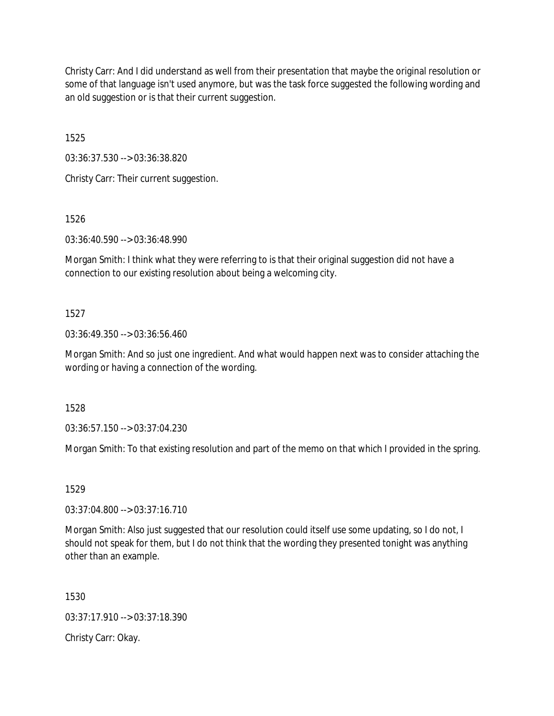Christy Carr: And I did understand as well from their presentation that maybe the original resolution or some of that language isn't used anymore, but was the task force suggested the following wording and an old suggestion or is that their current suggestion.

1525

03:36:37.530 --> 03:36:38.820

Christy Carr: Their current suggestion.

1526

03:36:40.590 --> 03:36:48.990

Morgan Smith: I think what they were referring to is that their original suggestion did not have a connection to our existing resolution about being a welcoming city.

## 1527

03:36:49.350 --> 03:36:56.460

Morgan Smith: And so just one ingredient. And what would happen next was to consider attaching the wording or having a connection of the wording.

1528

03:36:57.150 --> 03:37:04.230

Morgan Smith: To that existing resolution and part of the memo on that which I provided in the spring.

1529

03:37:04.800 --> 03:37:16.710

Morgan Smith: Also just suggested that our resolution could itself use some updating, so I do not, I should not speak for them, but I do not think that the wording they presented tonight was anything other than an example.

1530

03:37:17.910 --> 03:37:18.390

Christy Carr: Okay.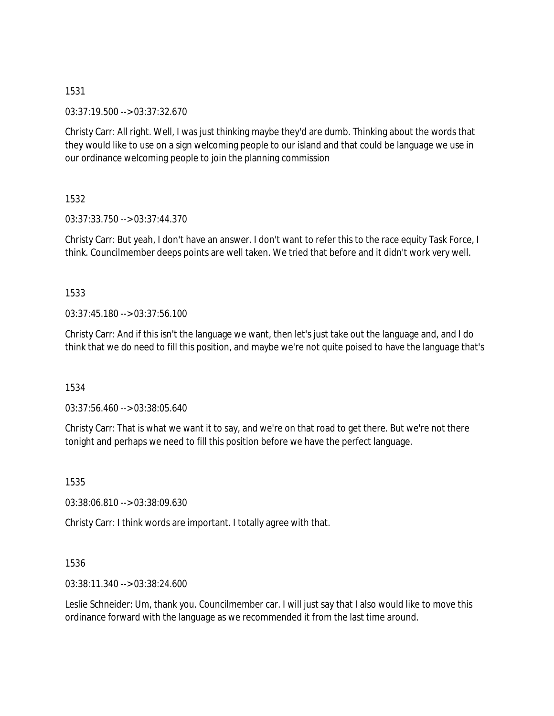03:37:19.500 --> 03:37:32.670

Christy Carr: All right. Well, I was just thinking maybe they'd are dumb. Thinking about the words that they would like to use on a sign welcoming people to our island and that could be language we use in our ordinance welcoming people to join the planning commission

1532

03:37:33.750 --> 03:37:44.370

Christy Carr: But yeah, I don't have an answer. I don't want to refer this to the race equity Task Force, I think. Councilmember deeps points are well taken. We tried that before and it didn't work very well.

1533

03:37:45.180 --> 03:37:56.100

Christy Carr: And if this isn't the language we want, then let's just take out the language and, and I do think that we do need to fill this position, and maybe we're not quite poised to have the language that's

1534

03:37:56.460 --> 03:38:05.640

Christy Carr: That is what we want it to say, and we're on that road to get there. But we're not there tonight and perhaps we need to fill this position before we have the perfect language.

1535

03:38:06.810 --> 03:38:09.630

Christy Carr: I think words are important. I totally agree with that.

1536

03:38:11.340 --> 03:38:24.600

Leslie Schneider: Um, thank you. Councilmember car. I will just say that I also would like to move this ordinance forward with the language as we recommended it from the last time around.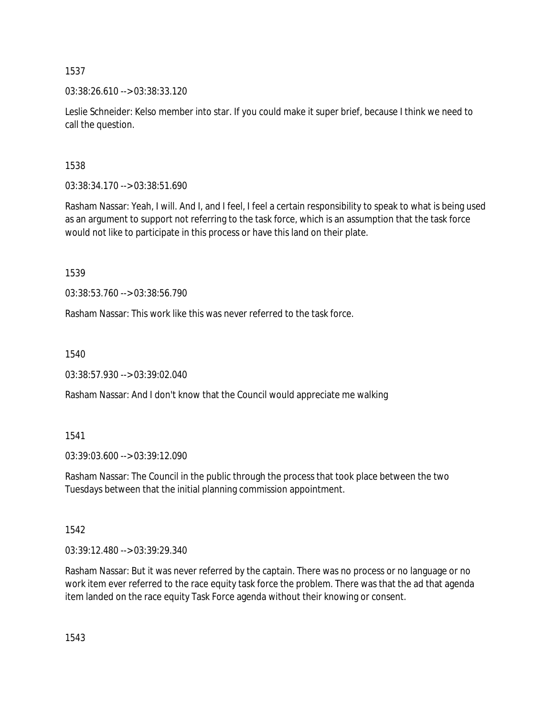03:38:26.610 --> 03:38:33.120

Leslie Schneider: Kelso member into star. If you could make it super brief, because I think we need to call the question.

# 1538

03:38:34.170 --> 03:38:51.690

Rasham Nassar: Yeah, I will. And I, and I feel, I feel a certain responsibility to speak to what is being used as an argument to support not referring to the task force, which is an assumption that the task force would not like to participate in this process or have this land on their plate.

1539

03:38:53.760 --> 03:38:56.790

Rasham Nassar: This work like this was never referred to the task force.

1540

03:38:57.930 --> 03:39:02.040

Rasham Nassar: And I don't know that the Council would appreciate me walking

# 1541

03:39:03.600 --> 03:39:12.090

Rasham Nassar: The Council in the public through the process that took place between the two Tuesdays between that the initial planning commission appointment.

1542

03:39:12.480 --> 03:39:29.340

Rasham Nassar: But it was never referred by the captain. There was no process or no language or no work item ever referred to the race equity task force the problem. There was that the ad that agenda item landed on the race equity Task Force agenda without their knowing or consent.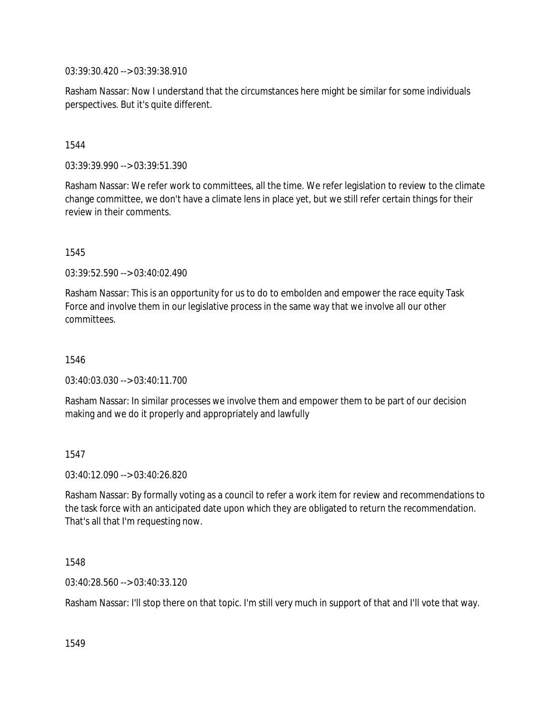03:39:30.420 --> 03:39:38.910

Rasham Nassar: Now I understand that the circumstances here might be similar for some individuals perspectives. But it's quite different.

### 1544

03:39:39.990 --> 03:39:51.390

Rasham Nassar: We refer work to committees, all the time. We refer legislation to review to the climate change committee, we don't have a climate lens in place yet, but we still refer certain things for their review in their comments.

1545

03:39:52.590 --> 03:40:02.490

Rasham Nassar: This is an opportunity for us to do to embolden and empower the race equity Task Force and involve them in our legislative process in the same way that we involve all our other committees.

1546

 $03:40:03.030 \rightarrow 03:40:11.700$ 

Rasham Nassar: In similar processes we involve them and empower them to be part of our decision making and we do it properly and appropriately and lawfully

### 1547

03:40:12.090 --> 03:40:26.820

Rasham Nassar: By formally voting as a council to refer a work item for review and recommendations to the task force with an anticipated date upon which they are obligated to return the recommendation. That's all that I'm requesting now.

1548

03:40:28.560 --> 03:40:33.120

Rasham Nassar: I'll stop there on that topic. I'm still very much in support of that and I'll vote that way.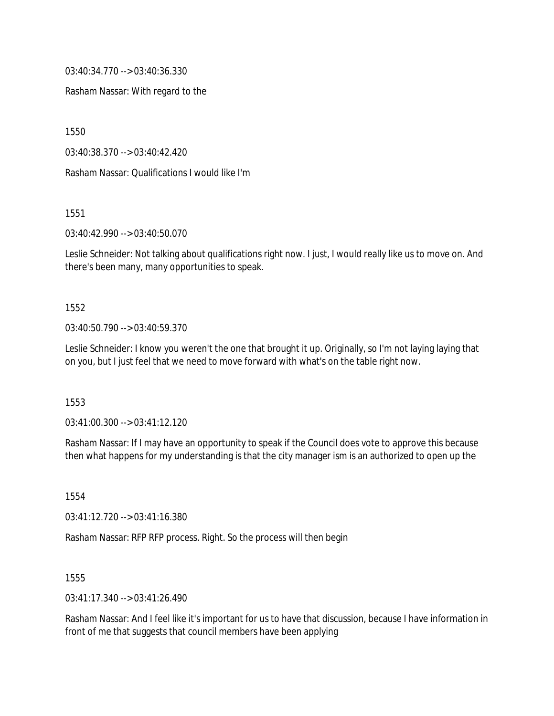03:40:34.770 --> 03:40:36.330

Rasham Nassar: With regard to the

1550

03:40:38.370 --> 03:40:42.420

Rasham Nassar: Qualifications I would like I'm

1551

03:40:42.990 --> 03:40:50.070

Leslie Schneider: Not talking about qualifications right now. I just, I would really like us to move on. And there's been many, many opportunities to speak.

#### 1552

03:40:50.790 --> 03:40:59.370

Leslie Schneider: I know you weren't the one that brought it up. Originally, so I'm not laying laying that on you, but I just feel that we need to move forward with what's on the table right now.

1553

03:41:00.300 --> 03:41:12.120

Rasham Nassar: If I may have an opportunity to speak if the Council does vote to approve this because then what happens for my understanding is that the city manager ism is an authorized to open up the

1554

03:41:12.720 --> 03:41:16.380

Rasham Nassar: RFP RFP process. Right. So the process will then begin

1555

03:41:17.340 --> 03:41:26.490

Rasham Nassar: And I feel like it's important for us to have that discussion, because I have information in front of me that suggests that council members have been applying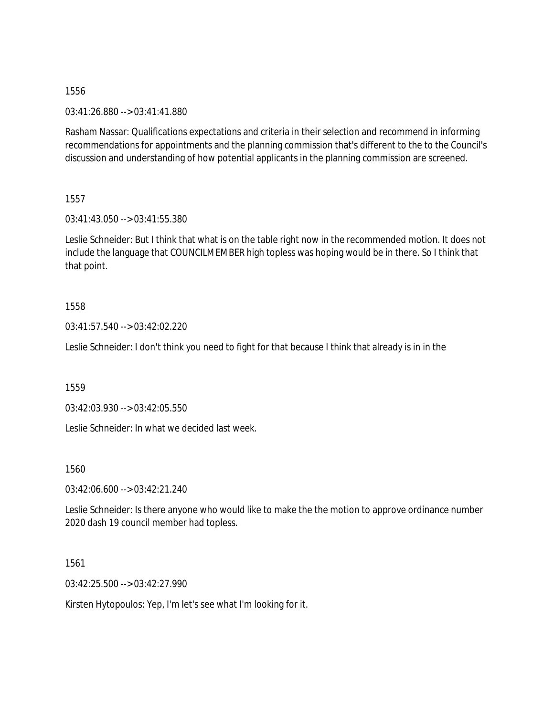03:41:26.880 --> 03:41:41.880

Rasham Nassar: Qualifications expectations and criteria in their selection and recommend in informing recommendations for appointments and the planning commission that's different to the to the Council's discussion and understanding of how potential applicants in the planning commission are screened.

1557

03:41:43.050 --> 03:41:55.380

Leslie Schneider: But I think that what is on the table right now in the recommended motion. It does not include the language that COUNCILMEMBER high topless was hoping would be in there. So I think that that point.

### 1558

03:41:57.540 --> 03:42:02.220

Leslie Schneider: I don't think you need to fight for that because I think that already is in in the

1559

03:42:03.930 --> 03:42:05.550

Leslie Schneider: In what we decided last week.

1560

03:42:06.600 --> 03:42:21.240

Leslie Schneider: Is there anyone who would like to make the the motion to approve ordinance number 2020 dash 19 council member had topless.

1561

03:42:25.500 --> 03:42:27.990

Kirsten Hytopoulos: Yep, I'm let's see what I'm looking for it.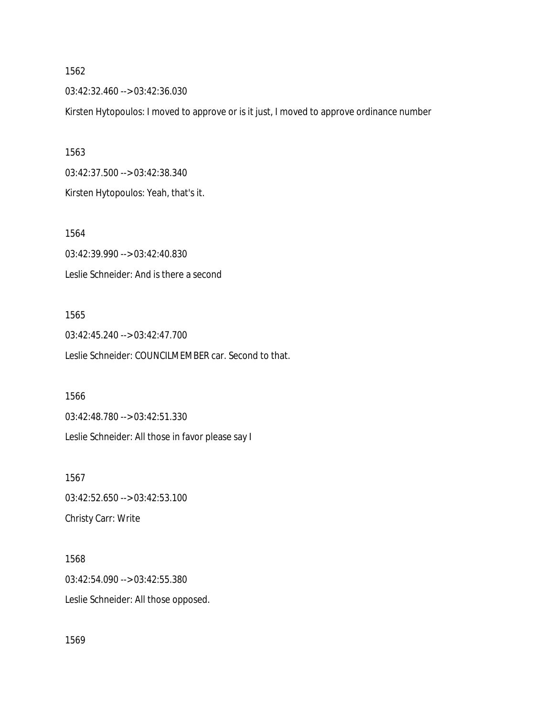03:42:32.460 --> 03:42:36.030

Kirsten Hytopoulos: I moved to approve or is it just, I moved to approve ordinance number

1563 03:42:37.500 --> 03:42:38.340 Kirsten Hytopoulos: Yeah, that's it.

1564 03:42:39.990 --> 03:42:40.830 Leslie Schneider: And is there a second

1565 03:42:45.240 --> 03:42:47.700 Leslie Schneider: COUNCILMEMBER car. Second to that.

1566 03:42:48.780 --> 03:42:51.330 Leslie Schneider: All those in favor please say I

1567 03:42:52.650 --> 03:42:53.100 Christy Carr: Write

1568 03:42:54.090 --> 03:42:55.380 Leslie Schneider: All those opposed.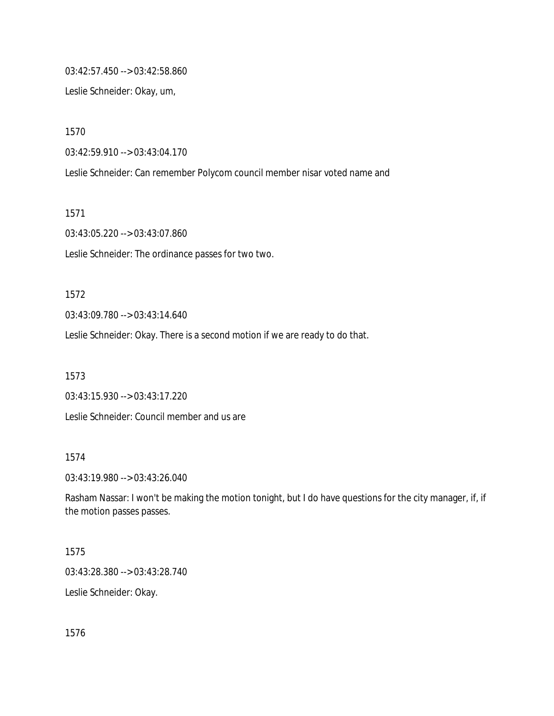03:42:57.450 --> 03:42:58.860

Leslie Schneider: Okay, um,

1570

03:42:59.910 --> 03:43:04.170

Leslie Schneider: Can remember Polycom council member nisar voted name and

1571

03:43:05.220 --> 03:43:07.860

Leslie Schneider: The ordinance passes for two two.

#### 1572

03:43:09.780 --> 03:43:14.640

Leslie Schneider: Okay. There is a second motion if we are ready to do that.

1573

03:43:15.930 --> 03:43:17.220 Leslie Schneider: Council member and us are

#### 1574

03:43:19.980 --> 03:43:26.040

Rasham Nassar: I won't be making the motion tonight, but I do have questions for the city manager, if, if the motion passes passes.

### 1575

03:43:28.380 --> 03:43:28.740

Leslie Schneider: Okay.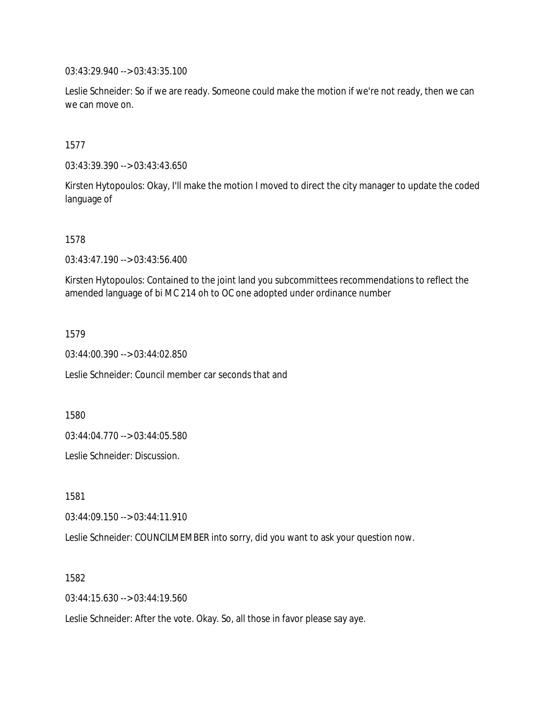03:43:29.940 --> 03:43:35.100

Leslie Schneider: So if we are ready. Someone could make the motion if we're not ready, then we can we can move on.

1577

03:43:39.390 --> 03:43:43.650

Kirsten Hytopoulos: Okay, I'll make the motion I moved to direct the city manager to update the coded language of

1578

03:43:47.190 --> 03:43:56.400

Kirsten Hytopoulos: Contained to the joint land you subcommittees recommendations to reflect the amended language of bi MC 214 oh to OC one adopted under ordinance number

1579

03:44:00.390 --> 03:44:02.850

Leslie Schneider: Council member car seconds that and

1580

03:44:04.770 --> 03:44:05.580

Leslie Schneider: Discussion.

1581

03:44:09.150 --> 03:44:11.910

Leslie Schneider: COUNCILMEMBER into sorry, did you want to ask your question now.

1582

03:44:15.630 --> 03:44:19.560

Leslie Schneider: After the vote. Okay. So, all those in favor please say aye.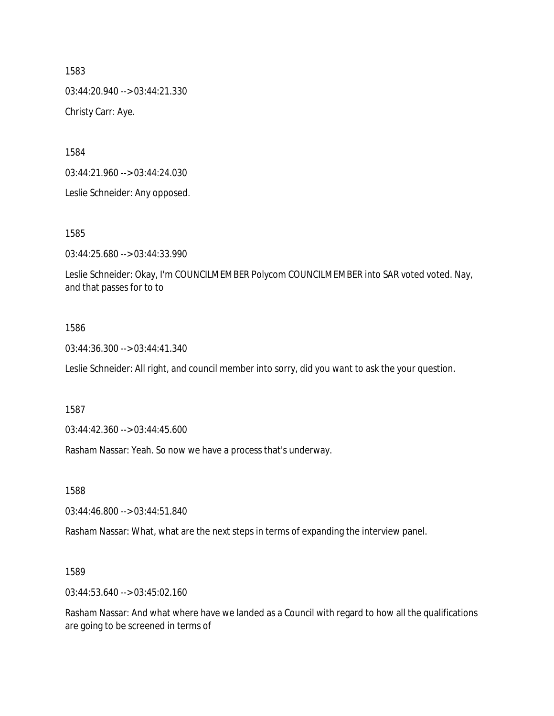03:44:20.940 --> 03:44:21.330 Christy Carr: Aye.

1584

03:44:21.960 --> 03:44:24.030

Leslie Schneider: Any opposed.

1585

03:44:25.680 --> 03:44:33.990

Leslie Schneider: Okay, I'm COUNCILMEMBER Polycom COUNCILMEMBER into SAR voted voted. Nay, and that passes for to to

#### 1586

03:44:36.300 --> 03:44:41.340

Leslie Schneider: All right, and council member into sorry, did you want to ask the your question.

1587

03:44:42.360 --> 03:44:45.600

Rasham Nassar: Yeah. So now we have a process that's underway.

1588

03:44:46.800 --> 03:44:51.840

Rasham Nassar: What, what are the next steps in terms of expanding the interview panel.

1589

03:44:53.640 --> 03:45:02.160

Rasham Nassar: And what where have we landed as a Council with regard to how all the qualifications are going to be screened in terms of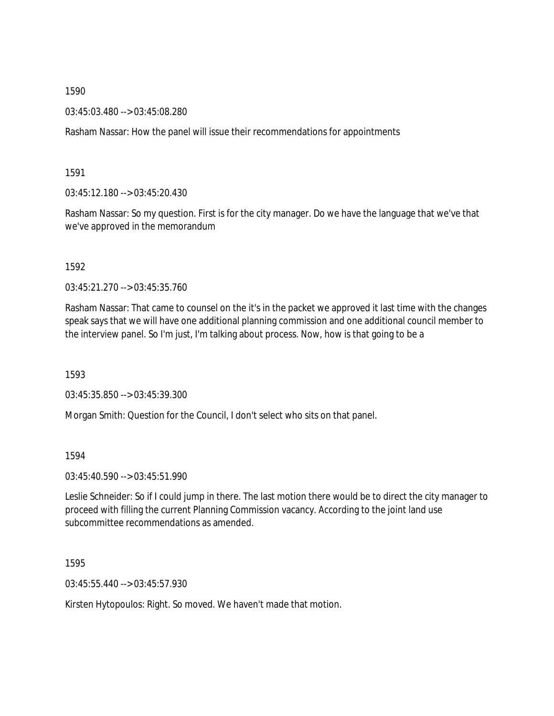03:45:03.480 --> 03:45:08.280

Rasham Nassar: How the panel will issue their recommendations for appointments

1591

03:45:12.180 --> 03:45:20.430

Rasham Nassar: So my question. First is for the city manager. Do we have the language that we've that we've approved in the memorandum

1592

03:45:21.270 --> 03:45:35.760

Rasham Nassar: That came to counsel on the it's in the packet we approved it last time with the changes speak says that we will have one additional planning commission and one additional council member to the interview panel. So I'm just, I'm talking about process. Now, how is that going to be a

1593

03:45:35.850 --> 03:45:39.300

Morgan Smith: Question for the Council, I don't select who sits on that panel.

1594

03:45:40.590 --> 03:45:51.990

Leslie Schneider: So if I could jump in there. The last motion there would be to direct the city manager to proceed with filling the current Planning Commission vacancy. According to the joint land use subcommittee recommendations as amended.

1595

03:45:55.440 --> 03:45:57.930

Kirsten Hytopoulos: Right. So moved. We haven't made that motion.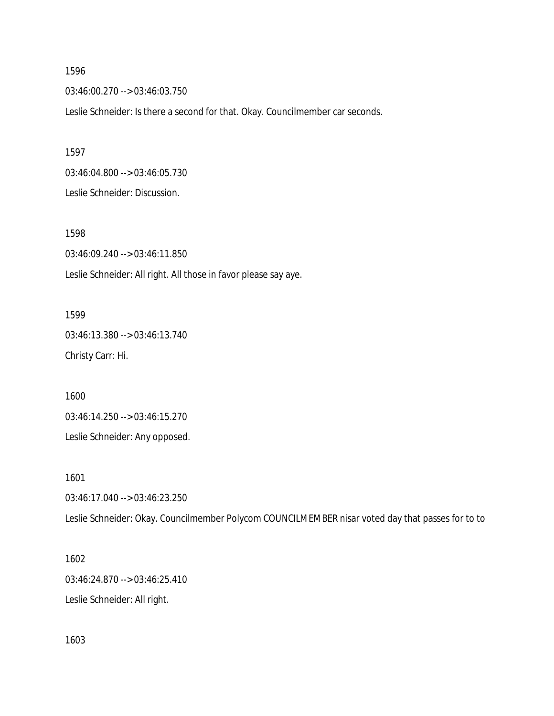03:46:00.270 --> 03:46:03.750

Leslie Schneider: Is there a second for that. Okay. Councilmember car seconds.

1597

03:46:04.800 --> 03:46:05.730 Leslie Schneider: Discussion.

1598 03:46:09.240 --> 03:46:11.850 Leslie Schneider: All right. All those in favor please say aye.

1599 03:46:13.380 --> 03:46:13.740 Christy Carr: Hi.

1600

03:46:14.250 --> 03:46:15.270

Leslie Schneider: Any opposed.

1601

03:46:17.040 --> 03:46:23.250

Leslie Schneider: Okay. Councilmember Polycom COUNCILMEMBER nisar voted day that passes for to to

1602 03:46:24.870 --> 03:46:25.410 Leslie Schneider: All right.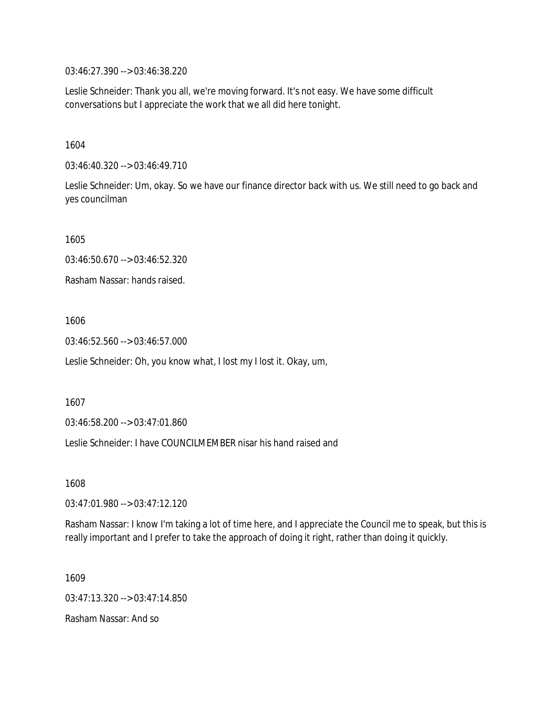03:46:27.390 --> 03:46:38.220

Leslie Schneider: Thank you all, we're moving forward. It's not easy. We have some difficult conversations but I appreciate the work that we all did here tonight.

1604

03:46:40.320 --> 03:46:49.710

Leslie Schneider: Um, okay. So we have our finance director back with us. We still need to go back and yes councilman

1605

03:46:50.670 --> 03:46:52.320

Rasham Nassar: hands raised.

1606

03:46:52.560 --> 03:46:57.000

Leslie Schneider: Oh, you know what, I lost my I lost it. Okay, um,

1607

03:46:58.200 --> 03:47:01.860

Leslie Schneider: I have COUNCILMEMBER nisar his hand raised and

1608

03:47:01.980 --> 03:47:12.120

Rasham Nassar: I know I'm taking a lot of time here, and I appreciate the Council me to speak, but this is really important and I prefer to take the approach of doing it right, rather than doing it quickly.

1609 03:47:13.320 --> 03:47:14.850 Rasham Nassar: And so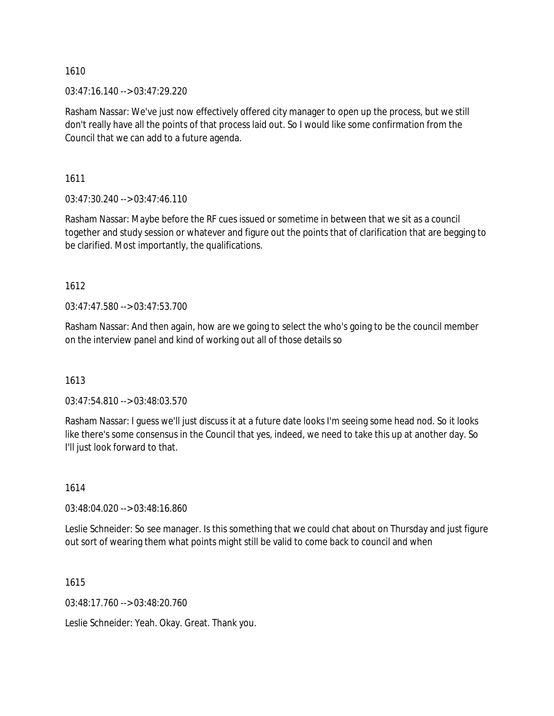03:47:16.140 --> 03:47:29.220

Rasham Nassar: We've just now effectively offered city manager to open up the process, but we still don't really have all the points of that process laid out. So I would like some confirmation from the Council that we can add to a future agenda.

1611

03:47:30.240 --> 03:47:46.110

Rasham Nassar: Maybe before the RF cues issued or sometime in between that we sit as a council together and study session or whatever and figure out the points that of clarification that are begging to be clarified. Most importantly, the qualifications.

1612

03:47:47.580 --> 03:47:53.700

Rasham Nassar: And then again, how are we going to select the who's going to be the council member on the interview panel and kind of working out all of those details so

1613

03:47:54.810 --> 03:48:03.570

Rasham Nassar: I guess we'll just discuss it at a future date looks I'm seeing some head nod. So it looks like there's some consensus in the Council that yes, indeed, we need to take this up at another day. So I'll just look forward to that.

1614

03:48:04.020 --> 03:48:16.860

Leslie Schneider: So see manager. Is this something that we could chat about on Thursday and just figure out sort of wearing them what points might still be valid to come back to council and when

1615

03:48:17.760 --> 03:48:20.760

Leslie Schneider: Yeah. Okay. Great. Thank you.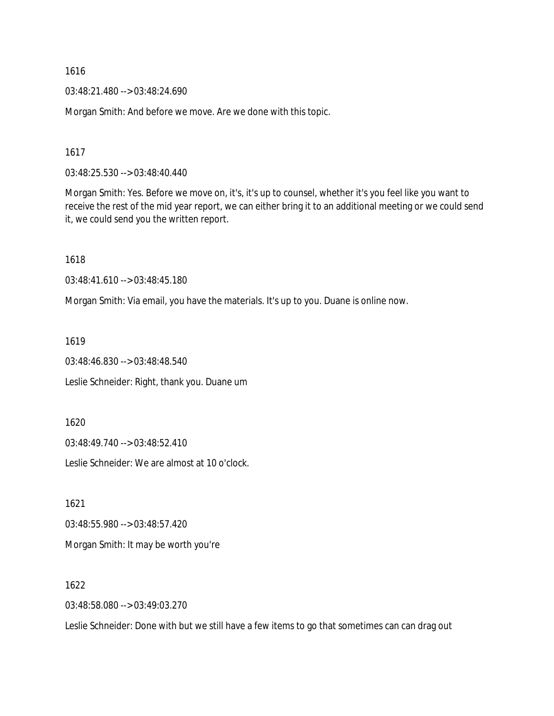03:48:21.480 --> 03:48:24.690

Morgan Smith: And before we move. Are we done with this topic.

1617

03:48:25.530 --> 03:48:40.440

Morgan Smith: Yes. Before we move on, it's, it's up to counsel, whether it's you feel like you want to receive the rest of the mid year report, we can either bring it to an additional meeting or we could send it, we could send you the written report.

1618

03:48:41.610 --> 03:48:45.180

Morgan Smith: Via email, you have the materials. It's up to you. Duane is online now.

1619

03:48:46.830 --> 03:48:48.540

Leslie Schneider: Right, thank you. Duane um

1620

03:48:49.740 --> 03:48:52.410

Leslie Schneider: We are almost at 10 o'clock.

1621

03:48:55.980 --> 03:48:57.420

Morgan Smith: It may be worth you're

1622

03:48:58.080 --> 03:49:03.270

Leslie Schneider: Done with but we still have a few items to go that sometimes can can drag out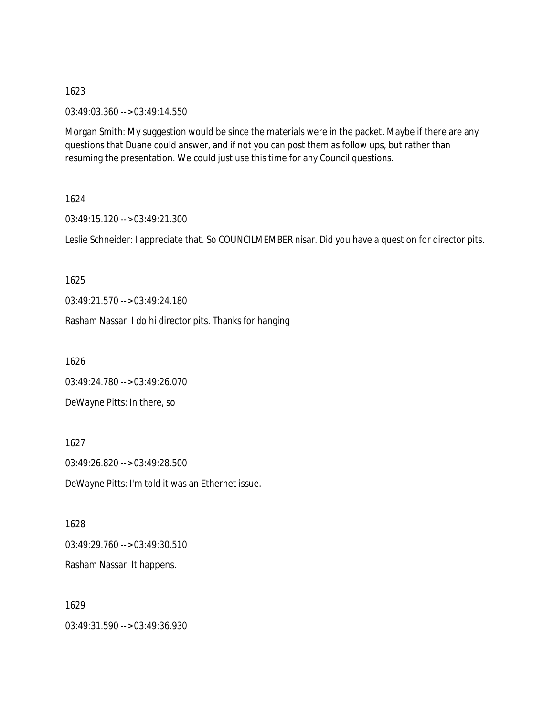03:49:03.360 --> 03:49:14.550

Morgan Smith: My suggestion would be since the materials were in the packet. Maybe if there are any questions that Duane could answer, and if not you can post them as follow ups, but rather than resuming the presentation. We could just use this time for any Council questions.

1624

03:49:15.120 --> 03:49:21.300

Leslie Schneider: I appreciate that. So COUNCILMEMBER nisar. Did you have a question for director pits.

1625

03:49:21.570 --> 03:49:24.180

Rasham Nassar: I do hi director pits. Thanks for hanging

1626

1629

03:49:24.780 --> 03:49:26.070 DeWayne Pitts: In there, so

1627 03:49:26.820 --> 03:49:28.500 DeWayne Pitts: I'm told it was an Ethernet issue.

1628 03:49:29.760 --> 03:49:30.510 Rasham Nassar: It happens.

03:49:31.590 --> 03:49:36.930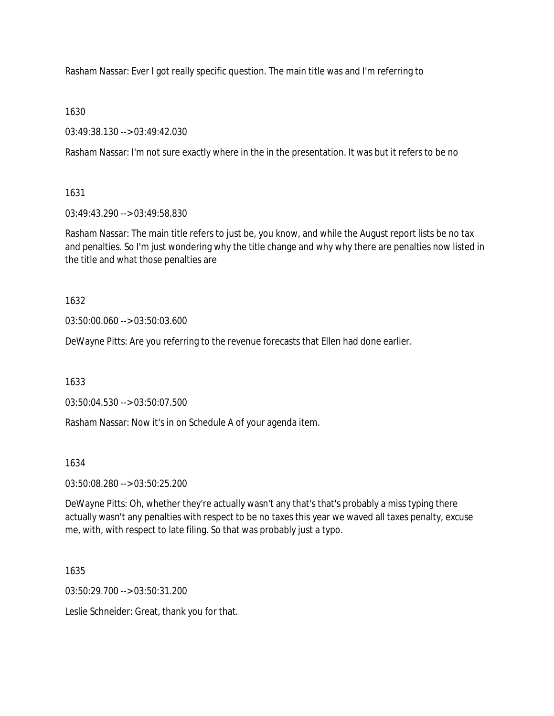Rasham Nassar: Ever I got really specific question. The main title was and I'm referring to

1630

03:49:38.130 --> 03:49:42.030

Rasham Nassar: I'm not sure exactly where in the in the presentation. It was but it refers to be no

1631

03:49:43.290 --> 03:49:58.830

Rasham Nassar: The main title refers to just be, you know, and while the August report lists be no tax and penalties. So I'm just wondering why the title change and why why there are penalties now listed in the title and what those penalties are

1632

03:50:00.060 --> 03:50:03.600

DeWayne Pitts: Are you referring to the revenue forecasts that Ellen had done earlier.

1633

03:50:04.530 --> 03:50:07.500

Rasham Nassar: Now it's in on Schedule A of your agenda item.

1634

03:50:08.280 --> 03:50:25.200

DeWayne Pitts: Oh, whether they're actually wasn't any that's that's probably a miss typing there actually wasn't any penalties with respect to be no taxes this year we waved all taxes penalty, excuse me, with, with respect to late filing. So that was probably just a typo.

1635

03:50:29.700 --> 03:50:31.200

Leslie Schneider: Great, thank you for that.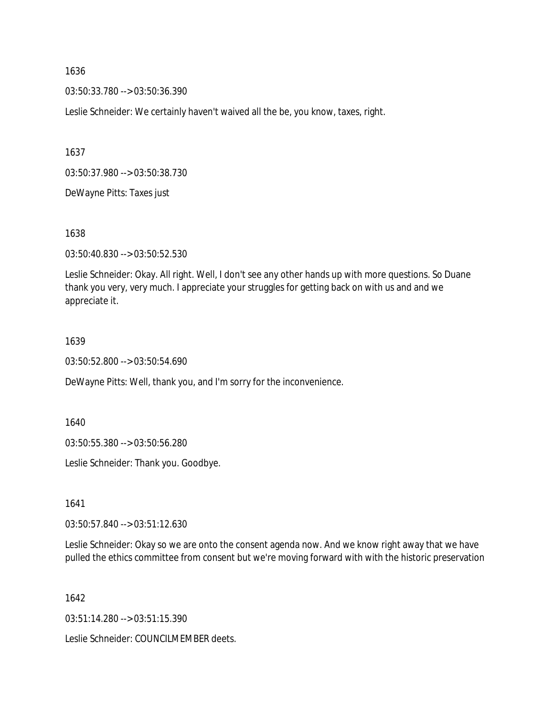03:50:33.780 --> 03:50:36.390

Leslie Schneider: We certainly haven't waived all the be, you know, taxes, right.

1637

03:50:37.980 --> 03:50:38.730

DeWayne Pitts: Taxes just

1638

03:50:40.830 --> 03:50:52.530

Leslie Schneider: Okay. All right. Well, I don't see any other hands up with more questions. So Duane thank you very, very much. I appreciate your struggles for getting back on with us and and we appreciate it.

#### 1639

03:50:52.800 --> 03:50:54.690

DeWayne Pitts: Well, thank you, and I'm sorry for the inconvenience.

1640

03:50:55.380 --> 03:50:56.280

Leslie Schneider: Thank you. Goodbye.

1641

03:50:57.840 --> 03:51:12.630

Leslie Schneider: Okay so we are onto the consent agenda now. And we know right away that we have pulled the ethics committee from consent but we're moving forward with with the historic preservation

1642

03:51:14.280 --> 03:51:15.390

Leslie Schneider: COUNCILMEMBER deets.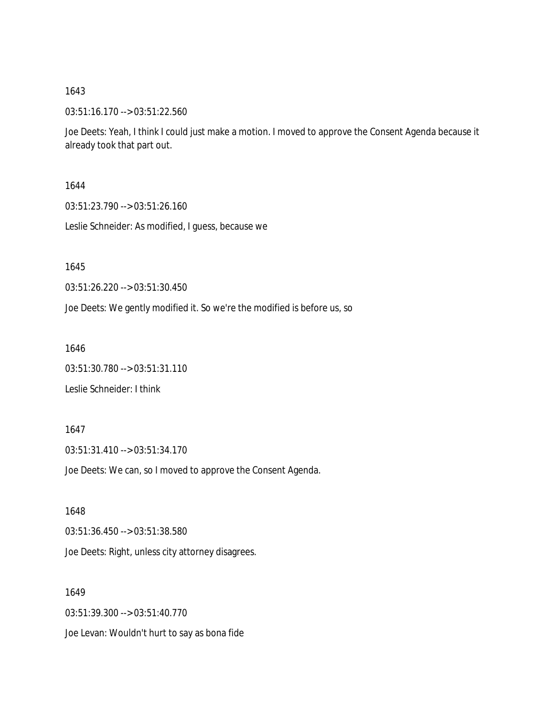03:51:16.170 --> 03:51:22.560

Joe Deets: Yeah, I think I could just make a motion. I moved to approve the Consent Agenda because it already took that part out.

1644

03:51:23.790 --> 03:51:26.160

Leslie Schneider: As modified, I guess, because we

1645

03:51:26.220 --> 03:51:30.450

Joe Deets: We gently modified it. So we're the modified is before us, so

1646

```
03:51:30.780 --> 03:51:31.110
```
Leslie Schneider: I think

1647

03:51:31.410 --> 03:51:34.170

Joe Deets: We can, so I moved to approve the Consent Agenda.

1648 03:51:36.450 --> 03:51:38.580 Joe Deets: Right, unless city attorney disagrees.

1649 03:51:39.300 --> 03:51:40.770 Joe Levan: Wouldn't hurt to say as bona fide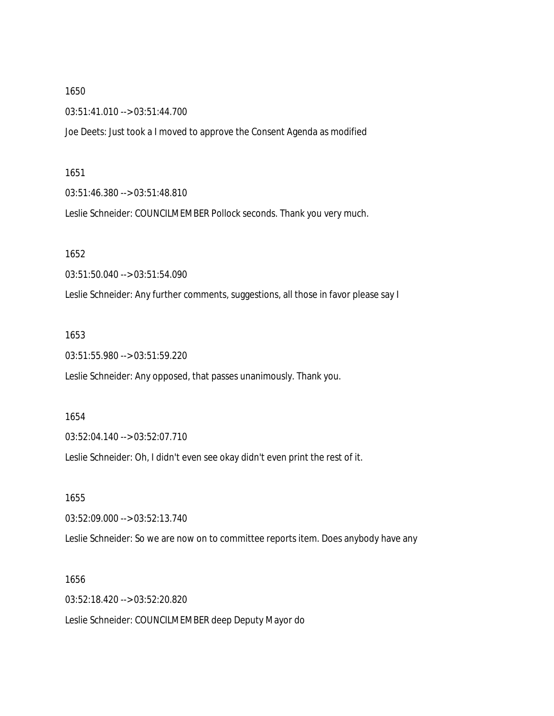03:51:41.010 --> 03:51:44.700

Joe Deets: Just took a I moved to approve the Consent Agenda as modified

#### 1651

03:51:46.380 --> 03:51:48.810

Leslie Schneider: COUNCILMEMBER Pollock seconds. Thank you very much.

#### 1652

03:51:50.040 --> 03:51:54.090

Leslie Schneider: Any further comments, suggestions, all those in favor please say I

### 1653

03:51:55.980 --> 03:51:59.220

Leslie Schneider: Any opposed, that passes unanimously. Thank you.

#### 1654

03:52:04.140 --> 03:52:07.710

Leslie Schneider: Oh, I didn't even see okay didn't even print the rest of it.

1655

03:52:09.000 --> 03:52:13.740

Leslie Schneider: So we are now on to committee reports item. Does anybody have any

1656

03:52:18.420 --> 03:52:20.820

Leslie Schneider: COUNCILMEMBER deep Deputy Mayor do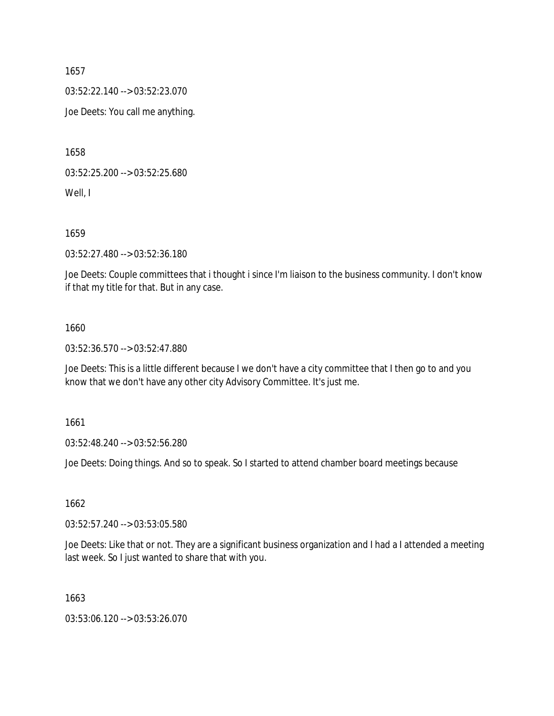03:52:22.140 --> 03:52:23.070

Joe Deets: You call me anything.

1658

03:52:25.200 --> 03:52:25.680 Well, I

1659

03:52:27.480 --> 03:52:36.180

Joe Deets: Couple committees that i thought i since I'm liaison to the business community. I don't know if that my title for that. But in any case.

### 1660

03:52:36.570 --> 03:52:47.880

Joe Deets: This is a little different because I we don't have a city committee that I then go to and you know that we don't have any other city Advisory Committee. It's just me.

1661

03:52:48.240 --> 03:52:56.280

Joe Deets: Doing things. And so to speak. So I started to attend chamber board meetings because

1662

03:52:57.240 --> 03:53:05.580

Joe Deets: Like that or not. They are a significant business organization and I had a I attended a meeting last week. So I just wanted to share that with you.

1663

03:53:06.120 --> 03:53:26.070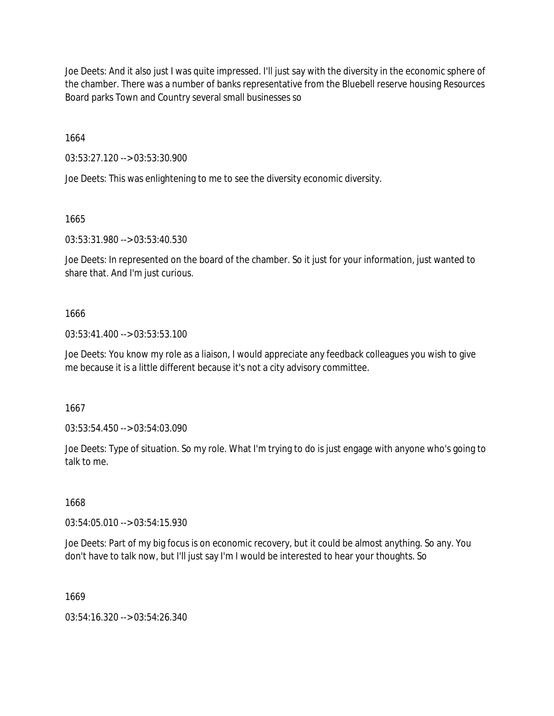Joe Deets: And it also just I was quite impressed. I'll just say with the diversity in the economic sphere of the chamber. There was a number of banks representative from the Bluebell reserve housing Resources Board parks Town and Country several small businesses so

1664

03:53:27.120 --> 03:53:30.900

Joe Deets: This was enlightening to me to see the diversity economic diversity.

1665

03:53:31.980 --> 03:53:40.530

Joe Deets: In represented on the board of the chamber. So it just for your information, just wanted to share that. And I'm just curious.

1666

03:53:41.400 --> 03:53:53.100

Joe Deets: You know my role as a liaison, I would appreciate any feedback colleagues you wish to give me because it is a little different because it's not a city advisory committee.

1667

03:53:54.450 --> 03:54:03.090

Joe Deets: Type of situation. So my role. What I'm trying to do is just engage with anyone who's going to talk to me.

1668

03:54:05.010 --> 03:54:15.930

Joe Deets: Part of my big focus is on economic recovery, but it could be almost anything. So any. You don't have to talk now, but I'll just say I'm I would be interested to hear your thoughts. So

1669

03:54:16.320 --> 03:54:26.340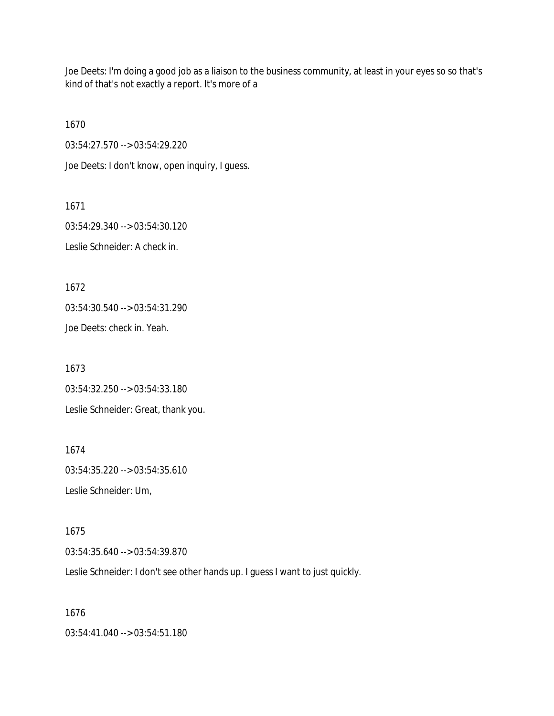Joe Deets: I'm doing a good job as a liaison to the business community, at least in your eyes so so that's kind of that's not exactly a report. It's more of a

1670

03:54:27.570 --> 03:54:29.220

Joe Deets: I don't know, open inquiry, I guess.

1671 03:54:29.340 --> 03:54:30.120 Leslie Schneider: A check in.

1672 03:54:30.540 --> 03:54:31.290 Joe Deets: check in. Yeah.

1673 03:54:32.250 --> 03:54:33.180 Leslie Schneider: Great, thank you.

1674 03:54:35.220 --> 03:54:35.610 Leslie Schneider: Um,

1675 03:54:35.640 --> 03:54:39.870

Leslie Schneider: I don't see other hands up. I guess I want to just quickly.

1676

03:54:41.040 --> 03:54:51.180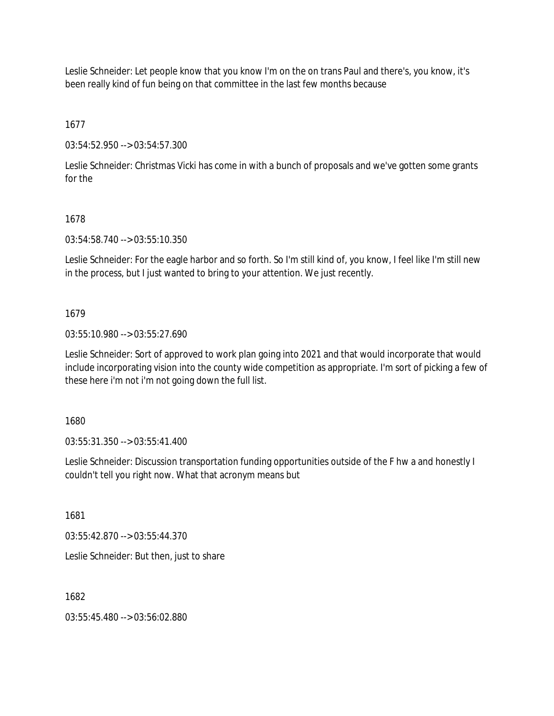Leslie Schneider: Let people know that you know I'm on the on trans Paul and there's, you know, it's been really kind of fun being on that committee in the last few months because

1677

03:54:52.950 --> 03:54:57.300

Leslie Schneider: Christmas Vicki has come in with a bunch of proposals and we've gotten some grants for the

## 1678

03:54:58.740 --> 03:55:10.350

Leslie Schneider: For the eagle harbor and so forth. So I'm still kind of, you know, I feel like I'm still new in the process, but I just wanted to bring to your attention. We just recently.

## 1679

03:55:10.980 --> 03:55:27.690

Leslie Schneider: Sort of approved to work plan going into 2021 and that would incorporate that would include incorporating vision into the county wide competition as appropriate. I'm sort of picking a few of these here i'm not i'm not going down the full list.

1680

03:55:31.350 --> 03:55:41.400

Leslie Schneider: Discussion transportation funding opportunities outside of the F hw a and honestly I couldn't tell you right now. What that acronym means but

1681

03:55:42.870 --> 03:55:44.370

Leslie Schneider: But then, just to share

1682

03:55:45.480 --> 03:56:02.880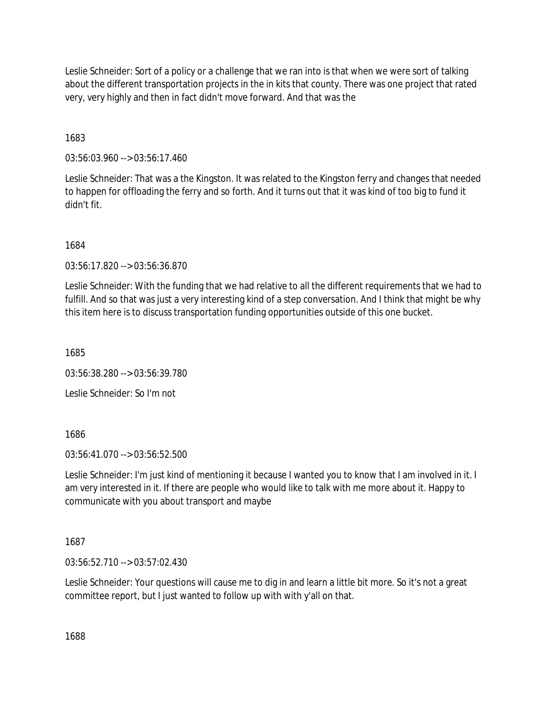Leslie Schneider: Sort of a policy or a challenge that we ran into is that when we were sort of talking about the different transportation projects in the in kits that county. There was one project that rated very, very highly and then in fact didn't move forward. And that was the

1683

03:56:03.960 --> 03:56:17.460

Leslie Schneider: That was a the Kingston. It was related to the Kingston ferry and changes that needed to happen for offloading the ferry and so forth. And it turns out that it was kind of too big to fund it didn't fit.

1684

03:56:17.820 --> 03:56:36.870

Leslie Schneider: With the funding that we had relative to all the different requirements that we had to fulfill. And so that was just a very interesting kind of a step conversation. And I think that might be why this item here is to discuss transportation funding opportunities outside of this one bucket.

1685

03:56:38.280 --> 03:56:39.780

Leslie Schneider: So I'm not

1686

03:56:41.070 --> 03:56:52.500

Leslie Schneider: I'm just kind of mentioning it because I wanted you to know that I am involved in it. I am very interested in it. If there are people who would like to talk with me more about it. Happy to communicate with you about transport and maybe

1687

03:56:52.710 --> 03:57:02.430

Leslie Schneider: Your questions will cause me to dig in and learn a little bit more. So it's not a great committee report, but I just wanted to follow up with with y'all on that.

1688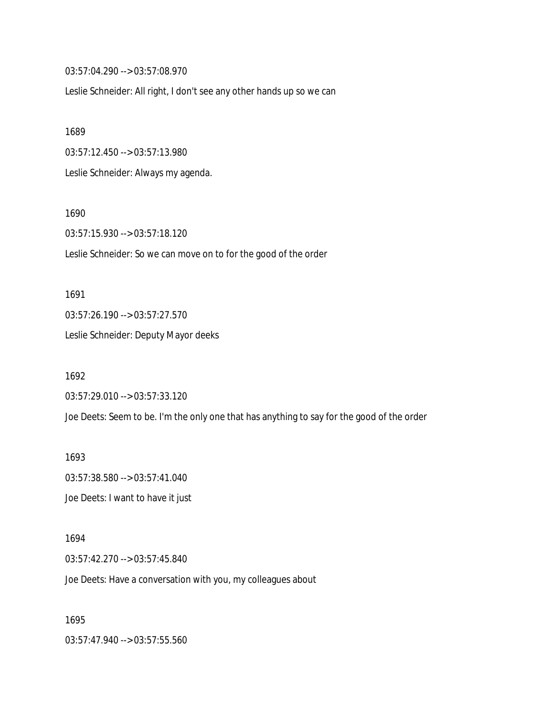03:57:04.290 --> 03:57:08.970

Leslie Schneider: All right, I don't see any other hands up so we can

1689

03:57:12.450 --> 03:57:13.980

Leslie Schneider: Always my agenda.

1690

03:57:15.930 --> 03:57:18.120

Leslie Schneider: So we can move on to for the good of the order

1691 03:57:26.190 --> 03:57:27.570 Leslie Schneider: Deputy Mayor deeks

1692 03:57:29.010 --> 03:57:33.120 Joe Deets: Seem to be. I'm the only one that has anything to say for the good of the order

1693 03:57:38.580 --> 03:57:41.040 Joe Deets: I want to have it just

1694 03:57:42.270 --> 03:57:45.840 Joe Deets: Have a conversation with you, my colleagues about

1695 03:57:47.940 --> 03:57:55.560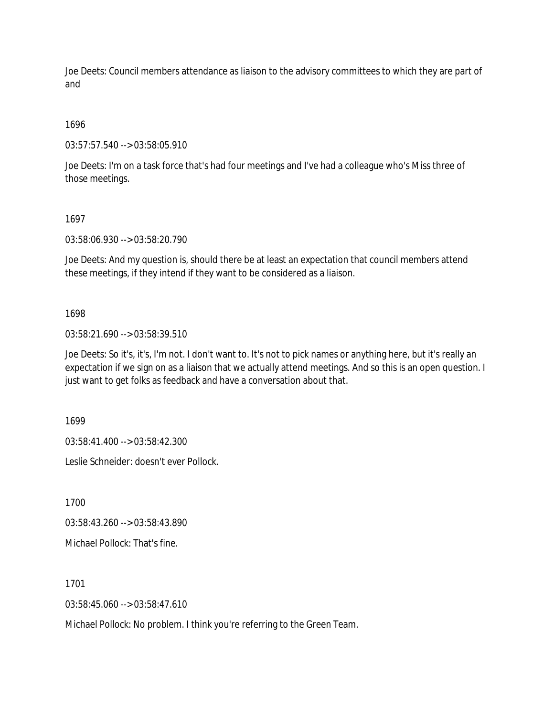Joe Deets: Council members attendance as liaison to the advisory committees to which they are part of and

## 1696

03:57:57.540 --> 03:58:05.910

Joe Deets: I'm on a task force that's had four meetings and I've had a colleague who's Miss three of those meetings.

## 1697

03:58:06.930 --> 03:58:20.790

Joe Deets: And my question is, should there be at least an expectation that council members attend these meetings, if they intend if they want to be considered as a liaison.

## 1698

03:58:21.690 --> 03:58:39.510

Joe Deets: So it's, it's, I'm not. I don't want to. It's not to pick names or anything here, but it's really an expectation if we sign on as a liaison that we actually attend meetings. And so this is an open question. I just want to get folks as feedback and have a conversation about that.

1699

03:58:41.400 --> 03:58:42.300

Leslie Schneider: doesn't ever Pollock.

1700

03:58:43.260 --> 03:58:43.890

Michael Pollock: That's fine.

1701

03:58:45.060 --> 03:58:47.610

Michael Pollock: No problem. I think you're referring to the Green Team.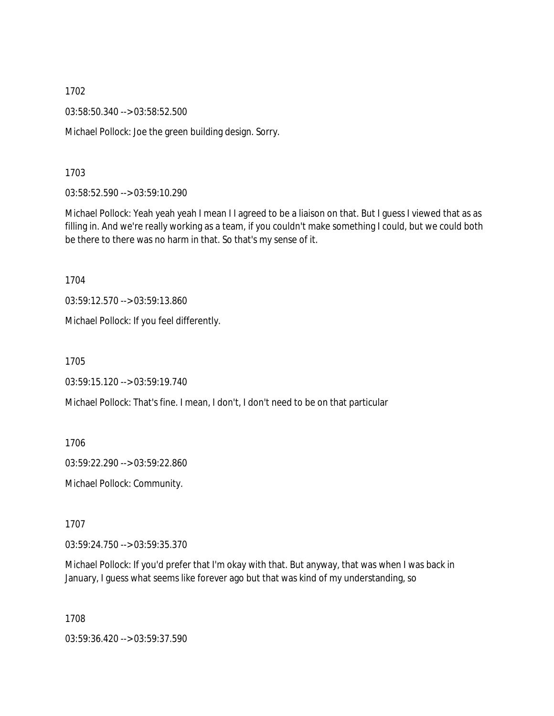03:58:50.340 --> 03:58:52.500

Michael Pollock: Joe the green building design. Sorry.

1703

03:58:52.590 --> 03:59:10.290

Michael Pollock: Yeah yeah yeah I mean I I agreed to be a liaison on that. But I guess I viewed that as as filling in. And we're really working as a team, if you couldn't make something I could, but we could both be there to there was no harm in that. So that's my sense of it.

1704

03:59:12.570 --> 03:59:13.860

Michael Pollock: If you feel differently.

1705

03:59:15.120 --> 03:59:19.740

Michael Pollock: That's fine. I mean, I don't, I don't need to be on that particular

1706

03:59:22.290 --> 03:59:22.860

Michael Pollock: Community.

1707

03:59:24.750 --> 03:59:35.370

Michael Pollock: If you'd prefer that I'm okay with that. But anyway, that was when I was back in January, I guess what seems like forever ago but that was kind of my understanding, so

1708

03:59:36.420 --> 03:59:37.590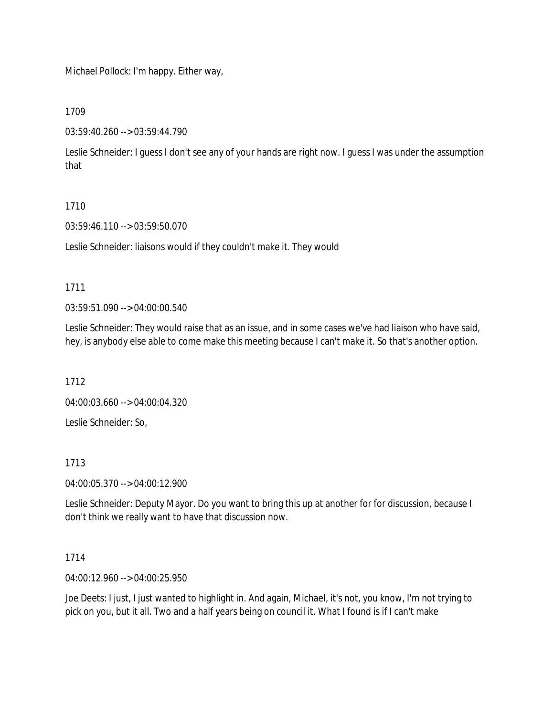Michael Pollock: I'm happy. Either way,

1709

03:59:40.260 --> 03:59:44.790

Leslie Schneider: I guess I don't see any of your hands are right now. I guess I was under the assumption that

# 1710

03:59:46.110 --> 03:59:50.070

Leslie Schneider: liaisons would if they couldn't make it. They would

## 1711

03:59:51.090 --> 04:00:00.540

Leslie Schneider: They would raise that as an issue, and in some cases we've had liaison who have said, hey, is anybody else able to come make this meeting because I can't make it. So that's another option.

1712

04:00:03.660 --> 04:00:04.320

Leslie Schneider: So,

# 1713

04:00:05.370 --> 04:00:12.900

Leslie Schneider: Deputy Mayor. Do you want to bring this up at another for for discussion, because I don't think we really want to have that discussion now.

# 1714

04:00:12.960 --> 04:00:25.950

Joe Deets: I just, I just wanted to highlight in. And again, Michael, it's not, you know, I'm not trying to pick on you, but it all. Two and a half years being on council it. What I found is if I can't make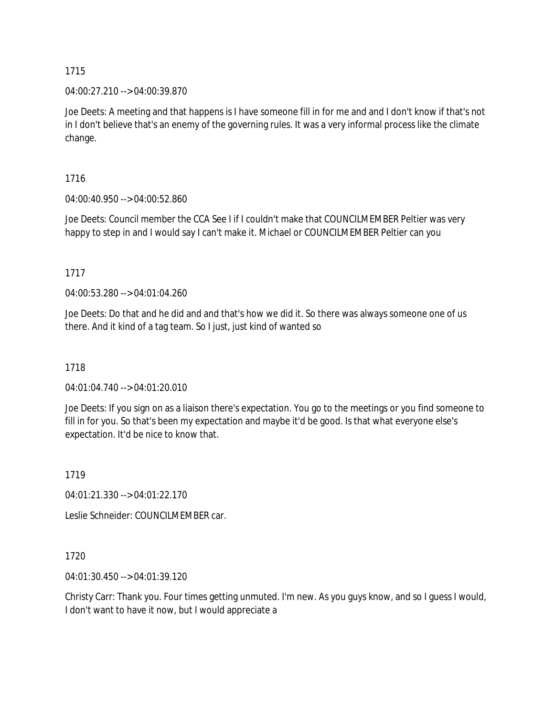04:00:27.210 --> 04:00:39.870

Joe Deets: A meeting and that happens is I have someone fill in for me and and I don't know if that's not in I don't believe that's an enemy of the governing rules. It was a very informal process like the climate change.

1716

04:00:40.950 --> 04:00:52.860

Joe Deets: Council member the CCA See I if I couldn't make that COUNCILMEMBER Peltier was very happy to step in and I would say I can't make it. Michael or COUNCILMEMBER Peltier can you

1717

04:00:53.280 --> 04:01:04.260

Joe Deets: Do that and he did and and that's how we did it. So there was always someone one of us there. And it kind of a tag team. So I just, just kind of wanted so

1718

04:01:04.740 --> 04:01:20.010

Joe Deets: If you sign on as a liaison there's expectation. You go to the meetings or you find someone to fill in for you. So that's been my expectation and maybe it'd be good. Is that what everyone else's expectation. It'd be nice to know that.

1719

04:01:21.330 --> 04:01:22.170

Leslie Schneider: COUNCILMEMBER car.

1720

04:01:30.450 --> 04:01:39.120

Christy Carr: Thank you. Four times getting unmuted. I'm new. As you guys know, and so I guess I would, I don't want to have it now, but I would appreciate a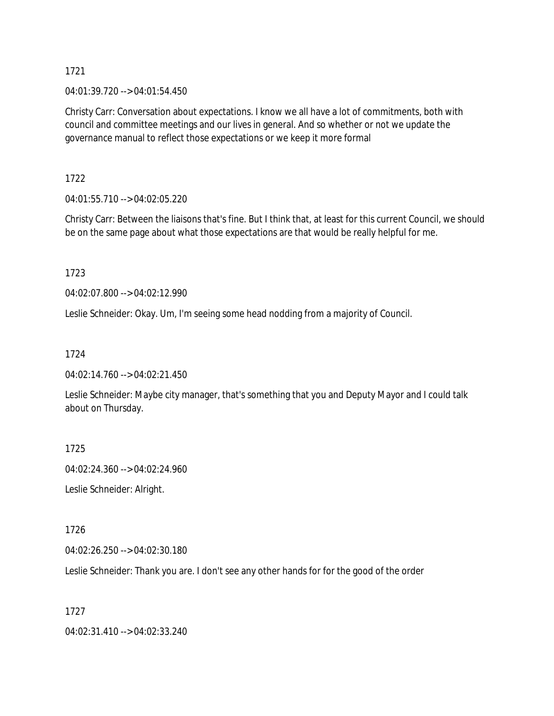04:01:39.720 --> 04:01:54.450

Christy Carr: Conversation about expectations. I know we all have a lot of commitments, both with council and committee meetings and our lives in general. And so whether or not we update the governance manual to reflect those expectations or we keep it more formal

1722

04:01:55.710 --> 04:02:05.220

Christy Carr: Between the liaisons that's fine. But I think that, at least for this current Council, we should be on the same page about what those expectations are that would be really helpful for me.

1723

04:02:07.800 --> 04:02:12.990

Leslie Schneider: Okay. Um, I'm seeing some head nodding from a majority of Council.

1724

04:02:14.760 --> 04:02:21.450

Leslie Schneider: Maybe city manager, that's something that you and Deputy Mayor and I could talk about on Thursday.

1725

04:02:24.360 --> 04:02:24.960

Leslie Schneider: Alright.

1726

04:02:26.250 --> 04:02:30.180

Leslie Schneider: Thank you are. I don't see any other hands for for the good of the order

1727

04:02:31.410 --> 04:02:33.240